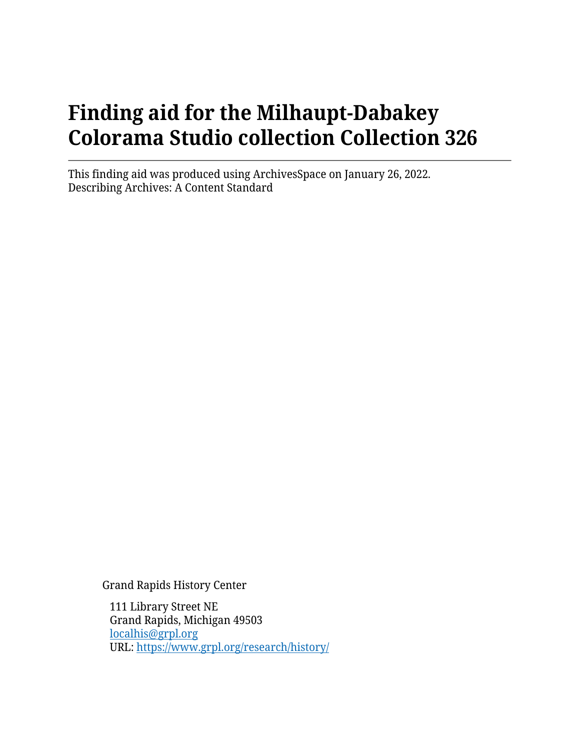# **Finding aid for the Milhaupt-Dabakey Colorama Studio collection Collection 326**

This finding aid was produced using ArchivesSpace on January 26, 2022. Describing Archives: A Content Standard

Grand Rapids History Center

111 Library Street NE Grand Rapids, Michigan 49503 [localhis@grpl.org](mailto:localhis@grpl.org) URL:<https://www.grpl.org/research/history/>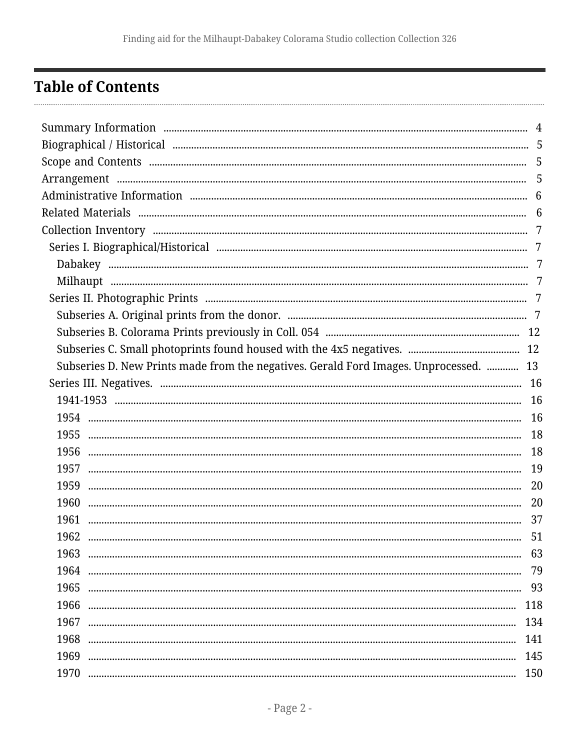## <span id="page-1-0"></span>**Table of Contents**

| Subseries D. New Prints made from the negatives. Gerald Ford Images. Unprocessed.  13 |     |
|---------------------------------------------------------------------------------------|-----|
|                                                                                       |     |
|                                                                                       |     |
|                                                                                       |     |
|                                                                                       |     |
|                                                                                       |     |
| 1957                                                                                  |     |
|                                                                                       |     |
| 1960                                                                                  |     |
| 1961                                                                                  | 37  |
| 1962                                                                                  | 51  |
| 1963                                                                                  |     |
| 1964                                                                                  |     |
| 1965                                                                                  |     |
| 1966                                                                                  | 118 |
| 1967                                                                                  | 134 |
| 1968                                                                                  | 141 |
| 1969                                                                                  | 145 |
| 1970                                                                                  | 150 |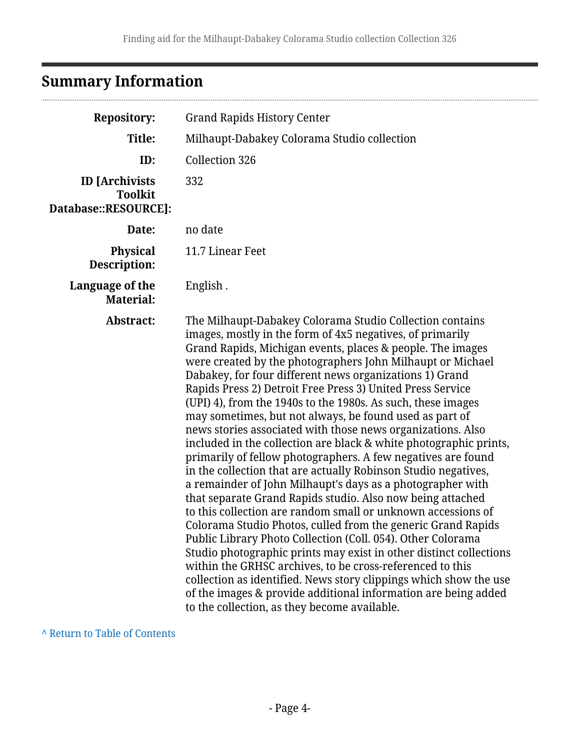# <span id="page-3-0"></span>**Summary Information**

................................

| <b>Repository:</b>                                              | <b>Grand Rapids History Center</b>                                                                                                                                                                                                                                                                                                                                                                                                                                                                                                                                                                                                                                                                                                                                                                                                                                                                                                                                                                                                                                                                                                                                                                                                                                                                                                                                                                                               |
|-----------------------------------------------------------------|----------------------------------------------------------------------------------------------------------------------------------------------------------------------------------------------------------------------------------------------------------------------------------------------------------------------------------------------------------------------------------------------------------------------------------------------------------------------------------------------------------------------------------------------------------------------------------------------------------------------------------------------------------------------------------------------------------------------------------------------------------------------------------------------------------------------------------------------------------------------------------------------------------------------------------------------------------------------------------------------------------------------------------------------------------------------------------------------------------------------------------------------------------------------------------------------------------------------------------------------------------------------------------------------------------------------------------------------------------------------------------------------------------------------------------|
| Title:                                                          | Milhaupt-Dabakey Colorama Studio collection                                                                                                                                                                                                                                                                                                                                                                                                                                                                                                                                                                                                                                                                                                                                                                                                                                                                                                                                                                                                                                                                                                                                                                                                                                                                                                                                                                                      |
| ID:                                                             | Collection 326                                                                                                                                                                                                                                                                                                                                                                                                                                                                                                                                                                                                                                                                                                                                                                                                                                                                                                                                                                                                                                                                                                                                                                                                                                                                                                                                                                                                                   |
| <b>ID</b> [Archivists<br><b>Toolkit</b><br>Database::RESOURCE]: | 332                                                                                                                                                                                                                                                                                                                                                                                                                                                                                                                                                                                                                                                                                                                                                                                                                                                                                                                                                                                                                                                                                                                                                                                                                                                                                                                                                                                                                              |
| Date:                                                           | no date                                                                                                                                                                                                                                                                                                                                                                                                                                                                                                                                                                                                                                                                                                                                                                                                                                                                                                                                                                                                                                                                                                                                                                                                                                                                                                                                                                                                                          |
| <b>Physical</b><br>Description:                                 | 11.7 Linear Feet                                                                                                                                                                                                                                                                                                                                                                                                                                                                                                                                                                                                                                                                                                                                                                                                                                                                                                                                                                                                                                                                                                                                                                                                                                                                                                                                                                                                                 |
| Language of the<br><b>Material:</b>                             | English.                                                                                                                                                                                                                                                                                                                                                                                                                                                                                                                                                                                                                                                                                                                                                                                                                                                                                                                                                                                                                                                                                                                                                                                                                                                                                                                                                                                                                         |
| Abstract:                                                       | The Milhaupt-Dabakey Colorama Studio Collection contains<br>images, mostly in the form of 4x5 negatives, of primarily<br>Grand Rapids, Michigan events, places & people. The images<br>were created by the photographers John Milhaupt or Michael<br>Dabakey, for four different news organizations 1) Grand<br>Rapids Press 2) Detroit Free Press 3) United Press Service<br>(UPI) 4), from the 1940s to the 1980s. As such, these images<br>may sometimes, but not always, be found used as part of<br>news stories associated with those news organizations. Also<br>included in the collection are black & white photographic prints,<br>primarily of fellow photographers. A few negatives are found<br>in the collection that are actually Robinson Studio negatives,<br>a remainder of John Milhaupt's days as a photographer with<br>that separate Grand Rapids studio. Also now being attached<br>to this collection are random small or unknown accessions of<br>Colorama Studio Photos, culled from the generic Grand Rapids<br>Public Library Photo Collection (Coll. 054). Other Colorama<br>Studio photographic prints may exist in other distinct collections<br>within the GRHSC archives, to be cross-referenced to this<br>collection as identified. News story clippings which show the use<br>of the images & provide additional information are being added<br>to the collection, as they become available. |

**^** [Return to Table of Contents](#page-1-0)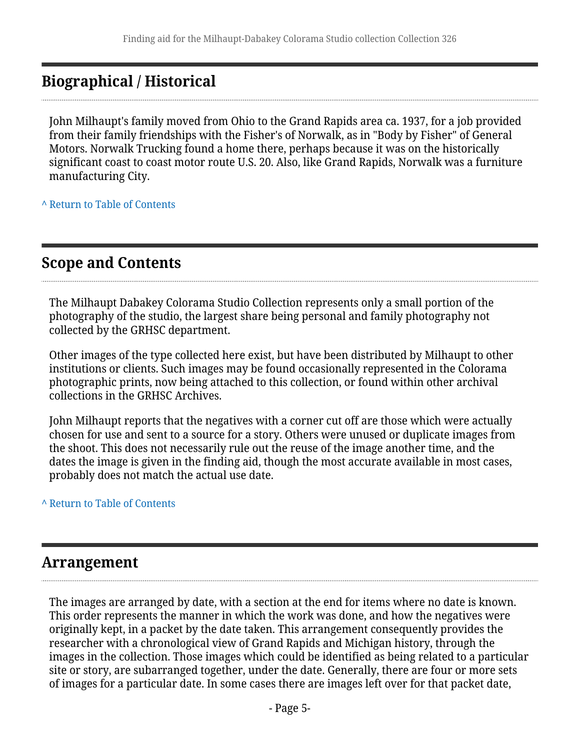## <span id="page-4-0"></span>**Biographical / Historical**

John Milhaupt's family moved from Ohio to the Grand Rapids area ca. 1937, for a job provided from their family friendships with the Fisher's of Norwalk, as in "Body by Fisher" of General Motors. Norwalk Trucking found a home there, perhaps because it was on the historically significant coast to coast motor route U.S. 20. Also, like Grand Rapids, Norwalk was a furniture manufacturing City.

**^** [Return to Table of Contents](#page-1-0)

### <span id="page-4-1"></span>**Scope and Contents**

The Milhaupt Dabakey Colorama Studio Collection represents only a small portion of the photography of the studio, the largest share being personal and family photography not collected by the GRHSC department.

Other images of the type collected here exist, but have been distributed by Milhaupt to other institutions or clients. Such images may be found occasionally represented in the Colorama photographic prints, now being attached to this collection, or found within other archival collections in the GRHSC Archives.

John Milhaupt reports that the negatives with a corner cut off are those which were actually chosen for use and sent to a source for a story. Others were unused or duplicate images from the shoot. This does not necessarily rule out the reuse of the image another time, and the dates the image is given in the finding aid, though the most accurate available in most cases, probably does not match the actual use date.

#### **^** [Return to Table of Contents](#page-1-0)

#### <span id="page-4-2"></span>**Arrangement**

The images are arranged by date, with a section at the end for items where no date is known. This order represents the manner in which the work was done, and how the negatives were originally kept, in a packet by the date taken. This arrangement consequently provides the researcher with a chronological view of Grand Rapids and Michigan history, through the images in the collection. Those images which could be identified as being related to a particular site or story, are subarranged together, under the date. Generally, there are four or more sets of images for a particular date. In some cases there are images left over for that packet date,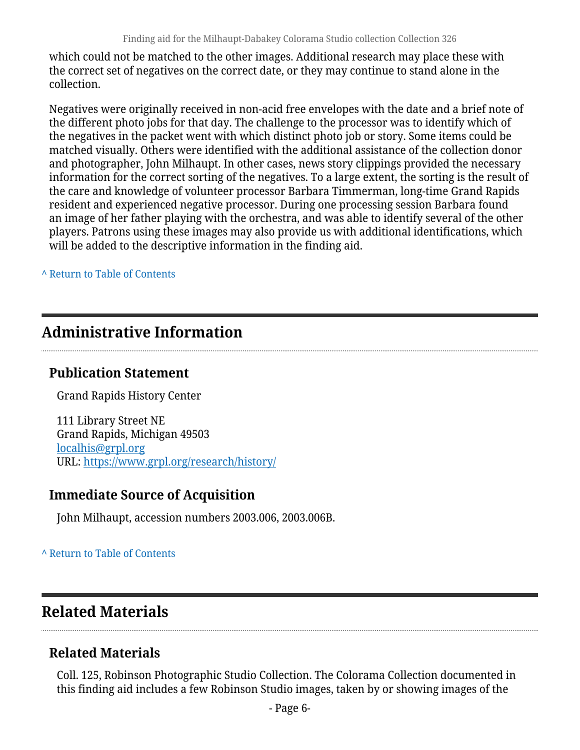which could not be matched to the other images. Additional research may place these with the correct set of negatives on the correct date, or they may continue to stand alone in the collection.

Negatives were originally received in non-acid free envelopes with the date and a brief note of the different photo jobs for that day. The challenge to the processor was to identify which of the negatives in the packet went with which distinct photo job or story. Some items could be matched visually. Others were identified with the additional assistance of the collection donor and photographer, John Milhaupt. In other cases, news story clippings provided the necessary information for the correct sorting of the negatives. To a large extent, the sorting is the result of the care and knowledge of volunteer processor Barbara Timmerman, long-time Grand Rapids resident and experienced negative processor. During one processing session Barbara found an image of her father playing with the orchestra, and was able to identify several of the other players. Patrons using these images may also provide us with additional identifications, which will be added to the descriptive information in the finding aid.

**^** [Return to Table of Contents](#page-1-0)

## <span id="page-5-0"></span>**Administrative Information**

#### **Publication Statement**

Grand Rapids History Center

111 Library Street NE Grand Rapids, Michigan 49503 [localhis@grpl.org](mailto:localhis@grpl.org) URL:<https://www.grpl.org/research/history/>

#### **Immediate Source of Acquisition**

John Milhaupt, accession numbers 2003.006, 2003.006B.

#### **^** [Return to Table of Contents](#page-1-0)

### <span id="page-5-1"></span>**Related Materials**

#### **Related Materials**

Coll. 125, Robinson Photographic Studio Collection. The Colorama Collection documented in this finding aid includes a few Robinson Studio images, taken by or showing images of the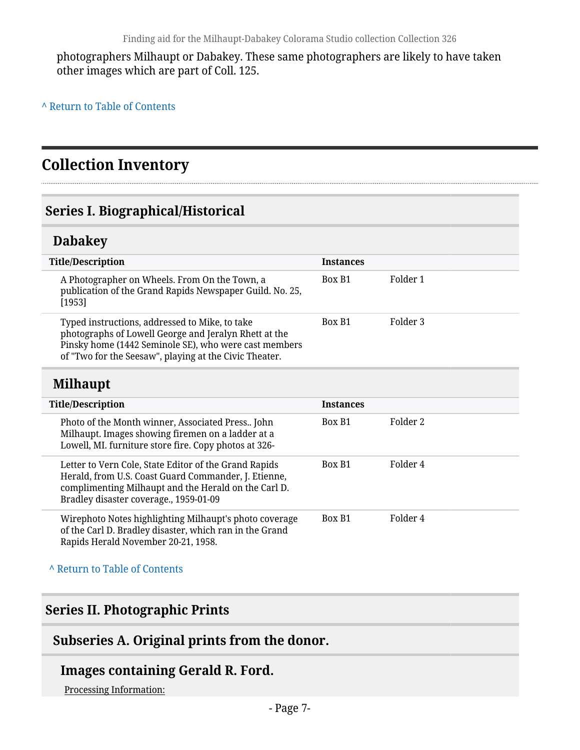photographers Milhaupt or Dabakey. These same photographers are likely to have taken other images which are part of Coll. 125.

**^** [Return to Table of Contents](#page-1-0)

## <span id="page-6-0"></span>**Collection Inventory**

#### <span id="page-6-1"></span>**Series I. Biographical/Historical**

#### <span id="page-6-2"></span>**Dabakey**

| <b>Title/Description</b>                                                                                                                                                                                                   | <b>Instances</b> |          |
|----------------------------------------------------------------------------------------------------------------------------------------------------------------------------------------------------------------------------|------------------|----------|
| A Photographer on Wheels. From On the Town, a<br>publication of the Grand Rapids Newspaper Guild. No. 25,<br>[1953]                                                                                                        | Box B1           | Folder 1 |
| Typed instructions, addressed to Mike, to take<br>photographs of Lowell George and Jeralyn Rhett at the<br>Pinsky home (1442 Seminole SE), who were cast members<br>of "Two for the Seesaw", playing at the Civic Theater. | Box B1           | Folder 3 |

#### <span id="page-6-3"></span>**Milhaupt**

| <b>Title/Description</b>                                                                                                                                                                                        | <b>Instances</b> |          |
|-----------------------------------------------------------------------------------------------------------------------------------------------------------------------------------------------------------------|------------------|----------|
| Photo of the Month winner, Associated Press John<br>Milhaupt. Images showing firemen on a ladder at a<br>Lowell, MI. furniture store fire. Copy photos at 326-                                                  | Box B1           | Folder 2 |
| Letter to Vern Cole, State Editor of the Grand Rapids<br>Herald, from U.S. Coast Guard Commander, J. Etienne,<br>complimenting Milhaupt and the Herald on the Carl D.<br>Bradley disaster coverage., 1959-01-09 | Box B1           | Folder 4 |
| Wirephoto Notes highlighting Milhaupt's photo coverage<br>of the Carl D. Bradley disaster, which ran in the Grand<br>Rapids Herald November 20-21, 1958.                                                        | Box B1           | Folder 4 |

**^** [Return to Table of Contents](#page-1-0)

#### <span id="page-6-4"></span>**Series II. Photographic Prints**

#### <span id="page-6-5"></span>**Subseries A. Original prints from the donor.**

#### **Images containing Gerald R. Ford.**

Processing Information: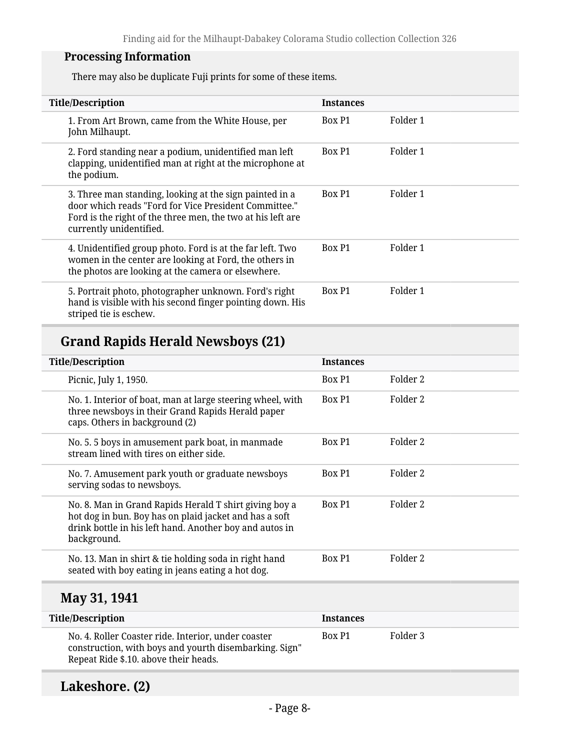#### **Processing Information**

There may also be duplicate Fuji prints for some of these items.

| <b>Title/Description</b>                                                                                                                                                                                   | <b>Instances</b> |          |
|------------------------------------------------------------------------------------------------------------------------------------------------------------------------------------------------------------|------------------|----------|
| 1. From Art Brown, came from the White House, per<br>John Milhaupt.                                                                                                                                        | Box P1           | Folder 1 |
| 2. Ford standing near a podium, unidentified man left<br>clapping, unidentified man at right at the microphone at<br>the podium.                                                                           | Box P1           | Folder 1 |
| 3. Three man standing, looking at the sign painted in a<br>door which reads "Ford for Vice President Committee."<br>Ford is the right of the three men, the two at his left are<br>currently unidentified. | Box P1           | Folder 1 |
| 4. Unidentified group photo. Ford is at the far left. Two<br>women in the center are looking at Ford, the others in<br>the photos are looking at the camera or elsewhere.                                  | Box P1           | Folder 1 |
| 5. Portrait photo, photographer unknown. Ford's right<br>hand is visible with his second finger pointing down. His<br>striped tie is eschew.                                                               | Box P1           | Folder 1 |

### **Grand Rapids Herald Newsboys (21)**

| <b>Title/Description</b>                                                                                                                                                                   | <b>Instances</b> |                     |
|--------------------------------------------------------------------------------------------------------------------------------------------------------------------------------------------|------------------|---------------------|
| Picnic, July 1, 1950.                                                                                                                                                                      | Box P1           | Folder <sub>2</sub> |
| No. 1. Interior of boat, man at large steering wheel, with<br>three newsboys in their Grand Rapids Herald paper<br>caps. Others in background (2)                                          | Box P1           | Folder 2            |
| No. 5. 5 boys in amusement park boat, in manmade<br>stream lined with tires on either side.                                                                                                | Box P1           | Folder 2            |
| No. 7. Amusement park youth or graduate newsboys<br>serving sodas to newsboys.                                                                                                             | Box P1           | Folder 2            |
| No. 8. Man in Grand Rapids Herald T shirt giving boy a<br>hot dog in bun. Boy has on plaid jacket and has a soft<br>drink bottle in his left hand. Another boy and autos in<br>background. | Box P1           | Folder <sub>2</sub> |
| No. 13. Man in shirt & tie holding soda in right hand<br>seated with boy eating in jeans eating a hot dog.                                                                                 | Box P1           | Folder 2            |
| May 31, 1941                                                                                                                                                                               |                  |                     |
| <b>Title/Description</b>                                                                                                                                                                   | <b>Instances</b> |                     |
| No. 4. Roller Coaster ride. Interior, under coaster<br>construction, with boys and yourth disembarking. Sign"<br>Repeat Ride \$.10. above their heads.                                     | Box P1           | Folder 3            |

### **Lakeshore. (2)**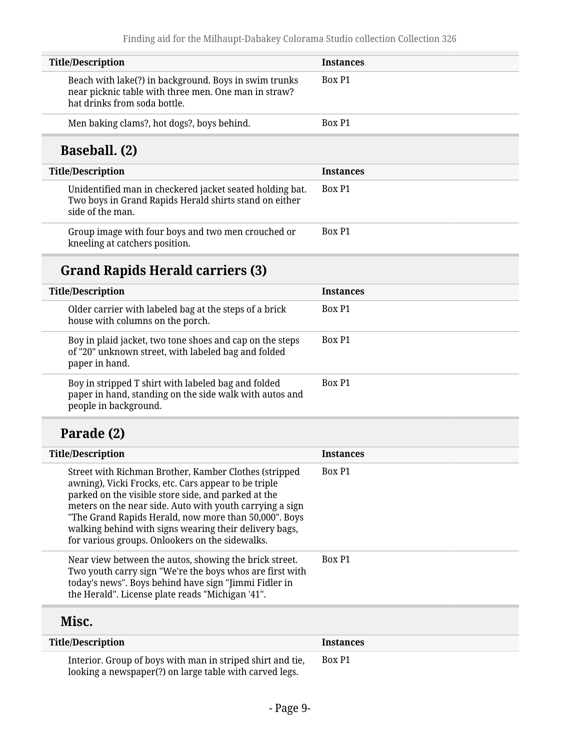| <b>Title/Description</b>                                                                                                                      | <b>Instances</b> |
|-----------------------------------------------------------------------------------------------------------------------------------------------|------------------|
| Beach with lake(?) in background. Boys in swim trunks<br>near picknic table with three men. One man in straw?<br>hat drinks from soda bottle. | Box P1           |
| Men baking clams?, hot dogs?, boys behind.                                                                                                    | Box P1           |
| <b>Baseball.</b> (2)                                                                                                                          |                  |
| <b>Title/Description</b>                                                                                                                      | <b>Instances</b> |
| Unidentified man in checkered jacket seated holding bat.<br>Two boys in Grand Rapids Herald shirts stand on either<br>side of the man.        | Box P1           |
| Group image with four boys and two men crouched or<br>kneeling at catchers position.                                                          | Box P1           |
| <b>Grand Rapids Herald carriers (3)</b>                                                                                                       |                  |
| <b>Title/Description</b>                                                                                                                      | <b>Instances</b> |
| Older carrier with labeled bag at the steps of a brick<br>house with columns on the porch.                                                    | Box P1           |

| Boy in plaid jacket, two tone shoes and cap on the steps<br>of "20" unknown street, with labeled bag and folded<br>paper in hand.       | Box P1 |
|-----------------------------------------------------------------------------------------------------------------------------------------|--------|
| Boy in stripped T shirt with labeled bag and folded<br>paper in hand, standing on the side walk with autos and<br>people in background. | Box P1 |
| Parade (2)                                                                                                                              |        |

| <b>Title/Description</b>                                                                                                                                                                                                                                                                                                                                                                               | <b>Instances</b> |
|--------------------------------------------------------------------------------------------------------------------------------------------------------------------------------------------------------------------------------------------------------------------------------------------------------------------------------------------------------------------------------------------------------|------------------|
| Street with Richman Brother, Kamber Clothes (stripped<br>awning), Vicki Frocks, etc. Cars appear to be triple<br>parked on the visible store side, and parked at the<br>meters on the near side. Auto with youth carrying a sign<br>"The Grand Rapids Herald, now more than 50,000". Boys<br>walking behind with signs wearing their delivery bags,<br>for various groups. Onlookers on the sidewalks. | Box P1           |
| Near view between the autos, showing the brick street.<br>Two youth carry sign "We're the boys whos are first with<br>today's news". Boys behind have sign "Jimmi Fidler in<br>the Herald". License plate reads "Michigan '41".                                                                                                                                                                        | Box P1           |
| Misc.                                                                                                                                                                                                                                                                                                                                                                                                  |                  |
| <b>Title/Description</b>                                                                                                                                                                                                                                                                                                                                                                               | <b>Instances</b> |

| Interior. Group of boys with man in striped shirt and tie,<br>looking a newspaper(?) on large table with carved legs. | Box P1 |  |
|-----------------------------------------------------------------------------------------------------------------------|--------|--|
|                                                                                                                       |        |  |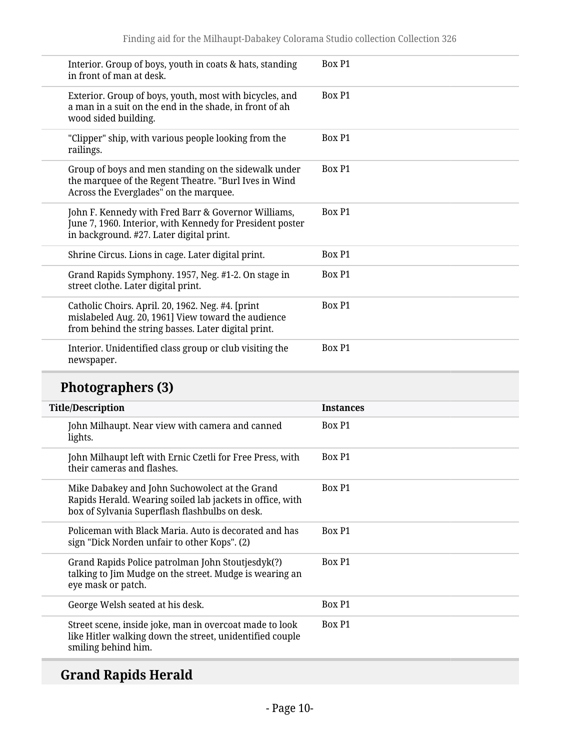| Interior. Group of boys, youth in coats & hats, standing<br>in front of man at desk.                                                                           | Box P1           |
|----------------------------------------------------------------------------------------------------------------------------------------------------------------|------------------|
| Exterior. Group of boys, youth, most with bicycles, and<br>a man in a suit on the end in the shade, in front of ah<br>wood sided building.                     | Box P1           |
| "Clipper" ship, with various people looking from the<br>railings.                                                                                              | Box P1           |
| Group of boys and men standing on the sidewalk under<br>the marquee of the Regent Theatre. "Burl Ives in Wind<br>Across the Everglades" on the marquee.        | Box P1           |
| John F. Kennedy with Fred Barr & Governor Williams,<br>June 7, 1960. Interior, with Kennedy for President poster<br>in background. #27. Later digital print.   | Box P1           |
| Shrine Circus. Lions in cage. Later digital print.                                                                                                             | Box P1           |
| Grand Rapids Symphony. 1957, Neg. #1-2. On stage in<br>street clothe. Later digital print.                                                                     | Box P1           |
| Catholic Choirs. April. 20, 1962. Neg. #4. [print<br>mislabeled Aug. 20, 1961] View toward the audience<br>from behind the string basses. Later digital print. | Box P1           |
| Interior. Unidentified class group or club visiting the<br>newspaper.                                                                                          | Box P1           |
|                                                                                                                                                                |                  |
| <b>Photographers (3)</b>                                                                                                                                       |                  |
| <b>Title/Description</b>                                                                                                                                       | <b>Instances</b> |
| John Milhaupt. Near view with camera and canned<br>lights.                                                                                                     | Box P1           |
| John Milhaupt left with Ernic Czetli for Free Press, with<br>their cameras and flashes.                                                                        | Box P1           |
| Mike Dabakey and John Suchowolect at the Grand<br>Rapids Herald. Wearing soiled lab jackets in office, with<br>box of Sylvania Superflash flashbulbs on desk.  | Box P1           |
| Policeman with Black Maria. Auto is decorated and has<br>sign "Dick Norden unfair to other Kops". (2)                                                          | Box P1           |
| Grand Rapids Police patrolman John Stoutjesdyk(?)<br>talking to Jim Mudge on the street. Mudge is wearing an<br>eye mask or patch.                             | Box P1           |
| George Welsh seated at his desk.                                                                                                                               | Box P1           |

## **Grand Rapids Herald**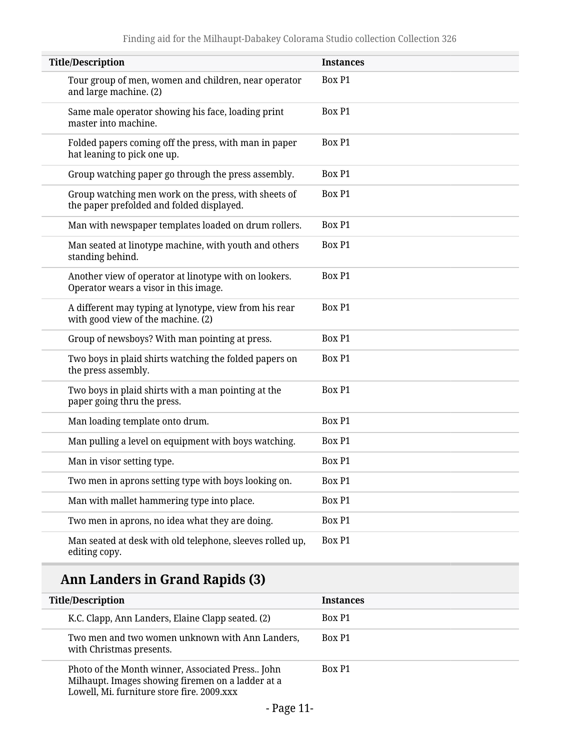| <b>Title/Description</b>                                                                          | <b>Instances</b> |
|---------------------------------------------------------------------------------------------------|------------------|
| Tour group of men, women and children, near operator<br>and large machine. (2)                    | Box P1           |
| Same male operator showing his face, loading print<br>master into machine.                        | Box P1           |
| Folded papers coming off the press, with man in paper<br>hat leaning to pick one up.              | Box P1           |
| Group watching paper go through the press assembly.                                               | Box P1           |
| Group watching men work on the press, with sheets of<br>the paper prefolded and folded displayed. | Box P1           |
| Man with newspaper templates loaded on drum rollers.                                              | Box P1           |
| Man seated at linotype machine, with youth and others<br>standing behind.                         | Box P1           |
| Another view of operator at linotype with on lookers.<br>Operator wears a visor in this image.    | Box P1           |
| A different may typing at lynotype, view from his rear<br>with good view of the machine. (2)      | Box P1           |
| Group of newsboys? With man pointing at press.                                                    | Box P1           |
| Two boys in plaid shirts watching the folded papers on<br>the press assembly.                     | Box P1           |
| Two boys in plaid shirts with a man pointing at the<br>paper going thru the press.                | Box P1           |
| Man loading template onto drum.                                                                   | Box P1           |
| Man pulling a level on equipment with boys watching.                                              | Box P1           |
| Man in visor setting type.                                                                        | Box P1           |
| Two men in aprons setting type with boys looking on.                                              | Box P1           |
| Man with mallet hammering type into place.                                                        | Box P1           |
| Two men in aprons, no idea what they are doing.                                                   | Box P1           |
| Man seated at desk with old telephone, sleeves rolled up,<br>editing copy.                        | Box P1           |

## **Ann Landers in Grand Rapids (3)**

| <b>Title/Description</b>                                                                                                                            | <b>Instances</b> |
|-----------------------------------------------------------------------------------------------------------------------------------------------------|------------------|
| K.C. Clapp, Ann Landers, Elaine Clapp seated. (2)                                                                                                   | Box P1           |
| Two men and two women unknown with Ann Landers,<br>with Christmas presents.                                                                         | Box P1           |
| Photo of the Month winner, Associated Press John<br>Milhaupt. Images showing firemen on a ladder at a<br>Lowell, Mi. furniture store fire. 2009.xxx | Box P1           |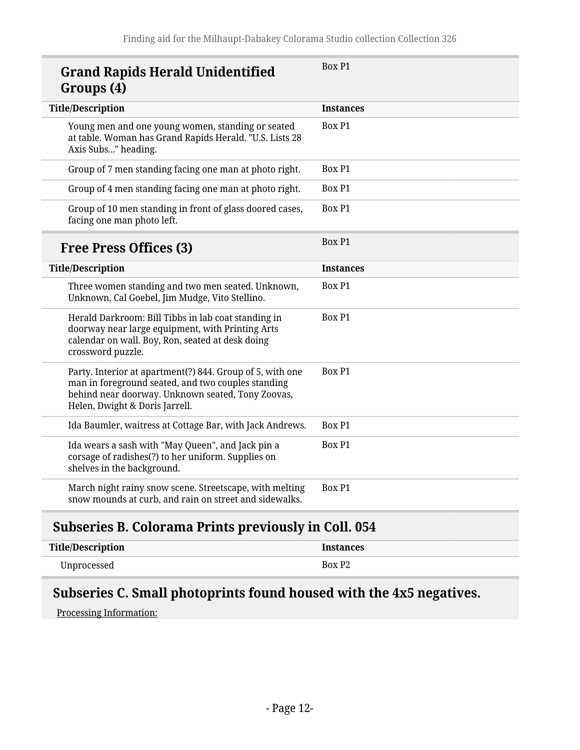| <b>Grand Rapids Herald Unidentified</b><br>Groups (4)                                                                                                                                                  | Box P1           |
|--------------------------------------------------------------------------------------------------------------------------------------------------------------------------------------------------------|------------------|
| <b>Title/Description</b>                                                                                                                                                                               | <b>Instances</b> |
| Young men and one young women, standing or seated<br>at table. Woman has Grand Rapids Herald. "U.S. Lists 28<br>Axis Subs" heading.                                                                    | Box P1           |
| Group of 7 men standing facing one man at photo right.                                                                                                                                                 | Box P1           |
| Group of 4 men standing facing one man at photo right.                                                                                                                                                 | Box P1           |
| Group of 10 men standing in front of glass doored cases,<br>facing one man photo left.                                                                                                                 | Box P1           |
| <b>Free Press Offices (3)</b>                                                                                                                                                                          | <b>Box P1</b>    |
| <b>Title/Description</b>                                                                                                                                                                               | <b>Instances</b> |
| Three women standing and two men seated. Unknown,<br>Unknown, Cal Goebel, Jim Mudge, Vito Stellino.                                                                                                    | Box P1           |
| Herald Darkroom: Bill Tibbs in lab coat standing in<br>doorway near large equipment, with Printing Arts<br>calendar on wall. Boy, Ron, seated at desk doing<br>crossword puzzle.                       | Box P1           |
| Party. Interior at apartment(?) 844. Group of 5, with one<br>man in foreground seated, and two couples standing<br>behind near doorway. Unknown seated, Tony Zoovas,<br>Helen, Dwight & Doris Jarrell. | Box P1           |
| Ida Baumler, waitress at Cottage Bar, with Jack Andrews.                                                                                                                                               | Box P1           |
| Ida wears a sash with "May Queen", and Jack pin a<br>corsage of radishes(?) to her uniform. Supplies on<br>shelves in the background.                                                                  | Box P1           |
| March night rainy snow scene. Streetscape, with melting<br>snow mounds at curb, and rain on street and sidewalks.                                                                                      | Box P1           |

#### <span id="page-11-0"></span>**Subseries B. Colorama Prints previously in Coll. 054**

| Title/Description | <b>Instances</b>   |
|-------------------|--------------------|
| Unprocessed       | Box P <sub>2</sub> |

### <span id="page-11-1"></span>**Subseries C. Small photoprints found housed with the 4x5 negatives.**

Processing Information: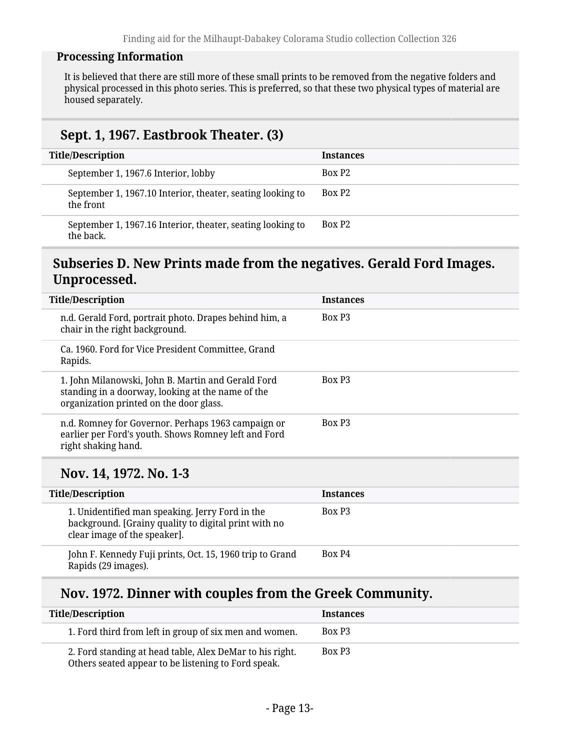#### **Processing Information**

It is believed that there are still more of these small prints to be removed from the negative folders and physical processed in this photo series. This is preferred, so that these two physical types of material are housed separately.

#### **Sept. 1, 1967. Eastbrook Theater. (3)**

| <b>Title/Description</b>                                                | <b>Instances</b>   |
|-------------------------------------------------------------------------|--------------------|
| September 1, 1967.6 Interior, lobby                                     | Box P <sub>2</sub> |
| September 1, 1967.10 Interior, theater, seating looking to<br>the front | Box P <sub>2</sub> |
| September 1, 1967.16 Interior, theater, seating looking to<br>the back. | Box P <sub>2</sub> |

#### <span id="page-12-0"></span>**Subseries D. New Prints made from the negatives. Gerald Ford Images. Unprocessed.**

| <b>Title/Description</b>                                                                                                                           | <b>Instances</b>   |
|----------------------------------------------------------------------------------------------------------------------------------------------------|--------------------|
| n.d. Gerald Ford, portrait photo. Drapes behind him, a<br>chair in the right background.                                                           | Box P <sub>3</sub> |
| Ca. 1960. Ford for Vice President Committee, Grand<br>Rapids.                                                                                      |                    |
| 1. John Milanowski, John B. Martin and Gerald Ford<br>standing in a doorway, looking at the name of the<br>organization printed on the door glass. | Box P <sub>3</sub> |
| n.d. Romney for Governor. Perhaps 1963 campaign or<br>earlier per Ford's youth. Shows Romney left and Ford<br>right shaking hand.                  | Box P <sub>3</sub> |
|                                                                                                                                                    |                    |

#### **Nov. 14, 1972. No. 1-3**

| <b>Title/Description</b>                                                                                                                | <b>Instances</b>   |
|-----------------------------------------------------------------------------------------------------------------------------------------|--------------------|
| 1. Unidentified man speaking. Jerry Ford in the<br>background. [Grainy quality to digital print with no<br>clear image of the speaker]. | Box P <sub>3</sub> |
| John F. Kennedy Fuji prints, Oct. 15, 1960 trip to Grand<br>Rapids (29 images).                                                         | Box P4             |

#### **Nov. 1972. Dinner with couples from the Greek Community.**

| <b>Title/Description</b>                                                                                        | <b>Instances</b>   |
|-----------------------------------------------------------------------------------------------------------------|--------------------|
| 1. Ford third from left in group of six men and women.                                                          | Box P <sub>3</sub> |
| 2. Ford standing at head table, Alex DeMar to his right.<br>Others seated appear to be listening to Ford speak. | Box P3             |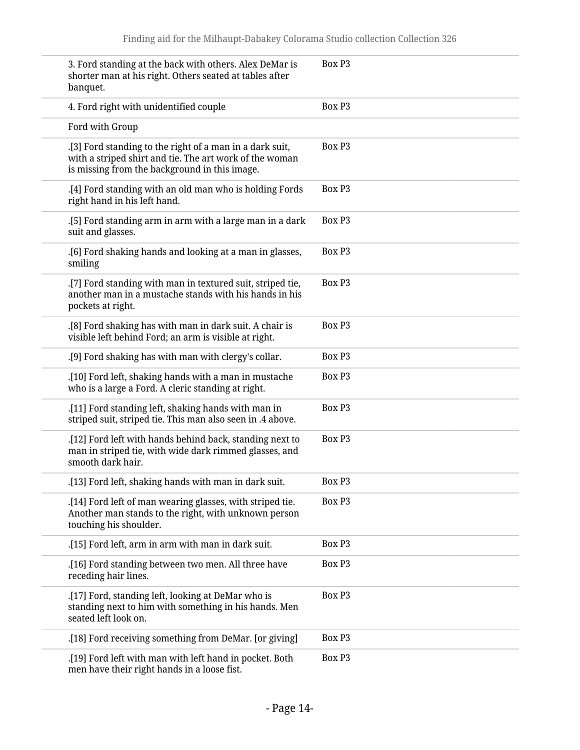| 3. Ford standing at the back with others. Alex DeMar is<br>shorter man at his right. Others seated at tables after<br>banquet.                                       | Box P <sub>3</sub> |
|----------------------------------------------------------------------------------------------------------------------------------------------------------------------|--------------------|
| 4. Ford right with unidentified couple                                                                                                                               | Box P <sub>3</sub> |
| Ford with Group                                                                                                                                                      |                    |
| .[3] Ford standing to the right of a man in a dark suit,<br>with a striped shirt and tie. The art work of the woman<br>is missing from the background in this image. | Box P <sub>3</sub> |
| [4] Ford standing with an old man who is holding Fords<br>right hand in his left hand.                                                                               | Box P <sub>3</sub> |
| [5] Ford standing arm in arm with a large man in a dark<br>suit and glasses.                                                                                         | Box P <sub>3</sub> |
| .[6] Ford shaking hands and looking at a man in glasses,<br>smiling                                                                                                  | Box P <sub>3</sub> |
| .[7] Ford standing with man in textured suit, striped tie,<br>another man in a mustache stands with his hands in his<br>pockets at right.                            | Box P <sub>3</sub> |
| [8] Ford shaking has with man in dark suit. A chair is<br>visible left behind Ford; an arm is visible at right.                                                      | Box P <sub>3</sub> |
| .[9] Ford shaking has with man with clergy's collar.                                                                                                                 | Box P <sub>3</sub> |
| [10] Ford left, shaking hands with a man in mustache<br>who is a large a Ford. A cleric standing at right.                                                           | Box P <sub>3</sub> |
| .[11] Ford standing left, shaking hands with man in<br>striped suit, striped tie. This man also seen in .4 above.                                                    | Box P <sub>3</sub> |
| .[12] Ford left with hands behind back, standing next to<br>man in striped tie, with wide dark rimmed glasses, and<br>smooth dark hair.                              | Box P <sub>3</sub> |
| .[13] Ford left, shaking hands with man in dark suit.                                                                                                                | Box P3             |
| .[14] Ford left of man wearing glasses, with striped tie.<br>Another man stands to the right, with unknown person<br>touching his shoulder.                          | <b>Box P3</b>      |
| .[15] Ford left, arm in arm with man in dark suit.                                                                                                                   | Box P3             |
| .[16] Ford standing between two men. All three have<br>receding hair lines.                                                                                          | Box P3             |
| .[17] Ford, standing left, looking at DeMar who is<br>standing next to him with something in his hands. Men<br>seated left look on.                                  | Box P3             |
| [18] Ford receiving something from DeMar. [or giving].                                                                                                               | Box P3             |
| [19] Ford left with man with left hand in pocket. Both<br>men have their right hands in a loose fist.                                                                | Box P3             |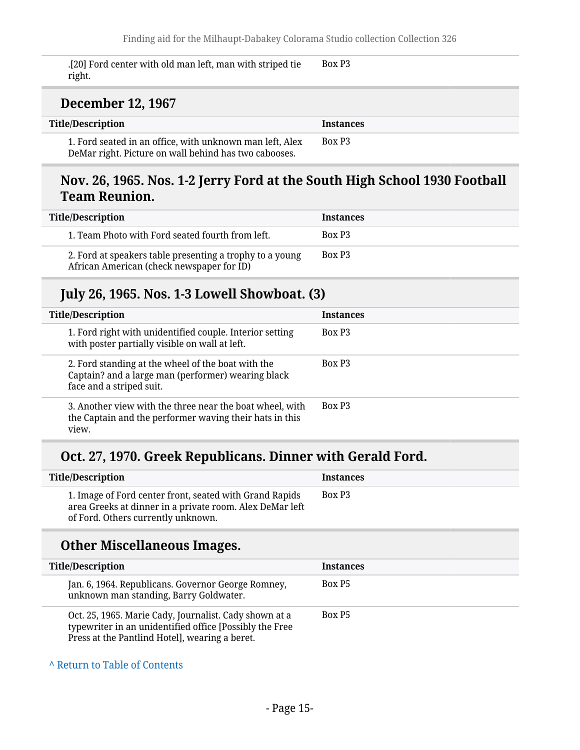.[20] Ford center with old man left, man with striped tie right. Box P3

#### **December 12, 1967**

| Title/Description                                                                                                 | <b>Instances</b>   |
|-------------------------------------------------------------------------------------------------------------------|--------------------|
| 1. Ford seated in an office, with unknown man left, Alex<br>DeMar right. Picture on wall behind has two cabooses. | Box P <sub>3</sub> |

#### **Nov. 26, 1965. Nos. 1-2 Jerry Ford at the South High School 1930 Football Team Reunion.**

| <b>Title/Description</b>                                                                              | <b>Instances</b>   |
|-------------------------------------------------------------------------------------------------------|--------------------|
| 1. Team Photo with Ford seated fourth from left.                                                      | Box P <sub>3</sub> |
| 2. Ford at speakers table presenting a trophy to a young<br>African American (check newspaper for ID) | Box P <sub>3</sub> |

#### **July 26, 1965. Nos. 1-3 Lowell Showboat. (3)**

| <b>Title/Description</b>                                                                                                             | <b>Instances</b>   |
|--------------------------------------------------------------------------------------------------------------------------------------|--------------------|
| 1. Ford right with unidentified couple. Interior setting<br>with poster partially visible on wall at left.                           | Box P <sub>3</sub> |
| 2. Ford standing at the wheel of the boat with the<br>Captain? and a large man (performer) wearing black<br>face and a striped suit. | Box P <sub>3</sub> |
| 3. Another view with the three near the boat wheel, with<br>the Captain and the performer waving their hats in this<br>view.         | Box P <sub>3</sub> |

#### **Oct. 27, 1970. Greek Republicans. Dinner with Gerald Ford.**

| <b>Title/Description</b>                                                                                                                                  | <b>Instances</b>   |
|-----------------------------------------------------------------------------------------------------------------------------------------------------------|--------------------|
| 1. Image of Ford center front, seated with Grand Rapids<br>area Greeks at dinner in a private room. Alex DeMar left<br>of Ford. Others currently unknown. | Box P <sub>3</sub> |
| <b>Other Miscellaneous Images.</b>                                                                                                                        |                    |
| <b>Title/Description</b>                                                                                                                                  | <b>Instances</b>   |
| Jan. 6, 1964. Republicans. Governor George Romney,<br>unknown man standing, Barry Goldwater.                                                              | Box P <sub>5</sub> |
| Oct. 25, 1965. Marie Cady, Journalist. Cady shown at a                                                                                                    | Box P <sub>5</sub> |

**^** [Return to Table of Contents](#page-1-0)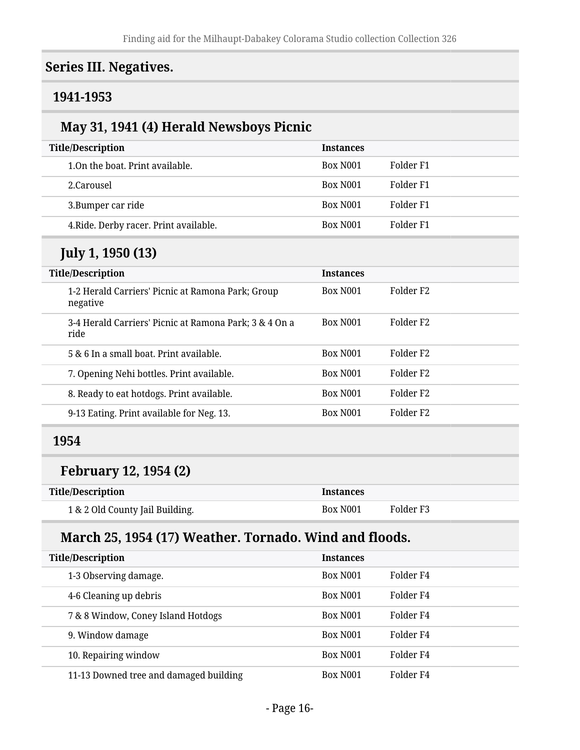#### <span id="page-15-0"></span>**Series III. Negatives.**

#### <span id="page-15-1"></span>**1941-1953**

### **May 31, 1941 (4) Herald Newsboys Picnic**

| <b>Title/Description</b> |                                        | <b>Instances</b>     |           |
|--------------------------|----------------------------------------|----------------------|-----------|
|                          | 1.0n the boat. Print available.        | Box N <sub>001</sub> | Folder F1 |
|                          | 2.Carousel                             | Box N <sub>001</sub> | Folder F1 |
|                          | 3. Bumper car ride                     | Box N <sub>001</sub> | Folder F1 |
|                          | 4. Ride. Derby racer. Print available. | Box N <sub>001</sub> | Folder F1 |

### **July 1, 1950 (13)**

| <b>Title/Description</b> |                                                                | <b>Instances</b>     |                       |
|--------------------------|----------------------------------------------------------------|----------------------|-----------------------|
|                          | 1-2 Herald Carriers' Picnic at Ramona Park; Group<br>negative  | Box N <sub>001</sub> | Folder F <sub>2</sub> |
|                          | 3-4 Herald Carriers' Picnic at Ramona Park; 3 & 4 On a<br>ride | Box N <sub>001</sub> | Folder F <sub>2</sub> |
|                          | 5 & 6 In a small boat. Print available.                        | Box N <sub>001</sub> | Folder F <sub>2</sub> |
|                          | 7. Opening Nehi bottles. Print available.                      | Box N <sub>001</sub> | Folder F <sub>2</sub> |
|                          | 8. Ready to eat hotdogs. Print available.                      | Box N <sub>001</sub> | Folder F <sub>2</sub> |
|                          | 9-13 Eating. Print available for Neg. 13.                      | Box N <sub>001</sub> | Folder F <sub>2</sub> |

#### <span id="page-15-2"></span>**1954**

### **February 12, 1954 (2)**

| <b>Title/Description</b>        | <b>Instances</b> |           |
|---------------------------------|------------------|-----------|
| 1 & 2 Old County Jail Building. | Box N001         | Folder F3 |

#### **March 25, 1954 (17) Weather. Tornado. Wind and floods.**

| <b>Title/Description</b><br><b>Instances</b> |                      |           |  |
|----------------------------------------------|----------------------|-----------|--|
| 1-3 Observing damage.                        | Box N <sub>001</sub> | Folder F4 |  |
| 4-6 Cleaning up debris                       | Box N <sub>001</sub> | Folder F4 |  |
| 7 & 8 Window, Coney Island Hotdogs           | Box N <sub>001</sub> | Folder F4 |  |
| 9. Window damage                             | <b>Box N001</b>      | Folder F4 |  |
| 10. Repairing window                         | Box N <sub>001</sub> | Folder F4 |  |
| 11-13 Downed tree and damaged building       | Box N <sub>001</sub> | Folder F4 |  |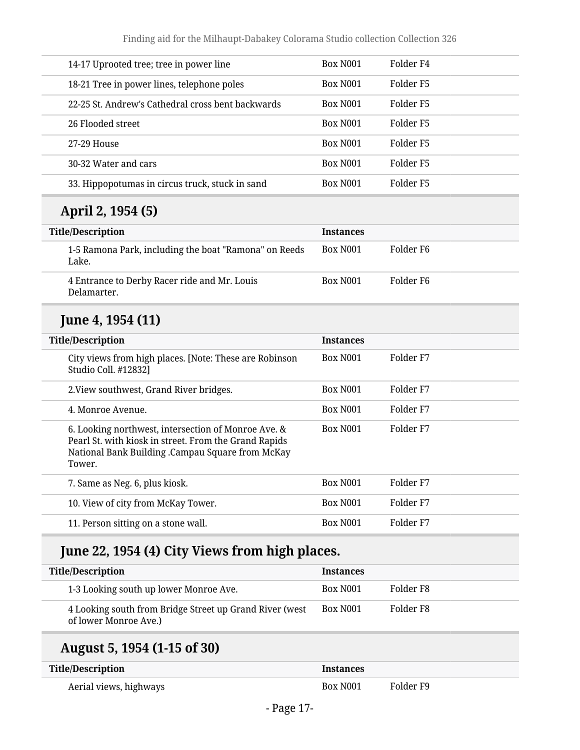| 14-17 Uprooted tree; tree in power line           | Box N <sub>001</sub> | Folder F4 |
|---------------------------------------------------|----------------------|-----------|
| 18-21 Tree in power lines, telephone poles        | Box N <sub>001</sub> | Folder F5 |
| 22-25 St. Andrew's Cathedral cross bent backwards | Box N <sub>001</sub> | Folder F5 |
| 26 Flooded street                                 | Box N <sub>001</sub> | Folder F5 |
| 27-29 House                                       | Box N <sub>001</sub> | Folder F5 |
| 30-32 Water and cars                              | Box N <sub>001</sub> | Folder F5 |
| 33. Hippopotumas in circus truck, stuck in sand   | Box N <sub>001</sub> | Folder F5 |

### **April 2, 1954 (5)**

| <b>Title/Description</b>                                       | <b>Instances</b>     |           |
|----------------------------------------------------------------|----------------------|-----------|
| 1-5 Ramona Park, including the boat "Ramona" on Reeds<br>Lake. | Box N <sub>001</sub> | Folder F6 |
| 4 Entrance to Derby Racer ride and Mr. Louis<br>Delamarter.    | Box N <sub>001</sub> | Folder F6 |

#### **June 4, 1954 (11)**

| <b>Title/Description</b>                                                                                                                                                   | <b>Instances</b>     |           |  |
|----------------------------------------------------------------------------------------------------------------------------------------------------------------------------|----------------------|-----------|--|
| City views from high places. [Note: These are Robinson<br>Studio Coll. #12832]                                                                                             | Box N <sub>001</sub> | Folder F7 |  |
| 2. View southwest, Grand River bridges.                                                                                                                                    | Box N <sub>001</sub> | Folder F7 |  |
| 4. Monroe Avenue.                                                                                                                                                          | Box N <sub>001</sub> | Folder F7 |  |
| 6. Looking northwest, intersection of Monroe Ave. &<br>Pearl St. with kiosk in street. From the Grand Rapids<br>National Bank Building .Campau Square from McKay<br>Tower. | Box N <sub>001</sub> | Folder F7 |  |
| 7. Same as Neg. 6, plus kiosk.                                                                                                                                             | Box N <sub>001</sub> | Folder F7 |  |
| 10. View of city from McKay Tower.                                                                                                                                         | Box N <sub>001</sub> | Folder F7 |  |
| 11. Person sitting on a stone wall.                                                                                                                                        | Box N <sub>001</sub> | Folder F7 |  |
|                                                                                                                                                                            |                      |           |  |

## **June 22, 1954 (4) City Views from high places.**

| <b>Title/Description</b>                                                         | <b>Instances</b>     |           |
|----------------------------------------------------------------------------------|----------------------|-----------|
| 1-3 Looking south up lower Monroe Ave.                                           | Box N <sub>001</sub> | Folder F8 |
| 4 Looking south from Bridge Street up Grand River (west<br>of lower Monroe Ave.) | Box N <sub>001</sub> | Folder F8 |

### **August 5, 1954 (1-15 of 30)**

| <b>Title/Description</b> | <b>Instances</b>     |           |
|--------------------------|----------------------|-----------|
| Aerial views, highways   | Box N <sub>001</sub> | Folder F9 |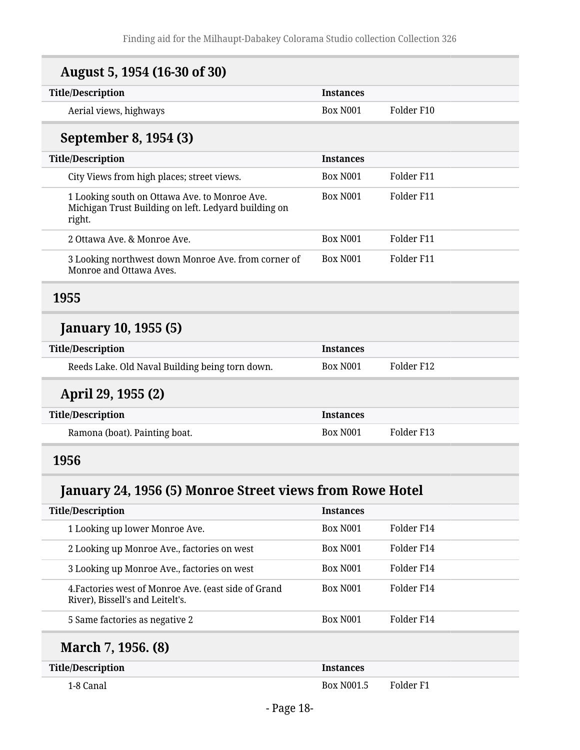| August 5, 1954 (16-30 of 30)                                                                                    |                                                                                            |                      |
|-----------------------------------------------------------------------------------------------------------------|--------------------------------------------------------------------------------------------|----------------------|
| <b>Title/Description</b>                                                                                        | <b>Instances</b>                                                                           |                      |
| Aerial views, highways                                                                                          | <b>Box N001</b>                                                                            | Folder F10           |
| September 8, 1954 (3)                                                                                           |                                                                                            |                      |
| <b>Title/Description</b>                                                                                        | <b>Instances</b>                                                                           |                      |
| City Views from high places; street views.                                                                      | <b>Box N001</b>                                                                            | Folder F11           |
| 1 Looking south on Ottawa Ave. to Monroe Ave.<br>Michigan Trust Building on left. Ledyard building on<br>right. | <b>Box N001</b>                                                                            | Folder F11           |
| 2 Ottawa Ave. & Monroe Ave.                                                                                     | <b>Box N001</b>                                                                            | Folder F11           |
| 3 Looking northwest down Monroe Ave. from corner of<br>Monroe and Ottawa Aves.                                  | <b>Box N001</b>                                                                            | Folder F11           |
| 1955                                                                                                            |                                                                                            |                      |
| <b>January 10, 1955 (5)</b>                                                                                     |                                                                                            |                      |
| <b>Title/Description</b>                                                                                        | <b>Instances</b>                                                                           |                      |
| Reeds Lake. Old Naval Building being torn down.                                                                 | <b>Box N001</b>                                                                            | Folder F12           |
| April 29, 1955 (2)                                                                                              |                                                                                            |                      |
| <b>Title/Description</b>                                                                                        | <b>Instances</b>                                                                           |                      |
| Ramona (boat). Painting boat.                                                                                   | <b>Box N001</b>                                                                            | Folder F13           |
| 1956                                                                                                            |                                                                                            |                      |
| January 24, 1956 (5) Monroe Street views from Rowe Hotel                                                        |                                                                                            |                      |
| <b>Title/Description</b>                                                                                        | <b>Instances</b>                                                                           |                      |
| 1 Looking un louter Monroe Arte                                                                                 | $\mathbf{D}_{\mathbf{O}}$ $\mathbf{V}$ $\mathbf{M}$ $\mathbf{O}$ $\mathbf{O}$ $\mathbf{D}$ | $E \sim 1$ dor $E11$ |

<span id="page-17-1"></span><span id="page-17-0"></span>

| March 7 1956 (8)                                                                         |                      |            |
|------------------------------------------------------------------------------------------|----------------------|------------|
| 5 Same factories as negative 2                                                           | Box N <sub>001</sub> | Folder F14 |
| 4. Factories west of Monroe Ave. (east side of Grand<br>River), Bissell's and Leitelt's. | Box N <sub>001</sub> | Folder F14 |
| 3 Looking up Monroe Ave., factories on west                                              | Box N001             | Folder F14 |
| 2 Looking up Monroe Ave., factories on west                                              | Box N <sub>001</sub> | Folder F14 |
| 1 Looking up lower Monroe Ave.                                                           | Box N001             | Folder F14 |
|                                                                                          |                      |            |

#### **March 7, 1956. (8)**

| <b>Title/Description</b> | <b>Instances</b> |           |
|--------------------------|------------------|-----------|
| 1-8 Canal                | Box N001.5       | Folder F1 |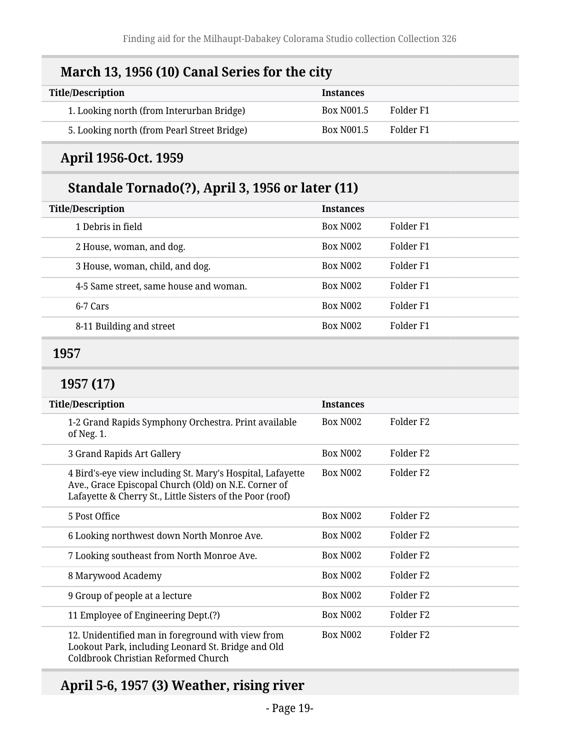### **March 13, 1956 (10) Canal Series for the city**

| <b>Title/Description</b>                    | <b>Instances</b>  |           |
|---------------------------------------------|-------------------|-----------|
| 1. Looking north (from Interurban Bridge)   | <b>Box N001.5</b> | Folder F1 |
| 5. Looking north (from Pearl Street Bridge) | <b>Box N001.5</b> | Folder F1 |

#### **April 1956-Oct. 1959**

### **Standale Tornado(?), April 3, 1956 or later (11)**

| <b>Title/Description</b>               | <b>Instances</b>     |           |
|----------------------------------------|----------------------|-----------|
| 1 Debris in field                      | Box N <sub>002</sub> | Folder F1 |
| 2 House, woman, and dog.               | Box N <sub>002</sub> | Folder F1 |
| 3 House, woman, child, and dog.        | <b>Box N002</b>      | Folder F1 |
| 4-5 Same street, same house and woman. | <b>Box N002</b>      | Folder F1 |
| 6-7 Cars                               | <b>Box N002</b>      | Folder F1 |
| 8-11 Building and street               | <b>Box N002</b>      | Folder F1 |

#### <span id="page-18-0"></span>**1957**

#### **1957 (17)**

| <b>Title/Description</b>                                                                                                                                                        | <b>Instances</b>     |                       |
|---------------------------------------------------------------------------------------------------------------------------------------------------------------------------------|----------------------|-----------------------|
| 1-2 Grand Rapids Symphony Orchestra. Print available<br>of Neg. 1.                                                                                                              | <b>Box N002</b>      | Folder F2             |
| 3 Grand Rapids Art Gallery                                                                                                                                                      | Box N <sub>002</sub> | Folder F <sub>2</sub> |
| 4 Bird's-eye view including St. Mary's Hospital, Lafayette<br>Ave., Grace Episcopal Church (Old) on N.E. Corner of<br>Lafayette & Cherry St., Little Sisters of the Poor (roof) | <b>Box N002</b>      | Folder F2             |
| 5 Post Office                                                                                                                                                                   | <b>Box N002</b>      | Folder F2             |
| 6 Looking northwest down North Monroe Ave.                                                                                                                                      | Box N <sub>002</sub> | Folder F <sub>2</sub> |
| 7 Looking southeast from North Monroe Ave.                                                                                                                                      | <b>Box N002</b>      | Folder F2             |
| 8 Marywood Academy                                                                                                                                                              | <b>Box N002</b>      | Folder F2             |
| 9 Group of people at a lecture                                                                                                                                                  | <b>Box N002</b>      | Folder F2             |
| 11 Employee of Engineering Dept.(?)                                                                                                                                             | <b>Box N002</b>      | Folder F2             |
| 12. Unidentified man in foreground with view from<br>Lookout Park, including Leonard St. Bridge and Old<br>Coldbrook Christian Reformed Church                                  | <b>Box N002</b>      | Folder F2             |

### **April 5-6, 1957 (3) Weather, rising river**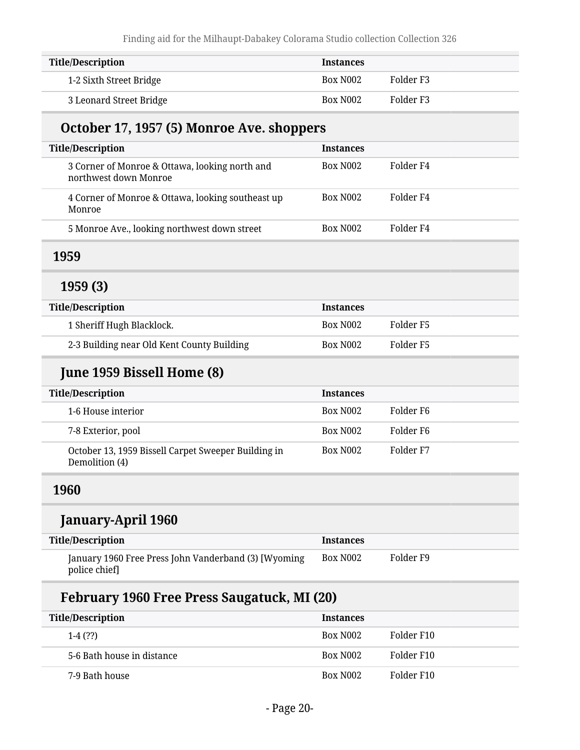| <b>Title/Description</b> | <b>Instances</b>     |           |
|--------------------------|----------------------|-----------|
| 1-2 Sixth Street Bridge  | Box N <sub>002</sub> | Folder F3 |
| 3 Leonard Street Bridge  | Box N <sub>002</sub> | Folder F3 |

### **October 17, 1957 (5) Monroe Ave. shoppers**

| <b>Title/Description</b>                                                | <b>Instances</b>     |           |
|-------------------------------------------------------------------------|----------------------|-----------|
| 3 Corner of Monroe & Ottawa, looking north and<br>northwest down Monroe | Box N <sub>002</sub> | Folder F4 |
| 4 Corner of Monroe & Ottawa, looking southeast up<br>Monroe             | Box N <sub>002</sub> | Folder F4 |
| 5 Monroe Ave., looking northwest down street                            | Box N <sub>002</sub> | Folder F4 |

#### <span id="page-19-0"></span>**1959**

#### **1959 (3)**

| <b>Title/Description</b>                   | <b>Instances</b> |           |
|--------------------------------------------|------------------|-----------|
| 1 Sheriff Hugh Blacklock.                  | Box N002         | Folder F5 |
| 2-3 Building near Old Kent County Building | Box N002         | Folder F5 |

### **June 1959 Bissell Home (8)**

| <b>Title/Description</b>                                              | <b>Instances</b>     |           |
|-----------------------------------------------------------------------|----------------------|-----------|
| 1-6 House interior                                                    | Box N <sub>002</sub> | Folder F6 |
| 7-8 Exterior, pool                                                    | Box N <sub>002</sub> | Folder F6 |
| October 13, 1959 Bissell Carpet Sweeper Building in<br>Demolition (4) | Box N <sub>002</sub> | Folder F7 |

#### <span id="page-19-1"></span>**1960**

#### **January-April 1960**

| <b>Title/Description</b>                                              | Instances |           |
|-----------------------------------------------------------------------|-----------|-----------|
| January 1960 Free Press John Vanderband (3) [Wyoming<br>police chief] | Box N002  | Folder F9 |

### **February 1960 Free Press Saugatuck, MI (20)**

| <b>Title/Description</b>   | <b>Instances</b>     |            |
|----------------------------|----------------------|------------|
| $1-4(?)$                   | Box N <sub>002</sub> | Folder F10 |
| 5-6 Bath house in distance | Box N <sub>002</sub> | Folder F10 |
| 7-9 Bath house             | Box N <sub>002</sub> | Folder F10 |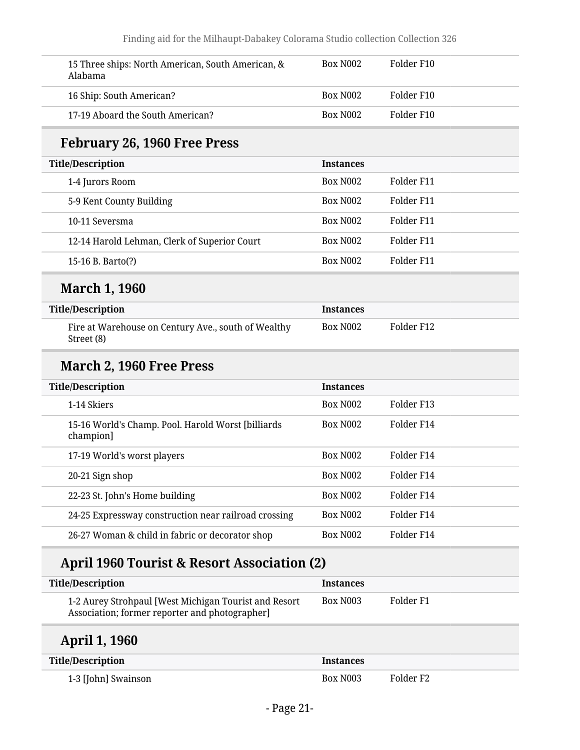| 15 Three ships: North American, South American, &<br>Alabama                                            | <b>Box N002</b>  | Folder F10           |
|---------------------------------------------------------------------------------------------------------|------------------|----------------------|
| 16 Ship: South American?                                                                                | <b>Box N002</b>  | Folder F10           |
| 17-19 Aboard the South American?                                                                        | <b>Box N002</b>  | Folder F10           |
| <b>February 26, 1960 Free Press</b>                                                                     |                  |                      |
| <b>Title/Description</b>                                                                                | <b>Instances</b> |                      |
| 1-4 Jurors Room                                                                                         | <b>Box N002</b>  | Folder F11           |
| 5-9 Kent County Building                                                                                | <b>Box N002</b>  | Folder F11           |
| 10-11 Seversma                                                                                          | <b>Box N002</b>  | Folder F11           |
| 12-14 Harold Lehman, Clerk of Superior Court                                                            | <b>Box N002</b>  | Folder F11           |
| 15-16 B. Barto(?)                                                                                       | <b>Box N002</b>  | Folder F11           |
| <b>March 1, 1960</b>                                                                                    |                  |                      |
| <b>Title/Description</b>                                                                                | <b>Instances</b> |                      |
| Fire at Warehouse on Century Ave., south of Wealthy<br>Street (8)                                       | Box N002         | Folder F12           |
| March 2, 1960 Free Press                                                                                |                  |                      |
| <b>Title/Description</b>                                                                                | <b>Instances</b> |                      |
| 1-14 Skiers                                                                                             | <b>Box N002</b>  | Folder F13           |
| 15-16 World's Champ. Pool. Harold Worst [billiards<br>champion]                                         | Box N002         | Folder F14           |
| 17-19 World's worst players                                                                             | <b>Box N002</b>  | Folder F14           |
| 20-21 Sign shop                                                                                         | Box N002         | Folder F14           |
| 22-23 St. John's Home building                                                                          | Box N002         | Folder F14           |
| 24-25 Expressway construction near railroad crossing                                                    | <b>Box N002</b>  | Folder F14           |
| 26-27 Woman & child in fabric or decorator shop                                                         | Box N002         | Folder F14           |
| <b>April 1960 Tourist &amp; Resort Association (2)</b>                                                  |                  |                      |
| <b>Title/Description</b>                                                                                | <b>Instances</b> |                      |
| 1-2 Aurey Strohpaul [West Michigan Tourist and Resort<br>Association; former reporter and photographer] | <b>Box N003</b>  | Folder <sub>F1</sub> |
| <b>April 1, 1960</b>                                                                                    |                  |                      |
| <b>Title/Description</b>                                                                                | <b>Instances</b> |                      |
| 1-3 [John] Swainson                                                                                     | Box N003         | Folder <sub>F2</sub> |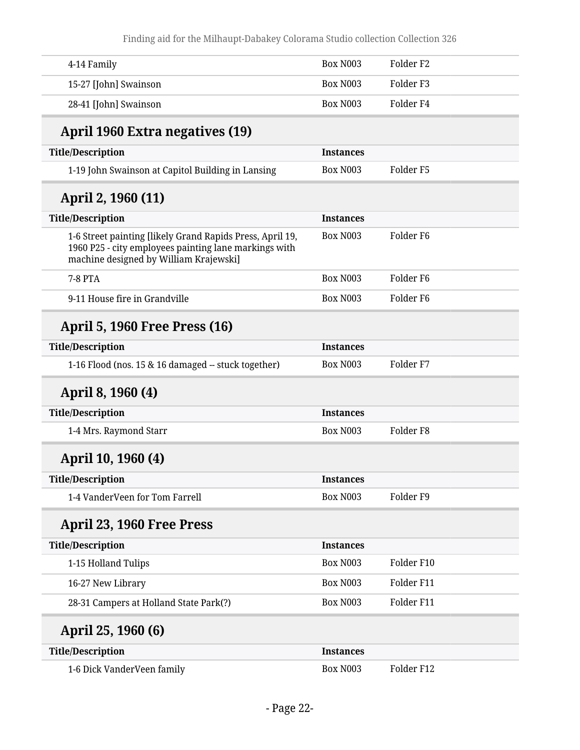| 4-14 Family                                                                                                                                                  | <b>Box N003</b>  | Folder <sub>F2</sub> |  |
|--------------------------------------------------------------------------------------------------------------------------------------------------------------|------------------|----------------------|--|
| 15-27 [John] Swainson                                                                                                                                        | <b>Box N003</b>  | Folder <sub>F3</sub> |  |
| 28-41 [John] Swainson                                                                                                                                        | <b>Box N003</b>  | Folder <sub>F4</sub> |  |
| April 1960 Extra negatives (19)                                                                                                                              |                  |                      |  |
| <b>Title/Description</b>                                                                                                                                     | <b>Instances</b> |                      |  |
| 1-19 John Swainson at Capitol Building in Lansing                                                                                                            | <b>Box N003</b>  | Folder <sub>F5</sub> |  |
| April 2, 1960 (11)                                                                                                                                           |                  |                      |  |
| <b>Title/Description</b>                                                                                                                                     | <b>Instances</b> |                      |  |
| 1-6 Street painting [likely Grand Rapids Press, April 19,<br>1960 P25 - city employees painting lane markings with<br>machine designed by William Krajewski] | <b>Box N003</b>  | Folder <sub>F6</sub> |  |
| <b>7-8 PTA</b>                                                                                                                                               | <b>Box N003</b>  | Folder F6            |  |
| 9-11 House fire in Grandville                                                                                                                                | <b>Box N003</b>  | Folder <sub>F6</sub> |  |
| <b>April 5, 1960 Free Press (16)</b>                                                                                                                         |                  |                      |  |
| <b>Title/Description</b>                                                                                                                                     | <b>Instances</b> |                      |  |
| 1-16 Flood (nos. 15 & 16 damaged -- stuck together)                                                                                                          | <b>Box N003</b>  | Folder F7            |  |
| April 8, 1960 (4)                                                                                                                                            |                  |                      |  |
| <b>Title/Description</b>                                                                                                                                     | <b>Instances</b> |                      |  |
| 1-4 Mrs. Raymond Starr                                                                                                                                       | <b>Box N003</b>  | Folder <sub>F8</sub> |  |
| April 10, 1960 (4)                                                                                                                                           |                  |                      |  |
| <b>Title/Description</b>                                                                                                                                     | <b>Instances</b> |                      |  |
| 1-4 VanderVeen for Tom Farrell                                                                                                                               | <b>Box N003</b>  | Folder <sub>F9</sub> |  |
| April 23, 1960 Free Press                                                                                                                                    |                  |                      |  |
| <b>Title/Description</b>                                                                                                                                     | <b>Instances</b> |                      |  |
| 1-15 Holland Tulips                                                                                                                                          | <b>Box N003</b>  | Folder F10           |  |
| 16-27 New Library                                                                                                                                            | <b>Box N003</b>  | Folder F11           |  |
| 28-31 Campers at Holland State Park(?)                                                                                                                       | Box N003         | Folder F11           |  |
| April 25, 1960 (6)                                                                                                                                           |                  |                      |  |
| <b>Title/Description</b>                                                                                                                                     | <b>Instances</b> |                      |  |
| 1-6 Dick VanderVeen family                                                                                                                                   | Box N003         | Folder F12           |  |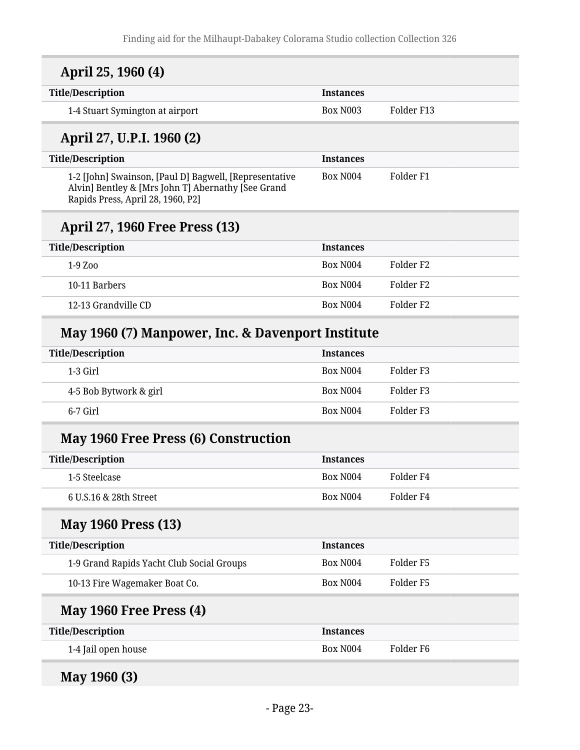| April 25, 1960 (4)                                                                                                                                |                  |                      |
|---------------------------------------------------------------------------------------------------------------------------------------------------|------------------|----------------------|
| <b>Title/Description</b>                                                                                                                          | <b>Instances</b> |                      |
| 1-4 Stuart Symington at airport                                                                                                                   | <b>Box N003</b>  | Folder F13           |
| April 27, U.P.I. 1960 (2)                                                                                                                         |                  |                      |
| <b>Title/Description</b>                                                                                                                          | <b>Instances</b> |                      |
| 1-2 [John] Swainson, [Paul D] Bagwell, [Representative<br>Alvin] Bentley & [Mrs John T] Abernathy [See Grand<br>Rapids Press, April 28, 1960, P2] | <b>Box N004</b>  | Folder <sub>F1</sub> |
| April 27, 1960 Free Press (13)                                                                                                                    |                  |                      |
| <b>Title/Description</b>                                                                                                                          | <b>Instances</b> |                      |
| 1-9 Zoo                                                                                                                                           | <b>Box N004</b>  | Folder <sub>F2</sub> |
| 10-11 Barbers                                                                                                                                     | <b>Box N004</b>  | Folder <sub>F2</sub> |
| 12-13 Grandville CD                                                                                                                               | <b>Box N004</b>  | Folder <sub>F2</sub> |
| May 1960 (7) Manpower, Inc. & Davenport Institute                                                                                                 |                  |                      |
| <b>Title/Description</b>                                                                                                                          | <b>Instances</b> |                      |
| 1-3 Girl                                                                                                                                          | <b>Box N004</b>  | Folder <sub>F3</sub> |
| 4-5 Bob Bytwork & girl                                                                                                                            | <b>Box N004</b>  | Folder <sub>F3</sub> |
| 6-7 Girl                                                                                                                                          | <b>Box N004</b>  | Folder <sub>F3</sub> |
| <b>May 1960 Free Press (6) Construction</b>                                                                                                       |                  |                      |
| <b>Title/Description</b>                                                                                                                          | <b>Instances</b> |                      |
| 1-5 Steelcase                                                                                                                                     | <b>Box N004</b>  | Folder <sub>F4</sub> |
| 6 U.S.16 & 28th Street                                                                                                                            | <b>Box N004</b>  | Folder <sub>F4</sub> |
| <b>May 1960 Press (13)</b>                                                                                                                        |                  |                      |
| <b>Title/Description</b>                                                                                                                          | <b>Instances</b> |                      |
| 1-9 Grand Rapids Yacht Club Social Groups                                                                                                         | <b>Box N004</b>  | Folder <sub>F5</sub> |
| 10-13 Fire Wagemaker Boat Co.                                                                                                                     | <b>Box N004</b>  | Folder <sub>F5</sub> |
| May 1960 Free Press (4)                                                                                                                           |                  |                      |
| <b>Title/Description</b>                                                                                                                          | <b>Instances</b> |                      |
| 1-4 Jail open house                                                                                                                               | <b>Box N004</b>  | Folder <sub>F6</sub> |
| May 1960 (3)                                                                                                                                      |                  |                      |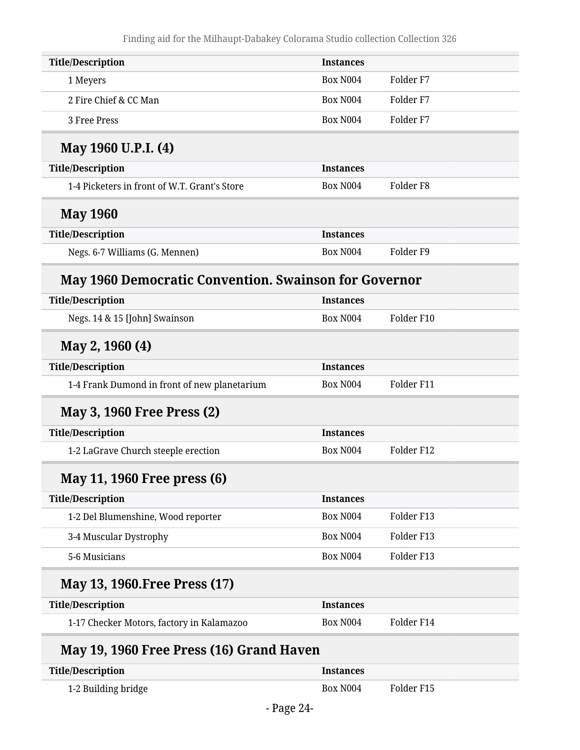| <b>Title/Description</b>                                     | <b>Instances</b> |                      |
|--------------------------------------------------------------|------------------|----------------------|
| 1 Meyers                                                     | <b>Box N004</b>  | Folder <sub>F7</sub> |
| 2 Fire Chief & CC Man                                        | <b>Box N004</b>  | Folder <sub>F7</sub> |
| 3 Free Press                                                 | <b>Box N004</b>  | Folder <sub>F7</sub> |
| May 1960 U.P.I. (4)                                          |                  |                      |
| <b>Title/Description</b>                                     | <b>Instances</b> |                      |
| 1-4 Picketers in front of W.T. Grant's Store                 | <b>Box N004</b>  | Folder <sub>F8</sub> |
| <b>May 1960</b>                                              |                  |                      |
| <b>Title/Description</b>                                     | <b>Instances</b> |                      |
| Negs. 6-7 Williams (G. Mennen)                               | <b>Box N004</b>  | Folder <sub>F9</sub> |
| <b>May 1960 Democratic Convention. Swainson for Governor</b> |                  |                      |
| <b>Title/Description</b>                                     | <b>Instances</b> |                      |
| Negs. 14 & 15 [John] Swainson                                | <b>Box N004</b>  | Folder F10           |
| May 2, 1960 (4)                                              |                  |                      |
| <b>Title/Description</b>                                     | <b>Instances</b> |                      |
| 1-4 Frank Dumond in front of new planetarium                 | <b>Box N004</b>  | Folder F11           |
| <b>May 3, 1960 Free Press (2)</b>                            |                  |                      |
| <b>Title/Description</b>                                     | <b>Instances</b> |                      |
| 1-2 LaGrave Church steeple erection                          | <b>Box N004</b>  | Folder F12           |
| May 11, 1960 Free press (6)                                  |                  |                      |
| <b>Title/Description</b>                                     | <b>Instances</b> |                      |
| 1-2 Del Blumenshine, Wood reporter                           | <b>Box N004</b>  | Folder F13           |
| 3-4 Muscular Dystrophy                                       | <b>Box N004</b>  | Folder F13           |
| 5-6 Musicians                                                | <b>Box N004</b>  | Folder F13           |
| May 13, 1960. Free Press (17)                                |                  |                      |
| <b>Title/Description</b>                                     | <b>Instances</b> |                      |
| 1-17 Checker Motors, factory in Kalamazoo                    | <b>Box N004</b>  | Folder F14           |
| May 19, 1960 Free Press (16) Grand Haven                     |                  |                      |
| <b>Title/Description</b>                                     | <b>Instances</b> |                      |
|                                                              |                  |                      |

| <b>Title/Description</b> | <b>Instances</b> |            |
|--------------------------|------------------|------------|
| 1-2 Building bridge      | Box N004         | Folder F15 |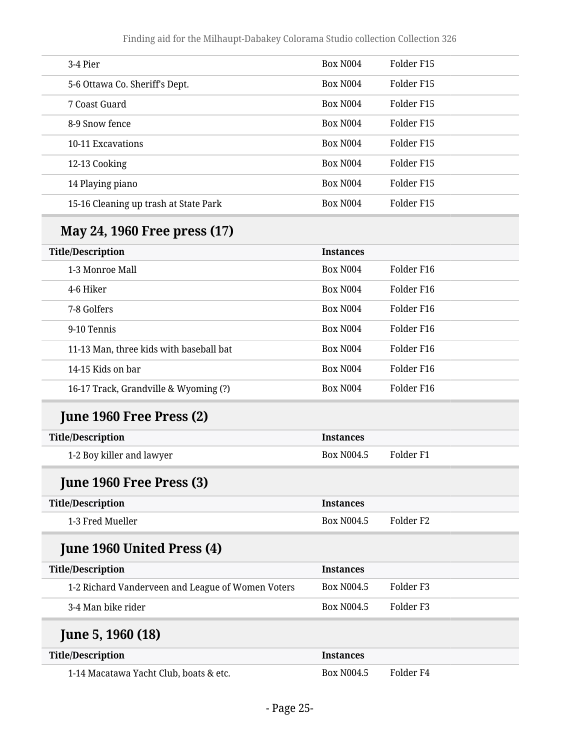| 3-4 Pier                              | <b>Box N004</b>      | Folder F <sub>15</sub> |
|---------------------------------------|----------------------|------------------------|
| 5-6 Ottawa Co. Sheriff's Dept.        | Box N <sub>004</sub> | Folder F <sub>15</sub> |
| 7 Coast Guard                         | <b>Box N004</b>      | Folder F15             |
| 8-9 Snow fence                        | Box N <sub>004</sub> | Folder F <sub>15</sub> |
| 10-11 Excavations                     | <b>Box N004</b>      | Folder F15             |
| 12-13 Cooking                         | Box N <sub>004</sub> | Folder F <sub>15</sub> |
| 14 Playing piano                      | <b>Box N004</b>      | Folder F <sub>15</sub> |
| 15-16 Cleaning up trash at State Park | Box N <sub>004</sub> | Folder F <sub>15</sub> |
|                                       |                      |                        |

### **May 24, 1960 Free press (17)**

| <b>Title/Description</b>                | <b>Instances</b>     |            |
|-----------------------------------------|----------------------|------------|
| 1-3 Monroe Mall                         | Box N <sub>004</sub> | Folder F16 |
| 4-6 Hiker                               | <b>Box N004</b>      | Folder F16 |
| 7-8 Golfers                             | Box N <sub>004</sub> | Folder F16 |
| 9-10 Tennis                             | Box N <sub>004</sub> | Folder F16 |
| 11-13 Man, three kids with baseball bat | Box N <sub>004</sub> | Folder F16 |
| 14-15 Kids on bar                       | <b>Box N004</b>      | Folder F16 |
| 16-17 Track, Grandville & Wyoming (?)   | <b>Box N004</b>      | Folder F16 |

### **June 1960 Free Press (2)**

| <b>Title/Description</b>  | <b>Instances</b> |           |
|---------------------------|------------------|-----------|
| 1-2 Boy killer and lawyer | Box N004.5       | Folder F1 |

### **June 1960 Free Press (3)**

| <b>Title/Description</b> | <b>Instances</b> |           |
|--------------------------|------------------|-----------|
| 1-3 Fred Mueller         | Box N004.5       | Folder F2 |

#### **June 1960 United Press (4)**

| Title/Description                                 | <b>Instances</b>  |           |
|---------------------------------------------------|-------------------|-----------|
| 1-2 Richard Vanderveen and League of Women Voters | <b>Box N004.5</b> | Folder F3 |
| 3-4 Man bike rider                                | <b>Box N004.5</b> | Folder F3 |

#### **June 5, 1960 (18)**

| <b>Title/Description</b>               | <b>Instances</b> |           |
|----------------------------------------|------------------|-----------|
| 1-14 Macatawa Yacht Club, boats & etc. | Box N004.5       | Folder F4 |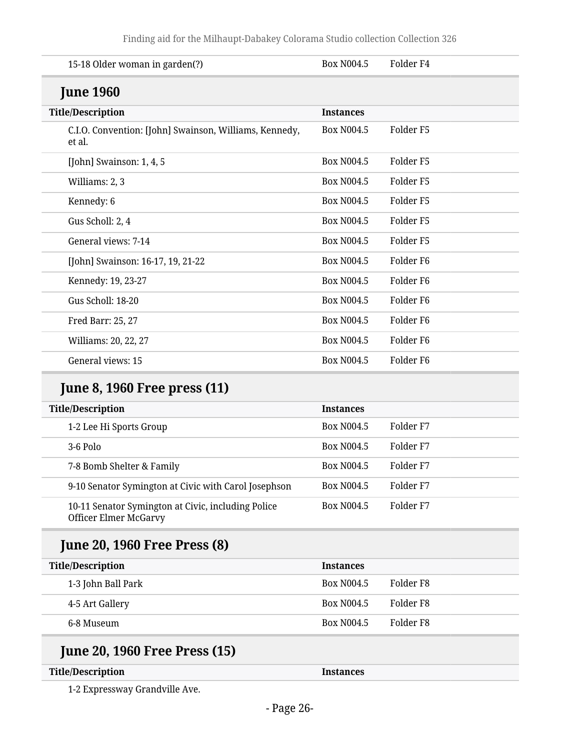| 15-18 Older woman in garden(?)                                                     | <b>Box N004.5</b> | Folder <sub>F4</sub> |
|------------------------------------------------------------------------------------|-------------------|----------------------|
| <b>June 1960</b>                                                                   |                   |                      |
| <b>Title/Description</b>                                                           | <b>Instances</b>  |                      |
| C.I.O. Convention: [John] Swainson, Williams, Kennedy,<br>et al.                   | <b>Box N004.5</b> | Folder <sub>F5</sub> |
| [John] Swainson: 1, 4, 5                                                           | <b>Box N004.5</b> | Folder <sub>F5</sub> |
| Williams: 2, 3                                                                     | <b>Box N004.5</b> | Folder F5            |
| Kennedy: 6                                                                         | <b>Box N004.5</b> | Folder <sub>F5</sub> |
| Gus Scholl: 2, 4                                                                   | <b>Box N004.5</b> | Folder <sub>F5</sub> |
| General views: 7-14                                                                | <b>Box N004.5</b> | Folder <sub>F5</sub> |
| [John] Swainson: 16-17, 19, 21-22                                                  | <b>Box N004.5</b> | Folder <sub>F6</sub> |
| Kennedy: 19, 23-27                                                                 | <b>Box N004.5</b> | Folder <sub>F6</sub> |
| Gus Scholl: 18-20                                                                  | <b>Box N004.5</b> | Folder <sub>F6</sub> |
| Fred Barr: 25, 27                                                                  | <b>Box N004.5</b> | Folder <sub>F6</sub> |
| Williams: 20, 22, 27                                                               | <b>Box N004.5</b> | Folder <sub>F6</sub> |
| General views: 15                                                                  | <b>Box N004.5</b> | Folder <sub>F6</sub> |
| <b>June 8, 1960 Free press (11)</b>                                                |                   |                      |
| <b>Title/Description</b>                                                           | <b>Instances</b>  |                      |
| 1-2 Lee Hi Sports Group                                                            | <b>Box N004.5</b> | Folder <sub>F7</sub> |
| 3-6 Polo                                                                           | <b>Box N004.5</b> | Folder F7            |
| 7-8 Bomb Shelter & Family                                                          | <b>Box N004.5</b> | Folder <sub>F7</sub> |
| 9-10 Senator Symington at Civic with Carol Josephson                               | <b>Box N004.5</b> | Folder <sub>F7</sub> |
| 10-11 Senator Symington at Civic, including Police<br><b>Officer Elmer McGarvy</b> | <b>Box N004.5</b> | Folder <sub>F7</sub> |
| <b>June 20, 1960 Free Press (8)</b>                                                |                   |                      |
| <b>Title/Description</b>                                                           | <b>Instances</b>  |                      |
| 1-3 John Ball Park                                                                 | <b>Box N004.5</b> | Folder <sub>F8</sub> |
| 4-5 Art Gallery                                                                    | <b>Box N004.5</b> | Folder <sub>F8</sub> |
| 6-8 Museum                                                                         | <b>Box N004.5</b> | Folder <sub>F8</sub> |

### **June 20, 1960 Free Press (15)**

#### **Title/Description Instances**

1-2 Expressway Grandville Ave.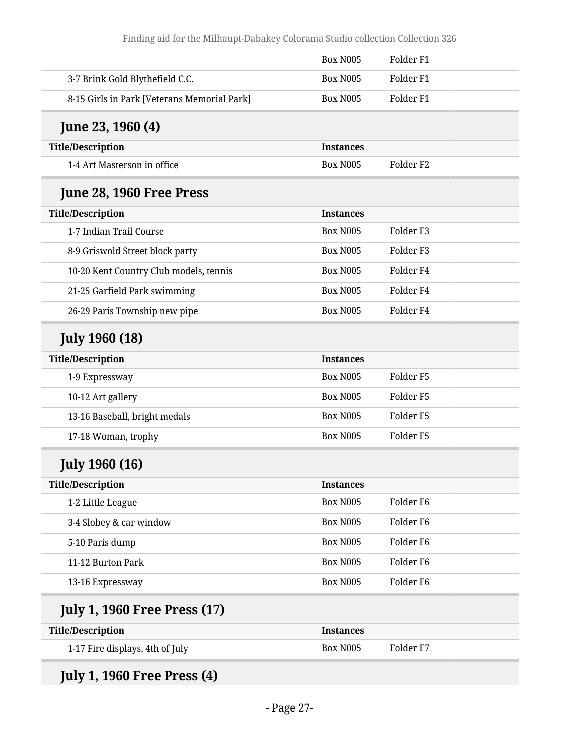|                                             | <b>Box N005</b>  | Folder <sub>F1</sub> |
|---------------------------------------------|------------------|----------------------|
| 3-7 Brink Gold Blythefield C.C.             | <b>Box N005</b>  | Folder <sub>F1</sub> |
| 8-15 Girls in Park [Veterans Memorial Park] | <b>Box N005</b>  | Folder <sub>F1</sub> |
| June 23, 1960 (4)                           |                  |                      |
| <b>Title/Description</b>                    | <b>Instances</b> |                      |
| 1-4 Art Masterson in office                 | <b>Box N005</b>  | Folder <sub>F2</sub> |
| June 28, 1960 Free Press                    |                  |                      |
| <b>Title/Description</b>                    | <b>Instances</b> |                      |
| 1-7 Indian Trail Course                     | <b>Box N005</b>  | Folder <sub>F3</sub> |
| 8-9 Griswold Street block party             | <b>Box N005</b>  | Folder <sub>F3</sub> |
| 10-20 Kent Country Club models, tennis      | <b>Box N005</b>  | Folder <sub>F4</sub> |
| 21-25 Garfield Park swimming                | <b>Box N005</b>  | Folder <sub>F4</sub> |
| 26-29 Paris Township new pipe               | <b>Box N005</b>  | Folder <sub>F4</sub> |
| <b>July 1960 (18)</b>                       |                  |                      |
| <b>Title/Description</b>                    | <b>Instances</b> |                      |
| 1-9 Expressway                              | <b>Box N005</b>  | Folder <sub>F5</sub> |
| 10-12 Art gallery                           | <b>Box N005</b>  | Folder <sub>F5</sub> |
| 13-16 Baseball, bright medals               | <b>Box N005</b>  | Folder <sub>F5</sub> |
| 17-18 Woman, trophy                         | <b>Box N005</b>  | Folder <sub>F5</sub> |
| <b>July 1960 (16)</b>                       |                  |                      |
| <b>Title/Description</b>                    | <b>Instances</b> |                      |
| 1-2 Little League                           | <b>Box N005</b>  | Folder <sub>F6</sub> |
| 3-4 Slobey & car window                     | <b>Box N005</b>  | Folder <sub>F6</sub> |
| 5-10 Paris dump                             | Box N005         | Folder <sub>F6</sub> |
| 11-12 Burton Park                           | <b>Box N005</b>  | Folder <sub>F6</sub> |
| 13-16 Expressway                            | <b>Box N005</b>  | Folder <sub>F6</sub> |
| <b>July 1, 1960 Free Press (17)</b>         |                  |                      |
| <b>Title/Description</b>                    | <b>Instances</b> |                      |
| 1-17 Fire displays, 4th of July             | <b>Box N005</b>  | Folder <sub>F7</sub> |
|                                             |                  |                      |

**July 1, 1960 Free Press (4)**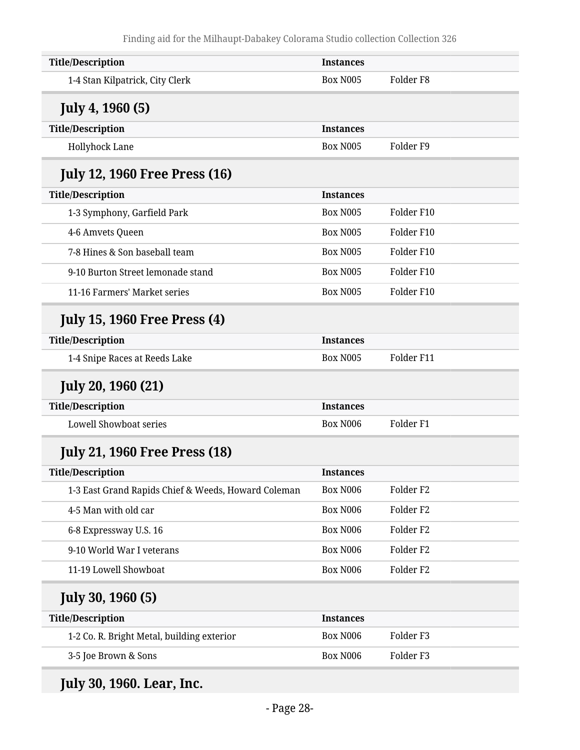| <b>Title/Description</b>                            | <b>Instances</b> |                      |
|-----------------------------------------------------|------------------|----------------------|
| 1-4 Stan Kilpatrick, City Clerk                     | <b>Box N005</b>  | Folder <sub>F8</sub> |
| <b>July 4, 1960 (5)</b>                             |                  |                      |
| <b>Title/Description</b>                            | <b>Instances</b> |                      |
| Hollyhock Lane                                      | <b>Box N005</b>  | Folder <sub>F9</sub> |
| <b>July 12, 1960 Free Press (16)</b>                |                  |                      |
| <b>Title/Description</b>                            | <b>Instances</b> |                      |
| 1-3 Symphony, Garfield Park                         | <b>Box N005</b>  | Folder F10           |
| 4-6 Amvets Queen                                    | <b>Box N005</b>  | Folder F10           |
| 7-8 Hines & Son baseball team                       | <b>Box N005</b>  | Folder F10           |
| 9-10 Burton Street lemonade stand                   | <b>Box N005</b>  | Folder F10           |
| 11-16 Farmers' Market series                        | <b>Box N005</b>  | Folder F10           |
| <b>July 15, 1960 Free Press (4)</b>                 |                  |                      |
| <b>Title/Description</b>                            | <b>Instances</b> |                      |
| 1-4 Snipe Races at Reeds Lake                       | <b>Box N005</b>  | Folder F11           |
| <b>July 20, 1960 (21)</b>                           |                  |                      |
| <b>Title/Description</b>                            | <b>Instances</b> |                      |
| <b>Lowell Showboat series</b>                       | <b>Box N006</b>  | Folder <sub>F1</sub> |
| <b>July 21, 1960 Free Press (18)</b>                |                  |                      |
| <b>Title/Description</b>                            | Instances        |                      |
| 1-3 East Grand Rapids Chief & Weeds, Howard Coleman | Box N006         | Folder <sub>F2</sub> |
| 4-5 Man with old car                                | Box N006         | Folder <sub>F2</sub> |
| 6-8 Expressway U.S. 16                              | Box N006         | Folder <sub>F2</sub> |
| 9-10 World War I veterans                           | <b>Box N006</b>  | Folder <sub>F2</sub> |
| 11-19 Lowell Showboat                               |                  |                      |
|                                                     | Box N006         | Folder <sub>F2</sub> |
| <b>July 30, 1960 (5)</b>                            |                  |                      |
| <b>Title/Description</b>                            | <b>Instances</b> |                      |
| 1-2 Co. R. Bright Metal, building exterior          | Box N006         | Folder <sub>F3</sub> |

**July 30, 1960. Lear, Inc.**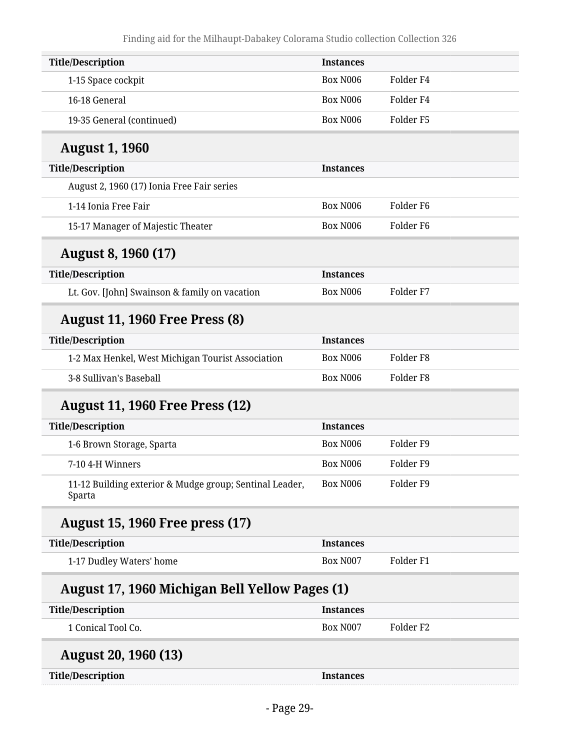| <b>Title/Description</b>                                          | <b>Instances</b> |                      |
|-------------------------------------------------------------------|------------------|----------------------|
| 1-15 Space cockpit                                                | <b>Box N006</b>  | Folder <sub>F4</sub> |
| 16-18 General                                                     | <b>Box N006</b>  | Folder <sub>F4</sub> |
| 19-35 General (continued)                                         | <b>Box N006</b>  | Folder <sub>F5</sub> |
| <b>August 1, 1960</b>                                             |                  |                      |
| <b>Title/Description</b>                                          | <b>Instances</b> |                      |
| August 2, 1960 (17) Ionia Free Fair series                        |                  |                      |
| 1-14 Ionia Free Fair                                              | <b>Box N006</b>  | Folder <sub>F6</sub> |
| 15-17 Manager of Majestic Theater                                 | <b>Box N006</b>  | Folder <sub>F6</sub> |
| <b>August 8, 1960 (17)</b>                                        |                  |                      |
| <b>Title/Description</b>                                          | <b>Instances</b> |                      |
| Lt. Gov. [John] Swainson & family on vacation                     | <b>Box N006</b>  | Folder <sub>F7</sub> |
| <b>August 11, 1960 Free Press (8)</b>                             |                  |                      |
| <b>Title/Description</b>                                          | <b>Instances</b> |                      |
| 1-2 Max Henkel, West Michigan Tourist Association                 | <b>Box N006</b>  | Folder <sub>F8</sub> |
| 3-8 Sullivan's Baseball                                           | <b>Box N006</b>  | Folder <sub>F8</sub> |
| <b>August 11, 1960 Free Press (12)</b>                            |                  |                      |
| <b>Title/Description</b>                                          | <b>Instances</b> |                      |
| 1-6 Brown Storage, Sparta                                         | <b>Box N006</b>  | Folder <sub>F9</sub> |
| 7-10 4-H Winners                                                  | <b>Box N006</b>  | Folder <sub>F9</sub> |
| 11-12 Building exterior & Mudge group; Sentinal Leader,<br>Sparta | Box N006         | Folder <sub>F9</sub> |
| <b>August 15, 1960 Free press (17)</b>                            |                  |                      |
| <b>Title/Description</b>                                          | <b>Instances</b> |                      |
| 1-17 Dudley Waters' home                                          | Box N007         | Folder <sub>F1</sub> |
| <b>August 17, 1960 Michigan Bell Yellow Pages (1)</b>             |                  |                      |
| <b>Title/Description</b>                                          | <b>Instances</b> |                      |
| 1 Conical Tool Co.                                                | Box N007         | Folder <sub>F2</sub> |
|                                                                   |                  |                      |
| <b>August 20, 1960 (13)</b>                                       |                  |                      |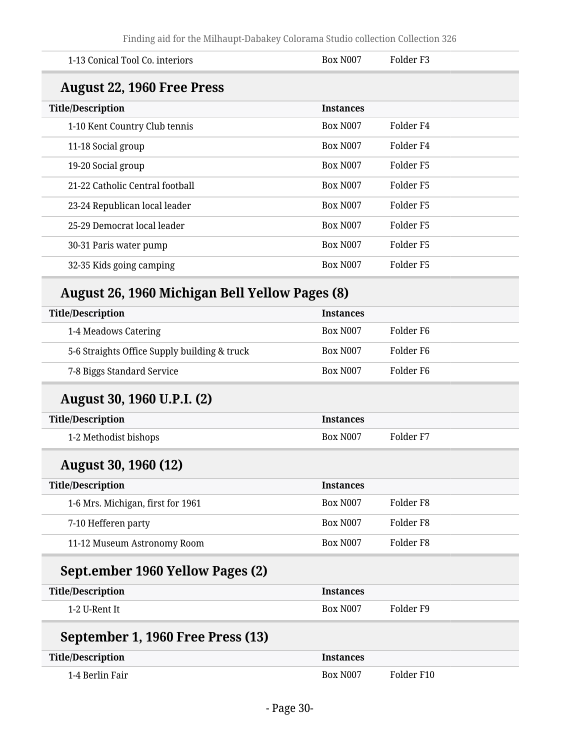Finding aid for the Milhaupt-Dabakey Colorama Studio collection Collection 326

| 1-13 Conical Tool Co. interiors                       | <b>Box N007</b>  | Folder <sub>F3</sub> |
|-------------------------------------------------------|------------------|----------------------|
| <b>August 22, 1960 Free Press</b>                     |                  |                      |
| <b>Title/Description</b>                              | <b>Instances</b> |                      |
| 1-10 Kent Country Club tennis                         | <b>Box N007</b>  | Folder <sub>F4</sub> |
| 11-18 Social group                                    | <b>Box N007</b>  | Folder <sub>F4</sub> |
| 19-20 Social group                                    | <b>Box N007</b>  | Folder <sub>F5</sub> |
| 21-22 Catholic Central football                       | <b>Box N007</b>  | Folder <sub>F5</sub> |
| 23-24 Republican local leader                         | <b>Box N007</b>  | Folder <sub>F5</sub> |
| 25-29 Democrat local leader                           | <b>Box N007</b>  | Folder <sub>F5</sub> |
| 30-31 Paris water pump                                | <b>Box N007</b>  | Folder <sub>F5</sub> |
| 32-35 Kids going camping                              | <b>Box N007</b>  | Folder <sub>F5</sub> |
| <b>August 26, 1960 Michigan Bell Yellow Pages (8)</b> |                  |                      |
| <b>Title/Description</b>                              | <b>Instances</b> |                      |
| 1-4 Meadows Catering                                  | <b>Box N007</b>  | Folder <sub>F6</sub> |
| 5-6 Straights Office Supply building & truck          | <b>Box N007</b>  | Folder F6            |
| 7-8 Biggs Standard Service                            | <b>Box N007</b>  | Folder <sub>F6</sub> |
| August 30, 1960 U.P.I. (2)                            |                  |                      |
| <b>Title/Description</b>                              | <b>Instances</b> |                      |
| 1-2 Methodist bishops                                 | <b>Box N007</b>  | Folder <sub>F7</sub> |
| <b>August 30, 1960 (12)</b>                           |                  |                      |
| <b>Title/Description</b>                              | <b>Instances</b> |                      |
| 1-6 Mrs. Michigan, first for 1961                     | <b>Box N007</b>  | Folder <sub>F8</sub> |
| 7-10 Hefferen party                                   | <b>Box N007</b>  | Folder <sub>F8</sub> |
| 11-12 Museum Astronomy Room                           | <b>Box N007</b>  | Folder <sub>F8</sub> |
| Sept.ember 1960 Yellow Pages (2)                      |                  |                      |
| <b>Title/Description</b>                              | <b>Instances</b> |                      |
| 1-2 U-Rent It                                         | <b>Box N007</b>  | Folder <sub>F9</sub> |
| September 1, 1960 Free Press (13)                     |                  |                      |
| <b>Title/Description</b>                              | <b>Instances</b> |                      |
| 1-4 Berlin Fair                                       | Box N007         | Folder F10           |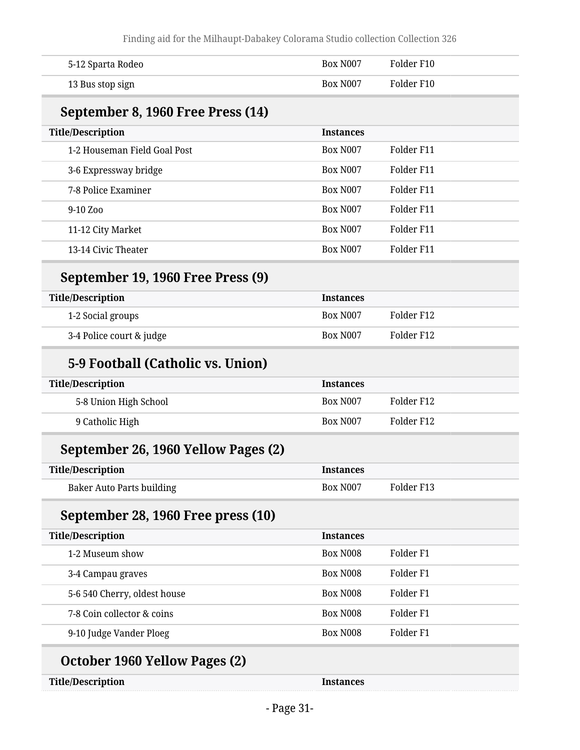| 5-12 Sparta Rodeo                    | <b>Box N007</b>  | Folder F10           |
|--------------------------------------|------------------|----------------------|
| 13 Bus stop sign                     | <b>Box N007</b>  | Folder F10           |
| September 8, 1960 Free Press (14)    |                  |                      |
| <b>Title/Description</b>             | <b>Instances</b> |                      |
| 1-2 Houseman Field Goal Post         | <b>Box N007</b>  | Folder F11           |
| 3-6 Expressway bridge                | <b>Box N007</b>  | Folder F11           |
| 7-8 Police Examiner                  | <b>Box N007</b>  | Folder F11           |
| 9-10 Zoo                             | <b>Box N007</b>  | Folder F11           |
| 11-12 City Market                    | Box N007         | Folder F11           |
| 13-14 Civic Theater                  | <b>Box N007</b>  | Folder F11           |
| September 19, 1960 Free Press (9)    |                  |                      |
| <b>Title/Description</b>             | <b>Instances</b> |                      |
| 1-2 Social groups                    | <b>Box N007</b>  | Folder F12           |
| 3-4 Police court & judge             | <b>Box N007</b>  | Folder F12           |
| 5-9 Football (Catholic vs. Union)    |                  |                      |
| <b>Title/Description</b>             | <b>Instances</b> |                      |
| 5-8 Union High School                | <b>Box N007</b>  | Folder F12           |
| 9 Catholic High                      | <b>Box N007</b>  | Folder F12           |
| September 26, 1960 Yellow Pages (2)  |                  |                      |
| <b>Title/Description</b>             | <b>Instances</b> |                      |
| <b>Baker Auto Parts building</b>     | <b>Box N007</b>  | Folder F13           |
| September 28, 1960 Free press (10)   |                  |                      |
| <b>Title/Description</b>             | <b>Instances</b> |                      |
| 1-2 Museum show                      | <b>Box N008</b>  | Folder F1            |
| 3-4 Campau graves                    | <b>Box N008</b>  | Folder <sub>F1</sub> |
| 5-6 540 Cherry, oldest house         | Box N008         | Folder <sub>F1</sub> |
| 7-8 Coin collector & coins           | Box N008         | Folder <sub>F1</sub> |
| 9-10 Judge Vander Ploeg              | Box N008         | Folder <sub>F1</sub> |
| <b>October 1960 Yellow Pages (2)</b> |                  |                      |
| <b>Title/Description</b>             | <b>Instances</b> |                      |
|                                      |                  |                      |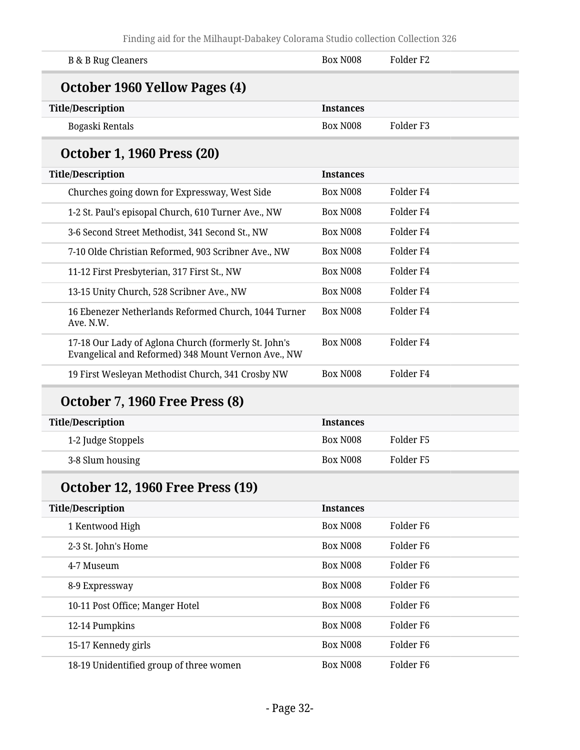| <b>B &amp; B Rug Cleaners</b>                                                                               | <b>Box N008</b>  | Folder <sub>F2</sub> |
|-------------------------------------------------------------------------------------------------------------|------------------|----------------------|
| October 1960 Yellow Pages (4)                                                                               |                  |                      |
| <b>Title/Description</b>                                                                                    | <b>Instances</b> |                      |
| Bogaski Rentals                                                                                             | <b>Box N008</b>  | Folder <sub>F3</sub> |
| <b>October 1, 1960 Press (20)</b>                                                                           |                  |                      |
| <b>Title/Description</b>                                                                                    | <b>Instances</b> |                      |
| Churches going down for Expressway, West Side                                                               | <b>Box N008</b>  | Folder <sub>F4</sub> |
| 1-2 St. Paul's episopal Church, 610 Turner Ave., NW                                                         | <b>Box N008</b>  | Folder <sub>F4</sub> |
| 3-6 Second Street Methodist, 341 Second St., NW                                                             | <b>Box N008</b>  | Folder <sub>F4</sub> |
| 7-10 Olde Christian Reformed, 903 Scribner Ave., NW                                                         | <b>Box N008</b>  | Folder <sub>F4</sub> |
| 11-12 First Presbyterian, 317 First St., NW                                                                 | <b>Box N008</b>  | Folder <sub>F4</sub> |
| 13-15 Unity Church, 528 Scribner Ave., NW                                                                   | <b>Box N008</b>  | Folder <sub>F4</sub> |
| 16 Ebenezer Netherlands Reformed Church, 1044 Turner<br>Ave. N.W.                                           | <b>Box N008</b>  | Folder <sub>F4</sub> |
| 17-18 Our Lady of Aglona Church (formerly St. John's<br>Evangelical and Reformed) 348 Mount Vernon Ave., NW | <b>Box N008</b>  | Folder <sub>F4</sub> |
| 19 First Wesleyan Methodist Church, 341 Crosby NW                                                           | <b>Box N008</b>  | Folder <sub>F4</sub> |
| <b>October 7, 1960 Free Press (8)</b>                                                                       |                  |                      |
| <b>Title/Description</b>                                                                                    | <b>Instances</b> |                      |
| 1-2 Judge Stoppels                                                                                          | <b>Box N008</b>  | Folder <sub>F5</sub> |
| 3-8 Slum housing                                                                                            | <b>Box N008</b>  | Folder <sub>F5</sub> |
| <b>October 12, 1960 Free Press (19)</b>                                                                     |                  |                      |
| <b>Title/Description</b>                                                                                    | <b>Instances</b> |                      |
| 1 Kentwood High                                                                                             | <b>Box N008</b>  | Folder <sub>F6</sub> |
| 2-3 St. John's Home                                                                                         | <b>Box N008</b>  | Folder <sub>F6</sub> |
| 4-7 Museum                                                                                                  | <b>Box N008</b>  | Folder <sub>F6</sub> |
| 8-9 Expressway                                                                                              | <b>Box N008</b>  | Folder <sub>F6</sub> |
| 10-11 Post Office; Manger Hotel                                                                             | <b>Box N008</b>  | Folder <sub>F6</sub> |
| 12-14 Pumpkins                                                                                              | Box N008         | Folder <sub>F6</sub> |

15-17 Kennedy girls and the settlement of the Box N008 Folder F6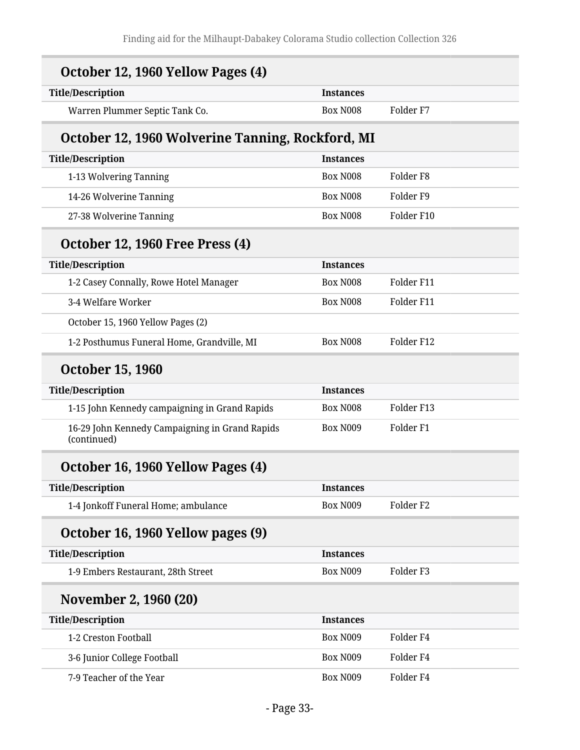| October 12, 1960 Yellow Pages (4)                             |                  |                      |
|---------------------------------------------------------------|------------------|----------------------|
| <b>Title/Description</b>                                      | <b>Instances</b> |                      |
| Warren Plummer Septic Tank Co.                                | <b>Box N008</b>  | Folder <sub>F7</sub> |
| October 12, 1960 Wolverine Tanning, Rockford, MI              |                  |                      |
| <b>Title/Description</b>                                      | <b>Instances</b> |                      |
| 1-13 Wolvering Tanning                                        | <b>Box N008</b>  | Folder <sub>F8</sub> |
| 14-26 Wolverine Tanning                                       | <b>Box N008</b>  | Folder <sub>F9</sub> |
| 27-38 Wolverine Tanning                                       | <b>Box N008</b>  | Folder F10           |
| <b>October 12, 1960 Free Press (4)</b>                        |                  |                      |
| <b>Title/Description</b>                                      | <b>Instances</b> |                      |
| 1-2 Casey Connally, Rowe Hotel Manager                        | <b>Box N008</b>  | Folder F11           |
| 3-4 Welfare Worker                                            | <b>Box N008</b>  | Folder F11           |
| October 15, 1960 Yellow Pages (2)                             |                  |                      |
| 1-2 Posthumus Funeral Home, Grandville, MI                    | <b>Box N008</b>  | Folder F12           |
| <b>October 15, 1960</b>                                       |                  |                      |
| <b>Title/Description</b>                                      | <b>Instances</b> |                      |
| 1-15 John Kennedy campaigning in Grand Rapids                 | <b>Box N008</b>  | Folder F13           |
| 16-29 John Kennedy Campaigning in Grand Rapids<br>(continued) | <b>Box N009</b>  | Folder <sub>F1</sub> |
| October 16, 1960 Yellow Pages (4)                             |                  |                      |
| <b>Title/Description</b>                                      | <b>Instances</b> |                      |
| 1-4 Jonkoff Funeral Home; ambulance                           | <b>Box N009</b>  | Folder <sub>F2</sub> |
| October 16, 1960 Yellow pages (9)                             |                  |                      |
| <b>Title/Description</b>                                      | <b>Instances</b> |                      |
| 1-9 Embers Restaurant, 28th Street                            | <b>Box N009</b>  | Folder <sub>F3</sub> |
| November 2, 1960 (20)                                         |                  |                      |
| <b>Title/Description</b>                                      | <b>Instances</b> |                      |
| 1-2 Creston Football                                          | Box N009         | Folder <sub>F4</sub> |
| 3-6 Junior College Football                                   | <b>Box N009</b>  | Folder <sub>F4</sub> |
| 7-9 Teacher of the Year                                       | Box N009         | Folder <sub>F4</sub> |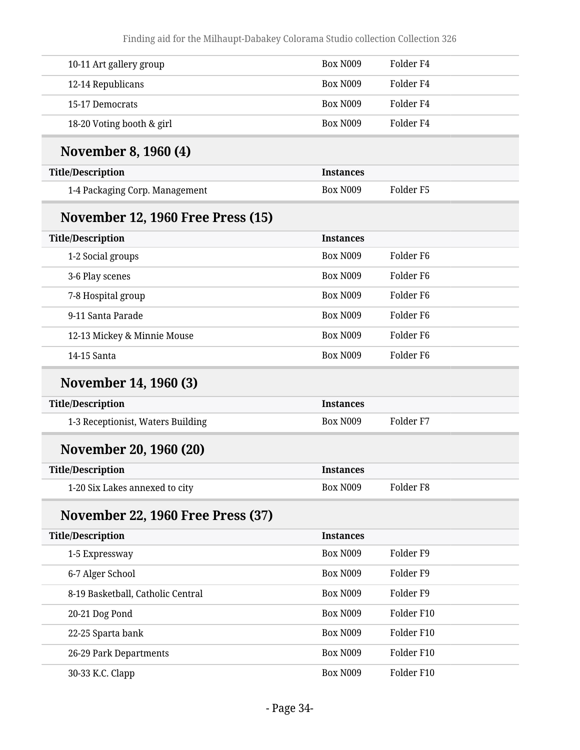| 10-11 Art gallery group                  | <b>Box N009</b>  | Folder <sub>F4</sub> |
|------------------------------------------|------------------|----------------------|
| 12-14 Republicans                        | <b>Box N009</b>  | Folder <sub>F4</sub> |
| 15-17 Democrats                          | <b>Box N009</b>  | Folder <sub>F4</sub> |
| 18-20 Voting booth & girl                | <b>Box N009</b>  | Folder <sub>F4</sub> |
| November 8, 1960 (4)                     |                  |                      |
| <b>Title/Description</b>                 | <b>Instances</b> |                      |
| 1-4 Packaging Corp. Management           | <b>Box N009</b>  | Folder <sub>F5</sub> |
| <b>November 12, 1960 Free Press (15)</b> |                  |                      |
| <b>Title/Description</b>                 | <b>Instances</b> |                      |
| 1-2 Social groups                        | <b>Box N009</b>  | Folder <sub>F6</sub> |
| 3-6 Play scenes                          | <b>Box N009</b>  | Folder <sub>F6</sub> |
| 7-8 Hospital group                       | <b>Box N009</b>  | Folder F6            |
| 9-11 Santa Parade                        | <b>Box N009</b>  | Folder <sub>F6</sub> |
| 12-13 Mickey & Minnie Mouse              | <b>Box N009</b>  | Folder <sub>F6</sub> |
| 14-15 Santa                              | <b>Box N009</b>  | Folder <sub>F6</sub> |
| November 14, 1960 (3)                    |                  |                      |
| <b>Title/Description</b>                 | <b>Instances</b> |                      |
| 1-3 Receptionist, Waters Building        | <b>Box N009</b>  | Folder <sub>F7</sub> |
| November 20, 1960 (20)                   |                  |                      |
| <b>Title/Description</b>                 | <b>Instances</b> |                      |
| 1-20 Six Lakes annexed to city           | Box N009         | Folder <sub>F8</sub> |
| <b>November 22, 1960 Free Press (37)</b> |                  |                      |
| <b>Title/Description</b>                 | <b>Instances</b> |                      |
| 1-5 Expressway                           | Box N009         | Folder <sub>F9</sub> |
| 6-7 Alger School                         | Box N009         | Folder <sub>F9</sub> |
| 8-19 Basketball, Catholic Central        | Box N009         | Folder <sub>F9</sub> |
| 20-21 Dog Pond                           | Box N009         | Folder F10           |
| 22-25 Sparta bank                        | Box N009         | Folder F10           |
| 26-29 Park Departments                   | Box N009         | Folder F10           |
| 30-33 K.C. Clapp                         | Box N009         | Folder F10           |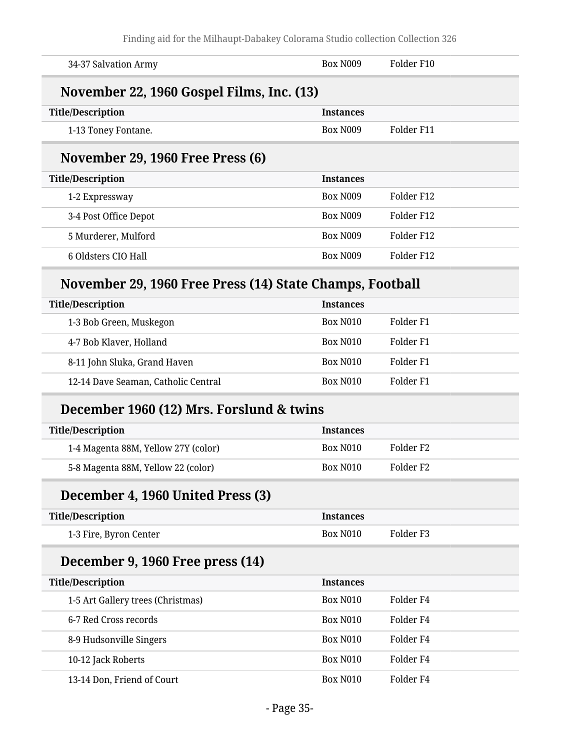| 34-37 Salvation Army                                     | <b>Box N009</b>  | Folder F10           |  |  |
|----------------------------------------------------------|------------------|----------------------|--|--|
| November 22, 1960 Gospel Films, Inc. (13)                |                  |                      |  |  |
| <b>Title/Description</b>                                 | <b>Instances</b> |                      |  |  |
| 1-13 Toney Fontane.                                      | <b>Box N009</b>  | Folder F11           |  |  |
| November 29, 1960 Free Press (6)                         |                  |                      |  |  |
| <b>Title/Description</b>                                 | <b>Instances</b> |                      |  |  |
| 1-2 Expressway                                           | <b>Box N009</b>  | Folder F12           |  |  |
| 3-4 Post Office Depot                                    | <b>Box N009</b>  | Folder F12           |  |  |
| 5 Murderer, Mulford                                      | <b>Box N009</b>  | Folder F12           |  |  |
| 6 Oldsters CIO Hall                                      | <b>Box N009</b>  | Folder F12           |  |  |
| November 29, 1960 Free Press (14) State Champs, Football |                  |                      |  |  |
| <b>Title/Description</b>                                 | <b>Instances</b> |                      |  |  |
| 1-3 Bob Green, Muskegon                                  | <b>Box N010</b>  | Folder <sub>F1</sub> |  |  |
| 4-7 Bob Klaver, Holland                                  | <b>Box N010</b>  | Folder <sub>F1</sub> |  |  |
| 8-11 John Sluka, Grand Haven                             | <b>Box N010</b>  | Folder <sub>F1</sub> |  |  |
| 12-14 Dave Seaman, Catholic Central                      | <b>Box N010</b>  | Folder <sub>F1</sub> |  |  |
| December 1960 (12) Mrs. Forslund & twins                 |                  |                      |  |  |
| <b>Title/Description</b>                                 | <b>Instances</b> |                      |  |  |
| 1-4 Magenta 88M, Yellow 27Y (color)                      | <b>Box N010</b>  | Folder <sub>F2</sub> |  |  |
| 5-8 Magenta 88M, Yellow 22 (color)                       | <b>Box N010</b>  | Folder <sub>F2</sub> |  |  |
| December 4, 1960 United Press (3)                        |                  |                      |  |  |
| <b>Title/Description</b>                                 | <b>Instances</b> |                      |  |  |
| 1-3 Fire, Byron Center                                   | <b>Box N010</b>  | Folder <sub>F3</sub> |  |  |
| December 9, 1960 Free press (14)                         |                  |                      |  |  |
| <b>Title/Description</b>                                 | <b>Instances</b> |                      |  |  |
| 1-5 Art Gallery trees (Christmas)                        | <b>Box N010</b>  | Folder <sub>F4</sub> |  |  |
| 6-7 Red Cross records                                    | <b>Box N010</b>  | Folder <sub>F4</sub> |  |  |
| 8-9 Hudsonville Singers                                  | <b>Box N010</b>  | Folder <sub>F4</sub> |  |  |
| 10-12 Jack Roberts                                       | <b>Box N010</b>  | Folder <sub>F4</sub> |  |  |
| 13-14 Don, Friend of Court                               | <b>Box N010</b>  | Folder <sub>F4</sub> |  |  |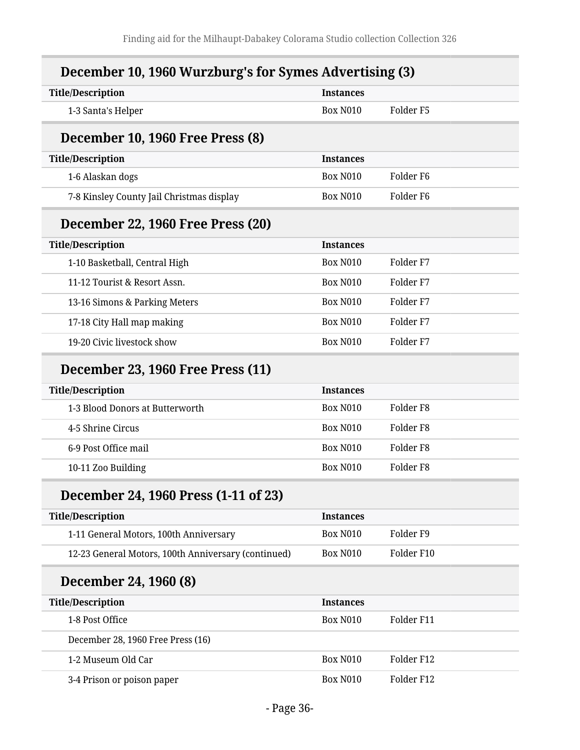|  |  |  | December 10, 1960 Wurzburg's for Symes Advertising (3) |
|--|--|--|--------------------------------------------------------|
|--|--|--|--------------------------------------------------------|

| <b>Title/Description</b>                            | <b>Instances</b> |                       |
|-----------------------------------------------------|------------------|-----------------------|
| 1-3 Santa's Helper                                  | <b>Box N010</b>  | Folder <sub>F5</sub>  |
| December 10, 1960 Free Press (8)                    |                  |                       |
| <b>Title/Description</b>                            | <b>Instances</b> |                       |
| 1-6 Alaskan dogs                                    | <b>Box N010</b>  | Folder F <sub>6</sub> |
| 7-8 Kinsley County Jail Christmas display           | <b>Box N010</b>  | Folder <sub>F6</sub>  |
| December 22, 1960 Free Press (20)                   |                  |                       |
| <b>Title/Description</b>                            | <b>Instances</b> |                       |
| 1-10 Basketball, Central High                       | <b>Box N010</b>  | Folder F7             |
| 11-12 Tourist & Resort Assn.                        | <b>Box N010</b>  | Folder <sub>F7</sub>  |
| 13-16 Simons & Parking Meters                       | <b>Box N010</b>  | Folder <sub>F7</sub>  |
| 17-18 City Hall map making                          | <b>Box N010</b>  | Folder <sub>F7</sub>  |
| 19-20 Civic livestock show                          | <b>Box N010</b>  | Folder <sub>F7</sub>  |
| December 23, 1960 Free Press (11)                   |                  |                       |
| <b>Title/Description</b>                            | <b>Instances</b> |                       |
| 1-3 Blood Donors at Butterworth                     | <b>Box N010</b>  | Folder <sub>F8</sub>  |
| 4-5 Shrine Circus                                   | <b>Box N010</b>  | Folder <sub>F8</sub>  |
| 6-9 Post Office mail                                | <b>Box N010</b>  | Folder <sub>F8</sub>  |
| 10-11 Zoo Building                                  | <b>Box N010</b>  | Folder <sub>F8</sub>  |
| December 24, 1960 Press (1-11 of 23)                |                  |                       |
| <b>Title/Description</b>                            | <b>Instances</b> |                       |
| 1-11 General Motors, 100th Anniversary              | <b>Box N010</b>  | Folder <sub>F9</sub>  |
| 12-23 General Motors, 100th Anniversary (continued) | <b>Box N010</b>  | Folder F10            |
| December 24, 1960 (8)                               |                  |                       |
| <b>Title/Description</b>                            | <b>Instances</b> |                       |
| 1-8 Post Office                                     | <b>Box N010</b>  | Folder F11            |
| December 28, 1960 Free Press (16)                   |                  |                       |
| 1-2 Museum Old Car                                  | <b>Box N010</b>  | Folder F12            |
| 3-4 Prison or poison paper                          | <b>Box N010</b>  | Folder F12            |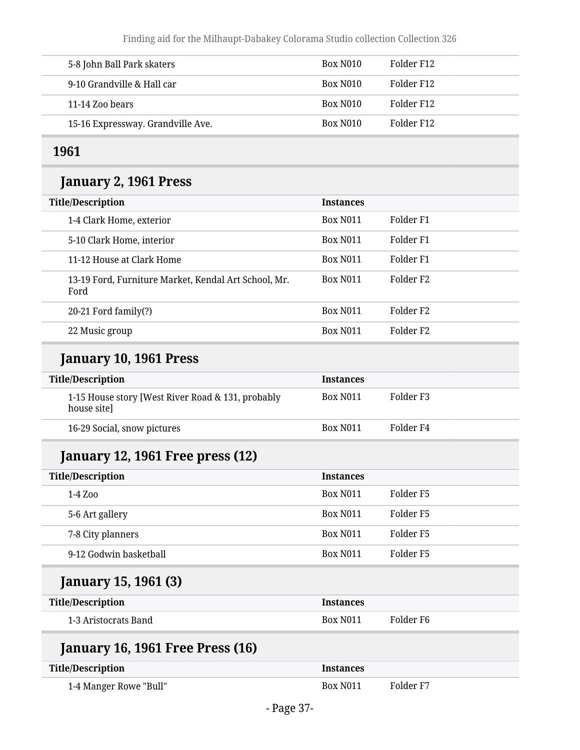| 5-8 John Ball Park skaters        | Box N <sub>010</sub> | Folder F12 |
|-----------------------------------|----------------------|------------|
| 9-10 Grandville & Hall car        | Box N010             | Folder F12 |
| 11-14 Zoo bears                   | Box N010             | Folder F12 |
| 15-16 Expressway. Grandville Ave. | Box N010             | Folder F12 |

### **1961**

#### **January 2, 1961 Press**

| <b>Title/Description</b>                                     | <b>Instances</b>      |                       |
|--------------------------------------------------------------|-----------------------|-----------------------|
| 1-4 Clark Home, exterior                                     | Box N <sub>0</sub> 11 | Folder F1             |
| 5-10 Clark Home, interior                                    | <b>Box N011</b>       | Folder F1             |
| 11-12 House at Clark Home                                    | <b>Box N011</b>       | Folder F1             |
| 13-19 Ford, Furniture Market, Kendal Art School, Mr.<br>Ford | <b>Box N011</b>       | Folder F <sub>2</sub> |
| 20-21 Ford family(?)                                         | <b>Box N011</b>       | Folder F <sub>2</sub> |
| 22 Music group                                               | <b>Box N011</b>       | Folder F <sub>2</sub> |

#### **January 10, 1961 Press**

| <b>Title/Description</b>                                         | <b>Instances</b>      |           |
|------------------------------------------------------------------|-----------------------|-----------|
| 1-15 House story [West River Road & 131, probably<br>house site] | Box N <sub>0</sub> 11 | Folder F3 |
| 16-29 Social, snow pictures                                      | Box N <sub>011</sub>  | Folder F4 |

## **January 12, 1961 Free press (12)**

| <b>Title/Description</b> | <b>Instances</b>     |           |
|--------------------------|----------------------|-----------|
| 1-4 Zoo                  | Box N <sub>011</sub> | Folder F5 |
| 5-6 Art gallery          | Box N <sub>011</sub> | Folder F5 |
| 7-8 City planners        | Box N <sub>011</sub> | Folder F5 |
| 9-12 Godwin basketball   | <b>Box N011</b>      | Folder F5 |

## **January 15, 1961 (3)**

| <b>Title/Description</b> | <b>Instances</b>     |           |
|--------------------------|----------------------|-----------|
| 1-3 Aristocrats Band     | Box N <sub>011</sub> | Folder F6 |

| <b>January 16, 1961 Free Press (16)</b> |                      |           |
|-----------------------------------------|----------------------|-----------|
| <b>Title/Description</b>                | <b>Instances</b>     |           |
| 1-4 Manger Rowe "Bull"                  | Box N <sub>011</sub> | Folder F7 |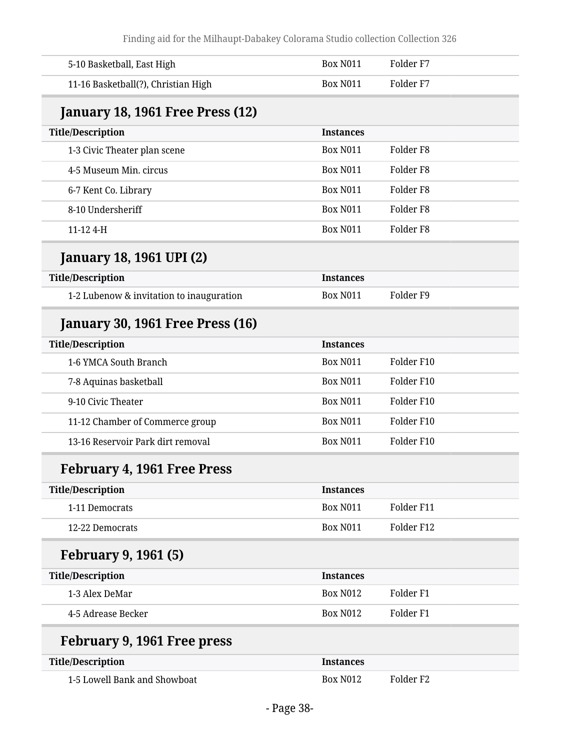| 5-10 Basketball, East High               | <b>Box N011</b>  | Folder <sub>F7</sub> |  |
|------------------------------------------|------------------|----------------------|--|
| 11-16 Basketball(?), Christian High      | <b>Box N011</b>  | Folder <sub>F7</sub> |  |
| January 18, 1961 Free Press (12)         |                  |                      |  |
| <b>Title/Description</b>                 | <b>Instances</b> |                      |  |
| 1-3 Civic Theater plan scene             | <b>Box N011</b>  | Folder <sub>F8</sub> |  |
| 4-5 Museum Min. circus                   | <b>Box N011</b>  | Folder <sub>F8</sub> |  |
| 6-7 Kent Co. Library                     | <b>Box N011</b>  | Folder <sub>F8</sub> |  |
| 8-10 Undersheriff                        | <b>Box N011</b>  | Folder <sub>F8</sub> |  |
| 11-12 4-H                                | <b>Box N011</b>  | Folder <sub>F8</sub> |  |
| <b>January 18, 1961 UPI (2)</b>          |                  |                      |  |
| <b>Title/Description</b>                 | <b>Instances</b> |                      |  |
| 1-2 Lubenow & invitation to inauguration | <b>Box N011</b>  | Folder <sub>F9</sub> |  |
| <b>January 30, 1961 Free Press (16)</b>  |                  |                      |  |
| <b>Title/Description</b>                 | <b>Instances</b> |                      |  |
| 1-6 YMCA South Branch                    | <b>Box N011</b>  | Folder F10           |  |
| 7-8 Aquinas basketball                   | <b>Box N011</b>  | Folder F10           |  |
| 9-10 Civic Theater                       | <b>Box N011</b>  | Folder F10           |  |
| 11-12 Chamber of Commerce group          | <b>Box N011</b>  | Folder F10           |  |
| 13-16 Reservoir Park dirt removal        | <b>Box N011</b>  | Folder F10           |  |
| February 4, 1961 Free Press              |                  |                      |  |
| <b>Title/Description</b>                 | <b>Instances</b> |                      |  |
| 1-11 Democrats                           | <b>Box N011</b>  | Folder F11           |  |
| 12-22 Democrats                          | <b>Box N011</b>  | Folder F12           |  |
| <b>February 9, 1961 (5)</b>              |                  |                      |  |
| <b>Title/Description</b>                 | <b>Instances</b> |                      |  |
| 1-3 Alex DeMar                           | <b>Box N012</b>  | Folder <sub>F1</sub> |  |
| 4-5 Adrease Becker                       | <b>Box N012</b>  | Folder <sub>F1</sub> |  |
| February 9, 1961 Free press              |                  |                      |  |
| <b>Title/Description</b>                 | <b>Instances</b> |                      |  |
| 1-5 Lowell Bank and Showboat             | <b>Box N012</b>  | Folder <sub>F2</sub> |  |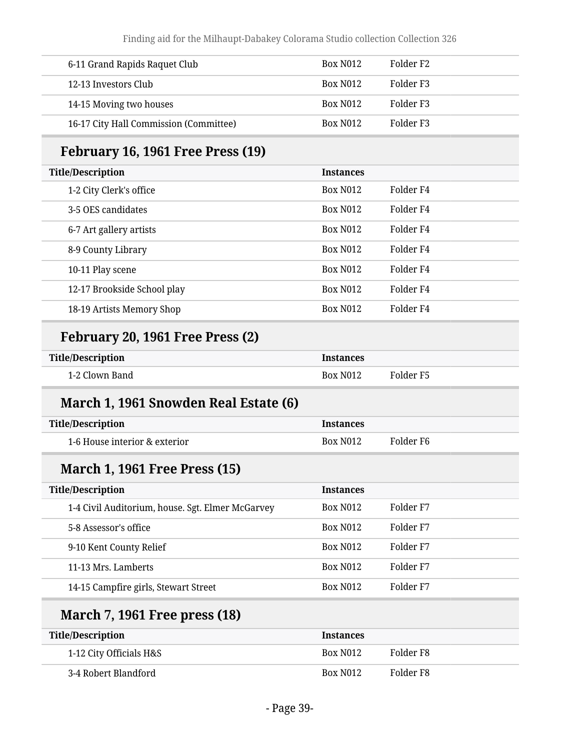| 6-11 Grand Rapids Raquet Club          | Box N <sub>0</sub> 12 | Folder F2 |
|----------------------------------------|-----------------------|-----------|
| 12-13 Investors Club                   | Box N <sub>0</sub> 12 | Folder F3 |
| 14-15 Moving two houses                | Box N <sub>0</sub> 12 | Folder F3 |
| 16-17 City Hall Commission (Committee) | Box N <sub>0</sub> 12 | Folder F3 |

#### **February 16, 1961 Free Press (19)**

| <b>Title/Description</b>    | <b>Instances</b> |           |
|-----------------------------|------------------|-----------|
| 1-2 City Clerk's office     | <b>Box N012</b>  | Folder F4 |
| 3-5 OES candidates          | <b>Box N012</b>  | Folder F4 |
| 6-7 Art gallery artists     | <b>Box N012</b>  | Folder F4 |
| 8-9 County Library          | <b>Box N012</b>  | Folder F4 |
| 10-11 Play scene            | <b>Box N012</b>  | Folder F4 |
| 12-17 Brookside School play | <b>Box N012</b>  | Folder F4 |
| 18-19 Artists Memory Shop   | <b>Box N012</b>  | Folder F4 |

#### **February 20, 1961 Free Press (2)**

| <b>Title/Description</b> | <b>Instances</b> |           |
|--------------------------|------------------|-----------|
| 1-2 Clown Band           | <b>Box N012</b>  | Folder F5 |

#### **March 1, 1961 Snowden Real Estate (6)**

| Title/Description             | <b>Instances</b> |           |
|-------------------------------|------------------|-----------|
| 1-6 House interior & exterior | <b>Box N012</b>  | Folder F6 |

#### **March 1, 1961 Free Press (15)**

| <b>Title/Description</b>                         | <b>Instances</b> |           |
|--------------------------------------------------|------------------|-----------|
| 1-4 Civil Auditorium, house. Sgt. Elmer McGarvey | <b>Box N012</b>  | Folder F7 |
| 5-8 Assessor's office                            | <b>Box N012</b>  | Folder F7 |
| 9-10 Kent County Relief                          | <b>Box N012</b>  | Folder F7 |
| 11-13 Mrs. Lamberts                              | <b>Box N012</b>  | Folder F7 |
| 14-15 Campfire girls, Stewart Street             | <b>Box N012</b>  | Folder F7 |

#### **March 7, 1961 Free press (18)**

| Title/Description       | <b>Instances</b>     |           |
|-------------------------|----------------------|-----------|
| 1-12 City Officials H&S | Box N <sub>012</sub> | Folder F8 |
| 3-4 Robert Blandford    | Box N <sub>012</sub> | Folder F8 |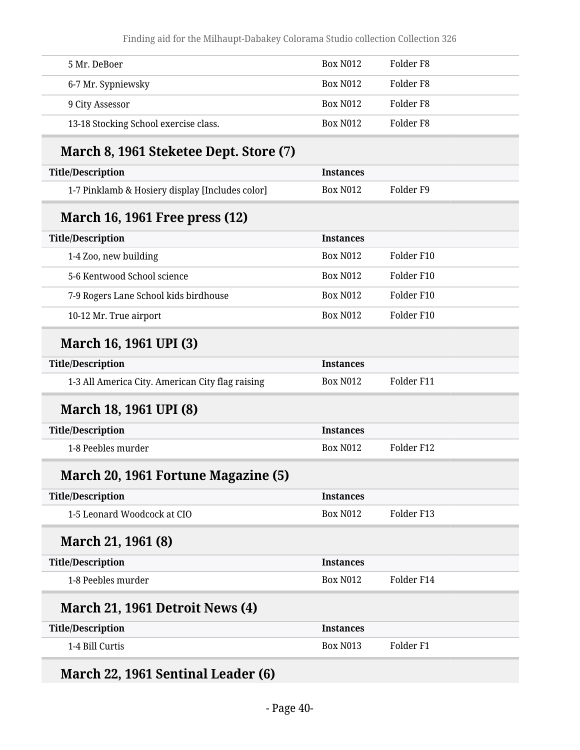| 5 Mr. DeBoer                                     | <b>Box N012</b>  | Folder <sub>F8</sub> |
|--------------------------------------------------|------------------|----------------------|
| 6-7 Mr. Sypniewsky                               | <b>Box N012</b>  | Folder <sub>F8</sub> |
| 9 City Assessor                                  | <b>Box N012</b>  | Folder <sub>F8</sub> |
| 13-18 Stocking School exercise class.            | <b>Box N012</b>  | Folder <sub>F8</sub> |
| March 8, 1961 Steketee Dept. Store (7)           |                  |                      |
| <b>Title/Description</b>                         | <b>Instances</b> |                      |
| 1-7 Pinklamb & Hosiery display [Includes color]  | <b>Box N012</b>  | Folder <sub>F9</sub> |
| <b>March 16, 1961 Free press (12)</b>            |                  |                      |
| <b>Title/Description</b>                         | <b>Instances</b> |                      |
| 1-4 Zoo, new building                            | <b>Box N012</b>  | Folder F10           |
| 5-6 Kentwood School science                      | <b>Box N012</b>  | Folder F10           |
| 7-9 Rogers Lane School kids birdhouse            | <b>Box N012</b>  | Folder F10           |
| 10-12 Mr. True airport                           | <b>Box N012</b>  | Folder F10           |
| March 16, 1961 UPI (3)                           |                  |                      |
| <b>Title/Description</b>                         | <b>Instances</b> |                      |
| 1-3 All America City. American City flag raising | <b>Box N012</b>  | Folder F11           |
| <b>March 18, 1961 UPI (8)</b>                    |                  |                      |
| <b>Title/Description</b>                         | <b>Instances</b> |                      |
| 1-8 Peebles murder                               | <b>Box N012</b>  | Folder F12           |
| March 20, 1961 Fortune Magazine (5)              |                  |                      |
| <b>Title/Description</b>                         | <b>Instances</b> |                      |
| 1-5 Leonard Woodcock at CIO                      | <b>Box N012</b>  | Folder F13           |
| March 21, 1961 (8)                               |                  |                      |
| <b>Title/Description</b>                         |                  |                      |
|                                                  | <b>Instances</b> |                      |
| 1-8 Peebles murder                               | <b>Box N012</b>  | Folder F14           |
| March 21, 1961 Detroit News (4)                  |                  |                      |
| <b>Title/Description</b>                         | <b>Instances</b> |                      |

## **March 22, 1961 Sentinal Leader (6)**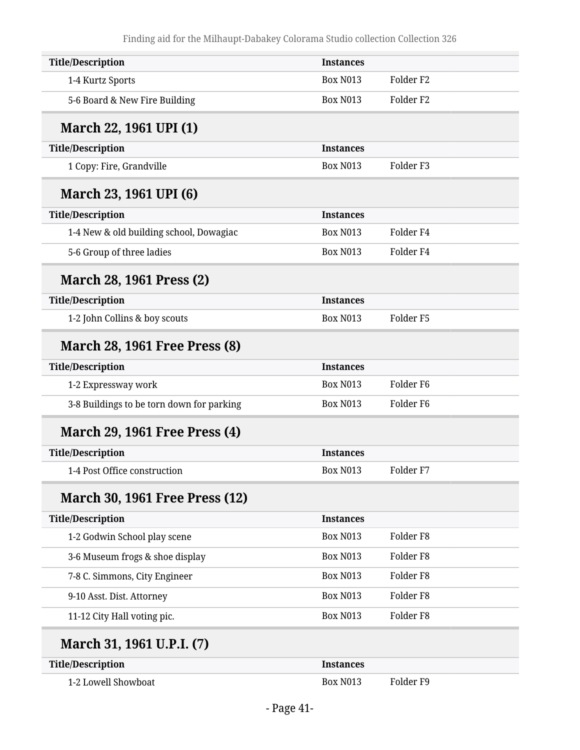| <b>Title/Description</b>                  | <b>Instances</b> |                      |  |
|-------------------------------------------|------------------|----------------------|--|
| 1-4 Kurtz Sports                          | <b>Box N013</b>  | Folder <sub>F2</sub> |  |
| 5-6 Board & New Fire Building             | <b>Box N013</b>  | Folder <sub>F2</sub> |  |
| March 22, 1961 UPI (1)                    |                  |                      |  |
| <b>Title/Description</b>                  | <b>Instances</b> |                      |  |
| 1 Copy: Fire, Grandville                  | <b>Box N013</b>  | Folder <sub>F3</sub> |  |
| March 23, 1961 UPI (6)                    |                  |                      |  |
| <b>Title/Description</b>                  | <b>Instances</b> |                      |  |
| 1-4 New & old building school, Dowagiac   | <b>Box N013</b>  | Folder <sub>F4</sub> |  |
| 5-6 Group of three ladies                 | <b>Box N013</b>  | Folder <sub>F4</sub> |  |
| <b>March 28, 1961 Press (2)</b>           |                  |                      |  |
| <b>Title/Description</b>                  | <b>Instances</b> |                      |  |
| 1-2 John Collins & boy scouts             | <b>Box N013</b>  | Folder <sub>F5</sub> |  |
| <b>March 28, 1961 Free Press (8)</b>      |                  |                      |  |
| <b>Title/Description</b>                  | <b>Instances</b> |                      |  |
| 1-2 Expressway work                       | <b>Box N013</b>  | Folder <sub>F6</sub> |  |
| 3-8 Buildings to be torn down for parking | <b>Box N013</b>  | Folder <sub>F6</sub> |  |
| <b>March 29, 1961 Free Press (4)</b>      |                  |                      |  |
| <b>Title/Description</b>                  | <b>Instances</b> |                      |  |
| 1-4 Post Office construction              | <b>Box N013</b>  | Folder <sub>F7</sub> |  |
| <b>March 30, 1961 Free Press (12)</b>     |                  |                      |  |
| <b>Title/Description</b>                  | <b>Instances</b> |                      |  |
| 1-2 Godwin School play scene              | <b>Box N013</b>  | Folder <sub>F8</sub> |  |
| 3-6 Museum frogs & shoe display           | <b>Box N013</b>  | Folder <sub>F8</sub> |  |
| 7-8 C. Simmons, City Engineer             | <b>Box N013</b>  | Folder <sub>F8</sub> |  |
| 9-10 Asst. Dist. Attorney                 | <b>Box N013</b>  | Folder <sub>F8</sub> |  |
| 11-12 City Hall voting pic.               | <b>Box N013</b>  | Folder <sub>F8</sub> |  |
| March 31, 1961 U.P.I. (7)                 |                  |                      |  |
| <b>Title/Description</b>                  | <b>Instances</b> |                      |  |
|                                           |                  |                      |  |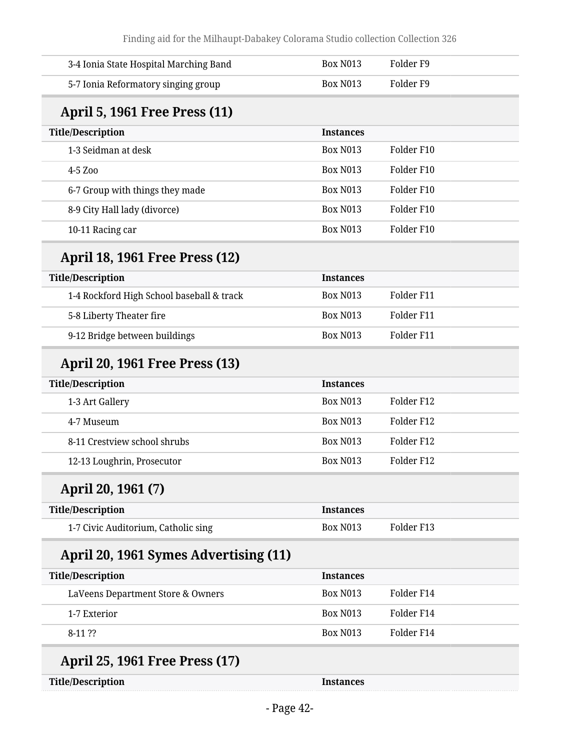| 3-4 Ionia State Hospital Marching Band    | <b>Box N013</b>  | Folder <sub>F9</sub> |
|-------------------------------------------|------------------|----------------------|
| 5-7 Ionia Reformatory singing group       | <b>Box N013</b>  | Folder <sub>F9</sub> |
| <b>April 5, 1961 Free Press (11)</b>      |                  |                      |
| <b>Title/Description</b>                  | <b>Instances</b> |                      |
| 1-3 Seidman at desk                       | <b>Box N013</b>  | Folder F10           |
| 4-5 Zoo                                   | <b>Box N013</b>  | Folder F10           |
| 6-7 Group with things they made           | <b>Box N013</b>  | Folder F10           |
| 8-9 City Hall lady (divorce)              | <b>Box N013</b>  | Folder F10           |
| 10-11 Racing car                          | <b>Box N013</b>  | Folder F10           |
| <b>April 18, 1961 Free Press (12)</b>     |                  |                      |
| <b>Title/Description</b>                  | <b>Instances</b> |                      |
| 1-4 Rockford High School baseball & track | <b>Box N013</b>  | Folder F11           |
| 5-8 Liberty Theater fire                  | <b>Box N013</b>  | Folder F11           |
| 9-12 Bridge between buildings             | <b>Box N013</b>  | Folder F11           |
| <b>April 20, 1961 Free Press (13)</b>     |                  |                      |
| <b>Title/Description</b>                  | <b>Instances</b> |                      |
| 1-3 Art Gallery                           | <b>Box N013</b>  | Folder F12           |
| 4-7 Museum                                | <b>Box N013</b>  | Folder F12           |
| 8-11 Crestview school shrubs              | <b>Box N013</b>  | Folder F12           |
| 12-13 Loughrin, Prosecutor                | <b>Box N013</b>  | Folder F12           |
| April 20, 1961 (7)                        |                  |                      |
| <b>Title/Description</b>                  | <b>Instances</b> |                      |
| 1-7 Civic Auditorium, Catholic sing       | <b>Box N013</b>  | Folder F13           |
| April 20, 1961 Symes Advertising (11)     |                  |                      |
| <b>Title/Description</b>                  | <b>Instances</b> |                      |
| LaVeens Department Store & Owners         | Box N013         | Folder F14           |
| 1-7 Exterior                              | <b>Box N013</b>  | Folder F14           |
| 8-11 ??                                   | <b>Box N013</b>  | Folder F14           |
| <b>April 25, 1961 Free Press (17)</b>     |                  |                      |
| <b>Title/Description</b>                  | Instances        |                      |
|                                           |                  |                      |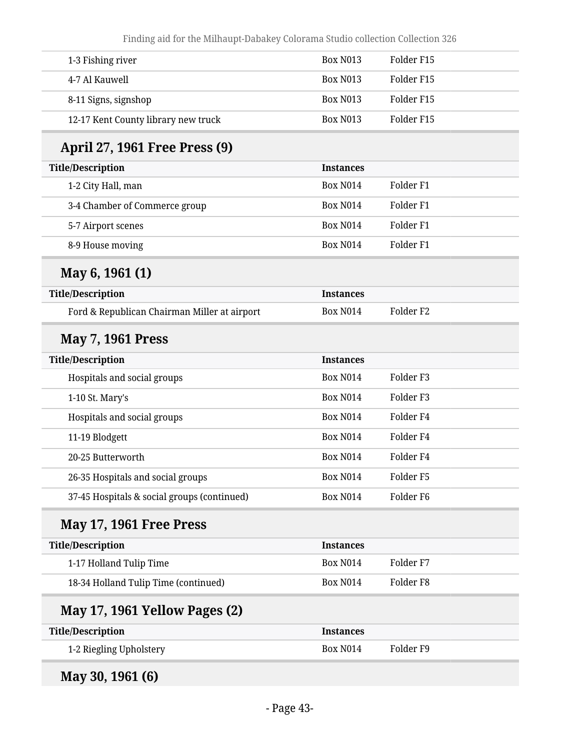| Finding aid for the Milhaupt-Dabakey Colorama Studio collection Collection 326 |                  |                      |
|--------------------------------------------------------------------------------|------------------|----------------------|
| 1-3 Fishing river                                                              | <b>Box N013</b>  | Folder F15           |
| 4-7 Al Kauwell                                                                 | <b>Box N013</b>  | Folder F15           |
| 8-11 Signs, signshop                                                           | <b>Box N013</b>  | Folder F15           |
| 12-17 Kent County library new truck                                            | <b>Box N013</b>  | Folder F15           |
| April 27, 1961 Free Press (9)                                                  |                  |                      |
| <b>Title/Description</b>                                                       | <b>Instances</b> |                      |
| 1-2 City Hall, man                                                             | <b>Box N014</b>  | Folder <sub>F1</sub> |
| 3-4 Chamber of Commerce group                                                  | <b>Box N014</b>  | Folder <sub>F1</sub> |
| 5-7 Airport scenes                                                             | <b>Box N014</b>  | Folder <sub>F1</sub> |
| 8-9 House moving                                                               | <b>Box N014</b>  | Folder <sub>F1</sub> |
| May 6, 1961 (1)                                                                |                  |                      |
| <b>Title/Description</b>                                                       | <b>Instances</b> |                      |
| Ford & Republican Chairman Miller at airport                                   | <b>Box N014</b>  | Folder <sub>F2</sub> |
| <b>May 7, 1961 Press</b>                                                       |                  |                      |
| <b>Title/Description</b>                                                       | <b>Instances</b> |                      |
| Hospitals and social groups                                                    | <b>Box N014</b>  | Folder <sub>F3</sub> |
| 1-10 St. Mary's                                                                | <b>Box N014</b>  | Folder <sub>F3</sub> |
| Hospitals and social groups                                                    | <b>Box N014</b>  | Folder <sub>F4</sub> |
| 11-19 Blodgett                                                                 | <b>Box N014</b>  | Folder <sub>F4</sub> |
| 20-25 Butterworth                                                              | <b>Box N014</b>  | Folder <sub>F4</sub> |
| 26-35 Hospitals and social groups                                              | <b>Box N014</b>  | Folder <sub>F5</sub> |
| 37-45 Hospitals & social groups (continued)                                    | <b>Box N014</b>  | Folder <sub>F6</sub> |
| <b>May 17, 1961 Free Press</b>                                                 |                  |                      |
| <b>Title/Description</b>                                                       | <b>Instances</b> |                      |
| 1-17 Holland Tulip Time                                                        | <b>Box N014</b>  | Folder <sub>F7</sub> |
| 18-34 Holland Tulip Time (continued)                                           | <b>Box N014</b>  | Folder <sub>F8</sub> |
| <b>May 17, 1961 Yellow Pages (2)</b>                                           |                  |                      |
| <b>Title/Description</b>                                                       | <b>Instances</b> |                      |
| 1-2 Riegling Upholstery                                                        | <b>Box N014</b>  | Folder <sub>F9</sub> |

**May 30, 1961 (6)**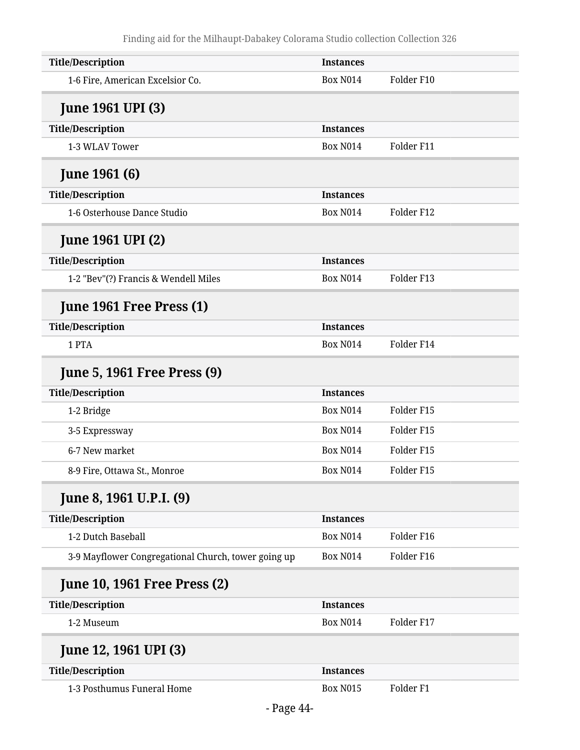| <b>Title/Description</b>                            | <b>Instances</b> |                      |
|-----------------------------------------------------|------------------|----------------------|
| 1-6 Fire, American Excelsior Co.                    | <b>Box N014</b>  | Folder F10           |
| <b>June 1961 UPI (3)</b>                            |                  |                      |
| <b>Title/Description</b>                            | <b>Instances</b> |                      |
| 1-3 WLAV Tower                                      | <b>Box N014</b>  | Folder F11           |
| <b>June 1961 (6)</b>                                |                  |                      |
| <b>Title/Description</b>                            | <b>Instances</b> |                      |
| 1-6 Osterhouse Dance Studio                         | <b>Box N014</b>  | Folder F12           |
| <b>June 1961 UPI (2)</b>                            |                  |                      |
| <b>Title/Description</b>                            | <b>Instances</b> |                      |
| 1-2 "Bev"(?) Francis & Wendell Miles                | <b>Box N014</b>  | Folder F13           |
| <b>June 1961 Free Press (1)</b>                     |                  |                      |
| <b>Title/Description</b>                            | <b>Instances</b> |                      |
| 1 PTA                                               | <b>Box N014</b>  | Folder F14           |
| <b>June 5, 1961 Free Press (9)</b>                  |                  |                      |
| <b>Title/Description</b>                            | <b>Instances</b> |                      |
| 1-2 Bridge                                          | <b>Box N014</b>  | Folder F15           |
| 3-5 Expressway                                      | <b>Box N014</b>  | Folder F15           |
| 6-7 New market                                      | <b>Box N014</b>  | Folder F15           |
| 8-9 Fire, Ottawa St., Monroe                        | <b>Box N014</b>  | Folder F15           |
| June 8, 1961 U.P.I. (9)                             |                  |                      |
| <b>Title/Description</b>                            | <b>Instances</b> |                      |
| 1-2 Dutch Baseball                                  | <b>Box N014</b>  | Folder F16           |
| 3-9 Mayflower Congregational Church, tower going up | <b>Box N014</b>  | Folder F16           |
| <b>June 10, 1961 Free Press (2)</b>                 |                  |                      |
| <b>Title/Description</b>                            | <b>Instances</b> |                      |
| 1-2 Museum                                          | <b>Box N014</b>  | Folder F17           |
| June 12, 1961 UPI (3)                               |                  |                      |
| <b>Title/Description</b>                            | <b>Instances</b> |                      |
| 1-3 Posthumus Funeral Home                          | <b>Box N015</b>  | Folder <sub>F1</sub> |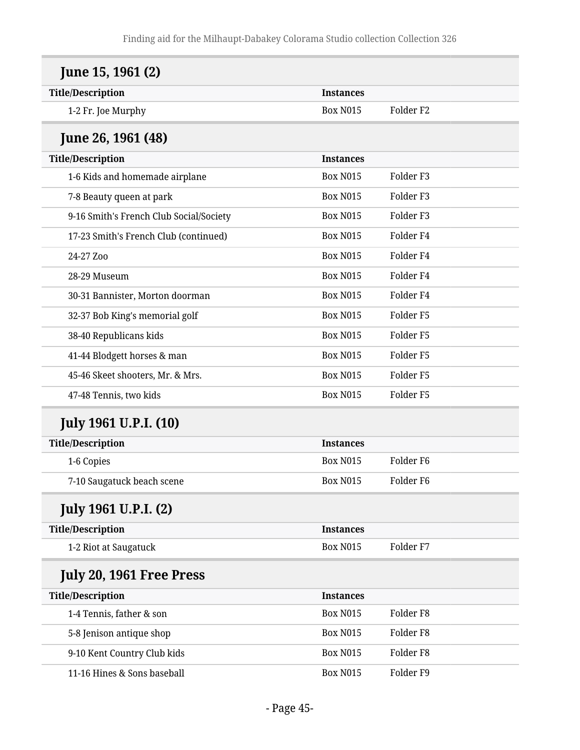| June 15, 1961 (2)                       |                  |                      |
|-----------------------------------------|------------------|----------------------|
| <b>Title/Description</b>                | <b>Instances</b> |                      |
| 1-2 Fr. Joe Murphy                      | <b>Box N015</b>  | Folder <sub>F2</sub> |
| <b>June 26, 1961 (48)</b>               |                  |                      |
| <b>Title/Description</b>                | <b>Instances</b> |                      |
| 1-6 Kids and homemade airplane          | <b>Box N015</b>  | Folder <sub>F3</sub> |
| 7-8 Beauty queen at park                | <b>Box N015</b>  | Folder <sub>F3</sub> |
| 9-16 Smith's French Club Social/Society | <b>Box N015</b>  | Folder <sub>F3</sub> |
| 17-23 Smith's French Club (continued)   | <b>Box N015</b>  | Folder <sub>F4</sub> |
| 24-27 Zoo                               | <b>Box N015</b>  | Folder <sub>F4</sub> |
| 28-29 Museum                            | <b>Box N015</b>  | Folder <sub>F4</sub> |
| 30-31 Bannister, Morton doorman         | <b>Box N015</b>  | Folder <sub>F4</sub> |
| 32-37 Bob King's memorial golf          | <b>Box N015</b>  | Folder <sub>F5</sub> |
| 38-40 Republicans kids                  | <b>Box N015</b>  | Folder <sub>F5</sub> |
| 41-44 Blodgett horses & man             | <b>Box N015</b>  | Folder <sub>F5</sub> |
| 45-46 Skeet shooters, Mr. & Mrs.        | <b>Box N015</b>  | Folder <sub>F5</sub> |
| 47-48 Tennis, two kids                  | <b>Box N015</b>  | Folder <sub>F5</sub> |
| <b>July 1961 U.P.I. (10)</b>            |                  |                      |
| <b>Title/Description</b>                | <b>Instances</b> |                      |
| 1-6 Copies                              | <b>Box N015</b>  | Folder <sub>F6</sub> |
| 7-10 Saugatuck beach scene              | <b>Box N015</b>  | Folder <sub>F6</sub> |
| <b>July 1961 U.P.I. (2)</b>             |                  |                      |
| <b>Title/Description</b>                | <b>Instances</b> |                      |
| 1-2 Riot at Saugatuck                   | <b>Box N015</b>  | Folder <sub>F7</sub> |
| July 20, 1961 Free Press                |                  |                      |
| <b>Title/Description</b>                | <b>Instances</b> |                      |
| 1-4 Tennis, father & son                | <b>Box N015</b>  | Folder <sub>F8</sub> |
| 5-8 Jenison antique shop                | <b>Box N015</b>  | Folder <sub>F8</sub> |
| 9-10 Kent Country Club kids             | <b>Box N015</b>  | Folder <sub>F8</sub> |
| 11-16 Hines & Sons baseball             | <b>Box N015</b>  | Folder <sub>F9</sub> |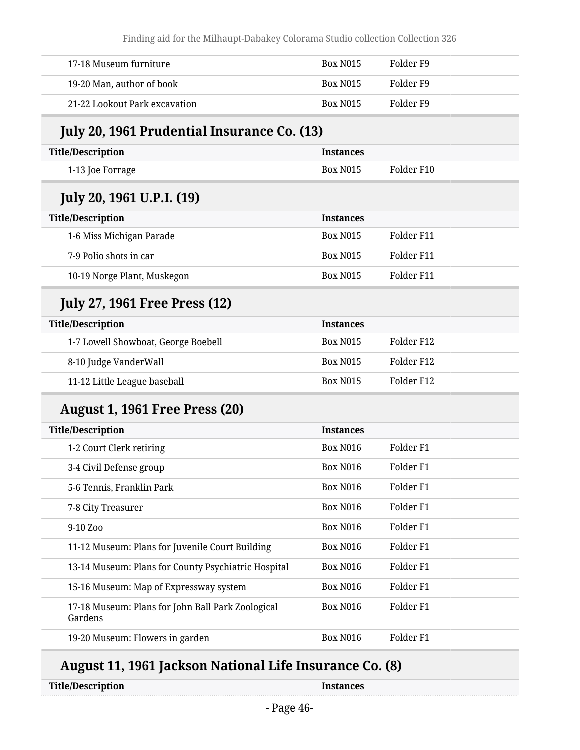Finding aid for the Milhaupt-Dabakey Colorama Studio collection Collection 326

| Folder F9<br>17-18 Museum furniture<br>Box N <sub>0</sub> 15<br>Folder F9<br>19-20 Man, author of book<br>Box N <sub>0</sub> 15<br>Folder F9<br><b>Box N015</b><br>21-22 Lookout Park excavation |  |  |
|--------------------------------------------------------------------------------------------------------------------------------------------------------------------------------------------------|--|--|
|                                                                                                                                                                                                  |  |  |
|                                                                                                                                                                                                  |  |  |
|                                                                                                                                                                                                  |  |  |

#### **July 20, 1961 Prudential Insurance Co. (13)**

| Title/Description | <b>Instances</b> |            |
|-------------------|------------------|------------|
| 1-13 Joe Forrage  | Box N015         | Folder F10 |
|                   |                  |            |

#### **July 20, 1961 U.P.I. (19)**

| <b>Title/Description</b>    | <b>Instances</b> |            |
|-----------------------------|------------------|------------|
| 1-6 Miss Michigan Parade    | <b>Box N015</b>  | Folder F11 |
| 7-9 Polio shots in car      | <b>Box N015</b>  | Folder F11 |
| 10-19 Norge Plant, Muskegon | <b>Box N015</b>  | Folder F11 |

#### **July 27, 1961 Free Press (12)**

| <b>Title/Description</b>            | <b>Instances</b> |            |
|-------------------------------------|------------------|------------|
| 1-7 Lowell Showboat, George Boebell | <b>Box N015</b>  | Folder F12 |
| 8-10 Judge VanderWall               | <b>Box N015</b>  | Folder F12 |
| 11-12 Little League baseball        | <b>Box N015</b>  | Folder F12 |

#### **August 1, 1961 Free Press (20)**

| <b>Title/Description</b>                                     | <b>Instances</b>     |                      |
|--------------------------------------------------------------|----------------------|----------------------|
| 1-2 Court Clerk retiring                                     | <b>Box N016</b>      | Folder F1            |
| 3-4 Civil Defense group                                      | <b>Box N016</b>      | Folder F1            |
| 5-6 Tennis, Franklin Park                                    | <b>Box N016</b>      | Folder F1            |
| 7-8 City Treasurer                                           | <b>Box N016</b>      | Folder F1            |
| $9-10 Z00$                                                   | <b>Box N016</b>      | Folder F1            |
| 11-12 Museum: Plans for Juvenile Court Building              | <b>Box N016</b>      | Folder F1            |
| 13-14 Museum: Plans for County Psychiatric Hospital          | <b>Box N016</b>      | Folder F1            |
| 15-16 Museum: Map of Expressway system                       | Box N <sub>016</sub> | Folder F1            |
| 17-18 Museum: Plans for John Ball Park Zoological<br>Gardens | <b>Box N016</b>      | Folder <sub>F1</sub> |
| 19-20 Museum: Flowers in garden                              | <b>Box N016</b>      | Folder F1            |

### **August 11, 1961 Jackson National Life Insurance Co. (8)**

**Title/Description Instances**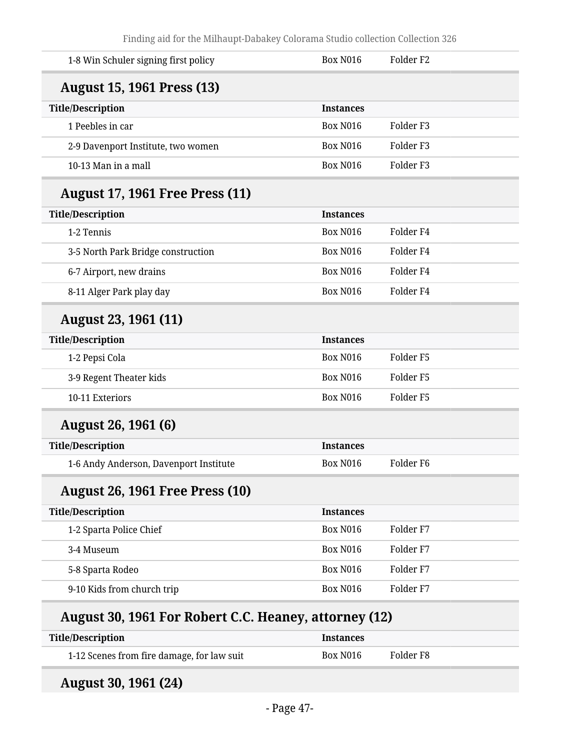| 1-8 Win Schuler signing first policy   | <b>Box N016</b>  | Folder <sub>F2</sub> |
|----------------------------------------|------------------|----------------------|
| <b>August 15, 1961 Press (13)</b>      |                  |                      |
| <b>Title/Description</b>               | <b>Instances</b> |                      |
| 1 Peebles in car                       | <b>Box N016</b>  | Folder <sub>F3</sub> |
| 2-9 Davenport Institute, two women     | <b>Box N016</b>  | Folder <sub>F3</sub> |
| 10-13 Man in a mall                    | <b>Box N016</b>  | Folder <sub>F3</sub> |
| <b>August 17, 1961 Free Press (11)</b> |                  |                      |
| <b>Title/Description</b>               | <b>Instances</b> |                      |
| 1-2 Tennis                             | <b>Box N016</b>  | Folder <sub>F4</sub> |
| 3-5 North Park Bridge construction     | <b>Box N016</b>  | Folder <sub>F4</sub> |
| 6-7 Airport, new drains                | <b>Box N016</b>  | Folder <sub>F4</sub> |
| 8-11 Alger Park play day               | <b>Box N016</b>  | Folder <sub>F4</sub> |
| August 23, 1961 (11)                   |                  |                      |
| <b>Title/Description</b>               | <b>Instances</b> |                      |
| 1-2 Pepsi Cola                         | <b>Box N016</b>  | Folder <sub>F5</sub> |
| 3-9 Regent Theater kids                | <b>Box N016</b>  | Folder <sub>F5</sub> |
| 10-11 Exteriors                        | <b>Box N016</b>  | Folder <sub>F5</sub> |
| <b>August 26, 1961 (6)</b>             |                  |                      |
| <b>Title/Description</b>               | <b>Instances</b> |                      |
| 1-6 Andy Anderson, Davenport Institute | <b>Box N016</b>  | Folder <sub>F6</sub> |
| <b>August 26, 1961 Free Press (10)</b> |                  |                      |
| <b>Title/Description</b>               | <b>Instances</b> |                      |
| 1-2 Sparta Police Chief                | <b>Box N016</b>  | Folder <sub>F7</sub> |
| 3-4 Museum                             | <b>Box N016</b>  | Folder <sub>F7</sub> |
| 5-8 Sparta Rodeo                       | <b>Box N016</b>  | Folder <sub>F7</sub> |
| 9-10 Kids from church trip             | <b>Box N016</b>  | Folder <sub>F7</sub> |

| Title/Description                          | <b>Instances</b> |           |
|--------------------------------------------|------------------|-----------|
| 1-12 Scenes from fire damage, for law suit | Box N016         | Folder F8 |

## **August 30, 1961 (24)**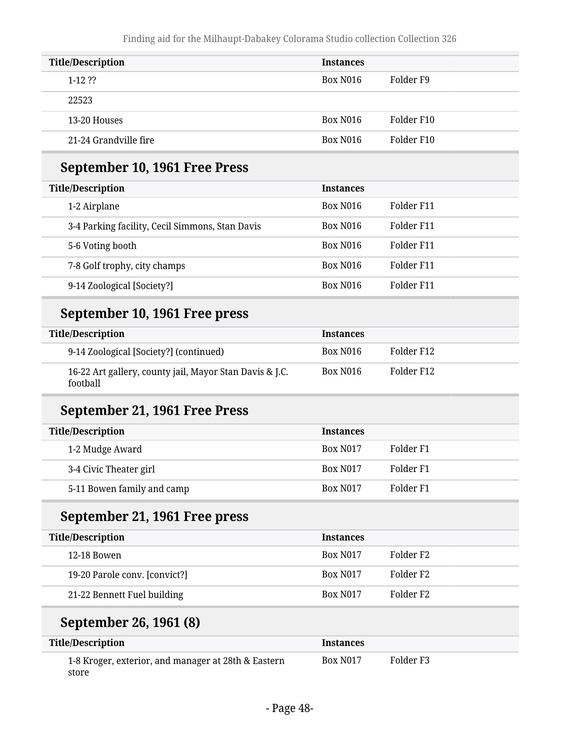| <b>Title/Description</b> | <b>Instances</b>     |            |
|--------------------------|----------------------|------------|
| $1-12.22$                | Box N <sub>016</sub> | Folder F9  |
| 22523                    |                      |            |
| 13-20 Houses             | Box N <sub>016</sub> | Folder F10 |
| 21-24 Grandville fire    | Box N <sub>016</sub> | Folder F10 |

#### **September 10, 1961 Free Press**

| <b>Title/Description</b>                        | <b>Instances</b>     |            |
|-------------------------------------------------|----------------------|------------|
| 1-2 Airplane                                    | Box N <sub>016</sub> | Folder F11 |
| 3-4 Parking facility, Cecil Simmons, Stan Davis | Box N016             | Folder F11 |
| 5-6 Voting booth                                | <b>Box N016</b>      | Folder F11 |
| 7-8 Golf trophy, city champs                    | <b>Box N016</b>      | Folder F11 |
| 9-14 Zoological [Society?]                      | Box N <sub>016</sub> | Folder F11 |

#### **September 10, 1961 Free press**

| <b>Title/Description</b>                                            | <b>Instances</b> |            |
|---------------------------------------------------------------------|------------------|------------|
| 9-14 Zoological [Society?] (continued)                              | Box N016         | Folder F12 |
| 16-22 Art gallery, county jail, Mayor Stan Davis & J.C.<br>football | Box N016         | Folder F12 |

#### **September 21, 1961 Free Press**

| <b>Title/Description</b>   | <b>Instances</b> |           |
|----------------------------|------------------|-----------|
| 1-2 Mudge Award            | <b>Box N017</b>  | Folder F1 |
| 3-4 Civic Theater girl     | <b>Box N017</b>  | Folder F1 |
| 5-11 Bowen family and camp | <b>Box N017</b>  | Folder F1 |

#### **September 21, 1961 Free press**

| <b>Title/Description</b>      | <b>Instances</b> |                       |
|-------------------------------|------------------|-----------------------|
| 12-18 Bowen                   | <b>Box N017</b>  | Folder F2             |
| 19-20 Parole conv. [convict?] | <b>Box N017</b>  | Folder F2             |
| 21-22 Bennett Fuel building   | <b>Box N017</b>  | Folder F <sub>2</sub> |

#### **September 26, 1961 (8)**

| <b>Title/Description</b>                                     | <b>Instances</b> |           |
|--------------------------------------------------------------|------------------|-----------|
| 1-8 Kroger, exterior, and manager at 28th & Eastern<br>store | <b>Box N017</b>  | Folder F3 |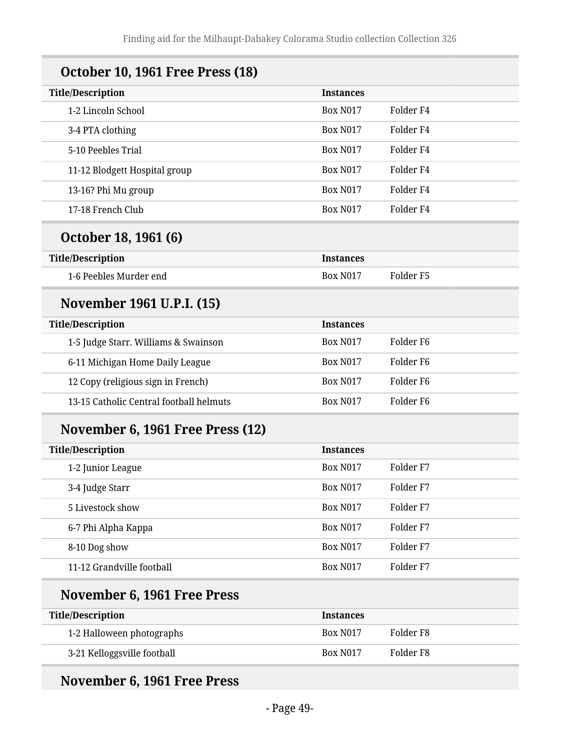| <b>October 10, 1961 Free Press (18)</b> |                  |                      |
|-----------------------------------------|------------------|----------------------|
| <b>Title/Description</b>                | <b>Instances</b> |                      |
| 1-2 Lincoln School                      | <b>Box N017</b>  | Folder F4            |
| 3-4 PTA clothing                        | <b>Box N017</b>  | Folder <sub>F4</sub> |
| 5-10 Peebles Trial                      | <b>Box N017</b>  | Folder <sub>F4</sub> |
| 11-12 Blodgett Hospital group           | <b>Box N017</b>  | Folder <sub>F4</sub> |
| 13-16? Phi Mu group                     | <b>Box N017</b>  | Folder F4            |
| 17-18 French Club                       | <b>Box N017</b>  | Folder <sub>F4</sub> |
| October 18, 1961 (6)                    |                  |                      |
| <b>Title/Description</b>                | <b>Instances</b> |                      |
| 1-6 Peebles Murder end                  | <b>Box N017</b>  | Folder <sub>F5</sub> |
| November 1961 U.P.I. (15)               |                  |                      |
| <b>Title/Description</b>                | <b>Instances</b> |                      |
| 1-5 Judge Starr. Williams & Swainson    | <b>Box N017</b>  | Folder <sub>F6</sub> |
| 6-11 Michigan Home Daily League         | <b>Box N017</b>  | Folder F6            |
| 12 Copy (religious sign in French)      | <b>Box N017</b>  | Folder <sub>F6</sub> |
| 13-15 Catholic Central football helmuts | <b>Box N017</b>  | Folder F6            |
| November 6, 1961 Free Press (12)        |                  |                      |
| <b>Title/Description</b>                | <b>Instances</b> |                      |
| 1-2 Junior League                       | <b>Box N017</b>  | Folder <sub>F7</sub> |
| 3-4 Judge Starr                         | <b>Box N017</b>  | Folder <sub>F7</sub> |
| 5 Livestock show                        | <b>Box N017</b>  | Folder <sub>F7</sub> |
| 6-7 Phi Alpha Kappa                     | <b>Box N017</b>  | Folder <sub>F7</sub> |
| 8-10 Dog show                           | <b>Box N017</b>  | Folder <sub>F7</sub> |
| 11-12 Grandville football               | <b>Box N017</b>  | Folder <sub>F7</sub> |
| November 6, 1961 Free Press             |                  |                      |
| <b>Title/Description</b>                | <b>Instances</b> |                      |
| 1-2 Halloween photographs               | <b>Box N017</b>  | Folder <sub>F8</sub> |
| 3-21 Kelloggsville football             | <b>Box N017</b>  | Folder <sub>F8</sub> |

## **November 6, 1961 Free Press**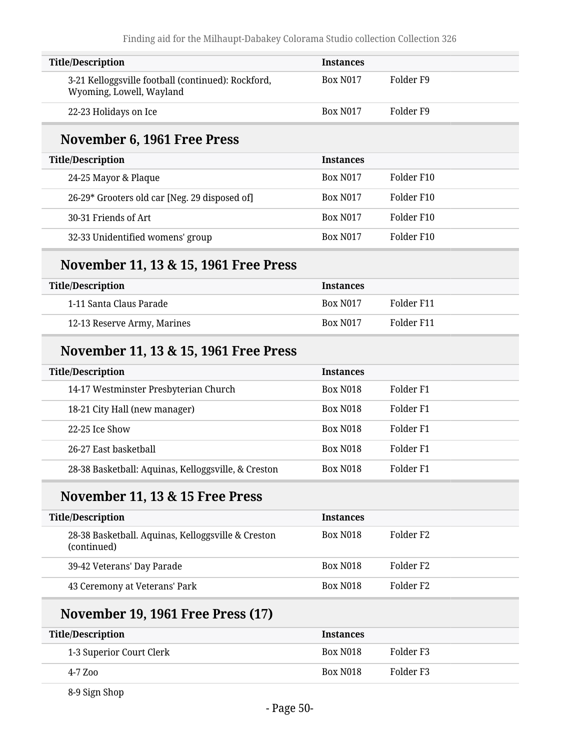| <b>Title/Description</b>                                                       | <b>Instances</b> |                      |
|--------------------------------------------------------------------------------|------------------|----------------------|
| 3-21 Kelloggsville football (continued): Rockford,<br>Wyoming, Lowell, Wayland | <b>Box N017</b>  | Folder <sub>F9</sub> |
| 22-23 Holidays on Ice                                                          | <b>Box N017</b>  | Folder <sub>F9</sub> |
| November 6, 1961 Free Press                                                    |                  |                      |
| <b>Title/Description</b>                                                       | <b>Instances</b> |                      |
| 24-25 Mayor & Plaque                                                           | <b>Box N017</b>  | Folder F10           |
| 26-29* Grooters old car [Neg. 29 disposed of]                                  | <b>Box N017</b>  | Folder F10           |
| 30-31 Friends of Art                                                           | <b>Box N017</b>  | Folder F10           |
| 32-33 Unidentified womens' group                                               | <b>Box N017</b>  | Folder F10           |
| November 11, 13 & 15, 1961 Free Press                                          |                  |                      |
| <b>Title/Description</b>                                                       | <b>Instances</b> |                      |
| 1-11 Santa Claus Parade                                                        | <b>Box N017</b>  | Folder F11           |
| 12-13 Reserve Army, Marines                                                    | <b>Box N017</b>  | Folder F11           |
| November 11, 13 & 15, 1961 Free Press                                          |                  |                      |
| <b>Title/Description</b>                                                       | <b>Instances</b> |                      |
| 14-17 Westminster Presbyterian Church                                          | <b>Box N018</b>  | Folder <sub>F1</sub> |
| 18-21 City Hall (new manager)                                                  | <b>Box N018</b>  | Folder F1            |
| 22-25 Ice Show                                                                 | <b>Box N018</b>  | Folder <sub>F1</sub> |
| 26-27 East basketball                                                          | <b>Box N018</b>  | Folder <sub>F1</sub> |
| 28-38 Basketball: Aquinas, Kelloggsville, & Creston                            | <b>Box N018</b>  | Folder <sub>F1</sub> |
| November 11, 13 & 15 Free Press                                                |                  |                      |
| <b>Title/Description</b>                                                       | <b>Instances</b> |                      |
| 28-38 Basketball. Aquinas, Kelloggsville & Creston<br>(continued)              | <b>Box N018</b>  | Folder <sub>F2</sub> |
| 39-42 Veterans' Day Parade                                                     | <b>Box N018</b>  | Folder <sub>F2</sub> |
| 43 Ceremony at Veterans' Park                                                  | <b>Box N018</b>  | Folder <sub>F2</sub> |
| <b>November 19, 1961 Free Press (17)</b>                                       |                  |                      |
| <b>Title/Description</b>                                                       | <b>Instances</b> |                      |
| 1-3 Superior Court Clerk                                                       | <b>Box N018</b>  | Folder <sub>F3</sub> |
| 4-7 Zoo                                                                        | <b>Box N018</b>  | Folder <sub>F3</sub> |

8-9 Sign Shop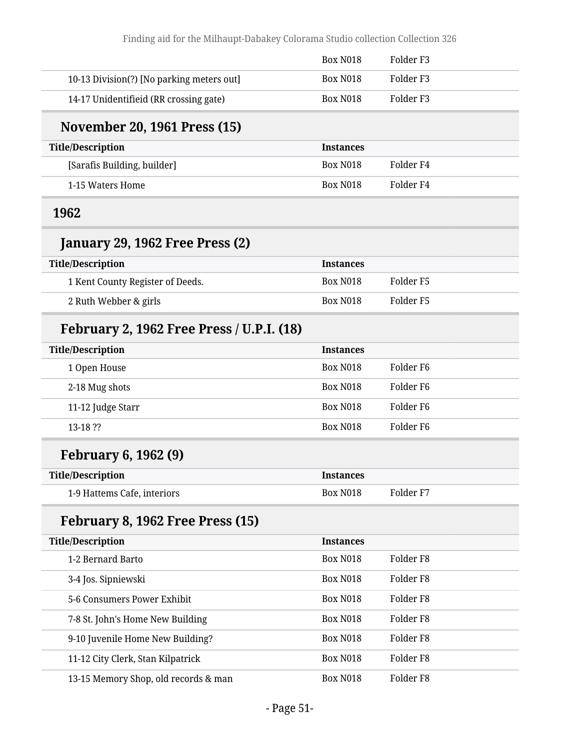|                                                  | <b>Box N018</b>  | Folder <sub>F3</sub> |  |
|--------------------------------------------------|------------------|----------------------|--|
| 10-13 Division(?) [No parking meters out]        | <b>Box N018</b>  | Folder <sub>F3</sub> |  |
| 14-17 Unidentifieid (RR crossing gate)           | <b>Box N018</b>  | Folder <sub>F3</sub> |  |
| <b>November 20, 1961 Press (15)</b>              |                  |                      |  |
| <b>Title/Description</b>                         | <b>Instances</b> |                      |  |
| [Sarafis Building, builder]                      | <b>Box N018</b>  | Folder <sub>F4</sub> |  |
| 1-15 Waters Home                                 | <b>Box N018</b>  | Folder <sub>F4</sub> |  |
| 1962                                             |                  |                      |  |
| January 29, 1962 Free Press (2)                  |                  |                      |  |
| <b>Title/Description</b>                         | <b>Instances</b> |                      |  |
| 1 Kent County Register of Deeds.                 | <b>Box N018</b>  | Folder <sub>F5</sub> |  |
| 2 Ruth Webber & girls                            | <b>Box N018</b>  | Folder <sub>F5</sub> |  |
| <b>February 2, 1962 Free Press / U.P.I. (18)</b> |                  |                      |  |
| <b>Title/Description</b>                         | <b>Instances</b> |                      |  |
| 1 Open House                                     | <b>Box N018</b>  | Folder <sub>F6</sub> |  |
| 2-18 Mug shots                                   | <b>Box N018</b>  | Folder <sub>F6</sub> |  |
| 11-12 Judge Starr                                | <b>Box N018</b>  | Folder F6            |  |
| 13-18 ??                                         | <b>Box N018</b>  | Folder <sub>F6</sub> |  |
| <b>February 6, 1962 (9)</b>                      |                  |                      |  |
| <b>Title/Description</b>                         | <b>Instances</b> |                      |  |
| 1-9 Hattems Cafe, interiors                      | <b>Box N018</b>  | Folder <sub>F7</sub> |  |
| February 8, 1962 Free Press (15)                 |                  |                      |  |
| <b>Title/Description</b>                         | <b>Instances</b> |                      |  |
| 1-2 Bernard Barto                                | <b>Box N018</b>  | Folder <sub>F8</sub> |  |
| 3-4 Jos. Sipniewski                              | <b>Box N018</b>  | Folder <sub>F8</sub> |  |
| 5-6 Consumers Power Exhibit                      | <b>Box N018</b>  | Folder <sub>F8</sub> |  |
| 7-8 St. John's Home New Building                 | <b>Box N018</b>  | Folder <sub>F8</sub> |  |
| 9-10 Juvenile Home New Building?                 | <b>Box N018</b>  | Folder <sub>F8</sub> |  |
| 11-12 City Clerk, Stan Kilpatrick                | <b>Box N018</b>  | Folder <sub>F8</sub> |  |
| 13-15 Memory Shop, old records & man             | <b>Box N018</b>  | Folder <sub>F8</sub> |  |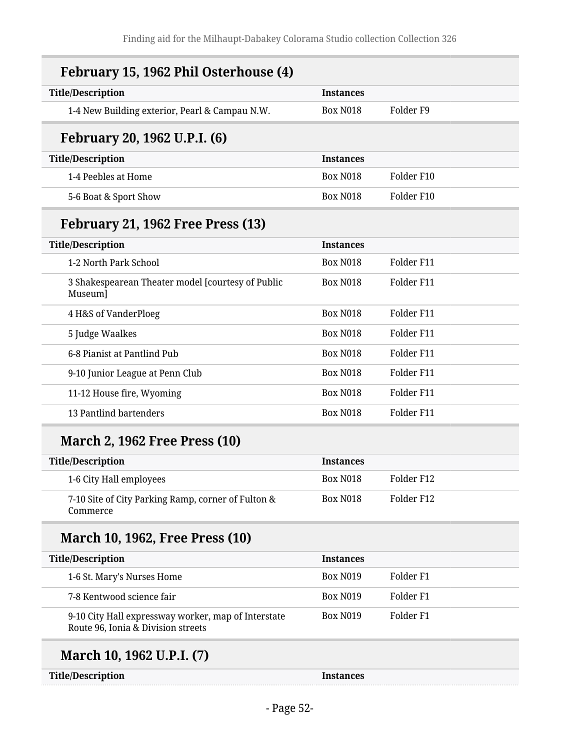| <b>Title/Description</b>                                                                  | <b>Instances</b> |                      |
|-------------------------------------------------------------------------------------------|------------------|----------------------|
| 1-4 New Building exterior, Pearl & Campau N.W.                                            | <b>Box N018</b>  | Folder F9            |
| February 20, 1962 U.P.I. (6)                                                              |                  |                      |
| <b>Title/Description</b>                                                                  | <b>Instances</b> |                      |
| 1-4 Peebles at Home                                                                       | <b>Box N018</b>  | Folder F10           |
| 5-6 Boat & Sport Show                                                                     | <b>Box N018</b>  | Folder F10           |
| February 21, 1962 Free Press (13)                                                         |                  |                      |
| <b>Title/Description</b>                                                                  | <b>Instances</b> |                      |
| 1-2 North Park School                                                                     | <b>Box N018</b>  | Folder F11           |
| 3 Shakespearean Theater model [courtesy of Public<br>Museum]                              | <b>Box N018</b>  | Folder F11           |
| 4 H&S of VanderPloeg                                                                      | <b>Box N018</b>  | Folder F11           |
| 5 Judge Waalkes                                                                           | <b>Box N018</b>  | Folder F11           |
| 6-8 Pianist at Pantlind Pub                                                               | <b>Box N018</b>  | Folder F11           |
| 9-10 Junior League at Penn Club                                                           | <b>Box N018</b>  | Folder F11           |
| 11-12 House fire, Wyoming                                                                 | <b>Box N018</b>  | Folder F11           |
| 13 Pantlind bartenders                                                                    | <b>Box N018</b>  | Folder F11           |
| <b>March 2, 1962 Free Press (10)</b>                                                      |                  |                      |
| <b>Title/Description</b>                                                                  | <b>Instances</b> |                      |
| 1-6 City Hall employees                                                                   | <b>Box N018</b>  | Folder F12           |
| 7-10 Site of City Parking Ramp, corner of Fulton &<br>Commerce                            | <b>Box N018</b>  | Folder F12           |
| <b>March 10, 1962, Free Press (10)</b>                                                    |                  |                      |
| <b>Title/Description</b>                                                                  | <b>Instances</b> |                      |
| 1-6 St. Mary's Nurses Home                                                                | <b>Box N019</b>  | Folder <sub>F1</sub> |
| 7-8 Kentwood science fair                                                                 | <b>Box N019</b>  | Folder <sub>F1</sub> |
| 9-10 City Hall expressway worker, map of Interstate<br>Route 96, Ionia & Division streets | <b>Box N019</b>  | Folder <sub>F1</sub> |

**Title/Description Instances**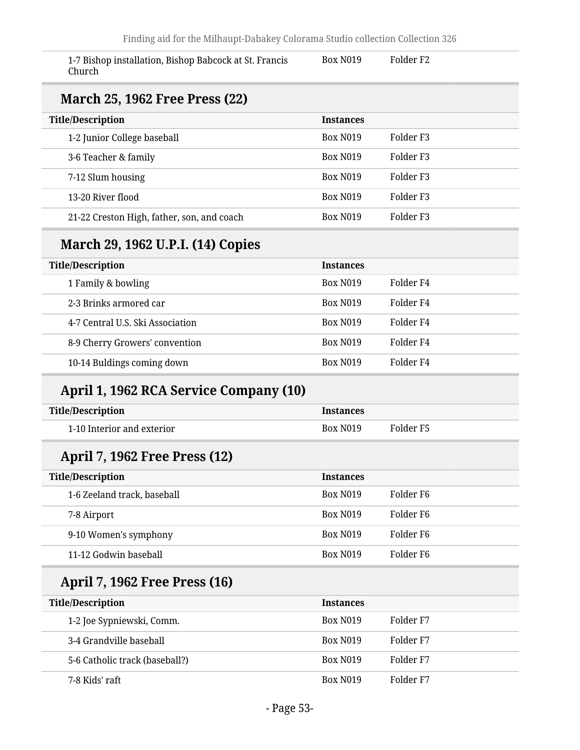| 1-7 Bishop installation, Bishop Babcock at St. Francis<br>Church | <b>Box N019</b>  | Folder <sub>F2</sub> |
|------------------------------------------------------------------|------------------|----------------------|
| <b>March 25, 1962 Free Press (22)</b>                            |                  |                      |
| <b>Title/Description</b>                                         | <b>Instances</b> |                      |
| 1-2 Junior College baseball                                      | <b>Box N019</b>  | Folder <sub>F3</sub> |
| 3-6 Teacher & family                                             | <b>Box N019</b>  | Folder <sub>F3</sub> |
| 7-12 Slum housing                                                | <b>Box N019</b>  | Folder <sub>F3</sub> |
| 13-20 River flood                                                | <b>Box N019</b>  | Folder <sub>F3</sub> |
| 21-22 Creston High, father, son, and coach                       | <b>Box N019</b>  | Folder <sub>F3</sub> |
| March 29, 1962 U.P.I. (14) Copies                                |                  |                      |
| <b>Title/Description</b>                                         | <b>Instances</b> |                      |
| 1 Family & bowling                                               | <b>Box N019</b>  | Folder <sub>F4</sub> |
| 2-3 Brinks armored car                                           | <b>Box N019</b>  | Folder <sub>F4</sub> |
| 4-7 Central U.S. Ski Association                                 | <b>Box N019</b>  | Folder <sub>F4</sub> |
| 8-9 Cherry Growers' convention                                   | <b>Box N019</b>  | Folder <sub>F4</sub> |
| 10-14 Buldings coming down                                       | <b>Box N019</b>  | Folder <sub>F4</sub> |
| April 1, 1962 RCA Service Company (10)                           |                  |                      |
| <b>Title/Description</b>                                         | <b>Instances</b> |                      |
| 1-10 Interior and exterior                                       | <b>Box N019</b>  | Folder <sub>F5</sub> |
| April 7, 1962 Free Press (12)                                    |                  |                      |
| <b>Title/Description</b>                                         | <b>Instances</b> |                      |
| 1-6 Zeeland track, baseball                                      | <b>Box N019</b>  | Folder <sub>F6</sub> |
| 7-8 Airport                                                      | <b>Box N019</b>  | Folder <sub>F6</sub> |
| 9-10 Women's symphony                                            | <b>Box N019</b>  | Folder <sub>F6</sub> |
| 11-12 Godwin baseball                                            | <b>Box N019</b>  | Folder <sub>F6</sub> |
| <b>April 7, 1962 Free Press (16)</b>                             |                  |                      |
| <b>Title/Description</b>                                         | <b>Instances</b> |                      |
|                                                                  | <b>Box N019</b>  | Folder <sub>F7</sub> |
| 1-2 Joe Sypniewski, Comm.                                        |                  |                      |
| 3-4 Grandville baseball                                          | <b>Box N019</b>  | Folder <sub>F7</sub> |
| 5-6 Catholic track (baseball?)                                   | <b>Box N019</b>  | Folder <sub>F7</sub> |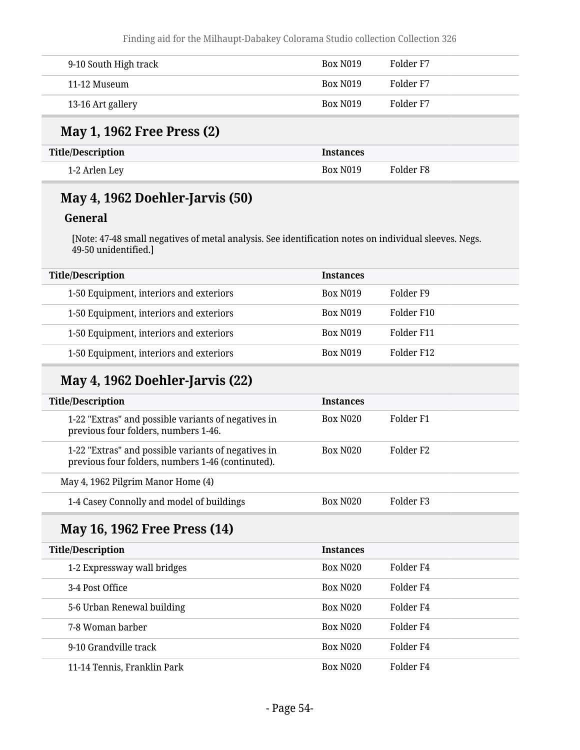Finding aid for the Milhaupt-Dabakey Colorama Studio collection Collection 326

| 9-10 South High track | Box N <sub>0</sub> 19 | Folder F7 |
|-----------------------|-----------------------|-----------|
| 11-12 Museum          | Box N <sub>0</sub> 19 | Folder F7 |
| 13-16 Art gallery     | Box N <sub>0</sub> 19 | Folder F7 |

#### **May 1, 1962 Free Press (2)**

| <b>Title/Description</b> | Instances             |           |
|--------------------------|-----------------------|-----------|
| 1-2 Arlen Ley            | Box N <sub>0</sub> 19 | Folder F8 |

#### **May 4, 1962 Doehler-Jarvis (50)**

#### **General**

[Note: 47-48 small negatives of metal analysis. See identification notes on individual sleeves. Negs. 49-50 unidentified.]

| <b>Instances</b>      |            |
|-----------------------|------------|
| <b>Box N019</b>       | Folder F9  |
| <b>Box N019</b>       | Folder F10 |
| <b>Box N019</b>       | Folder F11 |
| Box N <sub>0</sub> 19 | Folder F12 |
|                       |            |

#### **May 4, 1962 Doehler-Jarvis (22)**

| <b>Title/Description</b>                                                                                 | <b>Instances</b>     |                       |
|----------------------------------------------------------------------------------------------------------|----------------------|-----------------------|
| 1-22 "Extras" and possible variants of negatives in<br>previous four folders, numbers 1-46.              | Box N <sub>020</sub> | Folder F1             |
| 1-22 "Extras" and possible variants of negatives in<br>previous four folders, numbers 1-46 (continuted). | <b>Box N020</b>      | Folder F <sub>2</sub> |
| May 4, 1962 Pilgrim Manor Home (4)                                                                       |                      |                       |
| 1-4 Casey Connolly and model of buildings                                                                | <b>Box N020</b>      | Folder F3             |

#### **May 16, 1962 Free Press (14)**

| <b>Title/Description</b>    | <b>Instances</b> |           |
|-----------------------------|------------------|-----------|
| 1-2 Expressway wall bridges | <b>Box N020</b>  | Folder F4 |
| 3-4 Post Office             | <b>Box N020</b>  | Folder F4 |
| 5-6 Urban Renewal building  | <b>Box N020</b>  | Folder F4 |
| 7-8 Woman barber            | <b>Box N020</b>  | Folder F4 |
| 9-10 Grandville track       | <b>Box N020</b>  | Folder F4 |
| 11-14 Tennis, Franklin Park | <b>Box N020</b>  | Folder F4 |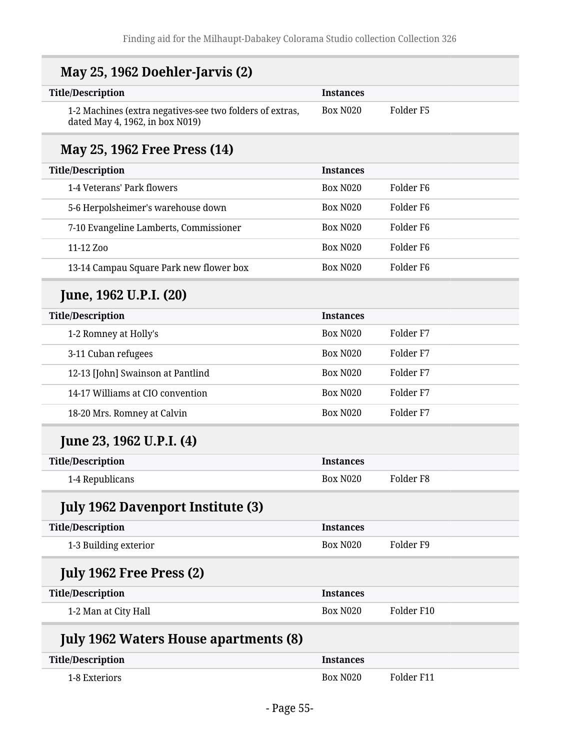| <b>Title/Description</b>                                                                    | <b>Instances</b> |                       |
|---------------------------------------------------------------------------------------------|------------------|-----------------------|
| 1-2 Machines (extra negatives-see two folders of extras,<br>dated May 4, 1962, in box N019) | <b>Box N020</b>  | Folder F5             |
| May 25, 1962 Free Press (14)                                                                |                  |                       |
| <b>Title/Description</b>                                                                    | <b>Instances</b> |                       |
| 1-4 Veterans' Park flowers                                                                  | <b>Box N020</b>  | Folder F <sub>6</sub> |
| 5-6 Herpolsheimer's warehouse down                                                          | <b>Box N020</b>  | Folder <sub>F6</sub>  |
| 7-10 Evangeline Lamberts, Commissioner                                                      | <b>Box N020</b>  | Folder <sub>F6</sub>  |
| 11-12 Zoo                                                                                   | <b>Box N020</b>  | Folder <sub>F6</sub>  |
| 13-14 Campau Square Park new flower box                                                     | <b>Box N020</b>  | Folder <sub>F6</sub>  |
| June, 1962 U.P.I. (20)                                                                      |                  |                       |
| <b>Title/Description</b>                                                                    | <b>Instances</b> |                       |
| 1-2 Romney at Holly's                                                                       | <b>Box N020</b>  | Folder <sub>F7</sub>  |
| 3-11 Cuban refugees                                                                         | <b>Box N020</b>  | Folder <sub>F7</sub>  |
| 12-13 [John] Swainson at Pantlind                                                           | <b>Box N020</b>  | Folder <sub>F7</sub>  |
| 14-17 Williams at CIO convention                                                            | <b>Box N020</b>  | Folder <sub>F7</sub>  |
| 18-20 Mrs. Romney at Calvin                                                                 | <b>Box N020</b>  | Folder <sub>F7</sub>  |
| June 23, 1962 U.P.I. (4)                                                                    |                  |                       |
| <b>Title/Description</b>                                                                    | <b>Instances</b> |                       |
| 1-4 Republicans                                                                             | <b>Box N020</b>  | Folder <sub>F8</sub>  |
| <b>July 1962 Davenport Institute (3)</b>                                                    |                  |                       |
| <b>Title/Description</b>                                                                    | <b>Instances</b> |                       |
| 1-3 Building exterior                                                                       | <b>Box N020</b>  | Folder <sub>F9</sub>  |
| <b>July 1962 Free Press (2)</b>                                                             |                  |                       |
| <b>Title/Description</b>                                                                    | <b>Instances</b> |                       |
| 1-2 Man at City Hall                                                                        | <b>Box N020</b>  | Folder F10            |
| <b>July 1962 Waters House apartments (8)</b>                                                |                  |                       |
| <b>Title/Description</b>                                                                    | <b>Instances</b> |                       |
| 1-8 Exteriors                                                                               | <b>Box N020</b>  | Folder F11            |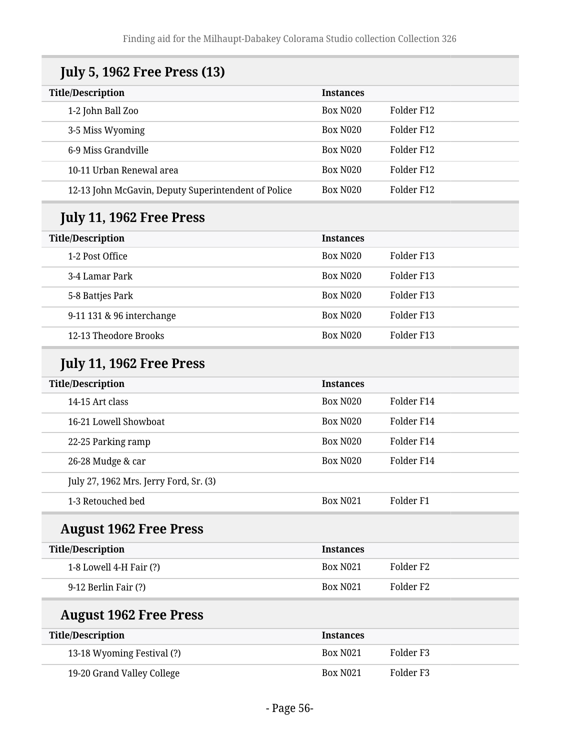| <b>July 5, 1962 Free Press (13)</b>                 |                  |                      |
|-----------------------------------------------------|------------------|----------------------|
| <b>Title/Description</b>                            | <b>Instances</b> |                      |
| 1-2 John Ball Zoo                                   | <b>Box N020</b>  | Folder F12           |
| 3-5 Miss Wyoming                                    | <b>Box N020</b>  | Folder F12           |
| 6-9 Miss Grandville                                 | <b>Box N020</b>  | Folder F12           |
| 10-11 Urban Renewal area                            | <b>Box N020</b>  | Folder F12           |
| 12-13 John McGavin, Deputy Superintendent of Police | <b>Box N020</b>  | Folder F12           |
| <b>July 11, 1962 Free Press</b>                     |                  |                      |
| <b>Title/Description</b>                            | <b>Instances</b> |                      |
| 1-2 Post Office                                     | <b>Box N020</b>  | Folder F13           |
| 3-4 Lamar Park                                      | <b>Box N020</b>  | Folder F13           |
| 5-8 Battjes Park                                    | <b>Box N020</b>  | Folder F13           |
| 9-11 131 & 96 interchange                           | <b>Box N020</b>  | Folder F13           |
| 12-13 Theodore Brooks                               | <b>Box N020</b>  | Folder F13           |
| <b>July 11, 1962 Free Press</b>                     |                  |                      |
| <b>Title/Description</b>                            | <b>Instances</b> |                      |
| 14-15 Art class                                     | <b>Box N020</b>  | Folder F14           |
| 16-21 Lowell Showboat                               | <b>Box N020</b>  | Folder F14           |
| 22-25 Parking ramp                                  | <b>Box N020</b>  | Folder F14           |
| 26-28 Mudge & car                                   | <b>Box N020</b>  | Folder F14           |
| July 27, 1962 Mrs. Jerry Ford, Sr. (3)              |                  |                      |
| 1-3 Retouched bed                                   | <b>Box N021</b>  | Folder <sub>F1</sub> |
| <b>August 1962 Free Press</b>                       |                  |                      |
| <b>Title/Description</b>                            | <b>Instances</b> |                      |
| 1-8 Lowell 4-H Fair (?)                             | <b>Box N021</b>  | Folder <sub>F2</sub> |
| 9-12 Berlin Fair (?)                                | <b>Box N021</b>  | Folder <sub>F2</sub> |
| <b>August 1962 Free Press</b>                       |                  |                      |
| <b>Title/Description</b>                            | <b>Instances</b> |                      |
| 13-18 Wyoming Festival (?)                          | <b>Box N021</b>  | Folder <sub>F3</sub> |
| 19-20 Grand Valley College                          | <b>Box N021</b>  | Folder <sub>F3</sub> |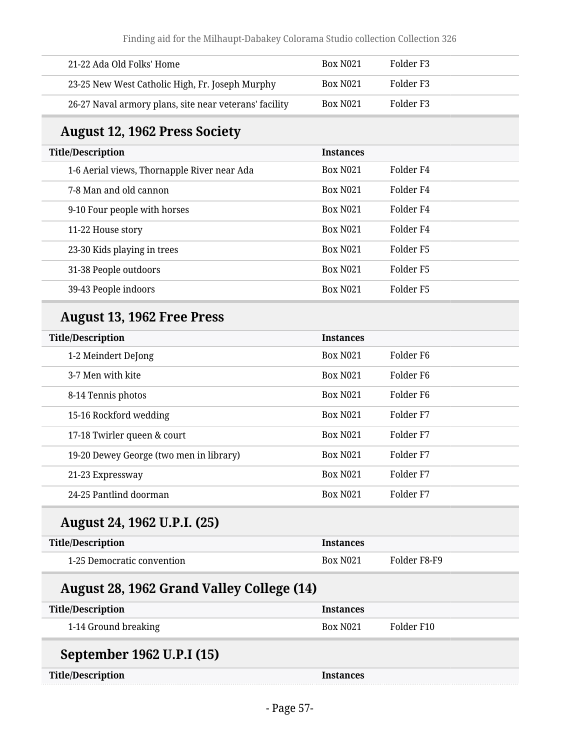| 21-22 Ada Old Folks' Home                              | Box N <sub>021</sub> | Folder F3 |
|--------------------------------------------------------|----------------------|-----------|
| 23-25 New West Catholic High, Fr. Joseph Murphy        | Box N <sub>021</sub> | Folder F3 |
| 26-27 Naval armory plans, site near veterans' facility | <b>Box N021</b>      | Folder F3 |

## **August 12, 1962 Press Society**

| <b>Title/Description</b>                    | <b>Instances</b> |           |
|---------------------------------------------|------------------|-----------|
| 1-6 Aerial views, Thornapple River near Ada | <b>Box N021</b>  | Folder F4 |
| 7-8 Man and old cannon                      | <b>Box N021</b>  | Folder F4 |
| 9-10 Four people with horses                | <b>Box N021</b>  | Folder F4 |
| 11-22 House story                           | <b>Box N021</b>  | Folder F4 |
| 23-30 Kids playing in trees                 | <b>Box N021</b>  | Folder F5 |
| 31-38 People outdoors                       | <b>Box N021</b>  | Folder F5 |
| 39-43 People indoors                        | <b>Box N021</b>  | Folder F5 |

## **August 13, 1962 Free Press**

| <b>Title/Description</b>                | <b>Instances</b> |                       |
|-----------------------------------------|------------------|-----------------------|
| 1-2 Meindert DeJong                     | <b>Box N021</b>  | Folder F <sub>6</sub> |
| 3-7 Men with kite                       | <b>Box N021</b>  | Folder F <sub>6</sub> |
| 8-14 Tennis photos                      | <b>Box N021</b>  | Folder F <sub>6</sub> |
| 15-16 Rockford wedding                  | <b>Box N021</b>  | Folder F7             |
| 17-18 Twirler queen & court             | <b>Box N021</b>  | Folder F7             |
| 19-20 Dewey George (two men in library) | <b>Box N021</b>  | Folder F7             |
| 21-23 Expressway                        | <b>Box N021</b>  | Folder <sub>F7</sub>  |
| 24-25 Pantlind doorman                  | <b>Box N021</b>  | Folder F7             |

#### **August 24, 1962 U.P.I. (25)**

| Title/Description          | <b>Instances</b>     |              |
|----------------------------|----------------------|--------------|
| 1-25 Democratic convention | Box N <sub>021</sub> | Folder F8-F9 |

## **August 28, 1962 Grand Valley College (14)**

| <b>Title/Description</b>  | <b>Instances</b> |            |
|---------------------------|------------------|------------|
| 1-14 Ground breaking      | <b>Box N021</b>  | Folder F10 |
| September 1962 U.P.I (15) |                  |            |
| <b>Title/Description</b>  | <b>Instances</b> |            |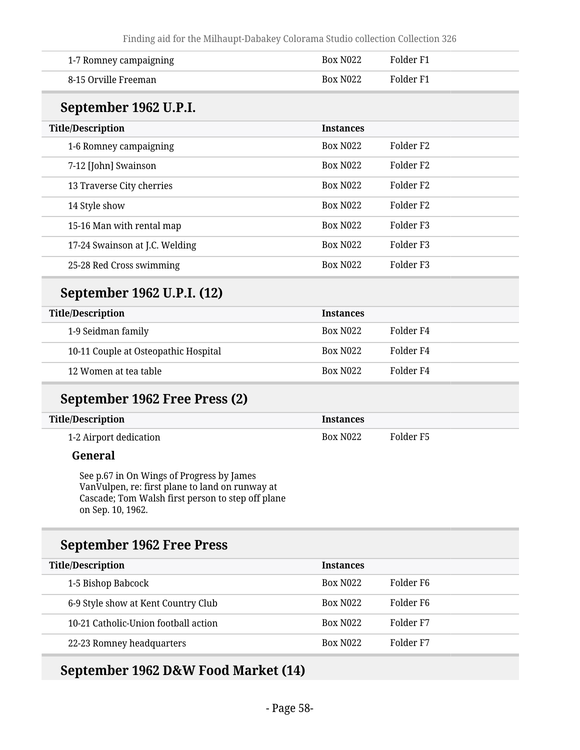| 1-7 Romney campaigning                                                                                                                                                 | <b>Box N022</b>  | Folder <sub>F1</sub> |  |
|------------------------------------------------------------------------------------------------------------------------------------------------------------------------|------------------|----------------------|--|
| 8-15 Orville Freeman                                                                                                                                                   | <b>Box N022</b>  | Folder <sub>F1</sub> |  |
| September 1962 U.P.I.                                                                                                                                                  |                  |                      |  |
| <b>Title/Description</b>                                                                                                                                               | <b>Instances</b> |                      |  |
| 1-6 Romney campaigning                                                                                                                                                 | <b>Box N022</b>  | Folder <sub>F2</sub> |  |
| 7-12 [John] Swainson                                                                                                                                                   | <b>Box N022</b>  | Folder <sub>F2</sub> |  |
| 13 Traverse City cherries                                                                                                                                              | <b>Box N022</b>  | Folder <sub>F2</sub> |  |
| 14 Style show                                                                                                                                                          | <b>Box N022</b>  | Folder <sub>F2</sub> |  |
| 15-16 Man with rental map                                                                                                                                              | <b>Box N022</b>  | Folder <sub>F3</sub> |  |
| 17-24 Swainson at J.C. Welding                                                                                                                                         | <b>Box N022</b>  | Folder <sub>F3</sub> |  |
| 25-28 Red Cross swimming                                                                                                                                               | <b>Box N022</b>  | Folder <sub>F3</sub> |  |
| September 1962 U.P.I. (12)                                                                                                                                             |                  |                      |  |
| <b>Title/Description</b>                                                                                                                                               | <b>Instances</b> |                      |  |
| 1-9 Seidman family                                                                                                                                                     | <b>Box N022</b>  | Folder <sub>F4</sub> |  |
| 10-11 Couple at Osteopathic Hospital                                                                                                                                   | <b>Box N022</b>  | Folder <sub>F4</sub> |  |
| 12 Women at tea table                                                                                                                                                  | <b>Box N022</b>  | Folder <sub>F4</sub> |  |
| September 1962 Free Press (2)                                                                                                                                          |                  |                      |  |
| <b>Title/Description</b>                                                                                                                                               | <b>Instances</b> |                      |  |
| 1-2 Airport dedication                                                                                                                                                 | <b>Box N022</b>  | Folder <sub>F5</sub> |  |
| General                                                                                                                                                                |                  |                      |  |
| See p.67 in On Wings of Progress by James<br>VanVulpen, re: first plane to land on runway at<br>Cascade; Tom Walsh first person to step off plane<br>on Sep. 10, 1962. |                  |                      |  |
| <b>September 1962 Free Press</b>                                                                                                                                       |                  |                      |  |
| <b>Title/Description</b>                                                                                                                                               | <b>Instances</b> |                      |  |
| 1-5 Bishop Babcock                                                                                                                                                     | <b>Box N022</b>  | Folder <sub>F6</sub> |  |
| 6-9 Style show at Kent Country Club                                                                                                                                    | <b>Box N022</b>  | Folder <sub>F6</sub> |  |
| 10-21 Catholic-Union football action                                                                                                                                   | <b>Box N022</b>  | Folder <sub>F7</sub> |  |
| 22-23 Romney headquarters                                                                                                                                              | <b>Box N022</b>  | Folder <sub>F7</sub> |  |
|                                                                                                                                                                        |                  |                      |  |

# **September 1962 D&W Food Market (14)**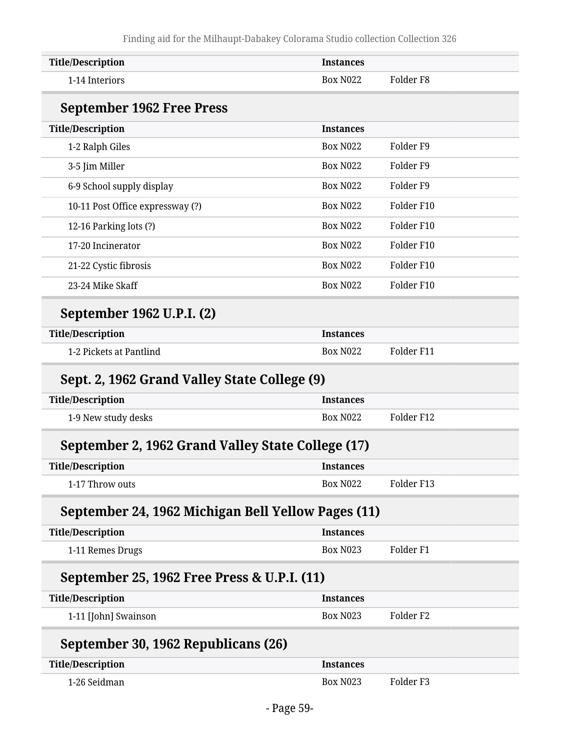| <b>Title/Description</b>                           | <b>Instances</b>                        |
|----------------------------------------------------|-----------------------------------------|
| 1-14 Interiors                                     | Folder <sub>F8</sub><br><b>Box N022</b> |
| <b>September 1962 Free Press</b>                   |                                         |
| <b>Title/Description</b>                           | <b>Instances</b>                        |
| 1-2 Ralph Giles                                    | <b>Box N022</b><br>Folder <sub>F9</sub> |
| 3-5 Jim Miller                                     | <b>Box N022</b><br>Folder <sub>F9</sub> |
| 6-9 School supply display                          | <b>Box N022</b><br>Folder <sub>F9</sub> |
| 10-11 Post Office expressway (?)                   | <b>Box N022</b><br>Folder F10           |
| 12-16 Parking lots (?)                             | <b>Box N022</b><br>Folder F10           |
| 17-20 Incinerator                                  | <b>Box N022</b><br>Folder F10           |
| 21-22 Cystic fibrosis                              | <b>Box N022</b><br>Folder F10           |
| 23-24 Mike Skaff                                   | <b>Box N022</b><br>Folder F10           |
| September 1962 U.P.I. (2)                          |                                         |
| <b>Title/Description</b>                           | <b>Instances</b>                        |
| 1-2 Pickets at Pantlind                            | Folder F11<br><b>Box N022</b>           |
| Sept. 2, 1962 Grand Valley State College (9)       |                                         |
| <b>Title/Description</b>                           | <b>Instances</b>                        |
| 1-9 New study desks                                | Folder F12<br><b>Box N022</b>           |
| September 2, 1962 Grand Valley State College (17)  |                                         |
| <b>Title/Description</b>                           | <b>Instances</b>                        |
| 1-17 Throw outs                                    | Folder F13<br><b>Box N022</b>           |
| September 24, 1962 Michigan Bell Yellow Pages (11) |                                         |
| <b>Title/Description</b>                           | <b>Instances</b>                        |
| 1-11 Remes Drugs                                   | Folder <sub>F1</sub><br><b>Box N023</b> |
| September 25, 1962 Free Press & U.P.I. (11)        |                                         |
| <b>Title/Description</b>                           | <b>Instances</b>                        |
| 1-11 [John] Swainson                               | <b>Box N023</b><br>Folder <sub>F2</sub> |
| September 30, 1962 Republicans (26)                |                                         |
|                                                    |                                         |
| <b>Title/Description</b>                           | <b>Instances</b>                        |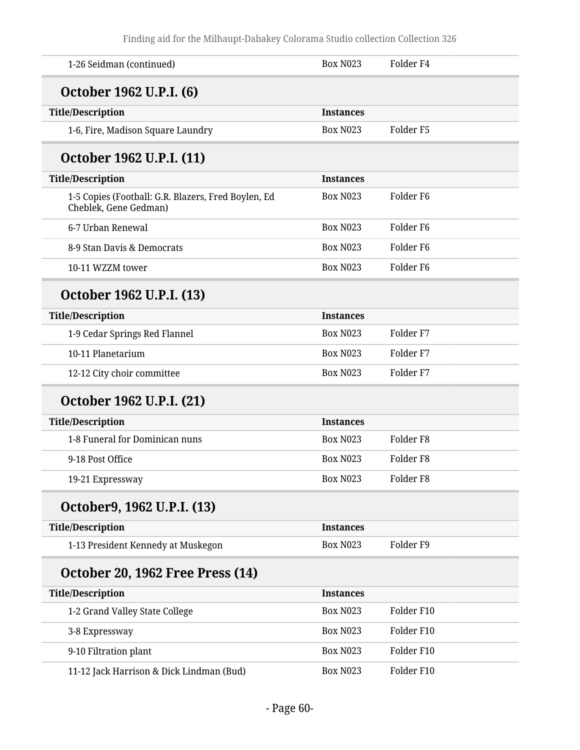| 1-26 Seidman (continued)                                                     | <b>Box N023</b>  | Folder <sub>F4</sub> |
|------------------------------------------------------------------------------|------------------|----------------------|
| October 1962 U.P.I. (6)                                                      |                  |                      |
| <b>Title/Description</b>                                                     | <b>Instances</b> |                      |
| 1-6, Fire, Madison Square Laundry                                            | <b>Box N023</b>  | Folder <sub>F5</sub> |
| October 1962 U.P.I. (11)                                                     |                  |                      |
| <b>Title/Description</b>                                                     | <b>Instances</b> |                      |
| 1-5 Copies (Football: G.R. Blazers, Fred Boylen, Ed<br>Cheblek, Gene Gedman) | <b>Box N023</b>  | Folder <sub>F6</sub> |
| 6-7 Urban Renewal                                                            | <b>Box N023</b>  | Folder F6            |
| 8-9 Stan Davis & Democrats                                                   | <b>Box N023</b>  | Folder <sub>F6</sub> |
| 10-11 WZZM tower                                                             | <b>Box N023</b>  | Folder F6            |
| October 1962 U.P.I. (13)                                                     |                  |                      |
| <b>Title/Description</b>                                                     | <b>Instances</b> |                      |
| 1-9 Cedar Springs Red Flannel                                                | <b>Box N023</b>  | Folder <sub>F7</sub> |
| 10-11 Planetarium                                                            | <b>Box N023</b>  | Folder <sub>F7</sub> |
| 12-12 City choir committee                                                   | <b>Box N023</b>  | Folder <sub>F7</sub> |
| October 1962 U.P.I. (21)                                                     |                  |                      |
| <b>Title/Description</b>                                                     | <b>Instances</b> |                      |
| 1-8 Funeral for Dominican nuns                                               | <b>Box N023</b>  | Folder <sub>F8</sub> |
| 9-18 Post Office                                                             | <b>Box N023</b>  | Folder <sub>F8</sub> |
| 19-21 Expressway                                                             | Box N023         | Folder <sub>F8</sub> |
| October9, 1962 U.P.I. (13)                                                   |                  |                      |
| <b>Title/Description</b>                                                     | <b>Instances</b> |                      |
| 1-13 President Kennedy at Muskegon                                           | <b>Box N023</b>  | Folder <sub>F9</sub> |
| <b>October 20, 1962 Free Press (14)</b>                                      |                  |                      |
| <b>Title/Description</b>                                                     | <b>Instances</b> |                      |
| 1-2 Grand Valley State College                                               | <b>Box N023</b>  | Folder F10           |
| 3-8 Expressway                                                               | <b>Box N023</b>  | Folder F10           |
| 9-10 Filtration plant                                                        | <b>Box N023</b>  | Folder F10           |
| 11-12 Jack Harrison & Dick Lindman (Bud)                                     | <b>Box N023</b>  | Folder F10           |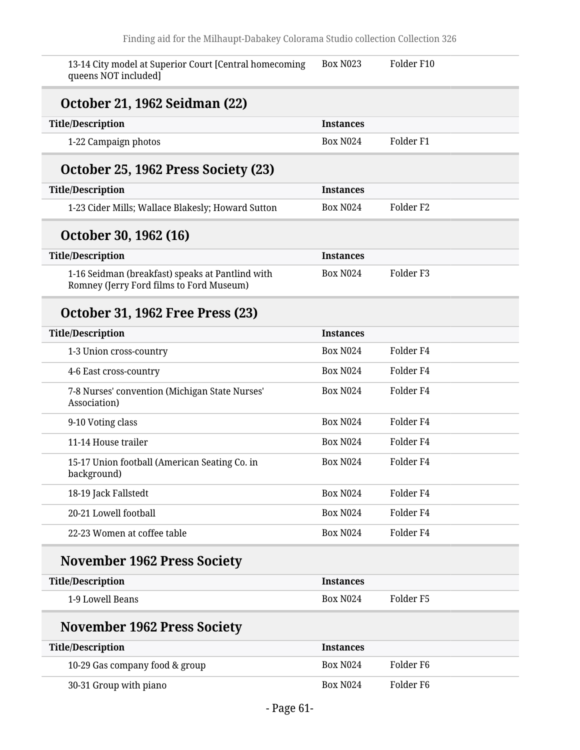| 13-14 City model at Superior Court [Central homecoming<br>queens NOT included]               | <b>Box N023</b>  | Folder F10           |
|----------------------------------------------------------------------------------------------|------------------|----------------------|
| October 21, 1962 Seidman (22)                                                                |                  |                      |
| <b>Title/Description</b>                                                                     | <b>Instances</b> |                      |
| 1-22 Campaign photos                                                                         | <b>Box N024</b>  | Folder <sub>F1</sub> |
| October 25, 1962 Press Society (23)                                                          |                  |                      |
| <b>Title/Description</b>                                                                     | <b>Instances</b> |                      |
| 1-23 Cider Mills; Wallace Blakesly; Howard Sutton                                            | <b>Box N024</b>  | Folder <sub>F2</sub> |
| October 30, 1962 (16)                                                                        |                  |                      |
| <b>Title/Description</b>                                                                     | <b>Instances</b> |                      |
| 1-16 Seidman (breakfast) speaks at Pantlind with<br>Romney (Jerry Ford films to Ford Museum) | <b>Box N024</b>  | Folder <sub>F3</sub> |
| <b>October 31, 1962 Free Press (23)</b>                                                      |                  |                      |
| <b>Title/Description</b>                                                                     | <b>Instances</b> |                      |
| 1-3 Union cross-country                                                                      | <b>Box N024</b>  | Folder <sub>F4</sub> |
| 4-6 East cross-country                                                                       | <b>Box N024</b>  | Folder <sub>F4</sub> |
| 7-8 Nurses' convention (Michigan State Nurses'<br>Association)                               | <b>Box N024</b>  | Folder <sub>F4</sub> |
| 9-10 Voting class                                                                            | <b>Box N024</b>  | Folder <sub>F4</sub> |
| 11-14 House trailer                                                                          | <b>Box N024</b>  | Folder <sub>F4</sub> |
| 15-17 Union football (American Seating Co. in<br>background)                                 | <b>Box N024</b>  | Folder <sub>F4</sub> |
| 18-19 Jack Fallstedt                                                                         | <b>Box N024</b>  | Folder <sub>F4</sub> |
| 20-21 Lowell football                                                                        | <b>Box N024</b>  | Folder <sub>F4</sub> |
| 22-23 Women at coffee table                                                                  | <b>Box N024</b>  | Folder <sub>F4</sub> |
| <b>November 1962 Press Society</b>                                                           |                  |                      |
| <b>Title/Description</b>                                                                     | <b>Instances</b> |                      |
| 1-9 Lowell Beans                                                                             | <b>Box N024</b>  | Folder <sub>F5</sub> |
| <b>November 1962 Press Society</b>                                                           |                  |                      |
| <b>Title/Description</b>                                                                     | <b>Instances</b> |                      |
| 10-29 Gas company food & group                                                               | <b>Box N024</b>  | Folder <sub>F6</sub> |
| 30-31 Group with piano                                                                       | <b>Box N024</b>  | Folder <sub>F6</sub> |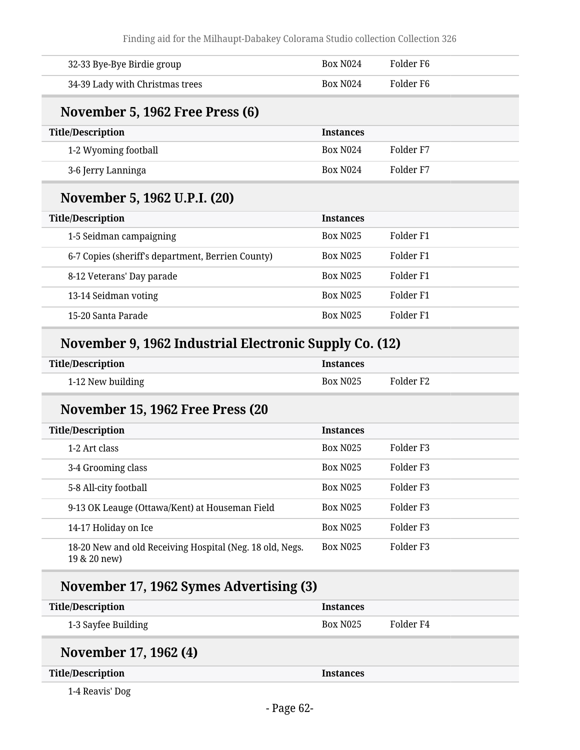Finding aid for the Milhaupt-Dabakey Colorama Studio collection Collection 326

| 32-33 Bye-Bye Birdie group                                               | <b>Box N024</b>  | Folder <sub>F6</sub> |  |
|--------------------------------------------------------------------------|------------------|----------------------|--|
| 34-39 Lady with Christmas trees                                          | <b>Box N024</b>  | Folder <sub>F6</sub> |  |
| November 5, 1962 Free Press (6)                                          |                  |                      |  |
| <b>Title/Description</b>                                                 | <b>Instances</b> |                      |  |
| 1-2 Wyoming football                                                     | <b>Box N024</b>  | Folder <sub>F7</sub> |  |
| 3-6 Jerry Lanninga                                                       | <b>Box N024</b>  | Folder <sub>F7</sub> |  |
| November 5, 1962 U.P.I. (20)                                             |                  |                      |  |
| <b>Title/Description</b>                                                 | <b>Instances</b> |                      |  |
| 1-5 Seidman campaigning                                                  | <b>Box N025</b>  | Folder <sub>F1</sub> |  |
| 6-7 Copies (sheriff's department, Berrien County)                        | <b>Box N025</b>  | Folder <sub>F1</sub> |  |
| 8-12 Veterans' Day parade                                                | <b>Box N025</b>  | Folder <sub>F1</sub> |  |
| 13-14 Seidman voting                                                     | <b>Box N025</b>  | Folder <sub>F1</sub> |  |
| 15-20 Santa Parade                                                       | <b>Box N025</b>  | Folder <sub>F1</sub> |  |
| November 9, 1962 Industrial Electronic Supply Co. (12)                   |                  |                      |  |
| <b>Title/Description</b>                                                 | <b>Instances</b> |                      |  |
| 1-12 New building                                                        | <b>Box N025</b>  | Folder <sub>F2</sub> |  |
| November 15, 1962 Free Press (20                                         |                  |                      |  |
| <b>Title/Description</b>                                                 | <b>Instances</b> |                      |  |
| 1-2 Art class                                                            | <b>Box N025</b>  | Folder <sub>F3</sub> |  |
| 3-4 Grooming class                                                       | <b>Box N025</b>  | Folder <sub>F3</sub> |  |
| 5-8 All-city football                                                    | <b>Box N025</b>  | Folder <sub>F3</sub> |  |
| 9-13 OK Leauge (Ottawa/Kent) at Houseman Field                           | <b>Box N025</b>  | Folder <sub>F3</sub> |  |
| 14-17 Holiday on Ice                                                     | <b>Box N025</b>  | Folder <sub>F3</sub> |  |
| 18-20 New and old Receiving Hospital (Neg. 18 old, Negs.<br>19 & 20 new) | <b>Box N025</b>  | Folder <sub>F3</sub> |  |
| November 17, 1962 Symes Advertising (3)                                  |                  |                      |  |
| <b>Title/Description</b>                                                 | <b>Instances</b> |                      |  |
| 1-3 Sayfee Building                                                      | <b>Box N025</b>  | Folder <sub>F4</sub> |  |
| November 17, 1962 (4)                                                    |                  |                      |  |
| <b>Title/Description</b>                                                 | <b>Instances</b> |                      |  |
| 1-4 Reavis' Dog                                                          |                  |                      |  |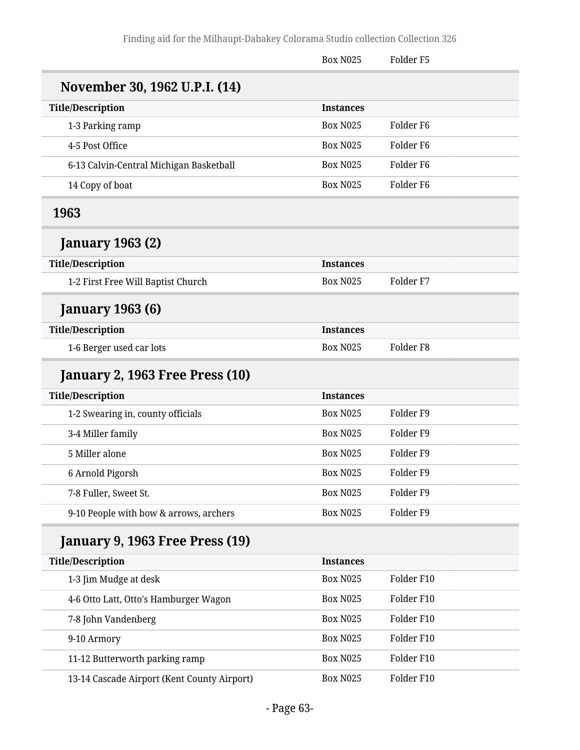|                                             | <b>Box N025</b>  | Folder <sub>F5</sub> |  |
|---------------------------------------------|------------------|----------------------|--|
| November 30, 1962 U.P.I. (14)               |                  |                      |  |
| <b>Title/Description</b>                    | <b>Instances</b> |                      |  |
| 1-3 Parking ramp                            | <b>Box N025</b>  | Folder <sub>F6</sub> |  |
| 4-5 Post Office                             | <b>Box N025</b>  | Folder <sub>F6</sub> |  |
| 6-13 Calvin-Central Michigan Basketball     | <b>Box N025</b>  | Folder <sub>F6</sub> |  |
| 14 Copy of boat                             | <b>Box N025</b>  | Folder <sub>F6</sub> |  |
| 1963                                        |                  |                      |  |
| <b>January 1963 (2)</b>                     |                  |                      |  |
| <b>Title/Description</b>                    | <b>Instances</b> |                      |  |
| 1-2 First Free Will Baptist Church          | <b>Box N025</b>  | Folder <sub>F7</sub> |  |
| <b>January 1963 (6)</b>                     |                  |                      |  |
| <b>Title/Description</b>                    | <b>Instances</b> |                      |  |
| 1-6 Berger used car lots                    | <b>Box N025</b>  | Folder <sub>F8</sub> |  |
| January 2, 1963 Free Press (10)             |                  |                      |  |
| <b>Title/Description</b>                    | <b>Instances</b> |                      |  |
| 1-2 Swearing in, county officials           | <b>Box N025</b>  | Folder <sub>F9</sub> |  |
| 3-4 Miller family                           | <b>Box N025</b>  | Folder <sub>F9</sub> |  |
| 5 Miller alone                              | <b>Box N025</b>  | Folder <sub>F9</sub> |  |
| 6 Arnold Pigorsh                            | <b>Box N025</b>  | Folder <sub>F9</sub> |  |
| 7-8 Fuller, Sweet St.                       | <b>Box N025</b>  | Folder F9            |  |
| 9-10 People with bow & arrows, archers      | <b>Box N025</b>  | Folder <sub>F9</sub> |  |
| January 9, 1963 Free Press (19)             |                  |                      |  |
| <b>Title/Description</b>                    | <b>Instances</b> |                      |  |
| 1-3 Jim Mudge at desk                       | <b>Box N025</b>  | Folder F10           |  |
| 4-6 Otto Latt, Otto's Hamburger Wagon       | <b>Box N025</b>  | Folder F10           |  |
| 7-8 John Vandenberg                         | <b>Box N025</b>  | Folder F10           |  |
| 9-10 Armory                                 | <b>Box N025</b>  | Folder F10           |  |
| 11-12 Butterworth parking ramp              | <b>Box N025</b>  | Folder F10           |  |
| 13-14 Cascade Airport (Kent County Airport) | <b>Box N025</b>  | Folder F10           |  |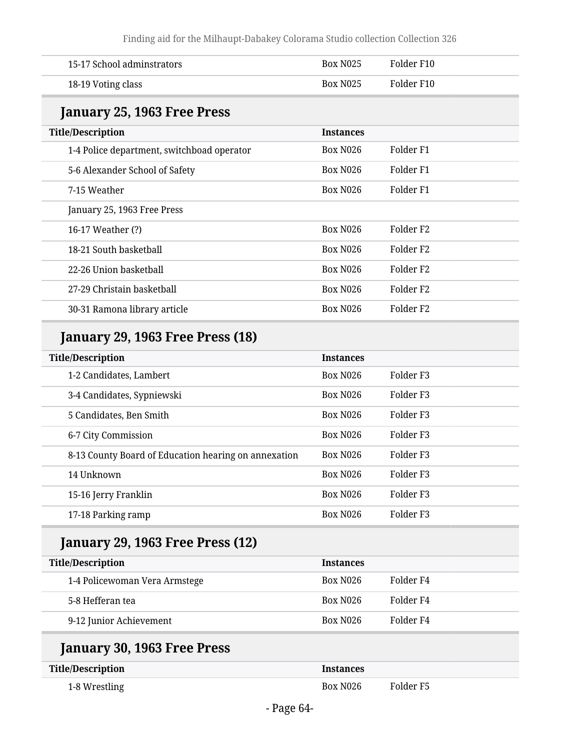| 15-17 School adminstrators                           | <b>Box N025</b>  | Folder F10           |
|------------------------------------------------------|------------------|----------------------|
| 18-19 Voting class                                   | <b>Box N025</b>  | Folder F10           |
| January 25, 1963 Free Press                          |                  |                      |
| <b>Title/Description</b>                             | <b>Instances</b> |                      |
| 1-4 Police department, switchboad operator           | <b>Box N026</b>  | Folder <sub>F1</sub> |
| 5-6 Alexander School of Safety                       | <b>Box N026</b>  | Folder <sub>F1</sub> |
| 7-15 Weather                                         | <b>Box N026</b>  | Folder <sub>F1</sub> |
| January 25, 1963 Free Press                          |                  |                      |
| 16-17 Weather (?)                                    | <b>Box N026</b>  | Folder <sub>F2</sub> |
| 18-21 South basketball                               | <b>Box N026</b>  | Folder <sub>F2</sub> |
| 22-26 Union basketball                               | <b>Box N026</b>  | Folder <sub>F2</sub> |
| 27-29 Christain basketball                           | <b>Box N026</b>  | Folder <sub>F2</sub> |
| 30-31 Ramona library article                         | <b>Box N026</b>  | Folder <sub>F2</sub> |
| <b>January 29, 1963 Free Press (18)</b>              |                  |                      |
| <b>Title/Description</b>                             | <b>Instances</b> |                      |
| 1-2 Candidates, Lambert                              | <b>Box N026</b>  | Folder <sub>F3</sub> |
| 3-4 Candidates, Sypniewski                           | <b>Box N026</b>  | Folder <sub>F3</sub> |
| 5 Candidates, Ben Smith                              | <b>Box N026</b>  | Folder <sub>F3</sub> |
| 6-7 City Commission                                  | <b>Box N026</b>  | Folder <sub>F3</sub> |
| 8-13 County Board of Education hearing on annexation | <b>Box N026</b>  | Folder <sub>F3</sub> |
| 14 Unknown                                           | <b>Box N026</b>  | Folder <sub>F3</sub> |
| 15-16 Jerry Franklin                                 | <b>Box N026</b>  | Folder <sub>F3</sub> |
| 17-18 Parking ramp                                   | <b>Box N026</b>  | Folder <sub>F3</sub> |
| January 29, 1963 Free Press (12)                     |                  |                      |
| <b>Title/Description</b>                             | <b>Instances</b> |                      |
| 1-4 Policewoman Vera Armstege                        | <b>Box N026</b>  | Folder <sub>F4</sub> |
| 5-8 Hefferan tea                                     | <b>Box N026</b>  | Folder <sub>F4</sub> |
| 9-12 Junior Achievement                              | <b>Box N026</b>  | Folder <sub>F4</sub> |
| January 30, 1963 Free Press                          |                  |                      |
| <b>Title/Description</b>                             | <b>Instances</b> |                      |
| 1-8 Wrestling                                        | <b>Box N026</b>  | Folder <sub>F5</sub> |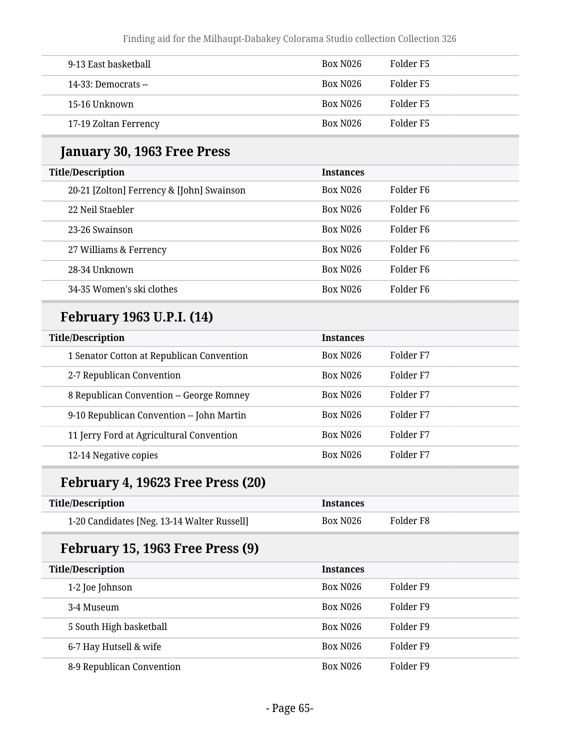| 9-13 East basketball    | Box N <sub>026</sub> | Folder F5 |
|-------------------------|----------------------|-----------|
| $14-33$ : Democrats $-$ | Box N026             | Folder F5 |
| 15-16 Unknown           | Box N026             | Folder F5 |
| 17-19 Zoltan Ferrency   | Box N026             | Folder F5 |

#### **January 30, 1963 Free Press**

| <b>Title/Description</b>                  | <b>Instances</b>     |                       |
|-------------------------------------------|----------------------|-----------------------|
| 20-21 [Zolton] Ferrency & [John] Swainson | Box N <sub>026</sub> | Folder F6             |
| 22 Neil Staebler                          | Box N <sub>026</sub> | Folder F6             |
| 23-26 Swainson                            | Box N <sub>026</sub> | Folder F6             |
| 27 Williams & Ferrency                    | Box N <sub>026</sub> | Folder F <sub>6</sub> |
| 28-34 Unknown                             | <b>Box N026</b>      | Folder F <sub>6</sub> |
| 34-35 Women's ski clothes                 | <b>Box N026</b>      | Folder F6             |

#### **February 1963 U.P.I. (14)**

| <b>Title/Description</b>                  | <b>Instances</b>     |           |
|-------------------------------------------|----------------------|-----------|
| 1 Senator Cotton at Republican Convention | Box N <sub>026</sub> | Folder F7 |
| 2-7 Republican Convention                 | <b>Box N026</b>      | Folder F7 |
| 8 Republican Convention -- George Romney  | <b>Box N026</b>      | Folder F7 |
| 9-10 Republican Convention -- John Martin | <b>Box N026</b>      | Folder F7 |
| 11 Jerry Ford at Agricultural Convention  | <b>Box N026</b>      | Folder F7 |
| 12-14 Negative copies                     | <b>Box N026</b>      | Folder F7 |

## **February 4, 19623 Free Press (20)**

| <b>Title/Description</b>                    | <b>Instances</b> |           |
|---------------------------------------------|------------------|-----------|
| 1-20 Candidates [Neg. 13-14 Walter Russell] | Box N026         | Folder F8 |

#### **February 15, 1963 Free Press (9)**

| <b>Title/Description</b>  | <b>Instances</b>     |           |
|---------------------------|----------------------|-----------|
| 1-2 Joe Johnson           | <b>Box N026</b>      | Folder F9 |
| 3-4 Museum                | <b>Box N026</b>      | Folder F9 |
| 5 South High basketball   | <b>Box N026</b>      | Folder F9 |
| 6-7 Hay Hutsell & wife    | <b>Box N026</b>      | Folder F9 |
| 8-9 Republican Convention | Box N <sub>026</sub> | Folder F9 |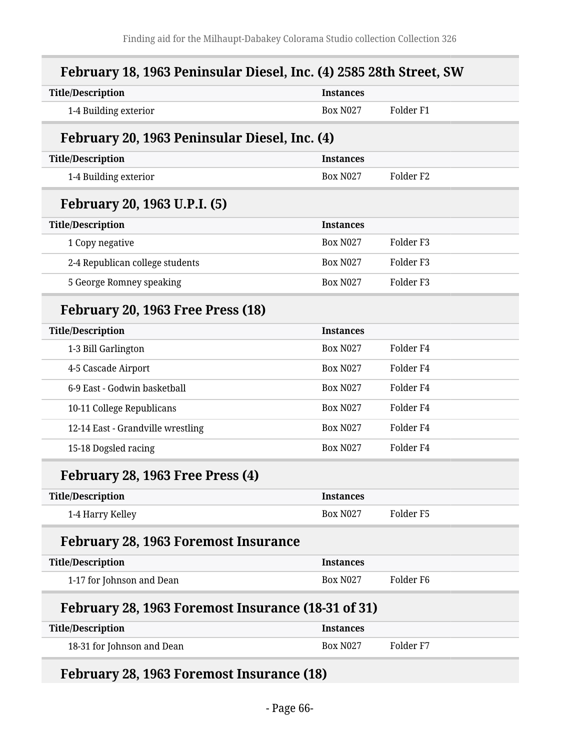| February 18, 1963 Peninsular Diesel, Inc. (4) 2585 28th Street, SW |                  |                      |
|--------------------------------------------------------------------|------------------|----------------------|
| <b>Title/Description</b>                                           | <b>Instances</b> |                      |
| 1-4 Building exterior                                              | <b>Box N027</b>  | Folder <sub>F1</sub> |
| February 20, 1963 Peninsular Diesel, Inc. (4)                      |                  |                      |
| <b>Title/Description</b>                                           | <b>Instances</b> |                      |
| 1-4 Building exterior                                              | <b>Box N027</b>  | Folder F2            |
| February 20, 1963 U.P.I. (5)                                       |                  |                      |
| <b>Title/Description</b>                                           | <b>Instances</b> |                      |
| 1 Copy negative                                                    | <b>Box N027</b>  | Folder <sub>F3</sub> |
| 2-4 Republican college students                                    | <b>Box N027</b>  | Folder <sub>F3</sub> |
| 5 George Romney speaking                                           | <b>Box N027</b>  | Folder <sub>F3</sub> |
| February 20, 1963 Free Press (18)                                  |                  |                      |
| <b>Title/Description</b>                                           | <b>Instances</b> |                      |
| 1-3 Bill Garlington                                                | <b>Box N027</b>  | Folder <sub>F4</sub> |
| 4-5 Cascade Airport                                                | <b>Box N027</b>  | Folder <sub>F4</sub> |
| 6-9 East - Godwin basketball                                       | <b>Box N027</b>  | Folder <sub>F4</sub> |
| 10-11 College Republicans                                          | <b>Box N027</b>  | Folder <sub>F4</sub> |
| 12-14 East - Grandville wrestling                                  | <b>Box N027</b>  | Folder <sub>F4</sub> |
| 15-18 Dogsled racing                                               | <b>Box N027</b>  | Folder <sub>F4</sub> |
| February 28, 1963 Free Press (4)                                   |                  |                      |
| <b>Title/Description</b>                                           | <b>Instances</b> |                      |
| 1-4 Harry Kelley                                                   | <b>Box N027</b>  | Folder <sub>F5</sub> |
| <b>February 28, 1963 Foremost Insurance</b>                        |                  |                      |
| <b>Title/Description</b>                                           | <b>Instances</b> |                      |
| 1-17 for Johnson and Dean                                          | <b>Box N027</b>  | Folder <sub>F6</sub> |
| February 28, 1963 Foremost Insurance (18-31 of 31)                 |                  |                      |
| <b>Title/Description</b>                                           | <b>Instances</b> |                      |

| -------------              | -------------   |           |
|----------------------------|-----------------|-----------|
| 18-31 for Johnson and Dean | <b>Box N027</b> | Folder F7 |

## **February 28, 1963 Foremost Insurance (18)**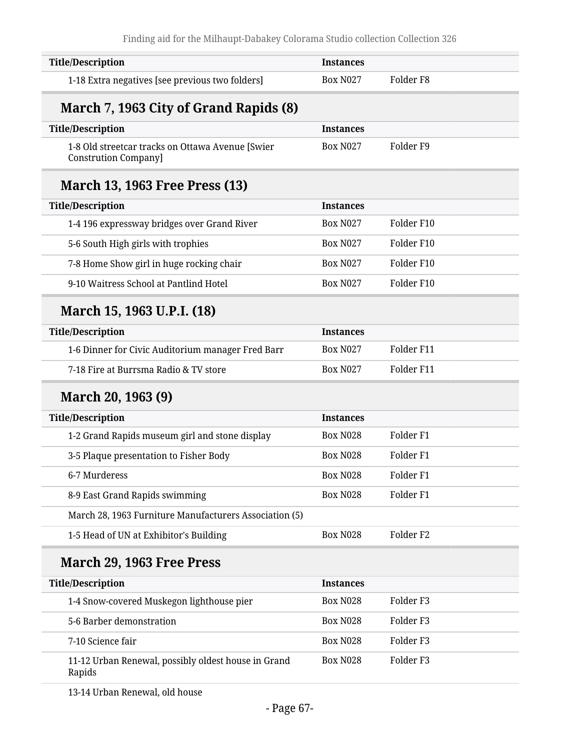| <b>Title/Description</b>                                                        | <b>Instances</b> |                      |
|---------------------------------------------------------------------------------|------------------|----------------------|
| 1-18 Extra negatives [see previous two folders]                                 | <b>Box N027</b>  | Folder <sub>F8</sub> |
| March 7, 1963 City of Grand Rapids (8)                                          |                  |                      |
| <b>Title/Description</b>                                                        | <b>Instances</b> |                      |
| 1-8 Old streetcar tracks on Ottawa Avenue [Swier<br><b>Constrution Company]</b> | <b>Box N027</b>  | Folder <sub>F9</sub> |
| <b>March 13, 1963 Free Press (13)</b>                                           |                  |                      |
| <b>Title/Description</b>                                                        | <b>Instances</b> |                      |
| 1-4 196 expressway bridges over Grand River                                     | <b>Box N027</b>  | Folder F10           |
| 5-6 South High girls with trophies                                              | <b>Box N027</b>  | Folder F10           |
| 7-8 Home Show girl in huge rocking chair                                        | <b>Box N027</b>  | Folder F10           |
| 9-10 Waitress School at Pantlind Hotel                                          | <b>Box N027</b>  | Folder F10           |
| March 15, 1963 U.P.I. (18)                                                      |                  |                      |
| <b>Title/Description</b>                                                        | <b>Instances</b> |                      |
| 1-6 Dinner for Civic Auditorium manager Fred Barr                               | <b>Box N027</b>  | Folder F11           |
| 7-18 Fire at Burrsma Radio & TV store                                           | <b>Box N027</b>  | Folder F11           |
| March 20, 1963 (9)                                                              |                  |                      |
| <b>Title/Description</b>                                                        | <b>Instances</b> |                      |
| 1-2 Grand Rapids museum girl and stone display                                  | <b>Box N028</b>  | Folder <sub>F1</sub> |
| 3-5 Plaque presentation to Fisher Body                                          | <b>Box N028</b>  | Folder <sub>F1</sub> |
| 6-7 Murderess                                                                   | <b>Box N028</b>  | Folder <sub>F1</sub> |
| 8-9 East Grand Rapids swimming                                                  | <b>Box N028</b>  | Folder <sub>F1</sub> |
| March 28, 1963 Furniture Manufacturers Association (5)                          |                  |                      |
| 1-5 Head of UN at Exhibitor's Building                                          | <b>Box N028</b>  | Folder <sub>F2</sub> |
| March 29, 1963 Free Press                                                       |                  |                      |
| <b>Title/Description</b>                                                        | <b>Instances</b> |                      |
| 1-4 Snow-covered Muskegon lighthouse pier                                       | <b>Box N028</b>  | Folder <sub>F3</sub> |
| 5-6 Barber demonstration                                                        | <b>Box N028</b>  | Folder <sub>F3</sub> |
| 7-10 Science fair                                                               | <b>Box N028</b>  | Folder <sub>F3</sub> |
| 11-12 Urban Renewal, possibly oldest house in Grand<br>Rapids                   | <b>Box N028</b>  | Folder <sub>F3</sub> |

13-14 Urban Renewal, old house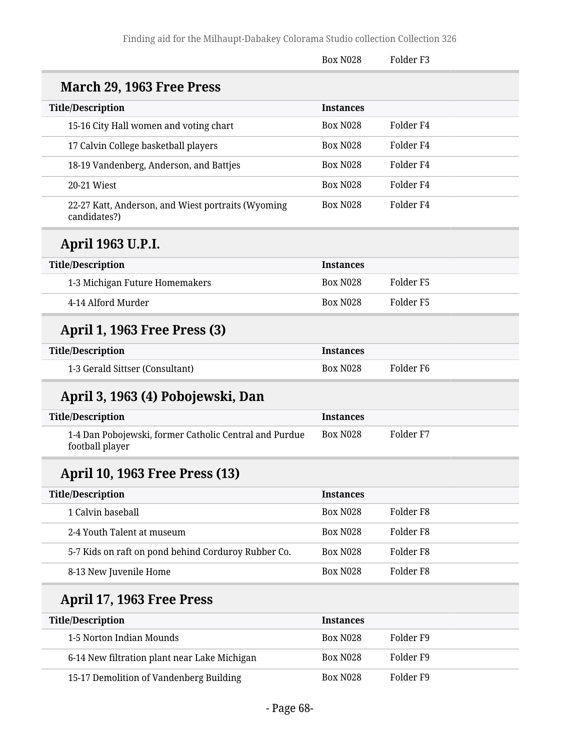|                                                                           | <b>Box N028</b>  | Folder F3            |
|---------------------------------------------------------------------------|------------------|----------------------|
| March 29, 1963 Free Press                                                 |                  |                      |
| <b>Title/Description</b>                                                  | <b>Instances</b> |                      |
| 15-16 City Hall women and voting chart                                    | <b>Box N028</b>  | Folder F4            |
| 17 Calvin College basketball players                                      | <b>Box N028</b>  | Folder <sub>F4</sub> |
| 18-19 Vandenberg, Anderson, and Battjes                                   | <b>Box N028</b>  | Folder <sub>F4</sub> |
| 20-21 Wiest                                                               | <b>Box N028</b>  | Folder <sub>F4</sub> |
| 22-27 Katt, Anderson, and Wiest portraits (Wyoming<br>candidates?)        | <b>Box N028</b>  | Folder <sub>F4</sub> |
| April 1963 U.P.I.                                                         |                  |                      |
| <b>Title/Description</b>                                                  | <b>Instances</b> |                      |
| 1-3 Michigan Future Homemakers                                            | <b>Box N028</b>  | Folder <sub>F5</sub> |
| 4-14 Alford Murder                                                        | <b>Box N028</b>  | Folder <sub>F5</sub> |
| <b>April 1, 1963 Free Press (3)</b>                                       |                  |                      |
| <b>Title/Description</b>                                                  | <b>Instances</b> |                      |
| 1-3 Gerald Sittser (Consultant)                                           | <b>Box N028</b>  | Folder <sub>F6</sub> |
| April 3, 1963 (4) Pobojewski, Dan                                         |                  |                      |
| <b>Title/Description</b>                                                  | <b>Instances</b> |                      |
| 1-4 Dan Pobojewski, former Catholic Central and Purdue<br>football player | <b>Box N028</b>  | Folder <sub>F7</sub> |
| <b>April 10, 1963 Free Press (13)</b>                                     |                  |                      |
| <b>Title/Description</b>                                                  | <b>Instances</b> |                      |
| 1 Calvin baseball                                                         | <b>Box N028</b>  | Folder <sub>F8</sub> |
| 2-4 Youth Talent at museum                                                | <b>Box N028</b>  | Folder <sub>F8</sub> |
| 5-7 Kids on raft on pond behind Corduroy Rubber Co.                       | <b>Box N028</b>  | Folder <sub>F8</sub> |
| 8-13 New Juvenile Home                                                    | <b>Box N028</b>  | Folder <sub>F8</sub> |
| April 17, 1963 Free Press                                                 |                  |                      |
| <b>Title/Description</b>                                                  | <b>Instances</b> |                      |
| 1-5 Norton Indian Mounds                                                  | <b>Box N028</b>  | Folder <sub>F9</sub> |
| 6-14 New filtration plant near Lake Michigan                              | <b>Box N028</b>  | Folder <sub>F9</sub> |
| 15-17 Demolition of Vandenberg Building                                   | <b>Box N028</b>  | Folder <sub>F9</sub> |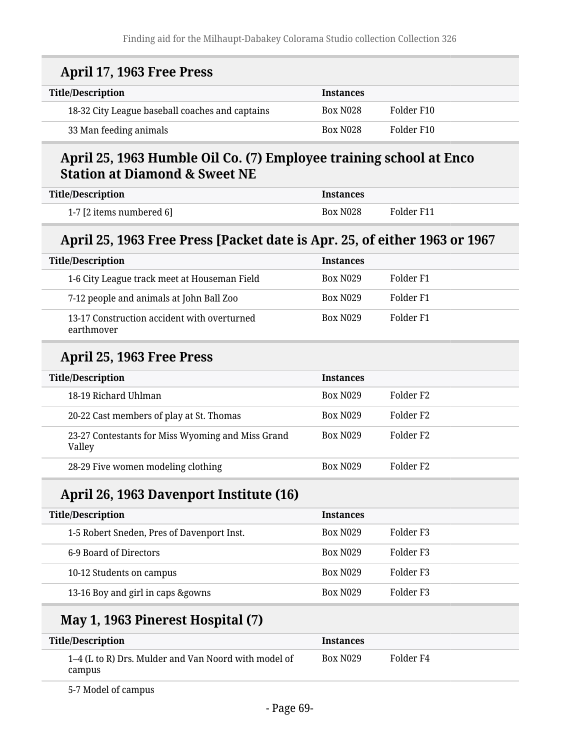| April 17, 1963 Free Press                                                                                      |                  |                      |
|----------------------------------------------------------------------------------------------------------------|------------------|----------------------|
| <b>Title/Description</b>                                                                                       | <b>Instances</b> |                      |
| 18-32 City League baseball coaches and captains                                                                | <b>Box N028</b>  | Folder F10           |
| 33 Man feeding animals                                                                                         | <b>Box N028</b>  | Folder F10           |
| April 25, 1963 Humble Oil Co. (7) Employee training school at Enco<br><b>Station at Diamond &amp; Sweet NE</b> |                  |                      |
| <b>Title/Description</b>                                                                                       | <b>Instances</b> |                      |
| 1-7 [2 items numbered 6]                                                                                       | <b>Box N028</b>  | Folder F11           |
| April 25, 1963 Free Press [Packet date is Apr. 25, of either 1963 or 1967                                      |                  |                      |
| <b>Title/Description</b>                                                                                       | <b>Instances</b> |                      |
| 1-6 City League track meet at Houseman Field                                                                   | <b>Box N029</b>  | Folder <sub>F1</sub> |
| 7-12 people and animals at John Ball Zoo                                                                       | <b>Box N029</b>  | Folder <sub>F1</sub> |
| 13-17 Construction accident with overturned<br>earthmover                                                      | <b>Box N029</b>  | Folder <sub>F1</sub> |
| April 25, 1963 Free Press                                                                                      |                  |                      |
| <b>Title/Description</b>                                                                                       | <b>Instances</b> |                      |
| 18-19 Richard Uhlman                                                                                           | <b>Box N029</b>  | Folder <sub>F2</sub> |
| 20-22 Cast members of play at St. Thomas                                                                       | <b>Box N029</b>  | Folder <sub>F2</sub> |
| 23-27 Contestants for Miss Wyoming and Miss Grand<br>Valley                                                    | <b>Box N029</b>  | Folder <sub>F2</sub> |
| 28-29 Five women modeling clothing                                                                             | <b>Box N029</b>  | Folder <sub>F2</sub> |
| April 26, 1963 Davenport Institute (16)                                                                        |                  |                      |
| <b>Title/Description</b>                                                                                       | <b>Instances</b> |                      |
| 1-5 Robert Sneden, Pres of Davenport Inst.                                                                     | <b>Box N029</b>  | Folder <sub>F3</sub> |
| 6-9 Board of Directors                                                                                         | <b>Box N029</b>  | Folder <sub>F3</sub> |
| 10-12 Students on campus                                                                                       | <b>Box N029</b>  | Folder <sub>F3</sub> |
| 13-16 Boy and girl in caps &gowns                                                                              | <b>Box N029</b>  | Folder <sub>F3</sub> |
| May 1, 1963 Pinerest Hospital (7)                                                                              |                  |                      |
| <b>Title/Description</b>                                                                                       | <b>Instances</b> |                      |
| 1-4 (L to R) Drs. Mulder and Van Noord with model of<br>campus                                                 | <b>Box N029</b>  | Folder <sub>F4</sub> |

5-7 Model of campus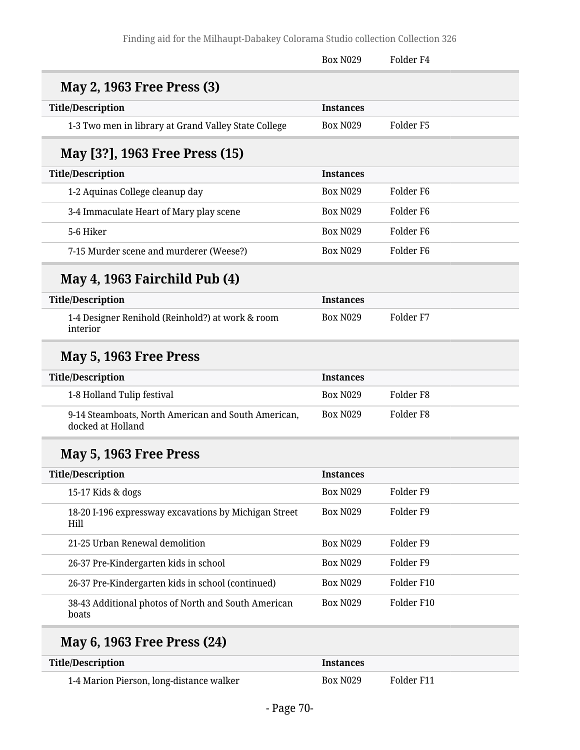|                                                                          | <b>Box N029</b>  | Folder <sub>F4</sub> |
|--------------------------------------------------------------------------|------------------|----------------------|
| <b>May 2, 1963 Free Press (3)</b>                                        |                  |                      |
| <b>Title/Description</b>                                                 | <b>Instances</b> |                      |
| 1-3 Two men in library at Grand Valley State College                     | <b>Box N029</b>  | Folder <sub>F5</sub> |
| May [3?], 1963 Free Press (15)                                           |                  |                      |
| <b>Title/Description</b>                                                 | <b>Instances</b> |                      |
| 1-2 Aquinas College cleanup day                                          | <b>Box N029</b>  | Folder F6            |
| 3-4 Immaculate Heart of Mary play scene                                  | <b>Box N029</b>  | Folder <sub>F6</sub> |
| 5-6 Hiker                                                                | <b>Box N029</b>  | Folder <sub>F6</sub> |
| 7-15 Murder scene and murderer (Weese?)                                  | <b>Box N029</b>  | Folder F6            |
| May 4, 1963 Fairchild Pub (4)                                            |                  |                      |
| <b>Title/Description</b>                                                 | <b>Instances</b> |                      |
| 1-4 Designer Renihold (Reinhold?) at work & room<br>interior             | <b>Box N029</b>  | Folder <sub>F7</sub> |
| May 5, 1963 Free Press                                                   |                  |                      |
| <b>Title/Description</b>                                                 | <b>Instances</b> |                      |
| 1-8 Holland Tulip festival                                               | <b>Box N029</b>  | Folder <sub>F8</sub> |
| 9-14 Steamboats, North American and South American,<br>docked at Holland | <b>Box N029</b>  | Folder <sub>F8</sub> |
| May 5, 1963 Free Press                                                   |                  |                      |
| <b>Title/Description</b>                                                 | <b>Instances</b> |                      |
| 15-17 Kids & dogs                                                        | <b>Box N029</b>  | Folder <sub>F9</sub> |
| 18-20 I-196 expressway excavations by Michigan Street<br>Hill            | <b>Box N029</b>  | Folder <sub>F9</sub> |
| 21-25 Urban Renewal demolition                                           | <b>Box N029</b>  | Folder <sub>F9</sub> |
| 26-37 Pre-Kindergarten kids in school                                    | <b>Box N029</b>  | Folder <sub>F9</sub> |
| 26-37 Pre-Kindergarten kids in school (continued)                        | <b>Box N029</b>  | Folder F10           |
| 38-43 Additional photos of North and South American<br>boats             | <b>Box N029</b>  | Folder F10           |
| May 6, 1963 Free Press (24)                                              |                  |                      |
| <b>Title/Description</b>                                                 | <b>Instances</b> |                      |
|                                                                          |                  |                      |

| Title/Description                        | <b>Instances</b> |            |
|------------------------------------------|------------------|------------|
| 1-4 Marion Pierson, long-distance walker | <b>Box N029</b>  | Folder F11 |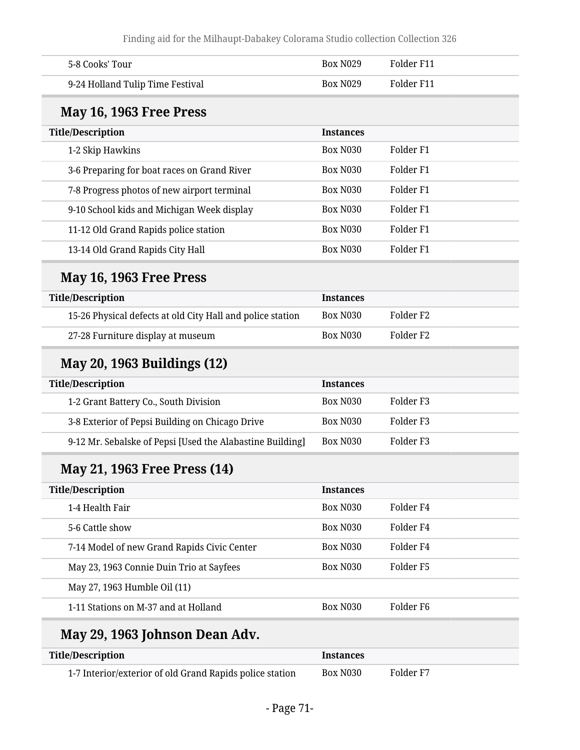| 5-8 Cooks' Tour                                            | <b>Box N029</b>  | Folder F11           |
|------------------------------------------------------------|------------------|----------------------|
| 9-24 Holland Tulip Time Festival                           | <b>Box N029</b>  | Folder F11           |
| May 16, 1963 Free Press                                    |                  |                      |
| <b>Title/Description</b>                                   | <b>Instances</b> |                      |
| 1-2 Skip Hawkins                                           | <b>Box N030</b>  | Folder <sub>F1</sub> |
| 3-6 Preparing for boat races on Grand River                | Box N030         | Folder <sub>F1</sub> |
| 7-8 Progress photos of new airport terminal                | Box N030         | Folder <sub>F1</sub> |
| 9-10 School kids and Michigan Week display                 | Box N030         | Folder <sub>F1</sub> |
| 11-12 Old Grand Rapids police station                      | Box N030         | Folder <sub>F1</sub> |
| 13-14 Old Grand Rapids City Hall                           | Box N030         | Folder <sub>F1</sub> |
| May 16, 1963 Free Press                                    |                  |                      |
| <b>Title/Description</b>                                   | <b>Instances</b> |                      |
| 15-26 Physical defects at old City Hall and police station | Box N030         | Folder <sub>F2</sub> |
| 27-28 Furniture display at museum                          | Box N030         | Folder <sub>F2</sub> |
| May 20, 1963 Buildings (12)                                |                  |                      |
| <b>Title/Description</b>                                   | <b>Instances</b> |                      |
| 1-2 Grant Battery Co., South Division                      | Box N030         | Folder <sub>F3</sub> |
| 3-8 Exterior of Pepsi Building on Chicago Drive            | Box N030         | Folder <sub>F3</sub> |
| 9-12 Mr. Sebalske of Pepsi [Used the Alabastine Building]  | <b>Box N030</b>  | Folder <sub>F3</sub> |
| May 21, 1963 Free Press (14)                               |                  |                      |
| <b>Title/Description</b>                                   | <b>Instances</b> |                      |
| 1-4 Health Fair                                            | Box N030         | Folder <sub>F4</sub> |
| 5-6 Cattle show                                            | Box N030         | Folder <sub>F4</sub> |
| 7-14 Model of new Grand Rapids Civic Center                | Box N030         | Folder <sub>F4</sub> |
| May 23, 1963 Connie Duin Trio at Sayfees                   | <b>Box N030</b>  | Folder <sub>F5</sub> |
| May 27, 1963 Humble Oil (11)                               |                  |                      |
| 1-11 Stations on M-37 and at Holland                       | Box N030         | Folder F6            |

## **May 29, 1963 Johnson Dean Adv.**

| <b>Title/Description</b>                                 | <i><u><b>Instances</b></u></i> |           |
|----------------------------------------------------------|--------------------------------|-----------|
| 1-7 Interior/exterior of old Grand Rapids police station | Box N030                       | Folder F7 |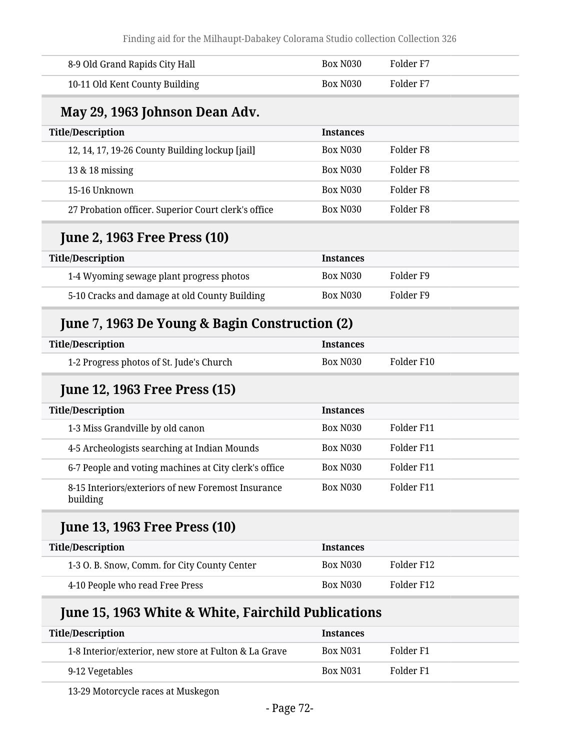| 8-9 Old Grand Rapids City Hall                                           | <b>Box N030</b>  | Folder <sub>F7</sub> |
|--------------------------------------------------------------------------|------------------|----------------------|
| 10-11 Old Kent County Building                                           | <b>Box N030</b>  | Folder <sub>F7</sub> |
| May 29, 1963 Johnson Dean Adv.                                           |                  |                      |
| <b>Title/Description</b>                                                 | <b>Instances</b> |                      |
| 12, 14, 17, 19-26 County Building lockup [jail]                          | <b>Box N030</b>  | Folder <sub>F8</sub> |
| 13 & 18 missing                                                          | <b>Box N030</b>  | Folder <sub>F8</sub> |
| 15-16 Unknown                                                            | <b>Box N030</b>  | Folder <sub>F8</sub> |
| 27 Probation officer. Superior Court clerk's office                      | <b>Box N030</b>  | Folder <sub>F8</sub> |
| <b>June 2, 1963 Free Press (10)</b>                                      |                  |                      |
| <b>Title/Description</b>                                                 | <b>Instances</b> |                      |
| 1-4 Wyoming sewage plant progress photos                                 | <b>Box N030</b>  | Folder <sub>F9</sub> |
| 5-10 Cracks and damage at old County Building                            | <b>Box N030</b>  | Folder <sub>F9</sub> |
| June 7, 1963 De Young & Bagin Construction (2)                           |                  |                      |
| <b>Title/Description</b>                                                 | <b>Instances</b> |                      |
|                                                                          |                  |                      |
| 1-2 Progress photos of St. Jude's Church                                 | <b>Box N030</b>  | Folder F10           |
| <b>June 12, 1963 Free Press (15)</b>                                     |                  |                      |
| <b>Title/Description</b>                                                 | <b>Instances</b> |                      |
| 1-3 Miss Grandville by old canon                                         | <b>Box N030</b>  | Folder F11           |
| 4-5 Archeologists searching at Indian Mounds                             | <b>Box N030</b>  | Folder F11           |
| 6-7 People and voting machines at City clerk's office                    | Box N030         | Folder F11           |
| 8-15 Interiors/exteriors of new Foremost Insurance<br>building           | <b>Box N030</b>  | Folder F11           |
| <b>June 13, 1963 Free Press (10)</b>                                     |                  |                      |
|                                                                          | <b>Instances</b> |                      |
| <b>Title/Description</b><br>1-3 O. B. Snow, Comm. for City County Center | <b>Box N030</b>  | Folder F12           |

| <b>Title/Description</b>                              | <b>Instances</b> |           |
|-------------------------------------------------------|------------------|-----------|
| 1-8 Interior/exterior, new store at Fulton & La Grave | <b>Box N031</b>  | Folder F1 |
| 9-12 Vegetables                                       | <b>Box N031</b>  | Folder F1 |

13-29 Motorcycle races at Muskegon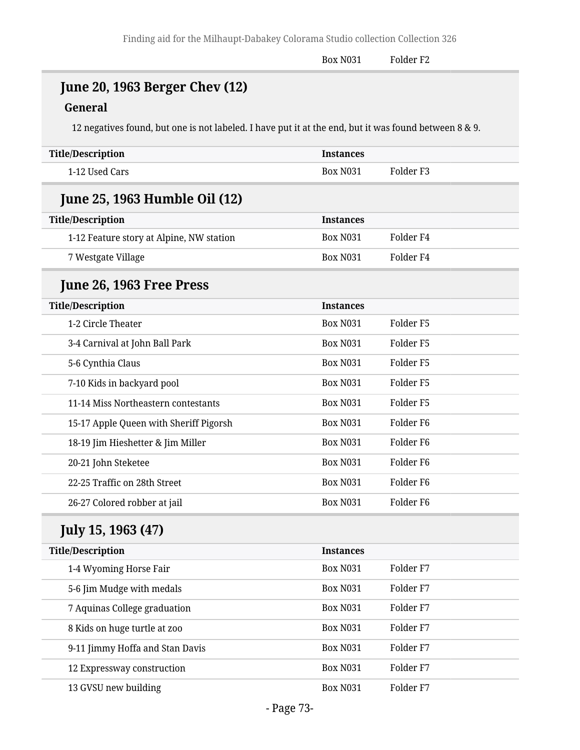Box N031 Folder F2

# **June 20, 1963 Berger Chev (12)**

#### **General**

12 negatives found, but one is not labeled. I have put it at the end, but it was found between 8 & 9.

| <b>Title/Description</b>                 | <b>Instances</b> |                      |  |  |  |
|------------------------------------------|------------------|----------------------|--|--|--|
| 1-12 Used Cars                           | <b>Box N031</b>  | Folder <sub>F3</sub> |  |  |  |
| <b>June 25, 1963 Humble Oil (12)</b>     |                  |                      |  |  |  |
| <b>Title/Description</b>                 | <b>Instances</b> |                      |  |  |  |
| 1-12 Feature story at Alpine, NW station | <b>Box N031</b>  | Folder <sub>F4</sub> |  |  |  |
| 7 Westgate Village                       | <b>Box N031</b>  | Folder <sub>F4</sub> |  |  |  |
| June 26, 1963 Free Press                 |                  |                      |  |  |  |
| <b>Title/Description</b>                 | <b>Instances</b> |                      |  |  |  |
| 1-2 Circle Theater                       | <b>Box N031</b>  | Folder <sub>F5</sub> |  |  |  |
| 3-4 Carnival at John Ball Park           | <b>Box N031</b>  | Folder <sub>F5</sub> |  |  |  |
| 5-6 Cynthia Claus                        | <b>Box N031</b>  | Folder <sub>F5</sub> |  |  |  |
| 7-10 Kids in backyard pool               | <b>Box N031</b>  | Folder <sub>F5</sub> |  |  |  |
| 11-14 Miss Northeastern contestants      | <b>Box N031</b>  | Folder <sub>F5</sub> |  |  |  |
| 15-17 Apple Queen with Sheriff Pigorsh   | <b>Box N031</b>  | Folder <sub>F6</sub> |  |  |  |
| 18-19 Jim Hieshetter & Jim Miller        | <b>Box N031</b>  | Folder <sub>F6</sub> |  |  |  |
| 20-21 John Steketee                      | <b>Box N031</b>  | Folder <sub>F6</sub> |  |  |  |
| 22-25 Traffic on 28th Street             | <b>Box N031</b>  | Folder <sub>F6</sub> |  |  |  |
| 26-27 Colored robber at jail             | <b>Box N031</b>  | Folder <sub>F6</sub> |  |  |  |
| <b>July 15, 1963 (47)</b>                |                  |                      |  |  |  |
| <b>Title/Description</b>                 | <b>Instances</b> |                      |  |  |  |
| 1-4 Wyoming Horse Fair                   | <b>Box N031</b>  | Folder F7            |  |  |  |
| 5-6 Jim Mudge with medals                | <b>Box N031</b>  | Folder F7            |  |  |  |
| 7 Aquinas College graduation             | <b>Box N031</b>  | Folder F7            |  |  |  |
| 8 Kids on huge turtle at zoo             | <b>Box N031</b>  | Folder <sub>F7</sub> |  |  |  |
| 9-11 Jimmy Hoffa and Stan Davis          | <b>Box N031</b>  | Folder F7            |  |  |  |
| 12 Expressway construction               | <b>Box N031</b>  | Folder <sub>F7</sub> |  |  |  |
| 13 GVSU new building                     | <b>Box N031</b>  | Folder F7            |  |  |  |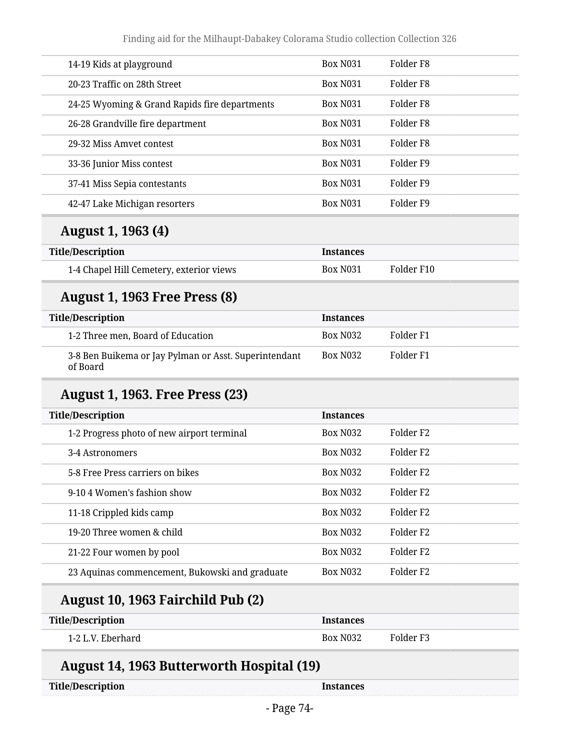| 14-19 Kids at playground                      | <b>Box N031</b> | Folder F8            |
|-----------------------------------------------|-----------------|----------------------|
| 20-23 Traffic on 28th Street                  | <b>Box N031</b> | Folder F8            |
| 24-25 Wyoming & Grand Rapids fire departments | <b>Box N031</b> | Folder F8            |
| 26-28 Grandville fire department              | <b>Box N031</b> | Folder F8            |
| 29-32 Miss Amvet contest                      | <b>Box N031</b> | Folder F8            |
| 33-36 Junior Miss contest                     | <b>Box N031</b> | Folder F9            |
| 37-41 Miss Sepia contestants                  | <b>Box N031</b> | Folder <sub>F9</sub> |
| 42-47 Lake Michigan resorters                 | <b>Box N031</b> | Folder F9            |
|                                               |                 |                      |

### **August 1, 1963 (4)**

| <b>Title/Description</b>                 | <b>Instances</b> |            |
|------------------------------------------|------------------|------------|
| 1-4 Chapel Hill Cemetery, exterior views | <b>Box N031</b>  | Folder F10 |

### **August 1, 1963 Free Press (8)**

| <b>Title/Description</b>                                          | <b>Instances</b> |           |
|-------------------------------------------------------------------|------------------|-----------|
| 1-2 Three men, Board of Education                                 | <b>Box N032</b>  | Folder F1 |
| 3-8 Ben Buikema or Jay Pylman or Asst. Superintendant<br>of Board | <b>Box N032</b>  | Folder F1 |

### **August 1, 1963. Free Press (23)**

| <b>Title/Description</b>                       | <b>Instances</b> |                       |
|------------------------------------------------|------------------|-----------------------|
| 1-2 Progress photo of new airport terminal     | <b>Box N032</b>  | Folder F <sub>2</sub> |
| 3-4 Astronomers                                | <b>Box N032</b>  | Folder F <sub>2</sub> |
| 5-8 Free Press carriers on bikes               | <b>Box N032</b>  | Folder F <sub>2</sub> |
| 9-104 Women's fashion show                     | <b>Box N032</b>  | Folder F <sub>2</sub> |
| 11-18 Crippled kids camp                       | <b>Box N032</b>  | Folder F <sub>2</sub> |
| 19-20 Three women & child                      | <b>Box N032</b>  | Folder F <sub>2</sub> |
| 21-22 Four women by pool                       | <b>Box N032</b>  | Folder F <sub>2</sub> |
| 23 Aquinas commencement, Bukowski and graduate | <b>Box N032</b>  | Folder F <sub>2</sub> |
|                                                |                  |                       |

# **August 10, 1963 Fairchild Pub (2)**

| <b>Title/Description</b> | <b>Instances</b> |           |
|--------------------------|------------------|-----------|
| 1-2 L.V. Eberhard        | <b>Box N032</b>  | Folder F3 |

# **August 14, 1963 Butterworth Hospital (19)**

| <b>Title/Description</b> |
|--------------------------|
|                          |

**Instances**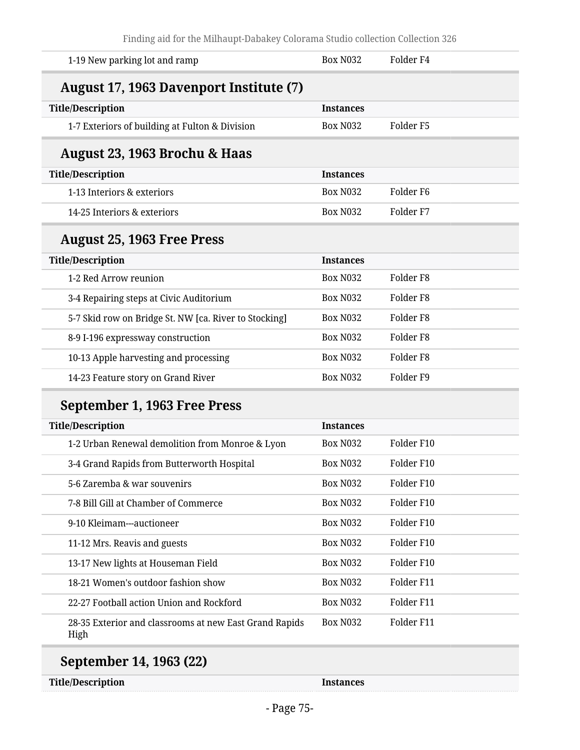| <b>Box N032</b>  | Folder <sub>F4</sub> |
|------------------|----------------------|
|                  |                      |
| <b>Instances</b> |                      |
| <b>Box N032</b>  | Folder <sub>F5</sub> |
|                  |                      |
| <b>Instances</b> |                      |
| <b>Box N032</b>  | Folder <sub>F6</sub> |
| <b>Box N032</b>  | Folder <sub>F7</sub> |
|                  |                      |
| <b>Instances</b> |                      |
| <b>Box N032</b>  | Folder <sub>F8</sub> |
| <b>Box N032</b>  | Folder <sub>F8</sub> |
| <b>Box N032</b>  | Folder <sub>F8</sub> |
| <b>Box N032</b>  | Folder <sub>F8</sub> |
| <b>Box N032</b>  | Folder <sub>F8</sub> |
| <b>Box N032</b>  | Folder <sub>F9</sub> |
|                  |                      |
| <b>Instances</b> |                      |
| <b>Box N032</b>  | Folder F10           |
| <b>Box N032</b>  | Folder F10           |
| <b>Box N032</b>  | Folder F10           |
| Box N032         | Folder F10           |
| <b>Box N032</b>  | Folder F10           |
| Box N032         | Folder F10           |
| Box N032         | Folder F10           |
| Box N032         | Folder F11           |
| Box N032         | Folder F11           |
| Box N032         | Folder F11           |
|                  |                      |

### **September 14, 1963 (22)**

**Title/Description Instances**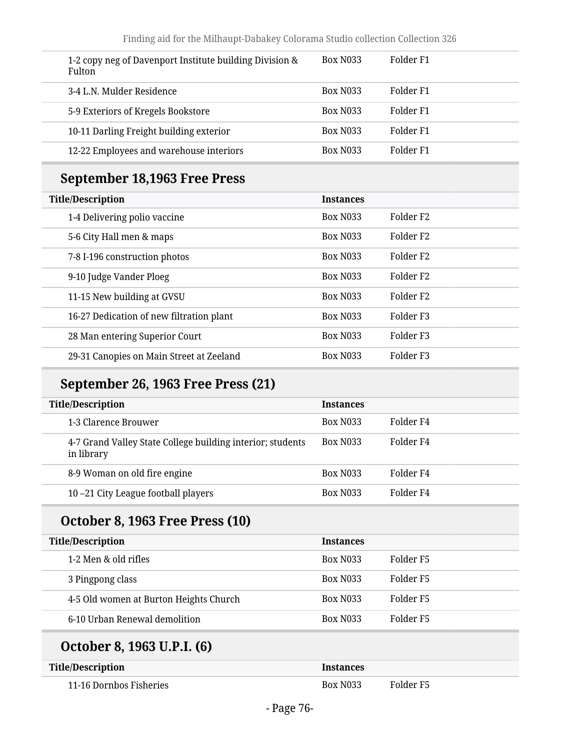| 1-2 copy neg of Davenport Institute building Division &<br><b>Fulton</b> | <b>Box N033</b> | Folder F1 |
|--------------------------------------------------------------------------|-----------------|-----------|
| 3-4 L.N. Mulder Residence                                                | <b>Box N033</b> | Folder F1 |
| 5-9 Exteriors of Kregels Bookstore                                       | <b>Box N033</b> | Folder F1 |
| 10-11 Darling Freight building exterior                                  | <b>Box N033</b> | Folder F1 |
| 12-22 Employees and warehouse interiors                                  | <b>Box N033</b> | Folder F1 |

# **September 18,1963 Free Press**

| <b>Title/Description</b>                 | <b>Instances</b> |                       |
|------------------------------------------|------------------|-----------------------|
| 1-4 Delivering polio vaccine             | <b>Box N033</b>  | Folder F <sub>2</sub> |
| 5-6 City Hall men & maps                 | <b>Box N033</b>  | Folder F <sub>2</sub> |
| 7-8 I-196 construction photos            | <b>Box N033</b>  | Folder F <sub>2</sub> |
| 9-10 Judge Vander Ploeg                  | <b>Box N033</b>  | Folder F <sub>2</sub> |
| 11-15 New building at GVSU               | <b>Box N033</b>  | Folder F <sub>2</sub> |
| 16-27 Dedication of new filtration plant | <b>Box N033</b>  | Folder F <sub>3</sub> |
| 28 Man entering Superior Court           | <b>Box N033</b>  | Folder F <sub>3</sub> |
| 29-31 Canopies on Main Street at Zeeland | <b>Box N033</b>  | Folder F <sub>3</sub> |

### **September 26, 1963 Free Press (21)**

| <b>Title/Description</b><br><b>Instances</b> |                                                            |                 |           |
|----------------------------------------------|------------------------------------------------------------|-----------------|-----------|
|                                              | 1-3 Clarence Brouwer                                       | Box N033        | Folder F4 |
| in library                                   | 4-7 Grand Valley State College building interior; students | <b>Box N033</b> | Folder F4 |
|                                              | 8-9 Woman on old fire engine                               | <b>Box N033</b> | Folder F4 |
|                                              | 10-21 City League football players                         | <b>Box N033</b> | Folder F4 |

# **October 8, 1963 Free Press (10)**

| <b>Title/Description</b>               | <b>Instances</b> |           |
|----------------------------------------|------------------|-----------|
| 1-2 Men & old rifles                   | <b>Box N033</b>  | Folder F5 |
| 3 Pingpong class                       | <b>Box N033</b>  | Folder F5 |
| 4-5 Old women at Burton Heights Church | Box N033         | Folder F5 |
| 6-10 Urban Renewal demolition          | <b>Box N033</b>  | Folder F5 |

# **October 8, 1963 U.P.I. (6)**

| <b>Title/Description</b> | <i><u><b>Instances</b></u></i> |           |
|--------------------------|--------------------------------|-----------|
| 11-16 Dornbos Fisheries  | <b>Box N033</b>                | Folder F5 |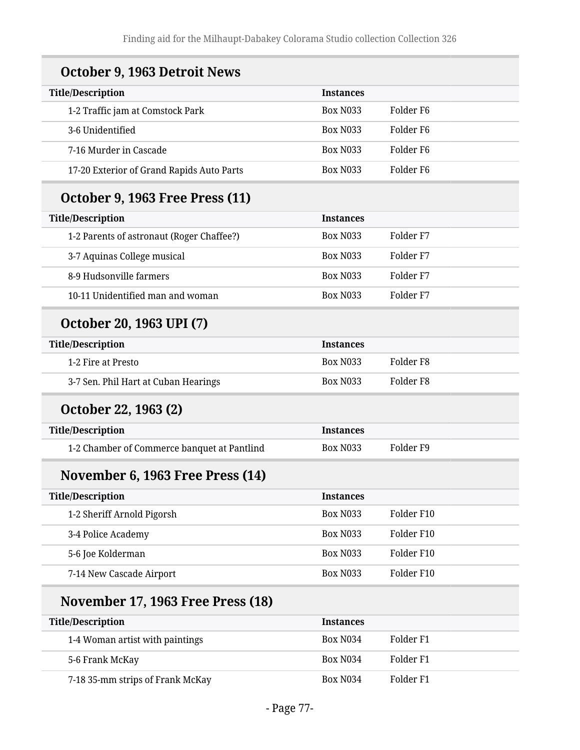| October 9, 1963 Detroit News                |                  |                      |
|---------------------------------------------|------------------|----------------------|
| <b>Title/Description</b>                    | <b>Instances</b> |                      |
| 1-2 Traffic jam at Comstock Park            | <b>Box N033</b>  | Folder <sub>F6</sub> |
| 3-6 Unidentified                            | <b>Box N033</b>  | Folder <sub>F6</sub> |
| 7-16 Murder in Cascade                      | <b>Box N033</b>  | Folder <sub>F6</sub> |
| 17-20 Exterior of Grand Rapids Auto Parts   | <b>Box N033</b>  | Folder <sub>F6</sub> |
| <b>October 9, 1963 Free Press (11)</b>      |                  |                      |
| <b>Title/Description</b>                    | <b>Instances</b> |                      |
| 1-2 Parents of astronaut (Roger Chaffee?)   | <b>Box N033</b>  | Folder F7            |
| 3-7 Aquinas College musical                 | <b>Box N033</b>  | Folder F7            |
| 8-9 Hudsonville farmers                     | <b>Box N033</b>  | Folder F7            |
| 10-11 Unidentified man and woman            | <b>Box N033</b>  | Folder <sub>F7</sub> |
| October 20, 1963 UPI (7)                    |                  |                      |
| <b>Title/Description</b>                    | <b>Instances</b> |                      |
| 1-2 Fire at Presto                          | <b>Box N033</b>  | Folder <sub>F8</sub> |
| 3-7 Sen. Phil Hart at Cuban Hearings        | <b>Box N033</b>  | Folder <sub>F8</sub> |
| October 22, 1963 (2)                        |                  |                      |
| <b>Title/Description</b>                    | <b>Instances</b> |                      |
| 1-2 Chamber of Commerce banquet at Pantlind | <b>Box N033</b>  | Folder <sub>F9</sub> |
| November 6, 1963 Free Press (14)            |                  |                      |
| <b>Title/Description</b>                    | <b>Instances</b> |                      |
| 1-2 Sheriff Arnold Pigorsh                  | <b>Box N033</b>  | Folder F10           |
| 3-4 Police Academy                          | <b>Box N033</b>  | Folder F10           |
| 5-6 Joe Kolderman                           | Box N033         | Folder F10           |
| 7-14 New Cascade Airport                    | Box N033         | Folder F10           |
| <b>November 17, 1963 Free Press (18)</b>    |                  |                      |
| <b>Title/Description</b>                    | <b>Instances</b> |                      |
| 1-4 Woman artist with paintings             | <b>Box N034</b>  | Folder <sub>F1</sub> |
| 5-6 Frank McKay                             | Box N034         | Folder <sub>F1</sub> |
| 7-18 35-mm strips of Frank McKay            | Box N034         | Folder <sub>F1</sub> |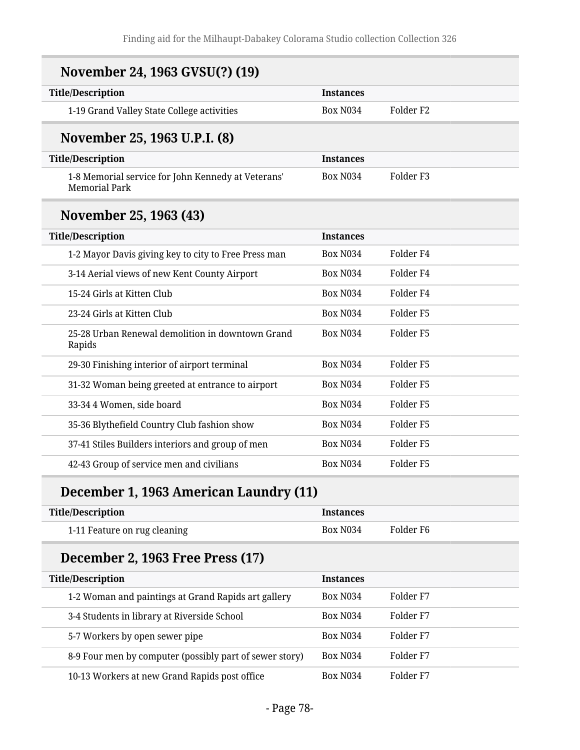| November 24, 1963 GVSU(?) (19)                                             |                  |                      |
|----------------------------------------------------------------------------|------------------|----------------------|
| <b>Title/Description</b>                                                   | <b>Instances</b> |                      |
| 1-19 Grand Valley State College activities                                 | <b>Box N034</b>  | Folder <sub>F2</sub> |
| November 25, 1963 U.P.I. (8)                                               |                  |                      |
| <b>Title/Description</b>                                                   | <b>Instances</b> |                      |
| 1-8 Memorial service for John Kennedy at Veterans'<br><b>Memorial Park</b> | <b>Box N034</b>  | Folder <sub>F3</sub> |
| November 25, 1963 (43)                                                     |                  |                      |
| <b>Title/Description</b>                                                   | <b>Instances</b> |                      |
| 1-2 Mayor Davis giving key to city to Free Press man                       | <b>Box N034</b>  | Folder <sub>F4</sub> |
| 3-14 Aerial views of new Kent County Airport                               | <b>Box N034</b>  | Folder <sub>F4</sub> |
| 15-24 Girls at Kitten Club                                                 | <b>Box N034</b>  | Folder <sub>F4</sub> |
| 23-24 Girls at Kitten Club                                                 | <b>Box N034</b>  | Folder <sub>F5</sub> |
| 25-28 Urban Renewal demolition in downtown Grand<br>Rapids                 | <b>Box N034</b>  | Folder <sub>F5</sub> |
| 29-30 Finishing interior of airport terminal                               | <b>Box N034</b>  | Folder <sub>F5</sub> |
| 31-32 Woman being greeted at entrance to airport                           | <b>Box N034</b>  | Folder <sub>F5</sub> |
| 33-34 4 Women, side board                                                  | <b>Box N034</b>  | Folder <sub>F5</sub> |
| 35-36 Blythefield Country Club fashion show                                | <b>Box N034</b>  | Folder <sub>F5</sub> |
| 37-41 Stiles Builders interiors and group of men                           | <b>Box N034</b>  | Folder <sub>F5</sub> |
| 42-43 Group of service men and civilians                                   | <b>Box N034</b>  | Folder <sub>F5</sub> |

# **December 1, 1963 American Laundry (11)**

| <b>Title/Description</b>     | <b>Instances</b> |             |
|------------------------------|------------------|-------------|
| 1-11 Feature on rug cleaning | <b>Box N034</b>  | - Folder F6 |

# **December 2, 1963 Free Press (17)**

| <b>Title/Description</b>                                | <b>Instances</b>      |           |
|---------------------------------------------------------|-----------------------|-----------|
| 1-2 Woman and paintings at Grand Rapids art gallery     | Box N <sub>0</sub> 34 | Folder F7 |
| 3-4 Students in library at Riverside School             | <b>Box N034</b>       | Folder F7 |
| 5-7 Workers by open sewer pipe                          | <b>Box N034</b>       | Folder F7 |
| 8-9 Four men by computer (possibly part of sewer story) | <b>Box N034</b>       | Folder F7 |
| 10-13 Workers at new Grand Rapids post office           | <b>Box N034</b>       | Folder F7 |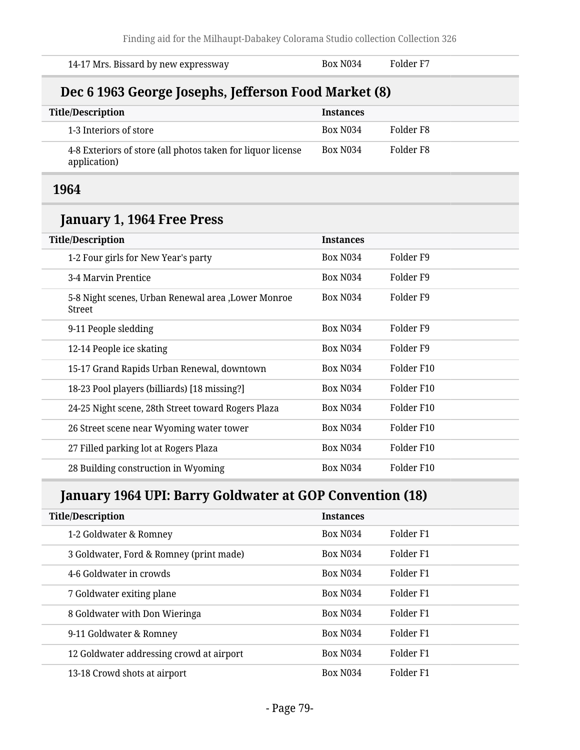| 14-17 Mrs. Bissard by new expressway                                        | <b>Box N034</b>  | Folder <sub>F7</sub> |
|-----------------------------------------------------------------------------|------------------|----------------------|
| Dec 6 1963 George Josephs, Jefferson Food Market (8)                        |                  |                      |
| <b>Title/Description</b>                                                    | <b>Instances</b> |                      |
| 1-3 Interiors of store                                                      | <b>Box N034</b>  | Folder <sub>F8</sub> |
| 4-8 Exteriors of store (all photos taken for liquor license<br>application) | <b>Box N034</b>  | Folder <sub>F8</sub> |
| 1964                                                                        |                  |                      |
| January 1, 1964 Free Press                                                  |                  |                      |
| <b>Title/Description</b>                                                    | <b>Instances</b> |                      |
| 1-2 Four girls for New Year's party                                         | <b>Box N034</b>  | Folder <sub>F9</sub> |
| 3-4 Marvin Prentice                                                         | <b>Box N034</b>  | Folder <sub>F9</sub> |
| 5-8 Night scenes, Urban Renewal area, Lower Monroe<br><b>Street</b>         | <b>Box N034</b>  | Folder <sub>F9</sub> |
| 9-11 People sledding                                                        | <b>Box N034</b>  | Folder <sub>F9</sub> |
| 12-14 People ice skating                                                    | <b>Box N034</b>  | Folder <sub>F9</sub> |
| 15-17 Grand Rapids Urban Renewal, downtown                                  | <b>Box N034</b>  | Folder F10           |
| 18-23 Pool players (billiards) [18 missing?]                                | <b>Box N034</b>  | Folder F10           |
| 24-25 Night scene, 28th Street toward Rogers Plaza                          | <b>Box N034</b>  | Folder F10           |
| 26 Street scene near Wyoming water tower                                    | <b>Box N034</b>  | Folder F10           |
| 27 Filled parking lot at Rogers Plaza                                       | <b>Box N034</b>  | Folder F10           |
| 28 Building construction in Wyoming                                         | <b>Box N034</b>  | Folder F10           |

# **January 1964 UPI: Barry Goldwater at GOP Convention (18)**

| <b>Title/Description</b>                 | <b>Instances</b> |                      |
|------------------------------------------|------------------|----------------------|
| 1-2 Goldwater & Romney                   | <b>Box N034</b>  | Folder <sub>F1</sub> |
| 3 Goldwater, Ford & Romney (print made)  | <b>Box N034</b>  | Folder F1            |
| 4-6 Goldwater in crowds                  | <b>Box N034</b>  | Folder F1            |
| 7 Goldwater exiting plane                | <b>Box N034</b>  | Folder F1            |
| 8 Goldwater with Don Wieringa            | <b>Box N034</b>  | Folder F1            |
| 9-11 Goldwater & Romney                  | <b>Box N034</b>  | Folder F1            |
| 12 Goldwater addressing crowd at airport | <b>Box N034</b>  | Folder F1            |
| 13-18 Crowd shots at airport             | <b>Box N034</b>  | Folder F1            |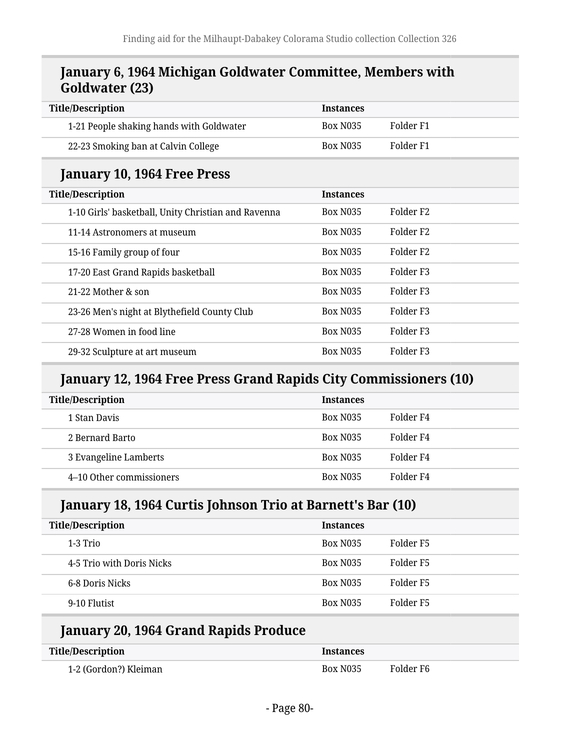#### **January 6, 1964 Michigan Goldwater Committee, Members with Goldwater (23)**

| <b>Title/Description</b>                            | <b>Instances</b> |                       |
|-----------------------------------------------------|------------------|-----------------------|
| 1-21 People shaking hands with Goldwater            | <b>Box N035</b>  | Folder F1             |
| 22-23 Smoking ban at Calvin College                 | <b>Box N035</b>  | Folder F1             |
| January 10, 1964 Free Press                         |                  |                       |
| <b>Title/Description</b>                            | <b>Instances</b> |                       |
| 1-10 Girls' basketball, Unity Christian and Ravenna | <b>Box N035</b>  | Folder F <sub>2</sub> |
| 11-14 Astronomers at museum                         | <b>Box N035</b>  | Folder F <sub>2</sub> |
| 15-16 Family group of four                          | <b>Box N035</b>  | Folder F <sub>2</sub> |
| 17-20 East Grand Rapids basketball                  | <b>Box N035</b>  | Folder <sub>F3</sub>  |
| 21-22 Mother & son                                  | <b>Box N035</b>  | Folder <sub>F3</sub>  |
| 23-26 Men's night at Blythefield County Club        | <b>Box N035</b>  | Folder F3             |
| 27-28 Women in food line                            | <b>Box N035</b>  | Folder F3             |
| 29-32 Sculpture at art museum                       | <b>Box N035</b>  | Folder <sub>F3</sub>  |

#### **January 12, 1964 Free Press Grand Rapids City Commissioners (10)**

| <b>Title/Description</b> | <b>Instances</b> |           |
|--------------------------|------------------|-----------|
| 1 Stan Davis             | <b>Box N035</b>  | Folder F4 |
| 2 Bernard Barto          | <b>Box N035</b>  | Folder F4 |
| 3 Evangeline Lamberts    | <b>Box N035</b>  | Folder F4 |
| 4-10 Other commissioners | <b>Box N035</b>  | Folder F4 |

#### **January 18, 1964 Curtis Johnson Trio at Barnett's Bar (10)**

| <b>Title/Description</b>  | <b>Instances</b> |           |
|---------------------------|------------------|-----------|
| 1-3 Trio                  | <b>Box N035</b>  | Folder F5 |
| 4-5 Trio with Doris Nicks | <b>Box N035</b>  | Folder F5 |
| 6-8 Doris Nicks           | <b>Box N035</b>  | Folder F5 |
| 9-10 Flutist              | <b>Box N035</b>  | Folder F5 |

#### **January 20, 1964 Grand Rapids Produce**

| Title/Description     | <b>Instances</b> |           |
|-----------------------|------------------|-----------|
| 1-2 (Gordon?) Kleiman | Box N035         | Folder F6 |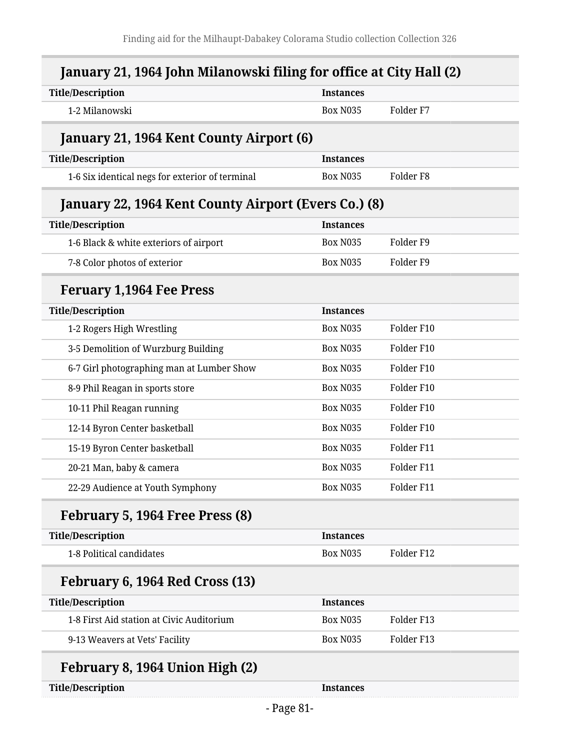| <b>Title/Description</b>                             | <b>Instances</b> |                      |  |
|------------------------------------------------------|------------------|----------------------|--|
| 1-2 Milanowski                                       | <b>Box N035</b>  | Folder <sub>F7</sub> |  |
| January 21, 1964 Kent County Airport (6)             |                  |                      |  |
| <b>Title/Description</b>                             | <b>Instances</b> |                      |  |
| 1-6 Six identical negs for exterior of terminal      | <b>Box N035</b>  | Folder <sub>F8</sub> |  |
| January 22, 1964 Kent County Airport (Evers Co.) (8) |                  |                      |  |
| <b>Title/Description</b>                             | <b>Instances</b> |                      |  |
| 1-6 Black & white exteriors of airport               | <b>Box N035</b>  | Folder <sub>F9</sub> |  |
| 7-8 Color photos of exterior                         | <b>Box N035</b>  | Folder <sub>F9</sub> |  |
| <b>Feruary 1,1964 Fee Press</b>                      |                  |                      |  |
| <b>Title/Description</b>                             | <b>Instances</b> |                      |  |
| 1-2 Rogers High Wrestling                            | <b>Box N035</b>  | Folder F10           |  |
| 3-5 Demolition of Wurzburg Building                  | <b>Box N035</b>  | Folder F10           |  |
| 6-7 Girl photographing man at Lumber Show            | <b>Box N035</b>  | Folder F10           |  |
| 8-9 Phil Reagan in sports store                      | <b>Box N035</b>  | Folder F10           |  |
| 10-11 Phil Reagan running                            | <b>Box N035</b>  | Folder F10           |  |
| 12-14 Byron Center basketball                        | <b>Box N035</b>  | Folder F10           |  |
| 15-19 Byron Center basketball                        | <b>Box N035</b>  | Folder F11           |  |
| 20-21 Man, baby & camera                             | <b>Box N035</b>  | Folder F11           |  |
| 22-29 Audience at Youth Symphony                     | <b>Box N035</b>  | Folder F11           |  |
| February 5, 1964 Free Press (8)                      |                  |                      |  |
| <b>Title/Description</b>                             | <b>Instances</b> |                      |  |
| 1-8 Political candidates                             | <b>Box N035</b>  | Folder F12           |  |
| February 6, 1964 Red Cross (13)                      |                  |                      |  |
| <b>Title/Description</b>                             | <b>Instances</b> |                      |  |
| 1-8 First Aid station at Civic Auditorium            | <b>Box N035</b>  | Folder F13           |  |
| 9-13 Weavers at Vets' Facility                       | <b>Box N035</b>  | Folder F13           |  |
| February 8, 1964 Union High (2)                      |                  |                      |  |
| <b>Title/Description</b>                             | <b>Instances</b> |                      |  |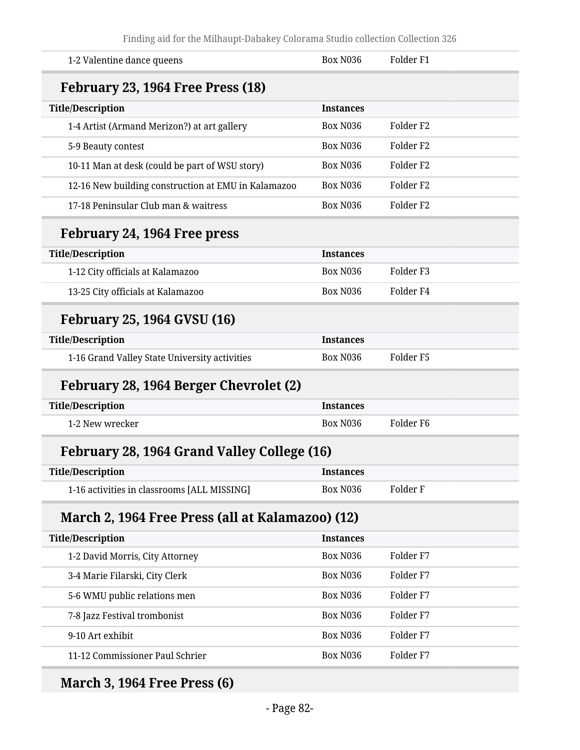| 1-2 Valentine dance queens                          | <b>Box N036</b>  | Folder <sub>F1</sub> |  |
|-----------------------------------------------------|------------------|----------------------|--|
| February 23, 1964 Free Press (18)                   |                  |                      |  |
| <b>Title/Description</b>                            | <b>Instances</b> |                      |  |
| 1-4 Artist (Armand Merizon?) at art gallery         | Box N036         | Folder <sub>F2</sub> |  |
| 5-9 Beauty contest                                  | <b>Box N036</b>  | Folder <sub>F2</sub> |  |
| 10-11 Man at desk (could be part of WSU story)      | Box N036         | Folder <sub>F2</sub> |  |
| 12-16 New building construction at EMU in Kalamazoo | <b>Box N036</b>  | Folder <sub>F2</sub> |  |
| 17-18 Peninsular Club man & waitress                | Box N036         | Folder <sub>F2</sub> |  |
| February 24, 1964 Free press                        |                  |                      |  |
| <b>Title/Description</b>                            | <b>Instances</b> |                      |  |
| 1-12 City officials at Kalamazoo                    | <b>Box N036</b>  | Folder <sub>F3</sub> |  |
| 13-25 City officials at Kalamazoo                   | <b>Box N036</b>  | Folder <sub>F4</sub> |  |
| <b>February 25, 1964 GVSU (16)</b>                  |                  |                      |  |
| <b>Title/Description</b>                            | <b>Instances</b> |                      |  |
| 1-16 Grand Valley State University activities       | Box N036         | Folder <sub>F5</sub> |  |
| February 28, 1964 Berger Chevrolet (2)              |                  |                      |  |
| <b>Title/Description</b>                            | <b>Instances</b> |                      |  |
| 1-2 New wrecker                                     | <b>Box N036</b>  | Folder <sub>F6</sub> |  |
| February 28, 1964 Grand Valley College (16)         |                  |                      |  |
| <b>Title/Description</b>                            | <b>Instances</b> |                      |  |
| 1-16 activities in classrooms [ALL MISSING]         | Box N036         | Folder F             |  |
| March 2, 1964 Free Press (all at Kalamazoo) (12)    |                  |                      |  |
| <b>Title/Description</b>                            | <b>Instances</b> |                      |  |
| 1-2 David Morris, City Attorney                     | <b>Box N036</b>  | Folder <sub>F7</sub> |  |
| 3-4 Marie Filarski, City Clerk                      | Box N036         | Folder <sub>F7</sub> |  |
| 5-6 WMU public relations men                        | <b>Box N036</b>  | Folder <sub>F7</sub> |  |
| 7-8 Jazz Festival trombonist                        | Box N036         | Folder <sub>F7</sub> |  |
| 9-10 Art exhibit                                    | <b>Box N036</b>  | Folder <sub>F7</sub> |  |
| 11-12 Commissioner Paul Schrier                     | Box N036         | Folder F7            |  |
|                                                     |                  |                      |  |

# **March 3, 1964 Free Press (6)**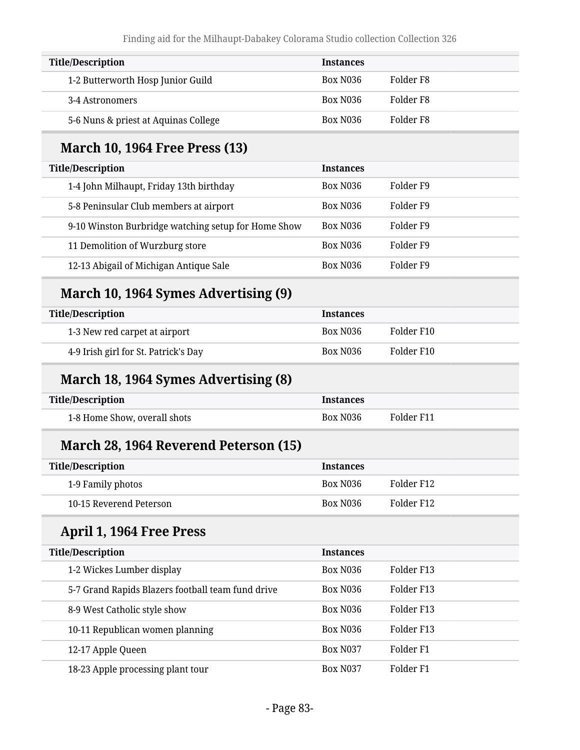| <b>Title/Description</b>             | <b>Instances</b>      |           |
|--------------------------------------|-----------------------|-----------|
| 1-2 Butterworth Hosp Junior Guild    | Box N <sub>0</sub> 36 | Folder F8 |
| 3-4 Astronomers                      | Box N036              | Folder F8 |
| 5-6 Nuns & priest at Aquinas College | Box N <sub>0</sub> 36 | Folder F8 |

### **March 10, 1964 Free Press (13)**

| <b>Title/Description</b>                            | <b>Instances</b> |           |
|-----------------------------------------------------|------------------|-----------|
| 1-4 John Milhaupt, Friday 13th birthday             | <b>Box N036</b>  | Folder F9 |
| 5-8 Peninsular Club members at airport              | <b>Box N036</b>  | Folder F9 |
| 9-10 Winston Burbridge watching setup for Home Show | <b>Box N036</b>  | Folder F9 |
| 11 Demolition of Wurzburg store                     | <b>Box N036</b>  | Folder F9 |
| 12-13 Abigail of Michigan Antique Sale              | <b>Box N036</b>  | Folder F9 |
|                                                     |                  |           |

### **March 10, 1964 Symes Advertising (9)**

| Title/Description                    | <b>Instances</b> |            |
|--------------------------------------|------------------|------------|
| 1-3 New red carpet at airport        | Box N036         | Folder F10 |
| 4-9 Irish girl for St. Patrick's Day | Box N036         | Folder F10 |

### **March 18, 1964 Symes Advertising (8)**

| <b>Title/Description</b>     | <b>Instances</b> |            |
|------------------------------|------------------|------------|
| 1-8 Home Show, overall shots | <b>Box N036</b>  | Folder F11 |

# **March 28, 1964 Reverend Peterson (15)**

| <b>Title/Description</b> | <b>Instances</b> |            |
|--------------------------|------------------|------------|
| 1-9 Family photos        | Box N036         | Folder F12 |
| 10-15 Reverend Peterson  | Box N036         | Folder F12 |

# **April 1, 1964 Free Press**

| <b>Title/Description</b>                          | <b>Instances</b>      |            |
|---------------------------------------------------|-----------------------|------------|
| 1-2 Wickes Lumber display                         | Box N <sub>0</sub> 36 | Folder F13 |
| 5-7 Grand Rapids Blazers football team fund drive | <b>Box N036</b>       | Folder F13 |
| 8-9 West Catholic style show                      | <b>Box N036</b>       | Folder F13 |
| 10-11 Republican women planning                   | <b>Box N036</b>       | Folder F13 |
| 12-17 Apple Queen                                 | <b>Box N037</b>       | Folder F1  |
| 18-23 Apple processing plant tour                 | <b>Box N037</b>       | Folder F1  |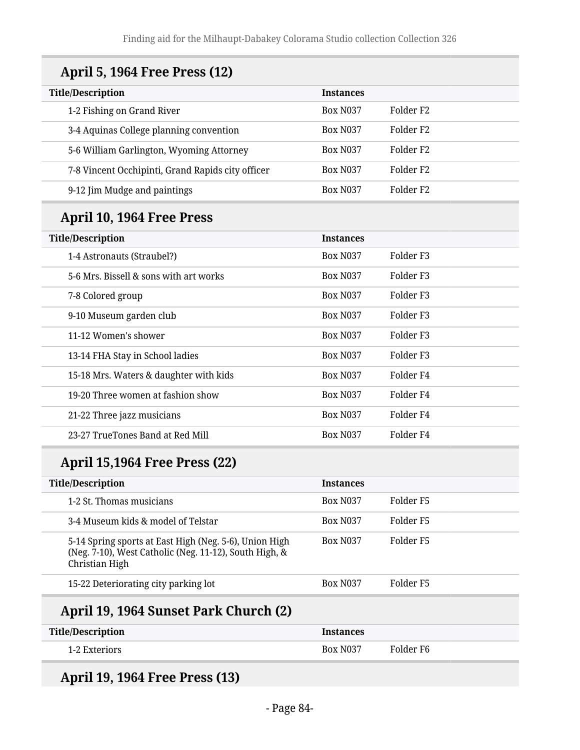| <b>April 5, 1964 Free Press (12)</b>                                                                                               |                  |                      |
|------------------------------------------------------------------------------------------------------------------------------------|------------------|----------------------|
| <b>Title/Description</b>                                                                                                           | <b>Instances</b> |                      |
| 1-2 Fishing on Grand River                                                                                                         | <b>Box N037</b>  | Folder <sub>F2</sub> |
| 3-4 Aquinas College planning convention                                                                                            | <b>Box N037</b>  | Folder <sub>F2</sub> |
| 5-6 William Garlington, Wyoming Attorney                                                                                           | <b>Box N037</b>  | Folder <sub>F2</sub> |
| 7-8 Vincent Occhipinti, Grand Rapids city officer                                                                                  | <b>Box N037</b>  | Folder <sub>F2</sub> |
| 9-12 Jim Mudge and paintings                                                                                                       | <b>Box N037</b>  | Folder <sub>F2</sub> |
| April 10, 1964 Free Press                                                                                                          |                  |                      |
| <b>Title/Description</b>                                                                                                           | <b>Instances</b> |                      |
| 1-4 Astronauts (Straubel?)                                                                                                         | <b>Box N037</b>  | Folder <sub>F3</sub> |
| 5-6 Mrs. Bissell & sons with art works                                                                                             | <b>Box N037</b>  | Folder <sub>F3</sub> |
| 7-8 Colored group                                                                                                                  | <b>Box N037</b>  | Folder <sub>F3</sub> |
| 9-10 Museum garden club                                                                                                            | <b>Box N037</b>  | Folder <sub>F3</sub> |
| 11-12 Women's shower                                                                                                               | <b>Box N037</b>  | Folder <sub>F3</sub> |
| 13-14 FHA Stay in School ladies                                                                                                    | <b>Box N037</b>  | Folder <sub>F3</sub> |
| 15-18 Mrs. Waters & daughter with kids                                                                                             | <b>Box N037</b>  | Folder <sub>F4</sub> |
| 19-20 Three women at fashion show                                                                                                  | <b>Box N037</b>  | Folder <sub>F4</sub> |
| 21-22 Three jazz musicians                                                                                                         | <b>Box N037</b>  | Folder <sub>F4</sub> |
| 23-27 TrueTones Band at Red Mill                                                                                                   | <b>Box N037</b>  | Folder <sub>F4</sub> |
| <b>April 15,1964 Free Press (22)</b>                                                                                               |                  |                      |
| Title/Description                                                                                                                  | <b>Instances</b> |                      |
| 1-2 St. Thomas musicians                                                                                                           | Box N037         | Folder <sub>F5</sub> |
| 3-4 Museum kids & model of Telstar                                                                                                 | <b>Box N037</b>  | Folder <sub>F5</sub> |
| 5-14 Spring sports at East High (Neg. 5-6), Union High<br>(Neg. 7-10), West Catholic (Neg. 11-12), South High, &<br>Christian High | <b>Box N037</b>  | Folder <sub>F5</sub> |
| 15-22 Deteriorating city parking lot                                                                                               | <b>Box N037</b>  | Folder <sub>F5</sub> |

# **April 19, 1964 Sunset Park Church (2)**

| <b>Title/Description</b> | <b>Instances</b> |           |
|--------------------------|------------------|-----------|
| 1-2 Exteriors            | <b>Box N037</b>  | Folder F6 |

# **April 19, 1964 Free Press (13)**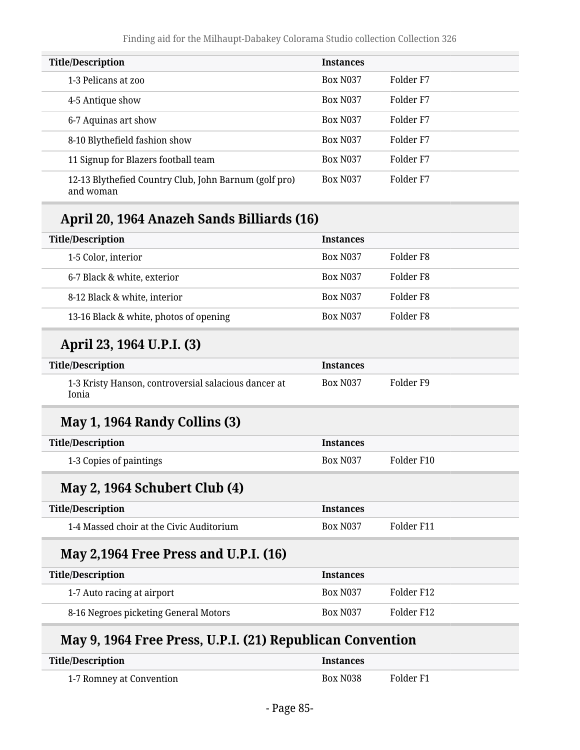| <b>Title/Description</b>                                           | <b>Instances</b> |           |
|--------------------------------------------------------------------|------------------|-----------|
| 1-3 Pelicans at zoo                                                | <b>Box N037</b>  | Folder F7 |
| 4-5 Antique show                                                   | <b>Box N037</b>  | Folder F7 |
| 6-7 Aquinas art show                                               | <b>Box N037</b>  | Folder F7 |
| 8-10 Blythefield fashion show                                      | <b>Box N037</b>  | Folder F7 |
| 11 Signup for Blazers football team                                | <b>Box N037</b>  | Folder F7 |
| 12-13 Blythefied Country Club, John Barnum (golf pro)<br>and woman | <b>Box N037</b>  | Folder F7 |

# **April 20, 1964 Anazeh Sands Billiards (16)**

| <b>Instances</b>                                          |
|-----------------------------------------------------------|
| Folder <sub>F8</sub>                                      |
| Folder <sub>F8</sub>                                      |
| Folder <sub>F8</sub>                                      |
| Folder <sub>F8</sub>                                      |
|                                                           |
| <b>Instances</b>                                          |
| Folder <sub>F9</sub>                                      |
|                                                           |
| <b>Instances</b>                                          |
| Folder F10                                                |
|                                                           |
| <b>Instances</b>                                          |
| Folder F11                                                |
|                                                           |
| <b>Instances</b>                                          |
| Folder F12                                                |
| Folder F12                                                |
| May 9, 1964 Free Press, ILD I, (21) Republican Convention |

#### **May 9, 1964 Free Press, U.P.I. (21) Republican Convention**

| <b>Title/Description</b> | Instances       |           |
|--------------------------|-----------------|-----------|
| 1-7 Romney at Convention | <b>Box N038</b> | Folder F1 |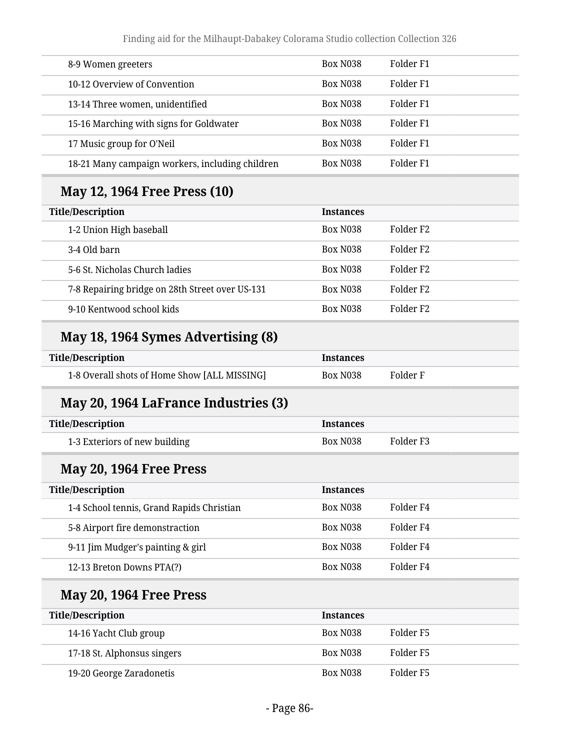| 8-9 Women greeters                              | Box N038        | Folder F1 |
|-------------------------------------------------|-----------------|-----------|
| 10-12 Overview of Convention                    | <b>Box N038</b> | Folder F1 |
| 13-14 Three women, unidentified                 | <b>Box N038</b> | Folder F1 |
| 15-16 Marching with signs for Goldwater         | <b>Box N038</b> | Folder F1 |
| 17 Music group for O'Neil                       | <b>Box N038</b> | Folder F1 |
| 18-21 Many campaign workers, including children | <b>Box N038</b> | Folder F1 |

# **May 12, 1964 Free Press (10)**

| <b>Title/Description</b>                        | <b>Instances</b> |                       |
|-------------------------------------------------|------------------|-----------------------|
| 1-2 Union High baseball                         | <b>Box N038</b>  | Folder F <sub>2</sub> |
| 3-4 Old barn                                    | <b>Box N038</b>  | Folder F <sub>2</sub> |
| 5-6 St. Nicholas Church ladies                  | <b>Box N038</b>  | Folder F <sub>2</sub> |
| 7-8 Repairing bridge on 28th Street over US-131 | <b>Box N038</b>  | Folder F <sub>2</sub> |
| 9-10 Kentwood school kids                       | <b>Box N038</b>  | Folder F <sub>2</sub> |

# **May 18, 1964 Symes Advertising (8)**

| <b>Title/Description</b>                     | <b>Instances</b> |          |
|----------------------------------------------|------------------|----------|
| 1-8 Overall shots of Home Show [ALL MISSING] | Box N038         | Folder F |

### **May 20, 1964 LaFrance Industries (3)**

| Title/Description             | <b>Instances</b> |           |
|-------------------------------|------------------|-----------|
| 1-3 Exteriors of new building | Box N038         | Folder F3 |

#### **May 20, 1964 Free Press**

| <b>Title/Description</b>                  | <b>Instances</b> |           |
|-------------------------------------------|------------------|-----------|
| 1-4 School tennis, Grand Rapids Christian | <b>Box N038</b>  | Folder F4 |
| 5-8 Airport fire demonstraction           | <b>Box N038</b>  | Folder F4 |
| 9-11 Jim Mudger's painting & girl         | <b>Box N038</b>  | Folder F4 |
| 12-13 Breton Downs PTA(?)                 | <b>Box N038</b>  | Folder F4 |
|                                           |                  |           |

# **May 20, 1964 Free Press**

| <b>Title/Description</b>    | <b>Instances</b> |           |
|-----------------------------|------------------|-----------|
| 14-16 Yacht Club group      | <b>Box N038</b>  | Folder F5 |
| 17-18 St. Alphonsus singers | <b>Box N038</b>  | Folder F5 |
| 19-20 George Zaradonetis    | <b>Box N038</b>  | Folder F5 |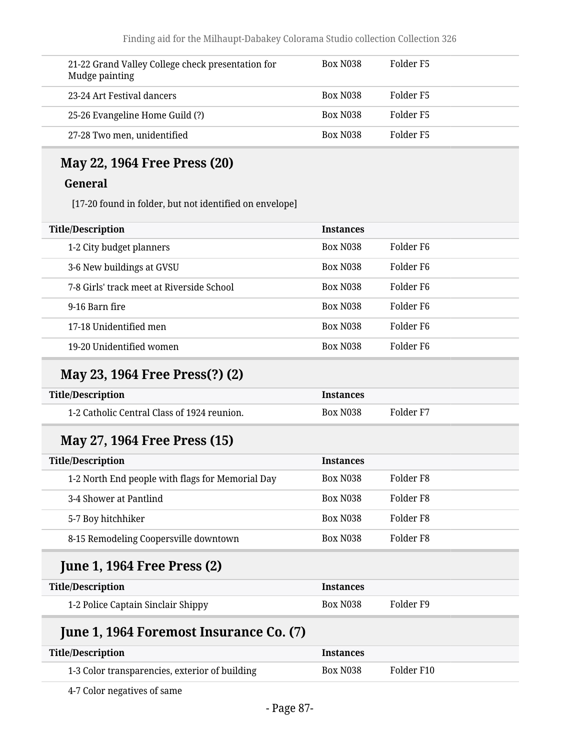| 21-22 Grand Valley College check presentation for<br>Mudge painting | <b>Box N038</b> | Folder F5 |
|---------------------------------------------------------------------|-----------------|-----------|
| 23-24 Art Festival dancers                                          | <b>Box N038</b> | Folder F5 |
| 25-26 Evangeline Home Guild (?)                                     | <b>Box N038</b> | Folder F5 |
| 27-28 Two men, unidentified                                         | <b>Box N038</b> | Folder F5 |

#### **May 22, 1964 Free Press (20)**

#### **General**

[17-20 found in folder, but not identified on envelope]

| <b>Title/Description</b>                  | <b>Instances</b> |                       |
|-------------------------------------------|------------------|-----------------------|
| 1-2 City budget planners                  | <b>Box N038</b>  | Folder F <sub>6</sub> |
| 3-6 New buildings at GVSU                 | Box N038         | Folder F6             |
| 7-8 Girls' track meet at Riverside School | <b>Box N038</b>  | Folder F6             |
| 9-16 Barn fire                            | <b>Box N038</b>  | Folder F <sub>6</sub> |
| 17-18 Unidentified men                    | <b>Box N038</b>  | Folder F6             |
| 19-20 Unidentified women                  | <b>Box N038</b>  | Folder F6             |
|                                           |                  |                       |

#### **May 23, 1964 Free Press(?) (2)**

| Title/Description                           | Instances |           |
|---------------------------------------------|-----------|-----------|
| 1-2 Catholic Central Class of 1924 reunion. | Box N038  | Folder F7 |

#### **May 27, 1964 Free Press (15)**

| <b>Title/Description</b>                         | <b>Instances</b> |           |
|--------------------------------------------------|------------------|-----------|
| 1-2 North End people with flags for Memorial Day | <b>Box N038</b>  | Folder F8 |
| 3-4 Shower at Pantlind                           | <b>Box N038</b>  | Folder F8 |
| 5-7 Boy hitchhiker                               | <b>Box N038</b>  | Folder F8 |
| 8-15 Remodeling Coopersville downtown            | <b>Box N038</b>  | Folder F8 |

#### **June 1, 1964 Free Press (2)**

| <b>Title/Description</b>           | <b>Instances</b> |           |
|------------------------------------|------------------|-----------|
| 1-2 Police Captain Sinclair Shippy | Box N038         | Folder F9 |

### **June 1, 1964 Foremost Insurance Co. (7)**

| <b>Title/Description</b>                       | Instances |            |
|------------------------------------------------|-----------|------------|
| 1-3 Color transparencies, exterior of building | Box N038  | Folder F10 |

4-7 Color negatives of same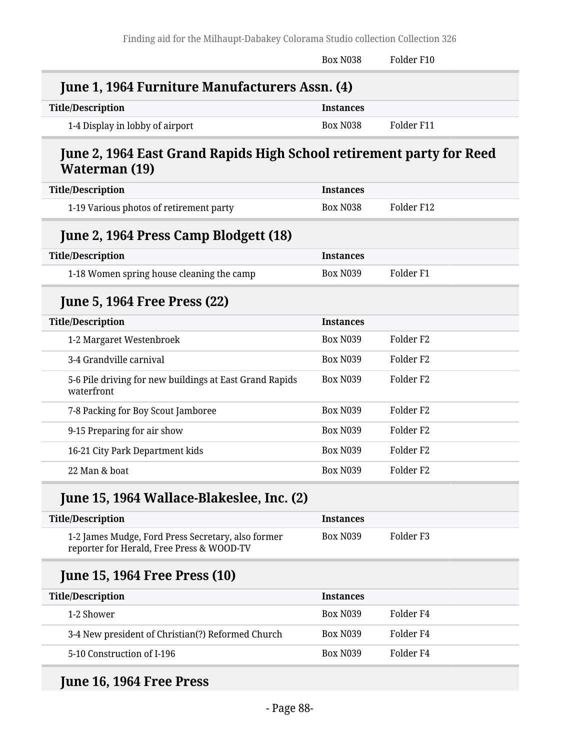|                                                                                                 | Box N038         | Folder F10           |
|-------------------------------------------------------------------------------------------------|------------------|----------------------|
| June 1, 1964 Furniture Manufacturers Assn. (4)                                                  |                  |                      |
| <b>Title/Description</b>                                                                        | <b>Instances</b> |                      |
| 1-4 Display in lobby of airport                                                                 | <b>Box N038</b>  | Folder F11           |
| June 2, 1964 East Grand Rapids High School retirement party for Reed<br>Waterman (19)           |                  |                      |
| <b>Title/Description</b>                                                                        | <b>Instances</b> |                      |
| 1-19 Various photos of retirement party                                                         | <b>Box N038</b>  | Folder F12           |
| June 2, 1964 Press Camp Blodgett (18)                                                           |                  |                      |
| <b>Title/Description</b>                                                                        | <b>Instances</b> |                      |
| 1-18 Women spring house cleaning the camp                                                       | <b>Box N039</b>  | Folder <sub>F1</sub> |
| <b>June 5, 1964 Free Press (22)</b>                                                             |                  |                      |
| <b>Title/Description</b>                                                                        | <b>Instances</b> |                      |
| 1-2 Margaret Westenbroek                                                                        | <b>Box N039</b>  | Folder <sub>F2</sub> |
| 3-4 Grandville carnival                                                                         | <b>Box N039</b>  | Folder <sub>F2</sub> |
| 5-6 Pile driving for new buildings at East Grand Rapids<br>waterfront                           | <b>Box N039</b>  | Folder <sub>F2</sub> |
| 7-8 Packing for Boy Scout Jamboree                                                              | <b>Box N039</b>  | Folder <sub>F2</sub> |
| 9-15 Preparing for air show                                                                     | <b>Box N039</b>  | Folder <sub>F2</sub> |
| 16-21 City Park Department kids                                                                 | <b>Box N039</b>  | Folder <sub>F2</sub> |
| 22 Man & boat                                                                                   | Box N039         | Folder <sub>F2</sub> |
| June 15, 1964 Wallace-Blakeslee, Inc. (2)                                                       |                  |                      |
| <b>Title/Description</b>                                                                        | <b>Instances</b> |                      |
| 1-2 James Mudge, Ford Press Secretary, also former<br>reporter for Herald, Free Press & WOOD-TV | <b>Box N039</b>  | Folder <sub>F3</sub> |

# **June 15, 1964 Free Press (10)**

| <b>Title/Description</b>                          | <b>Instances</b> |           |
|---------------------------------------------------|------------------|-----------|
| 1-2 Shower                                        | <b>Box N039</b>  | Folder F4 |
| 3-4 New president of Christian(?) Reformed Church | <b>Box N039</b>  | Folder F4 |
| 5-10 Construction of I-196                        | <b>Box N039</b>  | Folder F4 |

# **June 16, 1964 Free Press**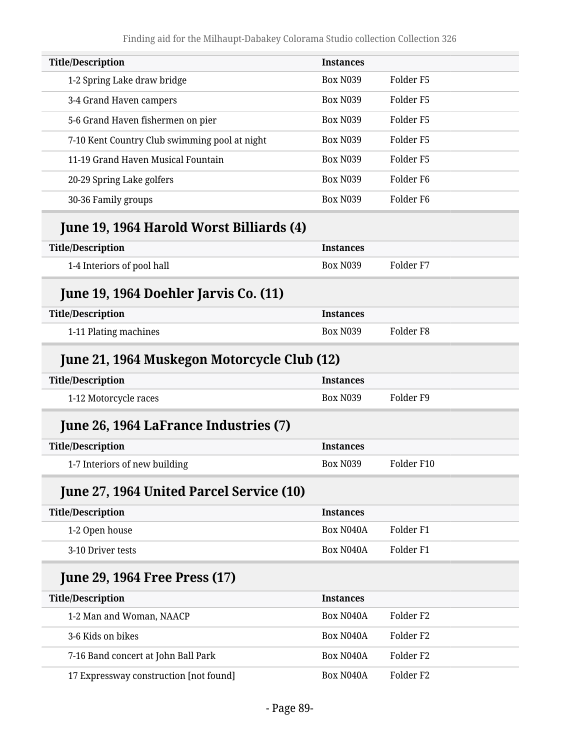| <b>Instances</b>                      |                                                                                                                                     |
|---------------------------------------|-------------------------------------------------------------------------------------------------------------------------------------|
| <b>Box N039</b>                       | Folder <sub>F5</sub>                                                                                                                |
| <b>Box N039</b>                       | Folder <sub>F5</sub>                                                                                                                |
| <b>Box N039</b>                       | Folder <sub>F5</sub>                                                                                                                |
| <b>Box N039</b>                       | Folder <sub>F5</sub>                                                                                                                |
| <b>Box N039</b>                       | Folder <sub>F5</sub>                                                                                                                |
| <b>Box N039</b>                       | Folder <sub>F6</sub>                                                                                                                |
| <b>Box N039</b>                       | Folder <sub>F6</sub>                                                                                                                |
|                                       |                                                                                                                                     |
| <b>Instances</b>                      |                                                                                                                                     |
| <b>Box N039</b>                       | Folder <sub>F7</sub>                                                                                                                |
|                                       |                                                                                                                                     |
| <b>Instances</b>                      |                                                                                                                                     |
| <b>Box N039</b>                       | Folder <sub>F8</sub>                                                                                                                |
|                                       |                                                                                                                                     |
| <b>Instances</b>                      |                                                                                                                                     |
| <b>Box N039</b>                       | Folder <sub>F9</sub>                                                                                                                |
|                                       |                                                                                                                                     |
| <b>Instances</b>                      |                                                                                                                                     |
| <b>Box N039</b>                       | Folder F10                                                                                                                          |
|                                       |                                                                                                                                     |
| <b>Instances</b>                      |                                                                                                                                     |
| Box N040A                             | Folder <sub>F1</sub>                                                                                                                |
| Box N040A                             | Folder <sub>F1</sub>                                                                                                                |
|                                       |                                                                                                                                     |
| <b>Instances</b>                      |                                                                                                                                     |
| Box N040A                             | Folder <sub>F2</sub>                                                                                                                |
| Box N040A                             | Folder <sub>F2</sub>                                                                                                                |
| Box N040A                             | Folder <sub>F2</sub>                                                                                                                |
| Box N040A                             | Folder <sub>F2</sub>                                                                                                                |
| June 26, 1964 LaFrance Industries (7) | June 19, 1964 Harold Worst Billiards (4)<br>June 21, 1964 Muskegon Motorcycle Club (12)<br>June 27, 1964 United Parcel Service (10) |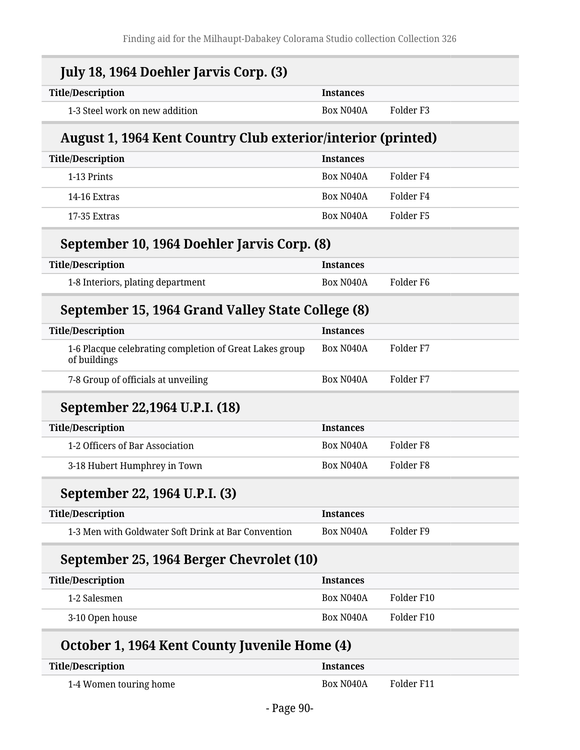| <b>Title/Description</b>                                                | <b>Instances</b> |                      |
|-------------------------------------------------------------------------|------------------|----------------------|
| 1-3 Steel work on new addition                                          | Box N040A        | Folder <sub>F3</sub> |
| August 1, 1964 Kent Country Club exterior/interior (printed)            |                  |                      |
| <b>Title/Description</b>                                                | <b>Instances</b> |                      |
| 1-13 Prints                                                             | Box N040A        | Folder F4            |
| 14-16 Extras                                                            | Box N040A        | Folder <sub>F4</sub> |
| 17-35 Extras                                                            | Box N040A        | Folder <sub>F5</sub> |
| September 10, 1964 Doehler Jarvis Corp. (8)                             |                  |                      |
| <b>Title/Description</b>                                                | <b>Instances</b> |                      |
| 1-8 Interiors, plating department                                       | Box N040A        | Folder <sub>F6</sub> |
| September 15, 1964 Grand Valley State College (8)                       |                  |                      |
| <b>Title/Description</b>                                                | <b>Instances</b> |                      |
| 1-6 Placque celebrating completion of Great Lakes group<br>of buildings | Box N040A        | Folder <sub>F7</sub> |
| 7-8 Group of officials at unveiling                                     | Box N040A        | Folder <sub>F7</sub> |
| September 22,1964 U.P.I. (18)                                           |                  |                      |
| <b>Title/Description</b>                                                | <b>Instances</b> |                      |
| 1-2 Officers of Bar Association                                         | Box N040A        | Folder <sub>F8</sub> |
| 3-18 Hubert Humphrey in Town                                            | Box N040A        | Folder <sub>F8</sub> |
| September 22, 1964 U.P.I. (3)                                           |                  |                      |
| <b>Title/Description</b>                                                | <b>Instances</b> |                      |
| 1-3 Men with Goldwater Soft Drink at Bar Convention                     | Box N040A        | Folder <sub>F9</sub> |
| September 25, 1964 Berger Chevrolet (10)                                |                  |                      |
| <b>Title/Description</b>                                                | <b>Instances</b> |                      |
| 1-2 Salesmen                                                            | Box N040A        | Folder F10           |
| 3-10 Open house                                                         | Box N040A        | Folder F10           |
| October 1, 1964 Kent County Juvenile Home (4)                           |                  |                      |
| <b>Title/Description</b>                                                | <b>Instances</b> |                      |

| 1-4 Women touring home | Box N040A | Folder F11 |
|------------------------|-----------|------------|
|                        |           |            |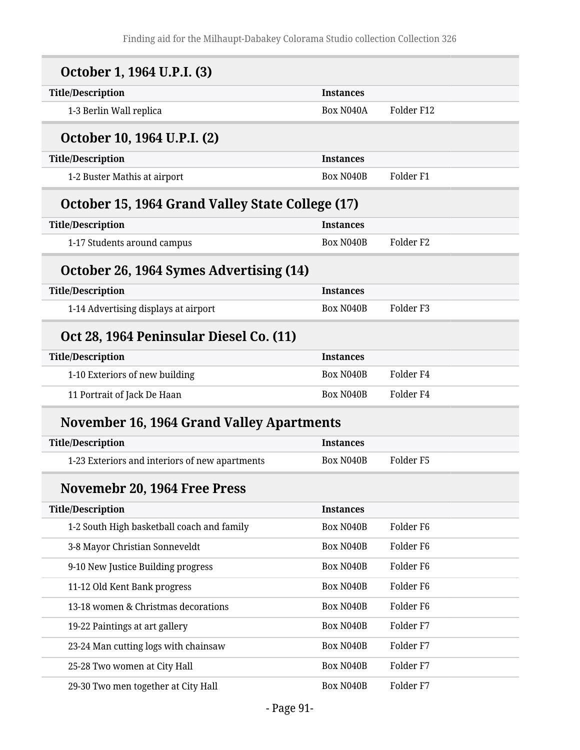| October 1, 1964 U.P.I. (3)                       |                  |                      |  |
|--------------------------------------------------|------------------|----------------------|--|
| <b>Title/Description</b>                         | <b>Instances</b> |                      |  |
| 1-3 Berlin Wall replica                          | Box N040A        | Folder F12           |  |
| October 10, 1964 U.P.I. (2)                      |                  |                      |  |
| <b>Title/Description</b>                         | <b>Instances</b> |                      |  |
| 1-2 Buster Mathis at airport                     | Box N040B        | Folder <sub>F1</sub> |  |
| October 15, 1964 Grand Valley State College (17) |                  |                      |  |
| <b>Title/Description</b>                         | <b>Instances</b> |                      |  |
| 1-17 Students around campus                      | Box N040B        | Folder <sub>F2</sub> |  |
| October 26, 1964 Symes Advertising (14)          |                  |                      |  |
| <b>Title/Description</b>                         | <b>Instances</b> |                      |  |
| 1-14 Advertising displays at airport             | Box N040B        | Folder <sub>F3</sub> |  |
| Oct 28, 1964 Peninsular Diesel Co. (11)          |                  |                      |  |
| <b>Title/Description</b>                         | <b>Instances</b> |                      |  |
| 1-10 Exteriors of new building                   | Box N040B        | Folder <sub>F4</sub> |  |
| 11 Portrait of Jack De Haan                      | Box N040B        | Folder <sub>F4</sub> |  |
| <b>November 16, 1964 Grand Valley Apartments</b> |                  |                      |  |
| <b>Title/Description</b>                         | <b>Instances</b> |                      |  |
| 1-23 Exteriors and interiors of new apartments   | Box N040B        | Folder <sub>F5</sub> |  |
| Novemebr 20, 1964 Free Press                     |                  |                      |  |
| <b>Title/Description</b>                         | <b>Instances</b> |                      |  |
| 1-2 South High basketball coach and family       | Box N040B        | Folder <sub>F6</sub> |  |
| 3-8 Mayor Christian Sonneveldt                   | Box N040B        | Folder <sub>F6</sub> |  |
| 9-10 New Justice Building progress               | Box N040B        | Folder <sub>F6</sub> |  |
| 11-12 Old Kent Bank progress                     | Box N040B        | Folder <sub>F6</sub> |  |
| 13-18 women & Christmas decorations              | Box N040B        | Folder <sub>F6</sub> |  |
| 19-22 Paintings at art gallery                   | Box N040B        | Folder <sub>F7</sub> |  |
| 23-24 Man cutting logs with chainsaw             | Box N040B        | Folder <sub>F7</sub> |  |
| 25-28 Two women at City Hall                     | Box N040B        | Folder <sub>F7</sub> |  |
| 29-30 Two men together at City Hall              | Box N040B        | Folder <sub>F7</sub> |  |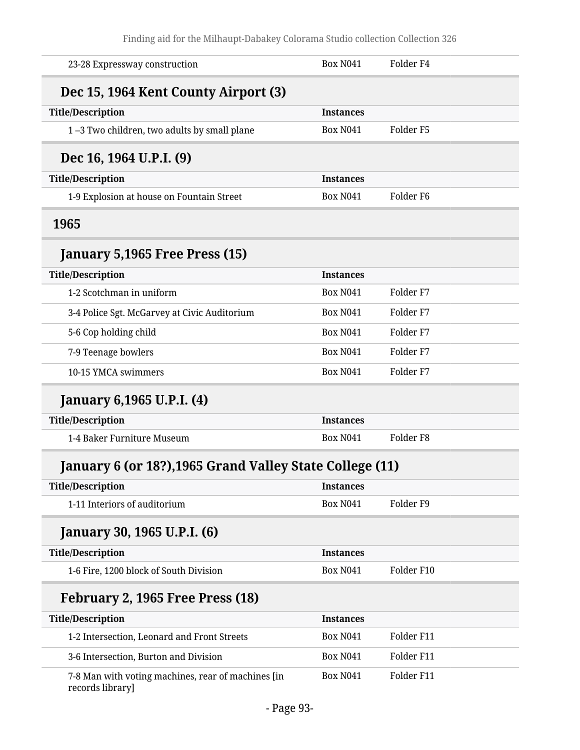| 23-28 Expressway construction                                          | <b>Box N041</b>  | Folder <sub>F4</sub> |
|------------------------------------------------------------------------|------------------|----------------------|
| Dec 15, 1964 Kent County Airport (3)                                   |                  |                      |
| <b>Title/Description</b>                                               | <b>Instances</b> |                      |
| 1-3 Two children, two adults by small plane                            | <b>Box N041</b>  | Folder <sub>F5</sub> |
| Dec 16, 1964 U.P.I. (9)                                                |                  |                      |
| <b>Title/Description</b>                                               | <b>Instances</b> |                      |
| 1-9 Explosion at house on Fountain Street                              | <b>Box N041</b>  | Folder <sub>F6</sub> |
| 1965                                                                   |                  |                      |
| January 5,1965 Free Press (15)                                         |                  |                      |
| <b>Title/Description</b>                                               | <b>Instances</b> |                      |
| 1-2 Scotchman in uniform                                               | <b>Box N041</b>  | Folder <sub>F7</sub> |
| 3-4 Police Sgt. McGarvey at Civic Auditorium                           | <b>Box N041</b>  | Folder <sub>F7</sub> |
| 5-6 Cop holding child                                                  | <b>Box N041</b>  | Folder <sub>F7</sub> |
| 7-9 Teenage bowlers                                                    | <b>Box N041</b>  | Folder <sub>F7</sub> |
| 10-15 YMCA swimmers                                                    | <b>Box N041</b>  | Folder <sub>F7</sub> |
| January 6,1965 U.P.I. (4)                                              |                  |                      |
| <b>Title/Description</b>                                               | <b>Instances</b> |                      |
| 1-4 Baker Furniture Museum                                             | <b>Box N041</b>  | Folder <sub>F8</sub> |
| January 6 (or 18?), 1965 Grand Valley State College (11)               |                  |                      |
| <b>Title/Description</b>                                               | <b>Instances</b> |                      |
| 1-11 Interiors of auditorium                                           | <b>Box N041</b>  | Folder <sub>F9</sub> |
| January 30, 1965 U.P.I. (6)                                            |                  |                      |
| <b>Title/Description</b>                                               | <b>Instances</b> |                      |
| 1-6 Fire, 1200 block of South Division                                 | <b>Box N041</b>  | Folder F10           |
| February 2, 1965 Free Press (18)                                       |                  |                      |
| <b>Title/Description</b>                                               | <b>Instances</b> |                      |
| 1-2 Intersection, Leonard and Front Streets                            | <b>Box N041</b>  | Folder F11           |
| 3-6 Intersection, Burton and Division                                  | <b>Box N041</b>  | Folder F11           |
| 7-8 Man with voting machines, rear of machines [in<br>records library] | <b>Box N041</b>  | Folder F11           |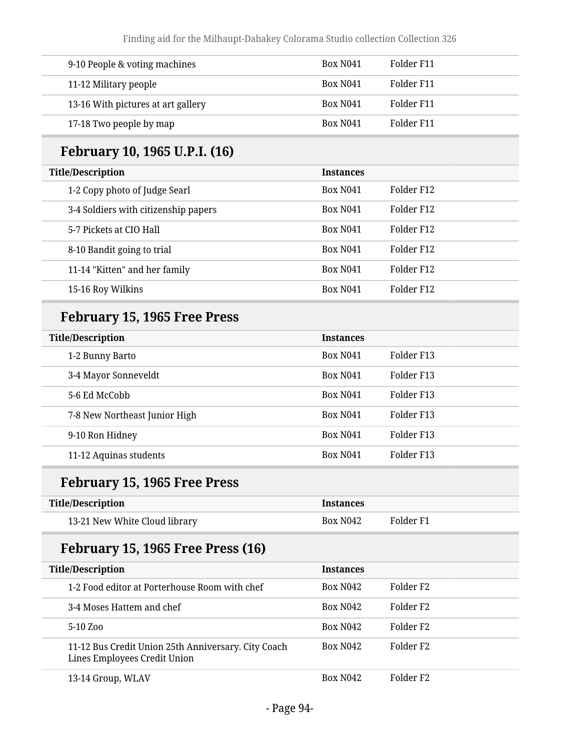| 9-10 People & voting machines      | Box N <sub>041</sub> | Folder F11 |
|------------------------------------|----------------------|------------|
| 11-12 Military people              | <b>Box N041</b>      | Folder F11 |
| 13-16 With pictures at art gallery | <b>Box N041</b>      | Folder F11 |
| 17-18 Two people by map            | <b>Box N041</b>      | Folder F11 |

# **February 10, 1965 U.P.I. (16)**

| <b>Title/Description</b>             | <b>Instances</b> |            |
|--------------------------------------|------------------|------------|
| 1-2 Copy photo of Judge Searl        | <b>Box N041</b>  | Folder F12 |
| 3-4 Soldiers with citizenship papers | <b>Box N041</b>  | Folder F12 |
| 5-7 Pickets at CIO Hall              | <b>Box N041</b>  | Folder F12 |
| 8-10 Bandit going to trial           | <b>Box N041</b>  | Folder F12 |
| 11-14 "Kitten" and her family        | <b>Box N041</b>  | Folder F12 |
| 15-16 Roy Wilkins                    | <b>Box N041</b>  | Folder F12 |

# **February 15, 1965 Free Press**

| <b>Title/Description</b>      | <b>Instances</b> |            |
|-------------------------------|------------------|------------|
| 1-2 Bunny Barto               | <b>Box N041</b>  | Folder F13 |
| 3-4 Mayor Sonneveldt          | <b>Box N041</b>  | Folder F13 |
| 5-6 Ed McCobb                 | <b>Box N041</b>  | Folder F13 |
| 7-8 New Northeast Junior High | <b>Box N041</b>  | Folder F13 |
| 9-10 Ron Hidney               | <b>Box N041</b>  | Folder F13 |
| 11-12 Aquinas students        | <b>Box N041</b>  | Folder F13 |

# **February 15, 1965 Free Press**

| <b>Title/Description</b>      | <i><u><b>Instances</b></u></i> |           |
|-------------------------------|--------------------------------|-----------|
| 13-21 New White Cloud library | <b>Box N042</b>                | Folder F1 |

# **February 15, 1965 Free Press (16)**

| <b>Title/Description</b>                                                            | <b>Instances</b> |                       |
|-------------------------------------------------------------------------------------|------------------|-----------------------|
| 1-2 Food editor at Porterhouse Room with chef                                       | <b>Box N042</b>  | Folder F <sub>2</sub> |
| 3-4 Moses Hattem and chef                                                           | <b>Box N042</b>  | Folder F <sub>2</sub> |
| 5-10 Zoo                                                                            | <b>Box N042</b>  | Folder F <sub>2</sub> |
| 11-12 Bus Credit Union 25th Anniversary. City Coach<br>Lines Employees Credit Union | <b>Box N042</b>  | Folder F <sub>2</sub> |
| 13-14 Group, WLAV                                                                   | <b>Box N042</b>  | Folder F <sub>2</sub> |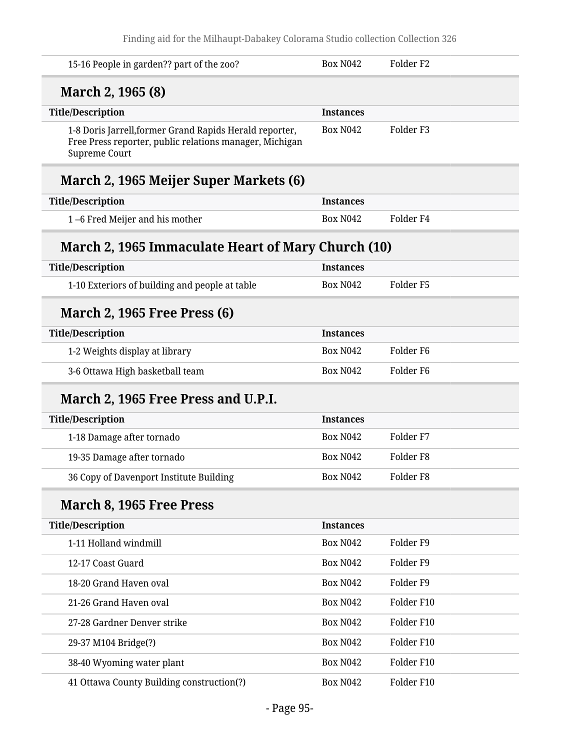| 15-16 People in garden?? part of the zoo?                                                                                                  | <b>Box N042</b>  | Folder <sub>F2</sub> |  |
|--------------------------------------------------------------------------------------------------------------------------------------------|------------------|----------------------|--|
| March 2, 1965 (8)                                                                                                                          |                  |                      |  |
| <b>Title/Description</b>                                                                                                                   | <b>Instances</b> |                      |  |
| 1-8 Doris Jarrell, former Grand Rapids Herald reporter,<br>Free Press reporter, public relations manager, Michigan<br><b>Supreme Court</b> | <b>Box N042</b>  | Folder <sub>F3</sub> |  |
| March 2, 1965 Meijer Super Markets (6)                                                                                                     |                  |                      |  |
| <b>Title/Description</b>                                                                                                                   | <b>Instances</b> |                      |  |
| 1-6 Fred Meijer and his mother                                                                                                             | <b>Box N042</b>  | Folder <sub>F4</sub> |  |
| March 2, 1965 Immaculate Heart of Mary Church (10)                                                                                         |                  |                      |  |
| <b>Title/Description</b>                                                                                                                   | <b>Instances</b> |                      |  |
| 1-10 Exteriors of building and people at table                                                                                             | <b>Box N042</b>  | Folder <sub>F5</sub> |  |
| <b>March 2, 1965 Free Press (6)</b>                                                                                                        |                  |                      |  |
| <b>Title/Description</b>                                                                                                                   | <b>Instances</b> |                      |  |
| 1-2 Weights display at library                                                                                                             | <b>Box N042</b>  | Folder <sub>F6</sub> |  |
| 3-6 Ottawa High basketball team                                                                                                            | <b>Box N042</b>  | Folder <sub>F6</sub> |  |
| March 2, 1965 Free Press and U.P.I.                                                                                                        |                  |                      |  |
| <b>Title/Description</b>                                                                                                                   | <b>Instances</b> |                      |  |
| 1-18 Damage after tornado                                                                                                                  | <b>Box N042</b>  | Folder <sub>F7</sub> |  |
| 19-35 Damage after tornado                                                                                                                 | <b>Box N042</b>  | Folder F8            |  |
| 36 Copy of Davenport Institute Building                                                                                                    | <b>Box N042</b>  | Folder <sub>F8</sub> |  |
| March 8, 1965 Free Press                                                                                                                   |                  |                      |  |
| <b>Title/Description</b>                                                                                                                   | <b>Instances</b> |                      |  |
| 1-11 Holland windmill                                                                                                                      | <b>Box N042</b>  | Folder <sub>F9</sub> |  |
| 12-17 Coast Guard                                                                                                                          | <b>Box N042</b>  | Folder <sub>F9</sub> |  |
| 18-20 Grand Haven oval                                                                                                                     | <b>Box N042</b>  | Folder <sub>F9</sub> |  |
| 21-26 Grand Haven oval                                                                                                                     | <b>Box N042</b>  | Folder F10           |  |
| 27-28 Gardner Denver strike                                                                                                                | <b>Box N042</b>  | Folder F10           |  |
| 29-37 M104 Bridge(?)                                                                                                                       | <b>Box N042</b>  | Folder F10           |  |
| 38-40 Wyoming water plant                                                                                                                  | <b>Box N042</b>  | Folder F10           |  |
| 41 Ottawa County Building construction(?)                                                                                                  | <b>Box N042</b>  | Folder F10           |  |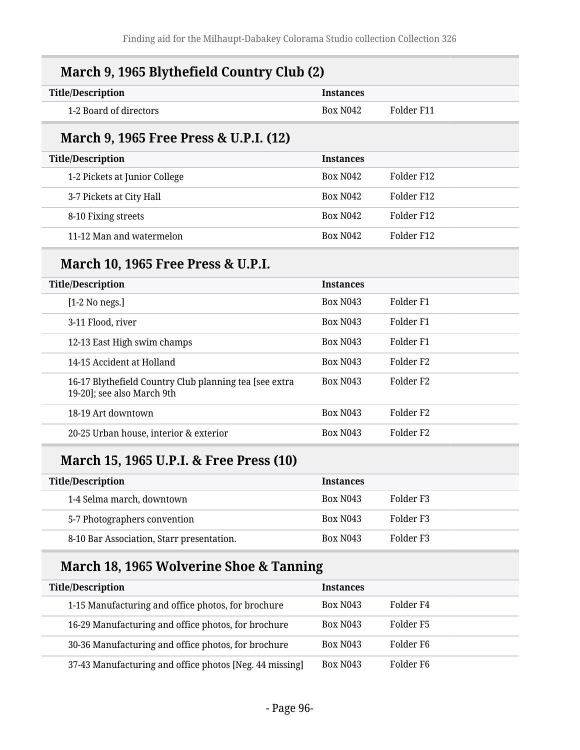| March 9, 1965 Blythefield Country Club (2)                                           |                  |                      |  |
|--------------------------------------------------------------------------------------|------------------|----------------------|--|
| <b>Title/Description</b>                                                             | <b>Instances</b> |                      |  |
| 1-2 Board of directors                                                               | <b>Box N042</b>  | Folder F11           |  |
| March 9, 1965 Free Press & U.P.I. (12)                                               |                  |                      |  |
| <b>Title/Description</b>                                                             | <b>Instances</b> |                      |  |
| 1-2 Pickets at Junior College                                                        | <b>Box N042</b>  | Folder F12           |  |
| 3-7 Pickets at City Hall                                                             | <b>Box N042</b>  | Folder F12           |  |
| 8-10 Fixing streets                                                                  | <b>Box N042</b>  | Folder F12           |  |
| 11-12 Man and watermelon                                                             | <b>Box N042</b>  | Folder F12           |  |
| <b>March 10, 1965 Free Press &amp; U.P.I.</b>                                        |                  |                      |  |
| <b>Title/Description</b>                                                             | <b>Instances</b> |                      |  |
| [1-2 No negs.]                                                                       | <b>Box N043</b>  | Folder <sub>F1</sub> |  |
| 3-11 Flood, river                                                                    | <b>Box N043</b>  | Folder <sub>F1</sub> |  |
| 12-13 East High swim champs                                                          | <b>Box N043</b>  | Folder <sub>F1</sub> |  |
| 14-15 Accident at Holland                                                            | <b>Box N043</b>  | Folder <sub>F2</sub> |  |
| 16-17 Blythefield Country Club planning tea [see extra<br>19-20]; see also March 9th | <b>Box N043</b>  | Folder <sub>F2</sub> |  |
| 18-19 Art downtown                                                                   | <b>Box N043</b>  | Folder <sub>F2</sub> |  |
| 20-25 Urban house, interior & exterior                                               | <b>Box N043</b>  | Folder <sub>F2</sub> |  |
| March 15, 1965 U.P.I. & Free Press (10)                                              |                  |                      |  |
| <b>Title/Description</b>                                                             | <b>Instances</b> |                      |  |
| 1-4 Selma march, downtown                                                            | <b>Box N043</b>  | Folder <sub>F3</sub> |  |
| 5-7 Photographers convention                                                         | <b>Box N043</b>  | Folder <sub>F3</sub> |  |

# **March 18, 1965 Wolverine Shoe & Tanning**

| <b>Title/Description</b>                                | <b>Instances</b> |           |
|---------------------------------------------------------|------------------|-----------|
| 1-15 Manufacturing and office photos, for brochure      | <b>Box N043</b>  | Folder F4 |
| 16-29 Manufacturing and office photos, for brochure     | <b>Box N043</b>  | Folder F5 |
| 30-36 Manufacturing and office photos, for brochure     | <b>Box N043</b>  | Folder F6 |
| 37-43 Manufacturing and office photos [Neg. 44 missing] | <b>Box N043</b>  | Folder F6 |

8-10 Bar Association, Starr presentation. Box N043 Folder F3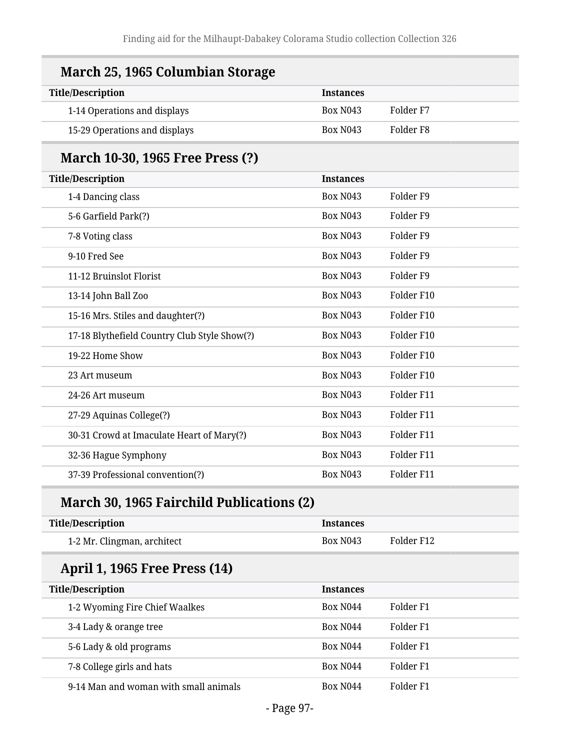| March 25, 1965 Columbian Storage             |                  |                      |
|----------------------------------------------|------------------|----------------------|
| <b>Title/Description</b>                     | <b>Instances</b> |                      |
| 1-14 Operations and displays                 | <b>Box N043</b>  | Folder <sub>F7</sub> |
| 15-29 Operations and displays                | <b>Box N043</b>  | Folder <sub>F8</sub> |
| March 10-30, 1965 Free Press (?)             |                  |                      |
| <b>Title/Description</b>                     | <b>Instances</b> |                      |
| 1-4 Dancing class                            | <b>Box N043</b>  | Folder <sub>F9</sub> |
| 5-6 Garfield Park(?)                         | <b>Box N043</b>  | Folder <sub>F9</sub> |
| 7-8 Voting class                             | <b>Box N043</b>  | Folder <sub>F9</sub> |
| 9-10 Fred See                                | <b>Box N043</b>  | Folder <sub>F9</sub> |
| 11-12 Bruinslot Florist                      | <b>Box N043</b>  | Folder <sub>F9</sub> |
| 13-14 John Ball Zoo                          | <b>Box N043</b>  | Folder F10           |
| 15-16 Mrs. Stiles and daughter(?)            | <b>Box N043</b>  | Folder F10           |
| 17-18 Blythefield Country Club Style Show(?) | <b>Box N043</b>  | Folder F10           |
| 19-22 Home Show                              | <b>Box N043</b>  | Folder F10           |
| 23 Art museum                                | <b>Box N043</b>  | Folder F10           |
| 24-26 Art museum                             | <b>Box N043</b>  | Folder F11           |
| 27-29 Aquinas College(?)                     | <b>Box N043</b>  | Folder F11           |
| 30-31 Crowd at Imaculate Heart of Mary(?)    | <b>Box N043</b>  | Folder F11           |
| 32-36 Hague Symphony                         | <b>Box N043</b>  | Folder F11           |
| 37-39 Professional convention(?)             | <b>Box N043</b>  | Folder F11           |

# **March 30, 1965 Fairchild Publications (2)**

| <b>Title/Description</b>              | <b>Instances</b> |            |
|---------------------------------------|------------------|------------|
| 1-2 Mr. Clingman, architect           | <b>Box N043</b>  | Folder F12 |
| April 1, 1965 Free Press (14)         |                  |            |
| <b>Title/Description</b>              | <b>Instances</b> |            |
| 1-2 Wyoming Fire Chief Waalkes        | <b>Box N044</b>  | Folder F1  |
| 3-4 Lady & orange tree                | <b>Box N044</b>  | Folder F1  |
| 5-6 Lady & old programs               | <b>Box N044</b>  | Folder F1  |
| 7-8 College girls and hats            | <b>Box N044</b>  | Folder F1  |
| 9-14 Man and woman with small animals | <b>Box N044</b>  | Folder F1  |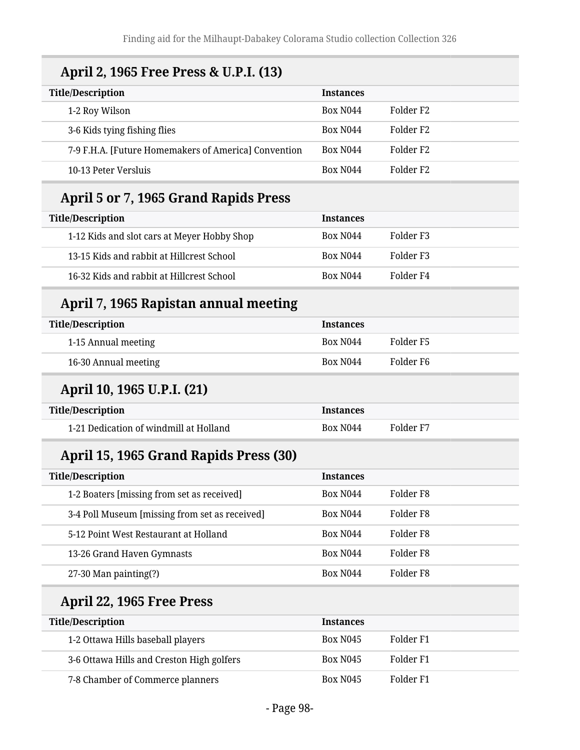# **April 2, 1965 Free Press & U.P.I. (13)**

| <b>Title/Description</b>                             | <b>Instances</b>     |                       |
|------------------------------------------------------|----------------------|-----------------------|
| 1-2 Roy Wilson                                       | Box N <sub>044</sub> | Folder F2             |
| 3-6 Kids tying fishing flies                         | Box N <sub>044</sub> | Folder F <sub>2</sub> |
| 7-9 F.H.A. [Future Homemakers of America] Convention | Box N <sub>044</sub> | Folder F <sub>2</sub> |
| 10-13 Peter Versluis                                 | Box N <sub>044</sub> | Folder F <sub>2</sub> |

### **April 5 or 7, 1965 Grand Rapids Press**

| <b>Title/Description</b>                    | <b>Instances</b> |           |
|---------------------------------------------|------------------|-----------|
| 1-12 Kids and slot cars at Meyer Hobby Shop | Box N044         | Folder F3 |
| 13-15 Kids and rabbit at Hillcrest School   | <b>Box N044</b>  | Folder F3 |
| 16-32 Kids and rabbit at Hillcrest School   | <b>Box N044</b>  | Folder F4 |

# **April 7, 1965 Rapistan annual meeting**

| <b>Title/Description</b> | <b>Instances</b>     |           |
|--------------------------|----------------------|-----------|
| 1-15 Annual meeting      | Box N <sub>044</sub> | Folder F5 |
| 16-30 Annual meeting     | Box N <sub>044</sub> | Folder F6 |

# **April 10, 1965 U.P.I. (21)**

| Title/Description                      | <i><u><b>Instances</b></u></i> |           |
|----------------------------------------|--------------------------------|-----------|
| 1-21 Dedication of windmill at Holland | Box N <sub>044</sub>           | Folder F7 |

# **April 15, 1965 Grand Rapids Press (30)**

| <b>Title/Description</b>                       | <b>Instances</b>     |           |
|------------------------------------------------|----------------------|-----------|
| 1-2 Boaters [missing from set as received]     | <b>Box N044</b>      | Folder F8 |
| 3-4 Poll Museum [missing from set as received] | <b>Box N044</b>      | Folder F8 |
| 5-12 Point West Restaurant at Holland          | <b>Box N044</b>      | Folder F8 |
| 13-26 Grand Haven Gymnasts                     | <b>Box N044</b>      | Folder F8 |
| 27-30 Man painting(?)                          | Box N <sub>044</sub> | Folder F8 |

# **April 22, 1965 Free Press**

| <b>Title/Description</b>                  | <b>Instances</b> |           |
|-------------------------------------------|------------------|-----------|
| 1-2 Ottawa Hills baseball players         | <b>Box N045</b>  | Folder F1 |
| 3-6 Ottawa Hills and Creston High golfers | <b>Box N045</b>  | Folder F1 |
| 7-8 Chamber of Commerce planners          | <b>Box N045</b>  | Folder F1 |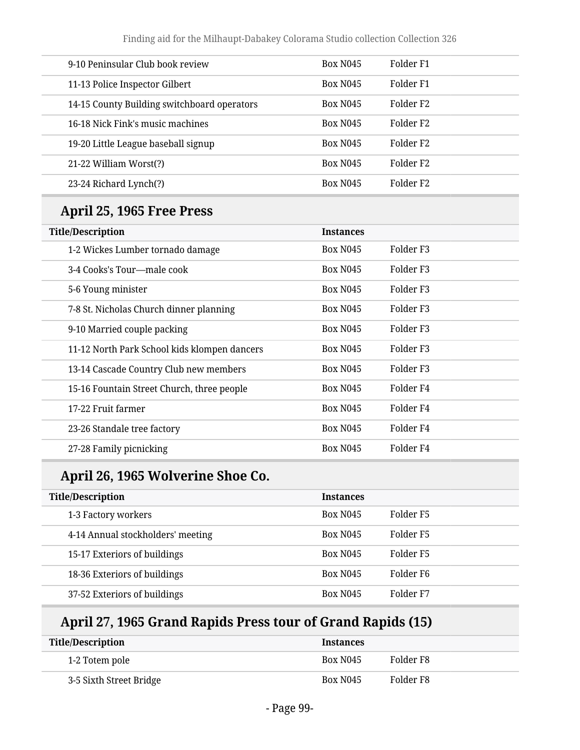| 9-10 Peninsular Club book review            | <b>Box N045</b> | Folder F1             |
|---------------------------------------------|-----------------|-----------------------|
| 11-13 Police Inspector Gilbert              | <b>Box N045</b> | Folder F1             |
| 14-15 County Building switchboard operators | <b>Box N045</b> | Folder F2             |
| 16-18 Nick Fink's music machines            | <b>Box N045</b> | Folder F2             |
| 19-20 Little League baseball signup         | <b>Box N045</b> | Folder F <sub>2</sub> |
| 21-22 William Worst(?)                      | <b>Box N045</b> | Folder F <sub>2</sub> |
| 23-24 Richard Lynch(?)                      | <b>Box N045</b> | Folder F <sub>2</sub> |
|                                             |                 |                       |

# **April 25, 1965 Free Press**

| <b>Title/Description</b>                     | <b>Instances</b> |                       |
|----------------------------------------------|------------------|-----------------------|
| 1-2 Wickes Lumber tornado damage             | <b>Box N045</b>  | Folder F3             |
| 3-4 Cooks's Tour-male cook                   | <b>Box N045</b>  | Folder F <sub>3</sub> |
| 5-6 Young minister                           | <b>Box N045</b>  | Folder F3             |
| 7-8 St. Nicholas Church dinner planning      | <b>Box N045</b>  | Folder F3             |
| 9-10 Married couple packing                  | <b>Box N045</b>  | Folder F3             |
| 11-12 North Park School kids klompen dancers | <b>Box N045</b>  | Folder F3             |
| 13-14 Cascade Country Club new members       | <b>Box N045</b>  | Folder F3             |
| 15-16 Fountain Street Church, three people   | <b>Box N045</b>  | Folder <sub>F4</sub>  |
| 17-22 Fruit farmer                           | <b>Box N045</b>  | Folder <sub>F4</sub>  |
| 23-26 Standale tree factory                  | <b>Box N045</b>  | Folder <sub>F4</sub>  |
| 27-28 Family picnicking                      | <b>Box N045</b>  | Folder F4             |

# **April 26, 1965 Wolverine Shoe Co.**

| <b>Title/Description</b>          | <b>Instances</b> |           |
|-----------------------------------|------------------|-----------|
| 1-3 Factory workers               | <b>Box N045</b>  | Folder F5 |
| 4-14 Annual stockholders' meeting | <b>Box N045</b>  | Folder F5 |
| 15-17 Exteriors of buildings      | <b>Box N045</b>  | Folder F5 |
| 18-36 Exteriors of buildings      | <b>Box N045</b>  | Folder F6 |
| 37-52 Exteriors of buildings      | <b>Box N045</b>  | Folder F7 |

# **April 27, 1965 Grand Rapids Press tour of Grand Rapids (15)**

| Title/Description       | <b>Instances</b> |           |
|-------------------------|------------------|-----------|
| 1-2 Totem pole          | <b>Box N045</b>  | Folder F8 |
| 3-5 Sixth Street Bridge | <b>Box N045</b>  | Folder F8 |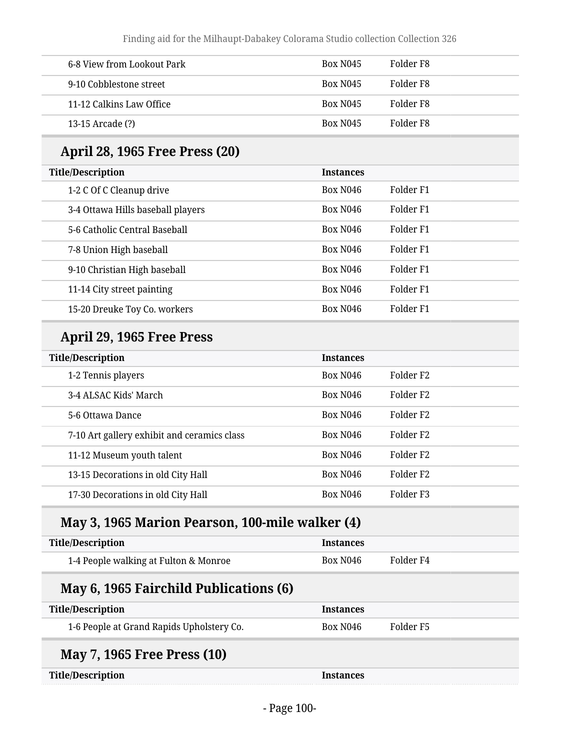| 6-8 View from Lookout Park | <b>Box N045</b>      | Folder F8 |
|----------------------------|----------------------|-----------|
| 9-10 Cobblestone street    | <b>Box N045</b>      | Folder F8 |
| 11-12 Calkins Law Office   | Box N <sub>045</sub> | Folder F8 |
| 13-15 Arcade (?)           | <b>Box N045</b>      | Folder F8 |

# **April 28, 1965 Free Press (20)**

| <b>Title/Description</b>          | <b>Instances</b> |           |
|-----------------------------------|------------------|-----------|
| 1-2 C Of C Cleanup drive          | <b>Box N046</b>  | Folder F1 |
| 3-4 Ottawa Hills baseball players | <b>Box N046</b>  | Folder F1 |
| 5-6 Catholic Central Baseball     | <b>Box N046</b>  | Folder F1 |
| 7-8 Union High baseball           | <b>Box N046</b>  | Folder F1 |
| 9-10 Christian High baseball      | <b>Box N046</b>  | Folder F1 |
| 11-14 City street painting        | <b>Box N046</b>  | Folder F1 |
| 15-20 Dreuke Toy Co. workers      | <b>Box N046</b>  | Folder F1 |

# **April 29, 1965 Free Press**

| <b>Title/Description</b>                    | <b>Instances</b>     |                       |
|---------------------------------------------|----------------------|-----------------------|
| 1-2 Tennis players                          | Box N <sub>046</sub> | Folder F <sub>2</sub> |
| 3-4 ALSAC Kids' March                       | <b>Box N046</b>      | Folder F <sub>2</sub> |
| 5-6 Ottawa Dance                            | <b>Box N046</b>      | Folder F <sub>2</sub> |
| 7-10 Art gallery exhibit and ceramics class | <b>Box N046</b>      | Folder F <sub>2</sub> |
| 11-12 Museum youth talent                   | <b>Box N046</b>      | Folder F <sub>2</sub> |
| 13-15 Decorations in old City Hall          | <b>Box N046</b>      | Folder F <sub>2</sub> |
| 17-30 Decorations in old City Hall          | <b>Box N046</b>      | Folder F <sub>3</sub> |

# **May 3, 1965 Marion Pearson, 100-mile walker (4)**

| Title/Description                     | <b>Instances</b> |           |
|---------------------------------------|------------------|-----------|
| 1-4 People walking at Fulton & Monroe | Box N046         | Folder F4 |

# **May 6, 1965 Fairchild Publications (6)**

| <b>Title/Description</b>                  | <b>Instances</b>     |           |
|-------------------------------------------|----------------------|-----------|
| 1-6 People at Grand Rapids Upholstery Co. | Box N <sub>046</sub> | Folder F5 |
| <b>May 7, 1965 Free Press (10)</b>        |                      |           |
| <b>Title/Description</b>                  | <b>Instances</b>     |           |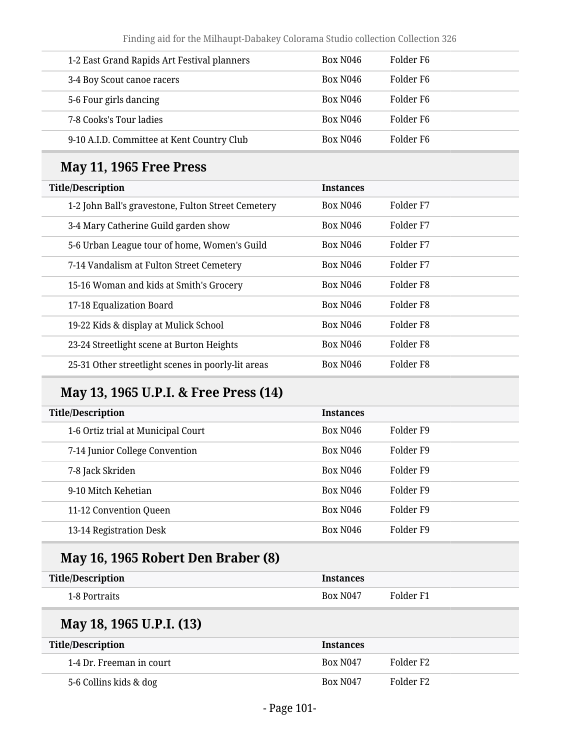| 1-2 East Grand Rapids Art Festival planners | Box N046             | Folder F6             |
|---------------------------------------------|----------------------|-----------------------|
| 3-4 Boy Scout canoe racers                  | Box N046             | Folder F6             |
| 5-6 Four girls dancing                      | Box N <sub>046</sub> | Folder F6             |
| 7-8 Cooks's Tour ladies                     | Box N <sub>046</sub> | Folder F6             |
| 9-10 A.I.D. Committee at Kent Country Club  | Box N046             | Folder F <sub>6</sub> |

### **May 11, 1965 Free Press**

| <b>Title/Description</b>                           | <b>Instances</b>     |                      |
|----------------------------------------------------|----------------------|----------------------|
| 1-2 John Ball's gravestone, Fulton Street Cemetery | Box N <sub>046</sub> | Folder F7            |
| 3-4 Mary Catherine Guild garden show               | <b>Box N046</b>      | Folder F7            |
| 5-6 Urban League tour of home, Women's Guild       | <b>Box N046</b>      | Folder F7            |
| 7-14 Vandalism at Fulton Street Cemetery           | <b>Box N046</b>      | Folder <sub>F7</sub> |
| 15-16 Woman and kids at Smith's Grocery            | Box N <sub>046</sub> | Folder F8            |
| 17-18 Equalization Board                           | <b>Box N046</b>      | Folder F8            |
| 19-22 Kids & display at Mulick School              | Box N <sub>046</sub> | Folder F8            |
| 23-24 Streetlight scene at Burton Heights          | <b>Box N046</b>      | Folder <sub>F8</sub> |
| 25-31 Other streetlight scenes in poorly-lit areas | Box N <sub>046</sub> | Folder F8            |

# **May 13, 1965 U.P.I. & Free Press (14)**

| <b>Title/Description</b>           | <b>Instances</b>     |           |
|------------------------------------|----------------------|-----------|
| 1-6 Ortiz trial at Municipal Court | Box N <sub>046</sub> | Folder F9 |
| 7-14 Junior College Convention     | <b>Box N046</b>      | Folder F9 |
| 7-8 Jack Skriden                   | <b>Box N046</b>      | Folder F9 |
| 9-10 Mitch Kehetian                | <b>Box N046</b>      | Folder F9 |
| 11-12 Convention Queen             | <b>Box N046</b>      | Folder F9 |
| 13-14 Registration Desk            | <b>Box N046</b>      | Folder F9 |

# **May 16, 1965 Robert Den Braber (8)**

| <b>Title/Description</b> | Instances       |           |
|--------------------------|-----------------|-----------|
| 1-8 Portraits            | <b>Box N047</b> | Folder F1 |

### **May 18, 1965 U.P.I. (13)**

| Title/Description        | <b>Instances</b> |           |
|--------------------------|------------------|-----------|
| 1-4 Dr. Freeman in court | <b>Box N047</b>  | Folder F2 |
| 5-6 Collins kids & dog   | <b>Box N047</b>  | Folder F2 |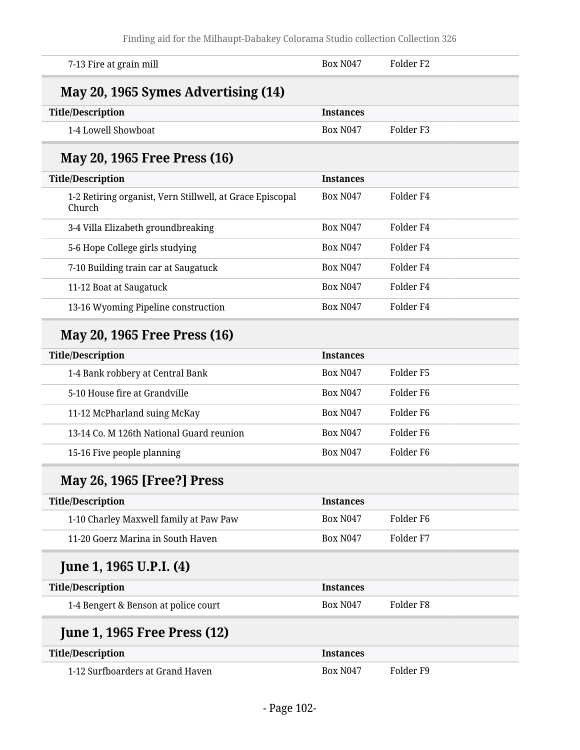| 7-13 Fire at grain mill                                             | <b>Box N047</b>  | Folder <sub>F2</sub> |  |
|---------------------------------------------------------------------|------------------|----------------------|--|
| May 20, 1965 Symes Advertising (14)                                 |                  |                      |  |
| <b>Title/Description</b>                                            | <b>Instances</b> |                      |  |
| 1-4 Lowell Showboat                                                 | <b>Box N047</b>  | Folder <sub>F3</sub> |  |
| May 20, 1965 Free Press (16)                                        |                  |                      |  |
| <b>Title/Description</b>                                            | <b>Instances</b> |                      |  |
| 1-2 Retiring organist, Vern Stillwell, at Grace Episcopal<br>Church | <b>Box N047</b>  | Folder <sub>F4</sub> |  |
| 3-4 Villa Elizabeth groundbreaking                                  | <b>Box N047</b>  | Folder <sub>F4</sub> |  |
| 5-6 Hope College girls studying                                     | <b>Box N047</b>  | Folder <sub>F4</sub> |  |
| 7-10 Building train car at Saugatuck                                | <b>Box N047</b>  | Folder <sub>F4</sub> |  |
| 11-12 Boat at Saugatuck                                             | <b>Box N047</b>  | Folder <sub>F4</sub> |  |
| 13-16 Wyoming Pipeline construction                                 | <b>Box N047</b>  | Folder <sub>F4</sub> |  |
| May 20, 1965 Free Press (16)                                        |                  |                      |  |
| <b>Title/Description</b>                                            | <b>Instances</b> |                      |  |
| 1-4 Bank robbery at Central Bank                                    | <b>Box N047</b>  | Folder <sub>F5</sub> |  |
| 5-10 House fire at Grandville                                       | <b>Box N047</b>  | Folder <sub>F6</sub> |  |
| 11-12 McPharland suing McKay                                        | <b>Box N047</b>  | Folder <sub>F6</sub> |  |
| 13-14 Co. M 126th National Guard reunion                            | <b>Box N047</b>  | Folder <sub>F6</sub> |  |
| 15-16 Five people planning                                          | <b>Box N047</b>  | Folder <sub>F6</sub> |  |
| May 26, 1965 [Free?] Press                                          |                  |                      |  |
| <b>Title/Description</b>                                            | <b>Instances</b> |                      |  |
| 1-10 Charley Maxwell family at Paw Paw                              | <b>Box N047</b>  | Folder F6            |  |
| 11-20 Goerz Marina in South Haven                                   | <b>Box N047</b>  | Folder <sub>F7</sub> |  |
| June 1, 1965 U.P.I. (4)                                             |                  |                      |  |
| <b>Title/Description</b>                                            | <b>Instances</b> |                      |  |
| 1-4 Bengert & Benson at police court                                | <b>Box N047</b>  | Folder <sub>F8</sub> |  |
| <b>June 1, 1965 Free Press (12)</b>                                 |                  |                      |  |
| <b>Title/Description</b>                                            | <b>Instances</b> |                      |  |
| 1-12 Surfboarders at Grand Haven                                    | <b>Box N047</b>  | Folder <sub>F9</sub> |  |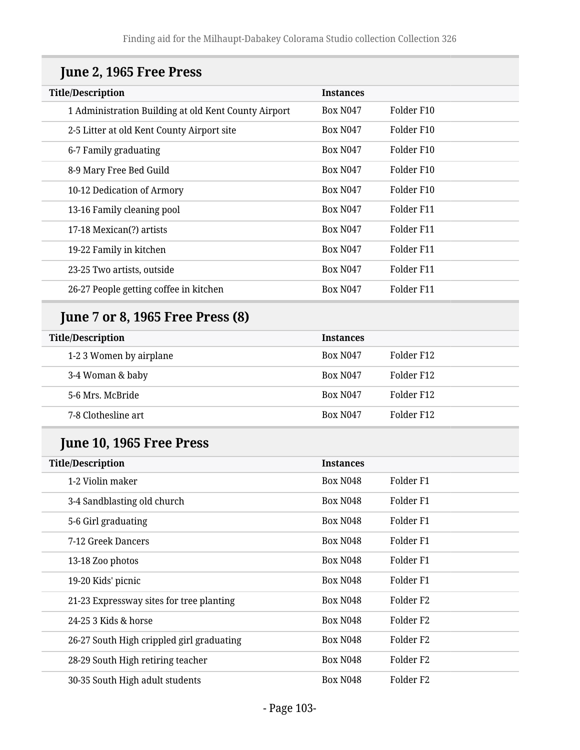| <b>Title/Description</b>                             | <b>Instances</b> |                      |
|------------------------------------------------------|------------------|----------------------|
| 1 Administration Building at old Kent County Airport | <b>Box N047</b>  | Folder F10           |
| 2-5 Litter at old Kent County Airport site           | <b>Box N047</b>  | Folder F10           |
| 6-7 Family graduating                                | <b>Box N047</b>  | Folder F10           |
| 8-9 Mary Free Bed Guild                              | <b>Box N047</b>  | Folder F10           |
| 10-12 Dedication of Armory                           | <b>Box N047</b>  | Folder F10           |
| 13-16 Family cleaning pool                           | <b>Box N047</b>  | Folder F11           |
| 17-18 Mexican(?) artists                             | <b>Box N047</b>  | Folder F11           |
| 19-22 Family in kitchen                              | <b>Box N047</b>  | Folder F11           |
| 23-25 Two artists, outside                           | <b>Box N047</b>  | Folder F11           |
| 26-27 People getting coffee in kitchen               | <b>Box N047</b>  | Folder F11           |
| <b>June 7 or 8, 1965 Free Press (8)</b>              |                  |                      |
| <b>Title/Description</b>                             | <b>Instances</b> |                      |
| 1-2 3 Women by airplane                              | <b>Box N047</b>  | Folder F12           |
| 3-4 Woman & baby                                     | <b>Box N047</b>  | Folder F12           |
| 5-6 Mrs. McBride                                     | <b>Box N047</b>  | Folder F12           |
| 7-8 Clothesline art                                  | <b>Box N047</b>  | Folder F12           |
| June 10, 1965 Free Press                             |                  |                      |
| <b>Title/Description</b>                             | <b>Instances</b> |                      |
| 1-2 Violin maker                                     | <b>Box N048</b>  | Folder <sub>F1</sub> |
| 3-4 Sandblasting old church                          | Box N048         | Folder <sub>F1</sub> |
| 5-6 Girl graduating                                  | <b>Box N048</b>  | Folder <sub>F1</sub> |
| 7-12 Greek Dancers                                   | <b>Box N048</b>  | Folder <sub>F1</sub> |
| 13-18 Zoo photos                                     | <b>Box N048</b>  | Folder <sub>F1</sub> |
| 19-20 Kids' picnic                                   | <b>Box N048</b>  | Folder <sub>F1</sub> |
| 21-23 Expressway sites for tree planting             | <b>Box N048</b>  | Folder <sub>F2</sub> |
| 24-25 3 Kids & horse                                 | <b>Box N048</b>  | Folder <sub>F2</sub> |
| 26-27 South High crippled girl graduating            | <b>Box N048</b>  | Folder <sub>F2</sub> |
| 28-29 South High retiring teacher                    | <b>Box N048</b>  | Folder <sub>F2</sub> |
| 30-35 South High adult students                      | <b>Box N048</b>  | Folder <sub>F2</sub> |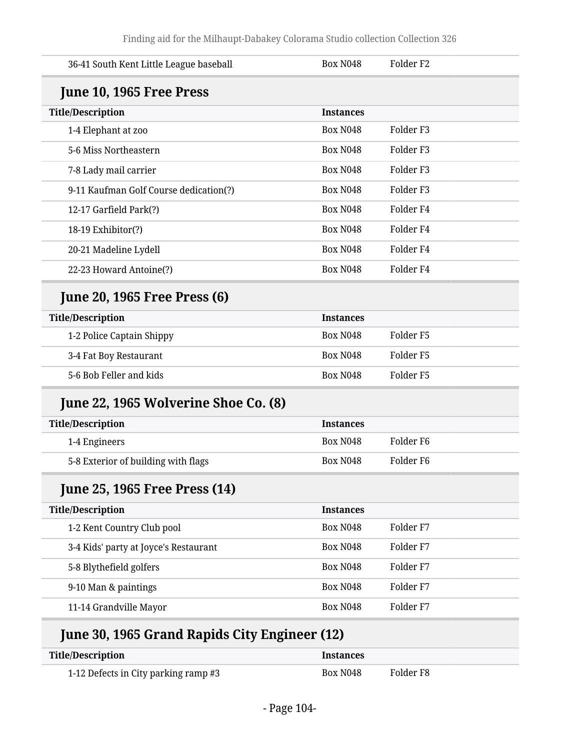| 36-41 South Kent Little League baseball | <b>Box N048</b>  | Folder <sub>F2</sub> |  |
|-----------------------------------------|------------------|----------------------|--|
| June 10, 1965 Free Press                |                  |                      |  |
| <b>Title/Description</b>                | <b>Instances</b> |                      |  |
| 1-4 Elephant at zoo                     | <b>Box N048</b>  | Folder <sub>F3</sub> |  |
| 5-6 Miss Northeastern                   | <b>Box N048</b>  | Folder <sub>F3</sub> |  |
| 7-8 Lady mail carrier                   | <b>Box N048</b>  | Folder <sub>F3</sub> |  |
| 9-11 Kaufman Golf Course dedication(?)  | <b>Box N048</b>  | Folder <sub>F3</sub> |  |
| 12-17 Garfield Park(?)                  | <b>Box N048</b>  | Folder <sub>F4</sub> |  |
| 18-19 Exhibitor(?)                      | <b>Box N048</b>  | Folder <sub>F4</sub> |  |
| 20-21 Madeline Lydell                   | <b>Box N048</b>  | Folder <sub>F4</sub> |  |
| 22-23 Howard Antoine(?)                 | <b>Box N048</b>  | Folder <sub>F4</sub> |  |
| <b>June 20, 1965 Free Press (6)</b>     |                  |                      |  |
| <b>Title/Description</b>                | <b>Instances</b> |                      |  |
| 1-2 Police Captain Shippy               | <b>Box N048</b>  | Folder <sub>F5</sub> |  |
| 3-4 Fat Boy Restaurant                  | <b>Box N048</b>  | Folder <sub>F5</sub> |  |
| 5-6 Bob Feller and kids                 | <b>Box N048</b>  | Folder <sub>F5</sub> |  |
| June 22, 1965 Wolverine Shoe Co. (8)    |                  |                      |  |
| <b>Title/Description</b>                | <b>Instances</b> |                      |  |
| 1-4 Engineers                           | <b>Box N048</b>  | Folder <sub>F6</sub> |  |
| 5-8 Exterior of building with flags     | <b>Box N048</b>  | Folder <sub>F6</sub> |  |
| <b>June 25, 1965 Free Press (14)</b>    |                  |                      |  |
| <b>Title/Description</b>                | <b>Instances</b> |                      |  |
| 1-2 Kent Country Club pool              | <b>Box N048</b>  | Folder <sub>F7</sub> |  |
| 3-4 Kids' party at Joyce's Restaurant   | <b>Box N048</b>  | Folder <sub>F7</sub> |  |
|                                         |                  | Folder <sub>F7</sub> |  |
| 5-8 Blythefield golfers                 | <b>Box N048</b>  |                      |  |
| 9-10 Man & paintings                    | <b>Box N048</b>  | Folder <sub>F7</sub> |  |

# **June 30, 1965 Grand Rapids City Engineer (12)**

| Title/Description                    | <i><u><b>Instances</b></u></i> |           |
|--------------------------------------|--------------------------------|-----------|
| 1-12 Defects in City parking ramp #3 | Box N <sub>048</sub>           | Folder F8 |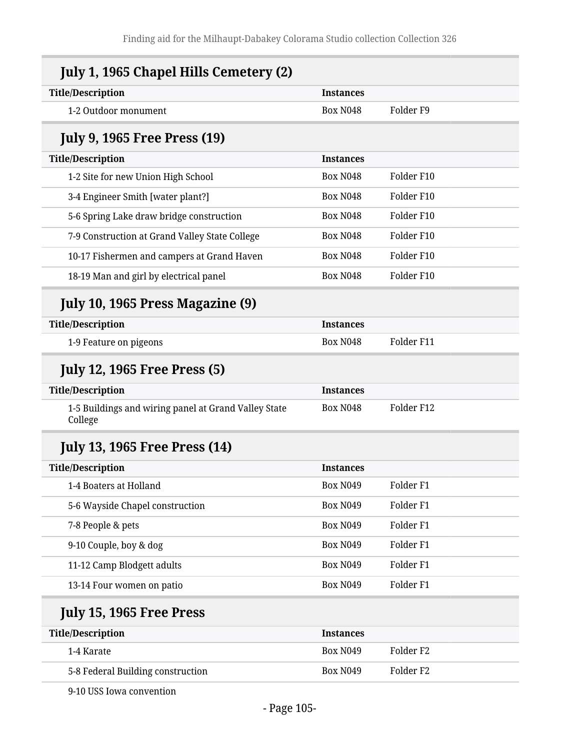| <b>Title/Description</b>                                        | <b>Instances</b> |                      |
|-----------------------------------------------------------------|------------------|----------------------|
| 1-2 Outdoor monument                                            | <b>Box N048</b>  | Folder <sub>F9</sub> |
| <b>July 9, 1965 Free Press (19)</b>                             |                  |                      |
| <b>Title/Description</b>                                        | <b>Instances</b> |                      |
| 1-2 Site for new Union High School                              | <b>Box N048</b>  | Folder F10           |
| 3-4 Engineer Smith [water plant?]                               | <b>Box N048</b>  | Folder F10           |
| 5-6 Spring Lake draw bridge construction                        | <b>Box N048</b>  | Folder F10           |
| 7-9 Construction at Grand Valley State College                  | <b>Box N048</b>  | Folder F10           |
| 10-17 Fishermen and campers at Grand Haven                      | <b>Box N048</b>  | Folder F10           |
| 18-19 Man and girl by electrical panel                          | <b>Box N048</b>  | Folder F10           |
| July 10, 1965 Press Magazine (9)                                |                  |                      |
| <b>Title/Description</b>                                        | <b>Instances</b> |                      |
| 1-9 Feature on pigeons                                          | <b>Box N048</b>  | Folder F11           |
| <b>July 12, 1965 Free Press (5)</b>                             |                  |                      |
| <b>Title/Description</b>                                        | <b>Instances</b> |                      |
| 1-5 Buildings and wiring panel at Grand Valley State<br>College | <b>Box N048</b>  | Folder F12           |
| <b>July 13, 1965 Free Press (14)</b>                            |                  |                      |
| <b>Title/Description</b>                                        | <b>Instances</b> |                      |
| 1-4 Boaters at Holland                                          | <b>Box N049</b>  | Folder <sub>F1</sub> |
| 5-6 Wayside Chapel construction                                 | <b>Box N049</b>  | Folder <sub>F1</sub> |
| 7-8 People & pets                                               | <b>Box N049</b>  | Folder <sub>F1</sub> |
| 9-10 Couple, boy & dog                                          | <b>Box N049</b>  | Folder <sub>F1</sub> |
| 11-12 Camp Blodgett adults                                      | <b>Box N049</b>  | Folder <sub>F1</sub> |
| 13-14 Four women on patio                                       | <b>Box N049</b>  | Folder <sub>F1</sub> |
| <b>July 15, 1965 Free Press</b>                                 |                  |                      |
| <b>Title/Description</b>                                        | <b>Instances</b> |                      |
|                                                                 | <b>Box N049</b>  | Folder <sub>F2</sub> |
| 1-4 Karate                                                      |                  |                      |

9-10 USS Iowa convention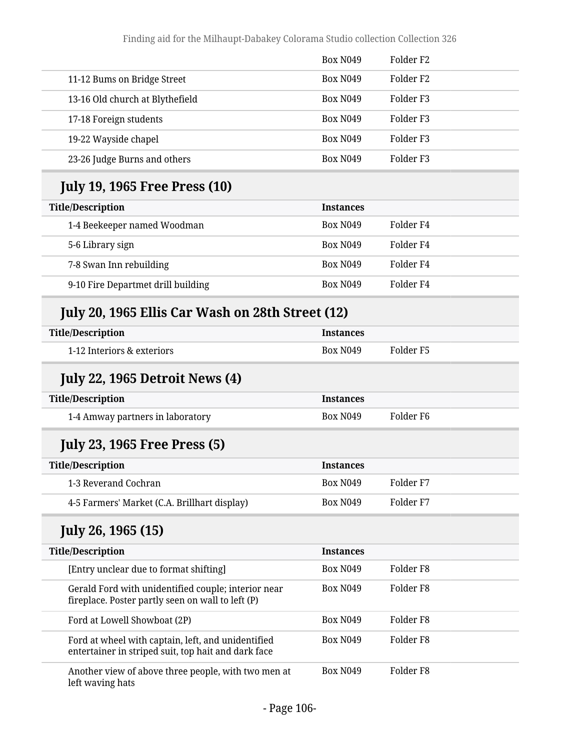|                                 | <b>Box N049</b> | Folder F <sub>2</sub> |
|---------------------------------|-----------------|-----------------------|
| 11-12 Bums on Bridge Street     | <b>Box N049</b> | Folder F <sub>2</sub> |
| 13-16 Old church at Blythefield | <b>Box N049</b> | Folder F3             |
| 17-18 Foreign students          | <b>Box N049</b> | Folder F3             |
| 19-22 Wayside chapel            | <b>Box N049</b> | Folder F3             |
| 23-26 Judge Burns and others    | <b>Box N049</b> | Folder F3             |

# **July 19, 1965 Free Press (10)**

| <b>Title/Description</b> |                                    | <b>Instances</b> |           |
|--------------------------|------------------------------------|------------------|-----------|
|                          | 1-4 Beekeeper named Woodman        | <b>Box N049</b>  | Folder F4 |
|                          | 5-6 Library sign                   | <b>Box N049</b>  | Folder F4 |
|                          | 7-8 Swan Inn rebuilding            | <b>Box N049</b>  | Folder F4 |
|                          | 9-10 Fire Departmet drill building | <b>Box N049</b>  | Folder F4 |

# **July 20, 1965 Ellis Car Wash on 28th Street (12)**

| <b>Title/Description</b>   | <i><u><b>Instances</b></u></i> |           |
|----------------------------|--------------------------------|-----------|
| 1-12 Interiors & exteriors | <b>Box N049</b>                | Folder F5 |

# **July 22, 1965 Detroit News (4)**

| <b>Title/Description</b>         | <b>Instances</b> |           |
|----------------------------------|------------------|-----------|
| 1-4 Amway partners in laboratory | <b>Box N049</b>  | Folder F6 |

# **July 23, 1965 Free Press (5)**

| <b>Title/Description</b>                     | <b>Instances</b> |           |  |
|----------------------------------------------|------------------|-----------|--|
| 1-3 Reverand Cochran                         | <b>Box N049</b>  | Folder F7 |  |
| 4-5 Farmers' Market (C.A. Brillhart display) | <b>Box N049</b>  | Folder F7 |  |

# **July 26, 1965 (15)**

| <b>Title/Description</b> |                                                                                                           | <b>Instances</b> |           |
|--------------------------|-----------------------------------------------------------------------------------------------------------|------------------|-----------|
|                          | [Entry unclear due to format shifting]                                                                    | <b>Box N049</b>  | Folder F8 |
|                          | Gerald Ford with unidentified couple; interior near<br>fireplace. Poster partly seen on wall to left (P)  | <b>Box N049</b>  | Folder F8 |
|                          | Ford at Lowell Showboat (2P)                                                                              | <b>Box N049</b>  | Folder F8 |
|                          | Ford at wheel with captain, left, and unidentified<br>entertainer in striped suit, top hait and dark face | <b>Box N049</b>  | Folder F8 |
|                          | Another view of above three people, with two men at<br>left waving hats                                   | <b>Box N049</b>  | Folder F8 |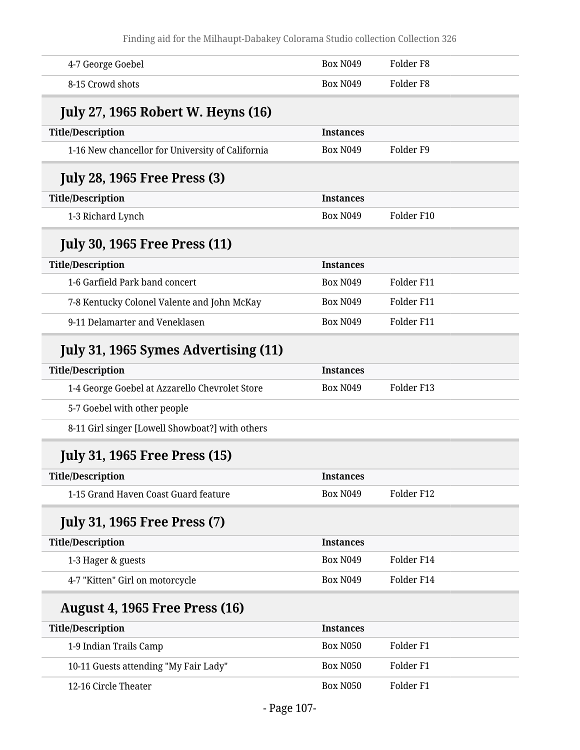| 4-7 George Goebel                                | <b>Box N049</b>  | Folder <sub>F8</sub> |
|--------------------------------------------------|------------------|----------------------|
| 8-15 Crowd shots                                 | <b>Box N049</b>  | Folder <sub>F8</sub> |
| <b>July 27, 1965 Robert W. Heyns (16)</b>        |                  |                      |
| <b>Title/Description</b>                         | <b>Instances</b> |                      |
| 1-16 New chancellor for University of California | <b>Box N049</b>  | Folder F9            |
| <b>July 28, 1965 Free Press (3)</b>              |                  |                      |
| <b>Title/Description</b>                         | <b>Instances</b> |                      |
| 1-3 Richard Lynch                                | <b>Box N049</b>  | Folder F10           |
| <b>July 30, 1965 Free Press (11)</b>             |                  |                      |
| <b>Title/Description</b>                         | <b>Instances</b> |                      |
| 1-6 Garfield Park band concert                   | <b>Box N049</b>  | Folder F11           |
| 7-8 Kentucky Colonel Valente and John McKay      | <b>Box N049</b>  | Folder F11           |
| 9-11 Delamarter and Veneklasen                   | <b>Box N049</b>  | Folder F11           |
| July 31, 1965 Symes Advertising (11)             |                  |                      |
| <b>Title/Description</b>                         | <b>Instances</b> |                      |
| 1-4 George Goebel at Azzarello Chevrolet Store   | <b>Box N049</b>  | Folder F13           |
| 5-7 Goebel with other people                     |                  |                      |
| 8-11 Girl singer [Lowell Showboat?] with others  |                  |                      |
| <b>July 31, 1965 Free Press (15)</b>             |                  |                      |
| <b>Title/Description</b>                         | <b>Instances</b> |                      |
| 1-15 Grand Haven Coast Guard feature             | <b>Box N049</b>  | Folder F12           |
| <b>July 31, 1965 Free Press (7)</b>              |                  |                      |
| <b>Title/Description</b>                         | <b>Instances</b> |                      |
| 1-3 Hager & guests                               | <b>Box N049</b>  | Folder F14           |
| 4-7 "Kitten" Girl on motorcycle                  | <b>Box N049</b>  | Folder F14           |
| <b>August 4, 1965 Free Press (16)</b>            |                  |                      |
| <b>Title/Description</b>                         | <b>Instances</b> |                      |
| 1-9 Indian Trails Camp                           | <b>Box N050</b>  | Folder <sub>F1</sub> |
| 10-11 Guests attending "My Fair Lady"            | <b>Box N050</b>  | Folder <sub>F1</sub> |
| 12-16 Circle Theater                             | <b>Box N050</b>  | Folder <sub>F1</sub> |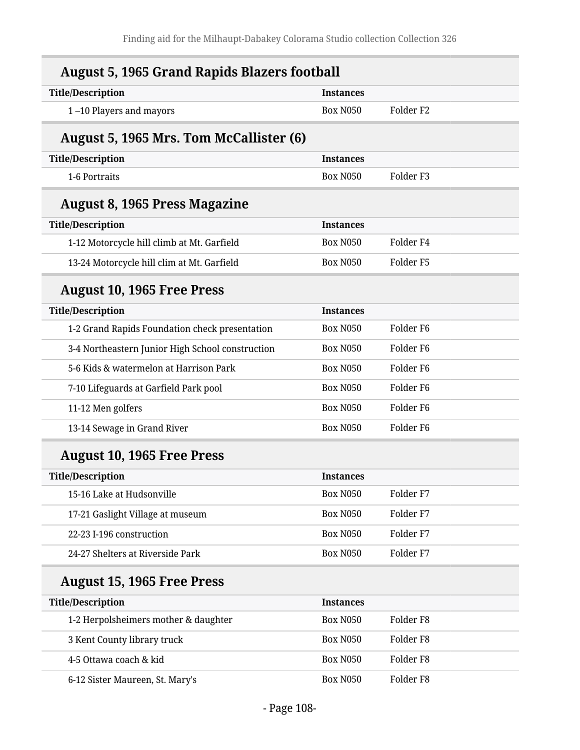| <b>August 5, 1965 Grand Rapids Blazers football</b> |                  |                       |  |  |
|-----------------------------------------------------|------------------|-----------------------|--|--|
| <b>Title/Description</b>                            | <b>Instances</b> |                       |  |  |
| 1-10 Players and mayors                             | <b>Box N050</b>  | Folder <sub>F2</sub>  |  |  |
| <b>August 5, 1965 Mrs. Tom McCallister (6)</b>      |                  |                       |  |  |
| <b>Title/Description</b>                            | <b>Instances</b> |                       |  |  |
| 1-6 Portraits                                       | <b>Box N050</b>  | Folder <sub>F3</sub>  |  |  |
| <b>August 8, 1965 Press Magazine</b>                |                  |                       |  |  |
| <b>Title/Description</b>                            | <b>Instances</b> |                       |  |  |
| 1-12 Motorcycle hill climb at Mt. Garfield          | <b>Box N050</b>  | Folder <sub>F4</sub>  |  |  |
| 13-24 Motorcycle hill clim at Mt. Garfield          | <b>Box N050</b>  | Folder <sub>F5</sub>  |  |  |
| <b>August 10, 1965 Free Press</b>                   |                  |                       |  |  |
| <b>Title/Description</b>                            | <b>Instances</b> |                       |  |  |
| 1-2 Grand Rapids Foundation check presentation      | <b>Box N050</b>  | Folder <sub>F6</sub>  |  |  |
| 3-4 Northeastern Junior High School construction    | <b>Box N050</b>  | Folder <sub>F6</sub>  |  |  |
| 5-6 Kids & watermelon at Harrison Park              | <b>Box N050</b>  | Folder <sub>F6</sub>  |  |  |
| 7-10 Lifeguards at Garfield Park pool               | <b>Box N050</b>  | Folder F <sub>6</sub> |  |  |
| 11-12 Men golfers                                   | <b>Box N050</b>  | Folder <sub>F6</sub>  |  |  |
| 13-14 Sewage in Grand River                         | <b>Box N050</b>  | Folder <sub>F6</sub>  |  |  |
| <b>August 10, 1965 Free Press</b>                   |                  |                       |  |  |
| <b>Title/Description</b>                            | <b>Instances</b> |                       |  |  |
| 15-16 Lake at Hudsonville                           | <b>Box N050</b>  | Folder <sub>F7</sub>  |  |  |
| 17-21 Gaslight Village at museum                    | Box N050         | Folder <sub>F7</sub>  |  |  |
| 22-23 I-196 construction                            | Box N050         | Folder <sub>F7</sub>  |  |  |
| 24-27 Shelters at Riverside Park                    | Box N050         | Folder <sub>F7</sub>  |  |  |
| <b>August 15, 1965 Free Press</b>                   |                  |                       |  |  |
| <b>Title/Description</b>                            | <b>Instances</b> |                       |  |  |
| 1-2 Herpolsheimers mother & daughter                | Box N050         | Folder <sub>F8</sub>  |  |  |
| 3 Kent County library truck                         | <b>Box N050</b>  | Folder <sub>F8</sub>  |  |  |
| 4-5 Ottawa coach & kid                              | <b>Box N050</b>  | Folder <sub>F8</sub>  |  |  |
| 6-12 Sister Maureen, St. Mary's                     | <b>Box N050</b>  | Folder <sub>F8</sub>  |  |  |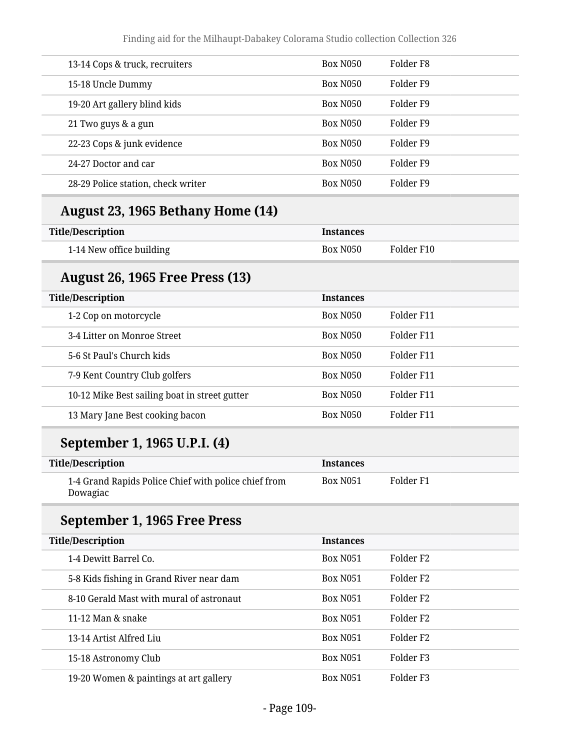| 13-14 Cops & truck, recruiters     | <b>Box N050</b> | Folder F8 |
|------------------------------------|-----------------|-----------|
| 15-18 Uncle Dummy                  | <b>Box N050</b> | Folder F9 |
| 19-20 Art gallery blind kids       | <b>Box N050</b> | Folder F9 |
| 21 Two guys & a gun                | <b>Box N050</b> | Folder F9 |
| 22-23 Cops & junk evidence         | <b>Box N050</b> | Folder F9 |
| 24-27 Doctor and car               | <b>Box N050</b> | Folder F9 |
| 28-29 Police station, check writer | <b>Box N050</b> | Folder F9 |
|                                    |                 |           |

### **August 23, 1965 Bethany Home (14)**

| <b>Title/Description</b> | <b>Instances</b> |            |
|--------------------------|------------------|------------|
| 1-14 New office building | Box N050         | Folder F10 |

#### **August 26, 1965 Free Press (13)**

| <b>Title/Description</b>                      | <b>Instances</b> |            |
|-----------------------------------------------|------------------|------------|
| 1-2 Cop on motorcycle                         | <b>Box N050</b>  | Folder F11 |
| 3-4 Litter on Monroe Street                   | <b>Box N050</b>  | Folder F11 |
| 5-6 St Paul's Church kids                     | <b>Box N050</b>  | Folder F11 |
| 7-9 Kent Country Club golfers                 | <b>Box N050</b>  | Folder F11 |
| 10-12 Mike Best sailing boat in street gutter | <b>Box N050</b>  | Folder F11 |
| 13 Mary Jane Best cooking bacon               | <b>Box N050</b>  | Folder F11 |

### **September 1, 1965 U.P.I. (4)**

| Title/Description                                                | <b>Instances</b> |           |
|------------------------------------------------------------------|------------------|-----------|
| 1-4 Grand Rapids Police Chief with police chief from<br>Dowagiac | Box N051         | Folder F1 |

### **September 1, 1965 Free Press**

| <b>Title/Description</b>                 | <b>Instances</b> |                       |
|------------------------------------------|------------------|-----------------------|
| 1-4 Dewitt Barrel Co.                    | <b>Box N051</b>  | Folder F <sub>2</sub> |
| 5-8 Kids fishing in Grand River near dam | <b>Box N051</b>  | Folder F <sub>2</sub> |
| 8-10 Gerald Mast with mural of astronaut | <b>Box N051</b>  | Folder F <sub>2</sub> |
| 11-12 Man & snake                        | <b>Box N051</b>  | Folder F <sub>2</sub> |
| 13-14 Artist Alfred Liu                  | <b>Box N051</b>  | Folder F <sub>2</sub> |
| 15-18 Astronomy Club                     | <b>Box N051</b>  | Folder F3             |
| 19-20 Women & paintings at art gallery   | <b>Box N051</b>  | Folder F <sub>3</sub> |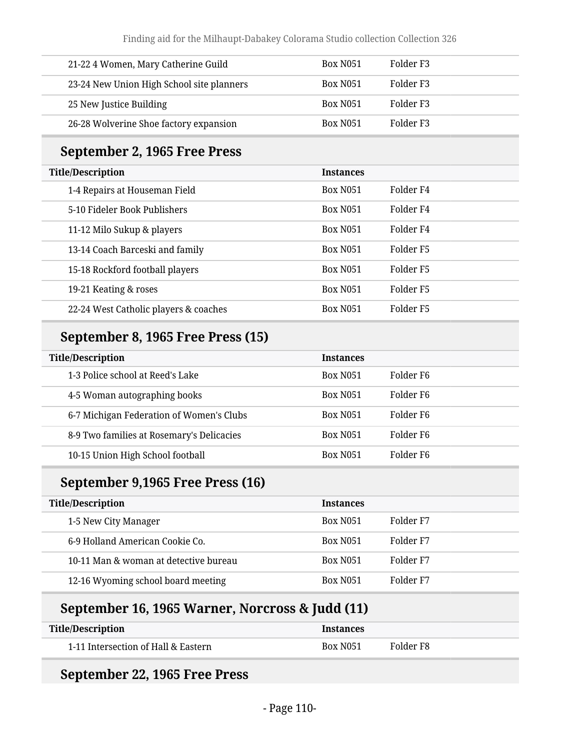| 21-22 4 Women, Mary Catherine Guild       | <b>Box N051</b> | Folder F3 |
|-------------------------------------------|-----------------|-----------|
| 23-24 New Union High School site planners | <b>Box N051</b> | Folder F3 |
| 25 New Justice Building                   | <b>Box N051</b> | Folder F3 |
| 26-28 Wolverine Shoe factory expansion    | <b>Box N051</b> | Folder F3 |

### **September 2, 1965 Free Press**

| <b>Title/Description</b>              | <b>Instances</b> |           |
|---------------------------------------|------------------|-----------|
| 1-4 Repairs at Houseman Field         | <b>Box N051</b>  | Folder F4 |
| 5-10 Fideler Book Publishers          | <b>Box N051</b>  | Folder F4 |
| 11-12 Milo Sukup & players            | <b>Box N051</b>  | Folder F4 |
| 13-14 Coach Barceski and family       | <b>Box N051</b>  | Folder F5 |
| 15-18 Rockford football players       | <b>Box N051</b>  | Folder F5 |
| 19-21 Keating & roses                 | <b>Box N051</b>  | Folder F5 |
| 22-24 West Catholic players & coaches | <b>Box N051</b>  | Folder F5 |

### **September 8, 1965 Free Press (15)**

| <b>Title/Description</b>                  | <b>Instances</b> |           |
|-------------------------------------------|------------------|-----------|
| 1-3 Police school at Reed's Lake          | <b>Box N051</b>  | Folder F6 |
| 4-5 Woman autographing books              | <b>Box N051</b>  | Folder F6 |
| 6-7 Michigan Federation of Women's Clubs  | <b>Box N051</b>  | Folder F6 |
| 8-9 Two families at Rosemary's Delicacies | <b>Box N051</b>  | Folder F6 |
| 10-15 Union High School football          | <b>Box N051</b>  | Folder F6 |

### **September 9,1965 Free Press (16)**

| <b>Title/Description</b>              | <b>Instances</b> |           |
|---------------------------------------|------------------|-----------|
| 1-5 New City Manager                  | <b>Box N051</b>  | Folder F7 |
| 6-9 Holland American Cookie Co.       | <b>Box N051</b>  | Folder F7 |
| 10-11 Man & woman at detective bureau | <b>Box N051</b>  | Folder F7 |
| 12-16 Wyoming school board meeting    | <b>Box N051</b>  | Folder F7 |

### **September 16, 1965 Warner, Norcross & Judd (11)**

| <b>Title/Description</b>            | <b>Instances</b> |           |
|-------------------------------------|------------------|-----------|
| 1-11 Intersection of Hall & Eastern | <b>Box N051</b>  | Folder F8 |

### **September 22, 1965 Free Press**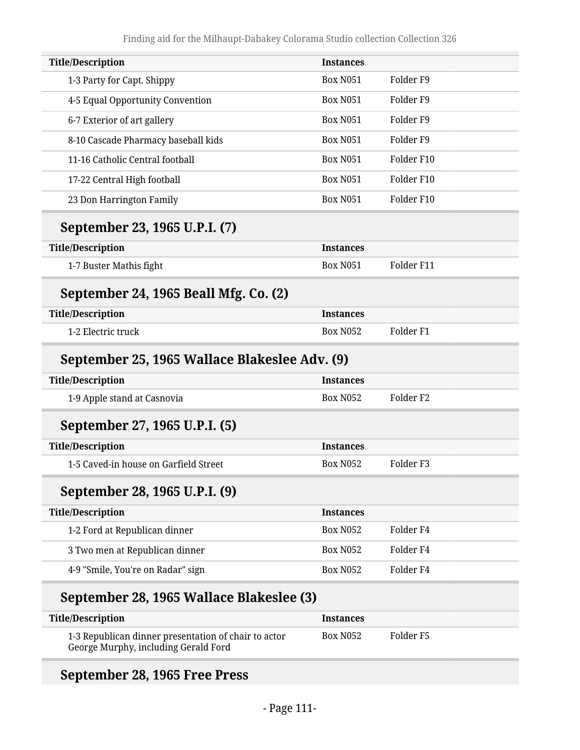| <b>Title/Description</b>                      | <b>Instances</b> |                      |
|-----------------------------------------------|------------------|----------------------|
| 1-3 Party for Capt. Shippy                    | <b>Box N051</b>  | Folder <sub>F9</sub> |
| 4-5 Equal Opportunity Convention              | <b>Box N051</b>  | Folder <sub>F9</sub> |
| 6-7 Exterior of art gallery                   | <b>Box N051</b>  | Folder <sub>F9</sub> |
| 8-10 Cascade Pharmacy baseball kids           | <b>Box N051</b>  | Folder <sub>F9</sub> |
| 11-16 Catholic Central football               | <b>Box N051</b>  | Folder F10           |
| 17-22 Central High football                   | <b>Box N051</b>  | Folder F10           |
| 23 Don Harrington Family                      | <b>Box N051</b>  | Folder F10           |
| September 23, 1965 U.P.I. (7)                 |                  |                      |
| <b>Title/Description</b>                      | <b>Instances</b> |                      |
| 1-7 Buster Mathis fight                       | <b>Box N051</b>  | Folder F11           |
| September 24, 1965 Beall Mfg. Co. (2)         |                  |                      |
| <b>Title/Description</b>                      | <b>Instances</b> |                      |
| 1-2 Electric truck                            | <b>Box N052</b>  | Folder <sub>F1</sub> |
| September 25, 1965 Wallace Blakeslee Adv. (9) |                  |                      |
| <b>Title/Description</b>                      | <b>Instances</b> |                      |
| 1-9 Apple stand at Casnovia                   | <b>Box N052</b>  | Folder <sub>F2</sub> |
| September 27, 1965 U.P.I. (5)                 |                  |                      |
| <b>Title/Description</b>                      | <b>Instances</b> |                      |
| 1-5 Caved-in house on Garfield Street         | <b>Box N052</b>  | Folder <sub>F3</sub> |
| September 28, 1965 U.P.I. (9)                 |                  |                      |
| <b>Title/Description</b>                      | <b>Instances</b> |                      |
| 1-2 Ford at Republican dinner                 | <b>Box N052</b>  | Folder <sub>F4</sub> |
| 3 Two men at Republican dinner                | <b>Box N052</b>  | Folder <sub>F4</sub> |
| 4-9 "Smile, You're on Radar" sign             | <b>Box N052</b>  | Folder <sub>F4</sub> |
| September 28, 1965 Wallace Blakeslee (3)      |                  |                      |
| <b>Title/Description</b>                      | <b>Instances</b> |                      |
|                                               |                  |                      |

| 1-3 Republican dinner presentation of chair to actor | <b>Box N052</b> | Folder F5 |  |
|------------------------------------------------------|-----------------|-----------|--|
| George Murphy, including Gerald Ford                 |                 |           |  |

# **September 28, 1965 Free Press**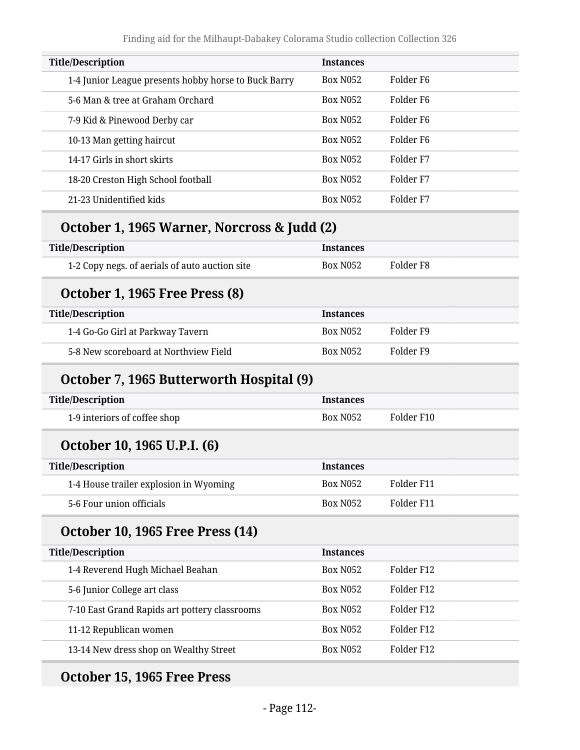| <b>Title/Description</b>                             | <b>Instances</b> |                       |
|------------------------------------------------------|------------------|-----------------------|
| 1-4 Junior League presents hobby horse to Buck Barry | <b>Box N052</b>  | Folder F <sub>6</sub> |
| 5-6 Man & tree at Graham Orchard                     | <b>Box N052</b>  | Folder F6             |
| 7-9 Kid & Pinewood Derby car                         | <b>Box N052</b>  | Folder F6             |
| 10-13 Man getting haircut                            | <b>Box N052</b>  | Folder F <sub>6</sub> |
| 14-17 Girls in short skirts                          | <b>Box N052</b>  | Folder F7             |
| 18-20 Creston High School football                   | <b>Box N052</b>  | Folder F7             |
| 21-23 Unidentified kids                              | <b>Box N052</b>  | Folder F7             |
|                                                      |                  |                       |

#### **October 1, 1965 Warner, Norcross & Judd (2)**

| <b>Title/Description</b>                       | <b>Instances</b> |           |
|------------------------------------------------|------------------|-----------|
| 1-2 Copy negs. of aerials of auto auction site | Box N052         | Folder F8 |

#### **October 1, 1965 Free Press (8)**

| <b>Title/Description</b>              | <b>Instances</b> |           |
|---------------------------------------|------------------|-----------|
| 1-4 Go-Go Girl at Parkway Tavern      | <b>Box N052</b>  | Folder F9 |
| 5-8 New scoreboard at Northview Field | <b>Box N052</b>  | Folder F9 |

#### **October 7, 1965 Butterworth Hospital (9)**

| Title/Description            | <b>Instances</b> |            |
|------------------------------|------------------|------------|
| 1-9 interiors of coffee shop | <b>Box N052</b>  | Folder F10 |

#### **October 10, 1965 U.P.I. (6)**

| Title/Description                      | <b>Instances</b> |            |
|----------------------------------------|------------------|------------|
| 1-4 House trailer explosion in Wyoming | <b>Box N052</b>  | Folder F11 |
| 5-6 Four union officials               | <b>Box N052</b>  | Folder F11 |

#### **October 10, 1965 Free Press (14)**

| <b>Title/Description</b>                      | <b>Instances</b> |            |
|-----------------------------------------------|------------------|------------|
| 1-4 Reverend Hugh Michael Beahan              | <b>Box N052</b>  | Folder F12 |
| 5-6 Junior College art class                  | <b>Box N052</b>  | Folder F12 |
| 7-10 East Grand Rapids art pottery classrooms | <b>Box N052</b>  | Folder F12 |
| 11-12 Republican women                        | <b>Box N052</b>  | Folder F12 |
| 13-14 New dress shop on Wealthy Street        | <b>Box N052</b>  | Folder F12 |

#### **October 15, 1965 Free Press**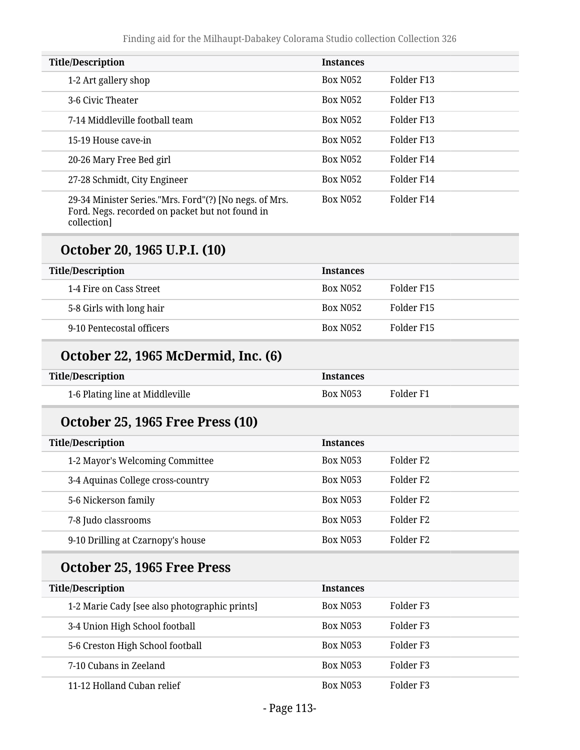| <b>Title/Description</b>                                                                                                 | <b>Instances</b> |                      |
|--------------------------------------------------------------------------------------------------------------------------|------------------|----------------------|
| 1-2 Art gallery shop                                                                                                     | <b>Box N052</b>  | Folder F13           |
| 3-6 Civic Theater                                                                                                        | <b>Box N052</b>  | Folder F13           |
| 7-14 Middleville football team                                                                                           | <b>Box N052</b>  | Folder F13           |
| 15-19 House cave-in                                                                                                      | <b>Box N052</b>  | Folder F13           |
| 20-26 Mary Free Bed girl                                                                                                 | <b>Box N052</b>  | Folder F14           |
| 27-28 Schmidt, City Engineer                                                                                             | <b>Box N052</b>  | Folder F14           |
| 29-34 Minister Series."Mrs. Ford"(?) [No negs. of Mrs.<br>Ford. Negs. recorded on packet but not found in<br>collection] | <b>Box N052</b>  | Folder F14           |
| October 20, 1965 U.P.I. (10)                                                                                             |                  |                      |
| <b>Title/Description</b>                                                                                                 | <b>Instances</b> |                      |
| 1-4 Fire on Cass Street                                                                                                  | <b>Box N052</b>  | Folder F15           |
| 5-8 Girls with long hair                                                                                                 | <b>Box N052</b>  | Folder F15           |
| 9-10 Pentecostal officers                                                                                                | <b>Box N052</b>  | Folder F15           |
| October 22, 1965 McDermid, Inc. (6)                                                                                      |                  |                      |
| <b>Title/Description</b>                                                                                                 | <b>Instances</b> |                      |
| 1-6 Plating line at Middleville                                                                                          | <b>Box N053</b>  | Folder <sub>F1</sub> |
| <b>October 25, 1965 Free Press (10)</b>                                                                                  |                  |                      |
| <b>Title/Description</b>                                                                                                 | <b>Instances</b> |                      |
| 1-2 Mayor's Welcoming Committee                                                                                          | <b>Box N053</b>  | Folder <sub>F2</sub> |
| 3-4 Aquinas College cross-country                                                                                        | <b>Box N053</b>  | Folder <sub>F2</sub> |
| 5-6 Nickerson family                                                                                                     | <b>Box N053</b>  | Folder <sub>F2</sub> |
| 7-8 Judo classrooms                                                                                                      | <b>Box N053</b>  | Folder <sub>F2</sub> |
| 9-10 Drilling at Czarnopy's house                                                                                        | <b>Box N053</b>  | Folder <sub>F2</sub> |
| October 25, 1965 Free Press                                                                                              |                  |                      |
| <b>Title/Description</b>                                                                                                 | <b>Instances</b> |                      |
| 1-2 Marie Cady [see also photographic prints]                                                                            | Box N053         | Folder <sub>F3</sub> |
| 3-4 Union High School football                                                                                           | Box N053         | Folder <sub>F3</sub> |
| 5-6 Creston High School football                                                                                         | <b>Box N053</b>  | Folder <sub>F3</sub> |
| 7-10 Cubans in Zeeland                                                                                                   | <b>Box N053</b>  | Folder <sub>F3</sub> |
| 11-12 Holland Cuban relief                                                                                               | Box N053         | Folder <sub>F3</sub> |
|                                                                                                                          |                  |                      |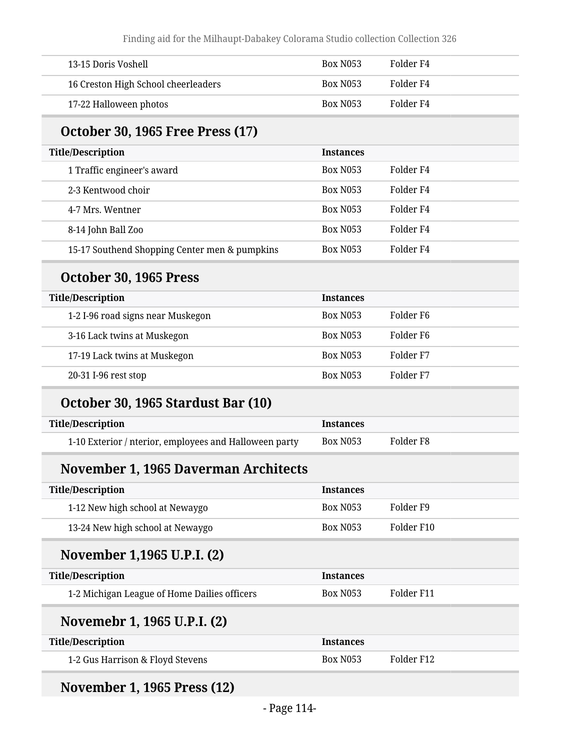| 13-15 Doris Voshell                                    | <b>Box N053</b>  | Folder <sub>F4</sub> |
|--------------------------------------------------------|------------------|----------------------|
| 16 Creston High School cheerleaders                    | Box N053         | Folder <sub>F4</sub> |
| 17-22 Halloween photos                                 | <b>Box N053</b>  | Folder <sub>F4</sub> |
| <b>October 30, 1965 Free Press (17)</b>                |                  |                      |
| <b>Title/Description</b>                               | <b>Instances</b> |                      |
| 1 Traffic engineer's award                             | <b>Box N053</b>  | Folder <sub>F4</sub> |
| 2-3 Kentwood choir                                     | <b>Box N053</b>  | Folder <sub>F4</sub> |
| 4-7 Mrs. Wentner                                       | <b>Box N053</b>  | Folder <sub>F4</sub> |
| 8-14 John Ball Zoo                                     | <b>Box N053</b>  | Folder <sub>F4</sub> |
| 15-17 Southend Shopping Center men & pumpkins          | <b>Box N053</b>  | Folder <sub>F4</sub> |
| October 30, 1965 Press                                 |                  |                      |
| <b>Title/Description</b>                               | <b>Instances</b> |                      |
| 1-2 I-96 road signs near Muskegon                      | <b>Box N053</b>  | Folder <sub>F6</sub> |
| 3-16 Lack twins at Muskegon                            | <b>Box N053</b>  | Folder <sub>F6</sub> |
| 17-19 Lack twins at Muskegon                           | Box N053         | Folder F7            |
| 20-31 I-96 rest stop                                   | Box N053         | Folder <sub>F7</sub> |
| October 30, 1965 Stardust Bar (10)                     |                  |                      |
| <b>Title/Description</b>                               | <b>Instances</b> |                      |
| 1-10 Exterior / nterior, employees and Halloween party | <b>Box N053</b>  | Folder <sub>F8</sub> |
| November 1, 1965 Daverman Architects                   |                  |                      |
| <b>Title/Description</b>                               | <b>Instances</b> |                      |
| 1-12 New high school at Newaygo                        | Box N053         | Folder <sub>F9</sub> |
| 13-24 New high school at Newaygo                       | <b>Box N053</b>  | Folder F10           |
| November 1,1965 U.P.I. (2)                             |                  |                      |
| <b>Title/Description</b>                               | <b>Instances</b> |                      |
| 1-2 Michigan League of Home Dailies officers           | Box N053         | Folder F11           |
| Novemebr 1, 1965 U.P.I. (2)                            |                  |                      |
| <b>Title/Description</b>                               | <b>Instances</b> |                      |
| 1-2 Gus Harrison & Floyd Stevens                       | <b>Box N053</b>  | Folder F12           |

# **November 1, 1965 Press (12)**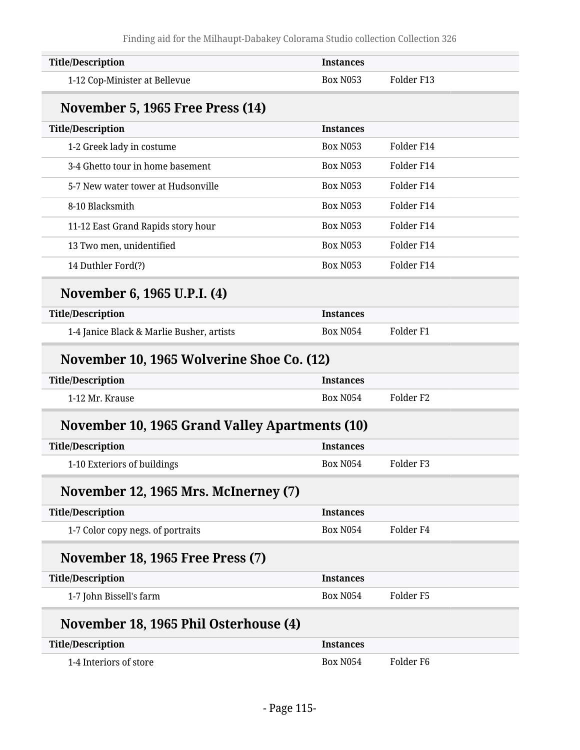| <b>Title/Description</b>                       | <b>Instances</b> |                      |
|------------------------------------------------|------------------|----------------------|
| 1-12 Cop-Minister at Bellevue                  | <b>Box N053</b>  | Folder F13           |
| November 5, 1965 Free Press (14)               |                  |                      |
| <b>Title/Description</b>                       | <b>Instances</b> |                      |
| 1-2 Greek lady in costume                      | <b>Box N053</b>  | Folder F14           |
| 3-4 Ghetto tour in home basement               | <b>Box N053</b>  | Folder F14           |
| 5-7 New water tower at Hudsonville             | <b>Box N053</b>  | Folder F14           |
| 8-10 Blacksmith                                | <b>Box N053</b>  | Folder F14           |
| 11-12 East Grand Rapids story hour             | <b>Box N053</b>  | Folder F14           |
| 13 Two men, unidentified                       | <b>Box N053</b>  | Folder F14           |
| 14 Duthler Ford(?)                             | <b>Box N053</b>  | Folder F14           |
| November 6, 1965 U.P.I. (4)                    |                  |                      |
| <b>Title/Description</b>                       | <b>Instances</b> |                      |
| 1-4 Janice Black & Marlie Busher, artists      | <b>Box N054</b>  | Folder <sub>F1</sub> |
| November 10, 1965 Wolverine Shoe Co. (12)      |                  |                      |
| <b>Title/Description</b>                       | <b>Instances</b> |                      |
| 1-12 Mr. Krause                                | <b>Box N054</b>  | Folder <sub>F2</sub> |
| November 10, 1965 Grand Valley Apartments (10) |                  |                      |
| <b>Title/Description</b>                       | <b>Instances</b> |                      |
| 1-10 Exteriors of buildings                    | <b>Box N054</b>  | Folder <sub>F3</sub> |
| November 12, 1965 Mrs. McInerney (7)           |                  |                      |
| <b>Title/Description</b>                       | <b>Instances</b> |                      |
| 1-7 Color copy negs. of portraits              | <b>Box N054</b>  | Folder <sub>F4</sub> |
| <b>November 18, 1965 Free Press (7)</b>        |                  |                      |
| <b>Title/Description</b>                       | <b>Instances</b> |                      |
| 1-7 John Bissell's farm                        | <b>Box N054</b>  | Folder <sub>F5</sub> |
| November 18, 1965 Phil Osterhouse (4)          |                  |                      |
| <b>Title/Description</b>                       | <b>Instances</b> |                      |
| 1-4 Interiors of store                         | <b>Box N054</b>  | Folder <sub>F6</sub> |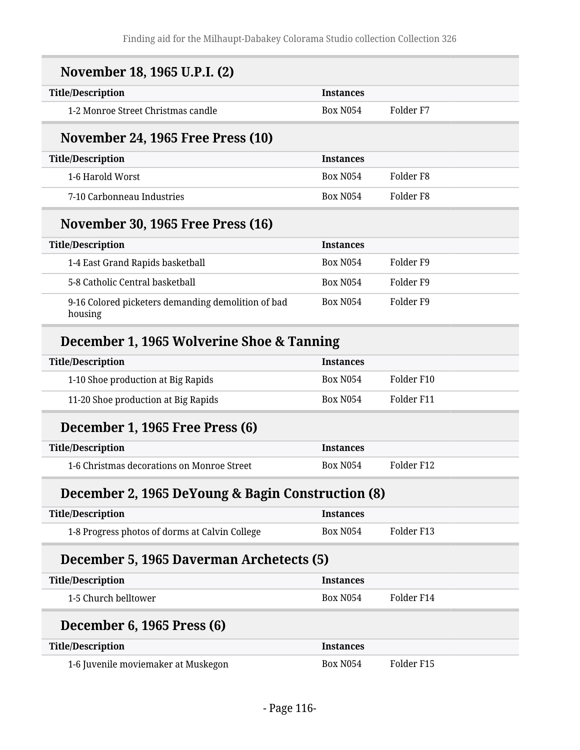| November 18, 1965 U.P.I. (2)                                  |                  |                      |
|---------------------------------------------------------------|------------------|----------------------|
| <b>Title/Description</b>                                      | <b>Instances</b> |                      |
| 1-2 Monroe Street Christmas candle                            | <b>Box N054</b>  | Folder <sub>F7</sub> |
| <b>November 24, 1965 Free Press (10)</b>                      |                  |                      |
| <b>Title/Description</b>                                      | <b>Instances</b> |                      |
| 1-6 Harold Worst                                              | <b>Box N054</b>  | Folder <sub>F8</sub> |
| 7-10 Carbonneau Industries                                    | <b>Box N054</b>  | Folder F8            |
| <b>November 30, 1965 Free Press (16)</b>                      |                  |                      |
| <b>Title/Description</b>                                      | <b>Instances</b> |                      |
| 1-4 East Grand Rapids basketball                              | <b>Box N054</b>  | Folder <sub>F9</sub> |
| 5-8 Catholic Central basketball                               | <b>Box N054</b>  | Folder <sub>F9</sub> |
| 9-16 Colored picketers demanding demolition of bad<br>housing | <b>Box N054</b>  | Folder F9            |
| December 1, 1965 Wolverine Shoe & Tanning                     |                  |                      |
| <b>Title/Description</b>                                      | <b>Instances</b> |                      |
| 1-10 Shoe production at Big Rapids                            | <b>Box N054</b>  | Folder F10           |
| 11-20 Shoe production at Big Rapids                           | <b>Box N054</b>  | Folder F11           |
| December 1, 1965 Free Press (6)                               |                  |                      |
| <b>Title/Description</b>                                      | <b>Instances</b> |                      |
| 1-6 Christmas decorations on Monroe Street                    | <b>Box N054</b>  | Folder F12           |
| December 2, 1965 DeYoung & Bagin Construction (8)             |                  |                      |
| <b>Title/Description</b>                                      | <b>Instances</b> |                      |
| 1-8 Progress photos of dorms at Calvin College                | <b>Box N054</b>  | Folder F13           |
| December 5, 1965 Daverman Archetects (5)                      |                  |                      |
| <b>Title/Description</b>                                      | <b>Instances</b> |                      |
| 1-5 Church belltower                                          | <b>Box N054</b>  | Folder F14           |
| December 6, 1965 Press (6)                                    |                  |                      |
| <b>Title/Description</b>                                      | <b>Instances</b> |                      |
| 1-6 Juvenile moviemaker at Muskegon                           | <b>Box N054</b>  | Folder F15           |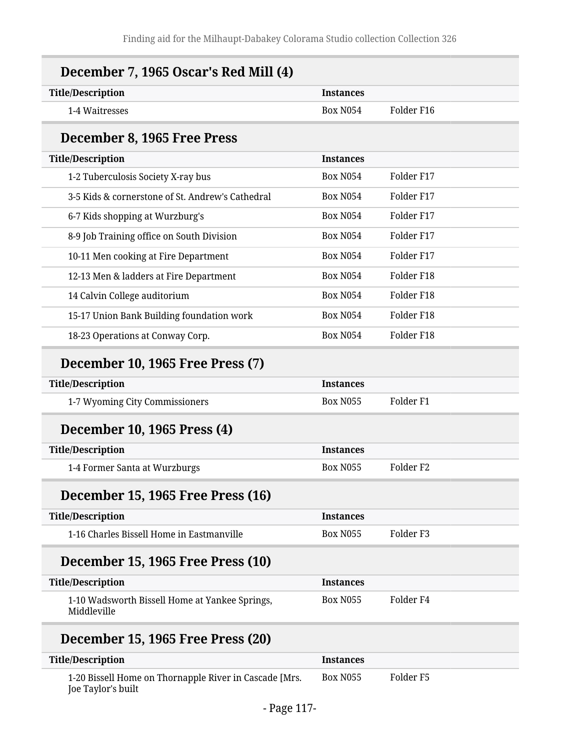| <b>Title/Description</b>                                      | <b>Instances</b> |                      |
|---------------------------------------------------------------|------------------|----------------------|
| 1-4 Waitresses                                                | <b>Box N054</b>  | Folder F16           |
| December 8, 1965 Free Press                                   |                  |                      |
| <b>Title/Description</b>                                      | <b>Instances</b> |                      |
| 1-2 Tuberculosis Society X-ray bus                            | <b>Box N054</b>  | Folder F17           |
| 3-5 Kids & cornerstone of St. Andrew's Cathedral              | <b>Box N054</b>  | Folder F17           |
| 6-7 Kids shopping at Wurzburg's                               | <b>Box N054</b>  | Folder F17           |
| 8-9 Job Training office on South Division                     | <b>Box N054</b>  | Folder F17           |
| 10-11 Men cooking at Fire Department                          | <b>Box N054</b>  | Folder F17           |
| 12-13 Men & ladders at Fire Department                        | <b>Box N054</b>  | Folder F18           |
| 14 Calvin College auditorium                                  | <b>Box N054</b>  | Folder F18           |
| 15-17 Union Bank Building foundation work                     | <b>Box N054</b>  | Folder F18           |
| 18-23 Operations at Conway Corp.                              | <b>Box N054</b>  | Folder F18           |
| December 10, 1965 Free Press (7)                              |                  |                      |
| <b>Title/Description</b>                                      | <b>Instances</b> |                      |
| 1-7 Wyoming City Commissioners                                | <b>Box N055</b>  | Folder <sub>F1</sub> |
| December 10, 1965 Press (4)                                   |                  |                      |
| <b>Title/Description</b>                                      | <b>Instances</b> |                      |
| 1-4 Former Santa at Wurzburgs                                 | <b>Box N055</b>  | Folder <sub>F2</sub> |
| December 15, 1965 Free Press (16)                             |                  |                      |
| <b>Title/Description</b>                                      | <b>Instances</b> |                      |
| 1-16 Charles Bissell Home in Eastmanville                     | <b>Box N055</b>  | Folder <sub>F3</sub> |
| December 15, 1965 Free Press (10)                             |                  |                      |
| <b>Title/Description</b>                                      | <b>Instances</b> |                      |
| 1-10 Wadsworth Bissell Home at Yankee Springs,<br>Middleville | <b>Box N055</b>  | Folder <sub>F4</sub> |
| December 15, 1965 Free Press (20)                             |                  |                      |
| <b>Title/Description</b>                                      | <b>Instances</b> |                      |
| 1-20 Bissell Home on Thornapple River in Cascade [Mrs.        | <b>Box N055</b>  | Folder <sub>F5</sub> |

Joe Taylor's built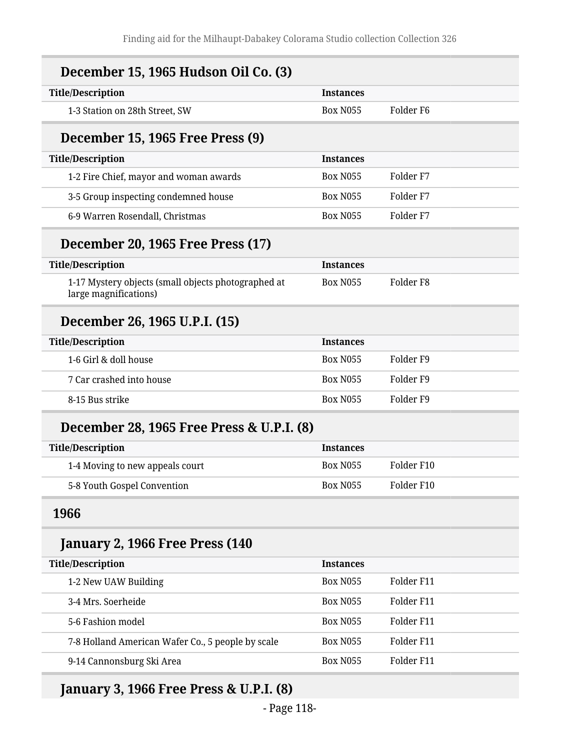| December 15, 1965 Hudson Oil Co. (3)                                         |                  |                      |
|------------------------------------------------------------------------------|------------------|----------------------|
| <b>Title/Description</b>                                                     | <b>Instances</b> |                      |
| 1-3 Station on 28th Street, SW                                               | <b>Box N055</b>  | Folder <sub>F6</sub> |
| December 15, 1965 Free Press (9)                                             |                  |                      |
| <b>Title/Description</b>                                                     | <b>Instances</b> |                      |
| 1-2 Fire Chief, mayor and woman awards                                       | <b>Box N055</b>  | Folder <sub>F7</sub> |
| 3-5 Group inspecting condemned house                                         | <b>Box N055</b>  | Folder <sub>F7</sub> |
| 6-9 Warren Rosendall, Christmas                                              | <b>Box N055</b>  | Folder <sub>F7</sub> |
| <b>December 20, 1965 Free Press (17)</b>                                     |                  |                      |
| <b>Title/Description</b>                                                     | <b>Instances</b> |                      |
| 1-17 Mystery objects (small objects photographed at<br>large magnifications) | <b>Box N055</b>  | Folder <sub>F8</sub> |
| December 26, 1965 U.P.I. (15)                                                |                  |                      |
| <b>Title/Description</b>                                                     | <b>Instances</b> |                      |
| 1-6 Girl & doll house                                                        | <b>Box N055</b>  | Folder <sub>F9</sub> |
| 7 Car crashed into house                                                     | <b>Box N055</b>  | Folder <sub>F9</sub> |
| 8-15 Bus strike                                                              | <b>Box N055</b>  | Folder <sub>F9</sub> |
| December 28, 1965 Free Press & U.P.I. (8)                                    |                  |                      |
| <b>Title/Description</b>                                                     | <b>Instances</b> |                      |
| 1-4 Moving to new appeals court                                              | <b>Box N055</b>  | Folder F10           |
| 5-8 Youth Gospel Convention                                                  | <b>Box N055</b>  | Folder F10           |
| 1966                                                                         |                  |                      |
| January 2, 1966 Free Press (140                                              |                  |                      |
| <b>Title/Description</b>                                                     | <b>Instances</b> |                      |
| 1-2 New UAW Building                                                         | <b>Box N055</b>  | Folder F11           |
| 3-4 Mrs. Soerheide                                                           | <b>Box N055</b>  | Folder F11           |
| 5-6 Fashion model                                                            | <b>Box N055</b>  | Folder F11           |
| 7-8 Holland American Wafer Co., 5 people by scale                            | <b>Box N055</b>  | Folder F11           |
| 9-14 Cannonsburg Ski Area                                                    | <b>Box N055</b>  | Folder F11           |

## **January 3, 1966 Free Press & U.P.I. (8)**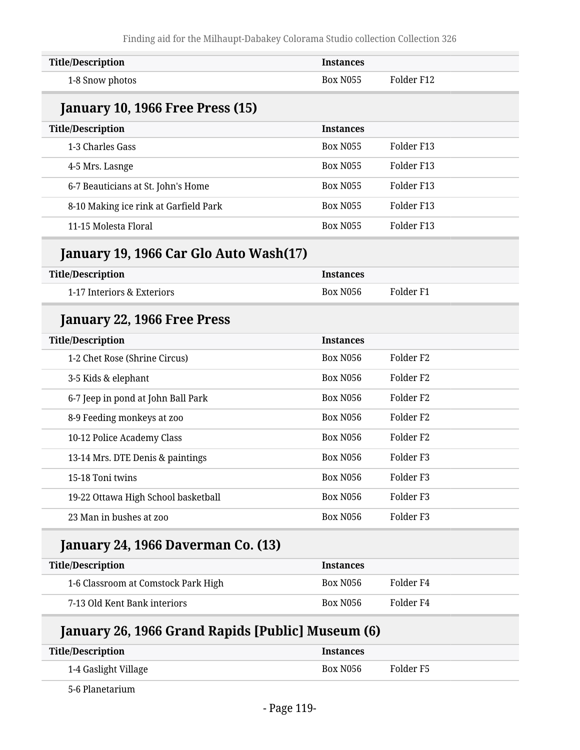| <b>Title/Description</b>                | <b>Instances</b> |                      |  |
|-----------------------------------------|------------------|----------------------|--|
| 1-8 Snow photos                         | <b>Box N055</b>  | Folder F12           |  |
| <b>January 10, 1966 Free Press (15)</b> |                  |                      |  |
| <b>Title/Description</b>                | <b>Instances</b> |                      |  |
| 1-3 Charles Gass                        | <b>Box N055</b>  | Folder F13           |  |
| 4-5 Mrs. Lasnge                         | <b>Box N055</b>  | Folder F13           |  |
| 6-7 Beauticians at St. John's Home      | <b>Box N055</b>  | Folder F13           |  |
| 8-10 Making ice rink at Garfield Park   | <b>Box N055</b>  | Folder F13           |  |
| 11-15 Molesta Floral                    | <b>Box N055</b>  | Folder F13           |  |
| January 19, 1966 Car Glo Auto Wash(17)  |                  |                      |  |
| <b>Title/Description</b>                | <b>Instances</b> |                      |  |
| 1-17 Interiors & Exteriors              | <b>Box N056</b>  | Folder <sub>F1</sub> |  |
| January 22, 1966 Free Press             |                  |                      |  |
| <b>Title/Description</b>                | <b>Instances</b> |                      |  |
| 1-2 Chet Rose (Shrine Circus)           | <b>Box N056</b>  | Folder <sub>F2</sub> |  |
| 3-5 Kids & elephant                     | <b>Box N056</b>  | Folder <sub>F2</sub> |  |
| 6-7 Jeep in pond at John Ball Park      | <b>Box N056</b>  | Folder <sub>F2</sub> |  |
| 8-9 Feeding monkeys at zoo              | <b>Box N056</b>  | Folder <sub>F2</sub> |  |
| 10-12 Police Academy Class              | <b>Box N056</b>  | Folder <sub>F2</sub> |  |
| 13-14 Mrs. DTE Denis & paintings        | <b>Box N056</b>  | Folder <sub>F3</sub> |  |
| 15-18 Toni twins                        | Box N056         | Folder <sub>F3</sub> |  |
| 19-22 Ottawa High School basketball     | <b>Box N056</b>  | Folder <sub>F3</sub> |  |
| 23 Man in bushes at zoo                 | <b>Box N056</b>  | Folder <sub>F3</sub> |  |
| January 24, 1966 Daverman Co. (13)      |                  |                      |  |
| <b>Title/Description</b>                | <b>Instances</b> |                      |  |
| 1-6 Classroom at Comstock Park High     | Box N056         | Folder <sub>F4</sub> |  |
|                                         |                  |                      |  |

#### **January 26, 1966 Grand Rapids [Public] Museum (6)**

| <b>Title/Description</b> | <b>Instances</b> |           |
|--------------------------|------------------|-----------|
| 1-4 Gaslight Village     | Box N056         | Folder F5 |

5-6 Planetarium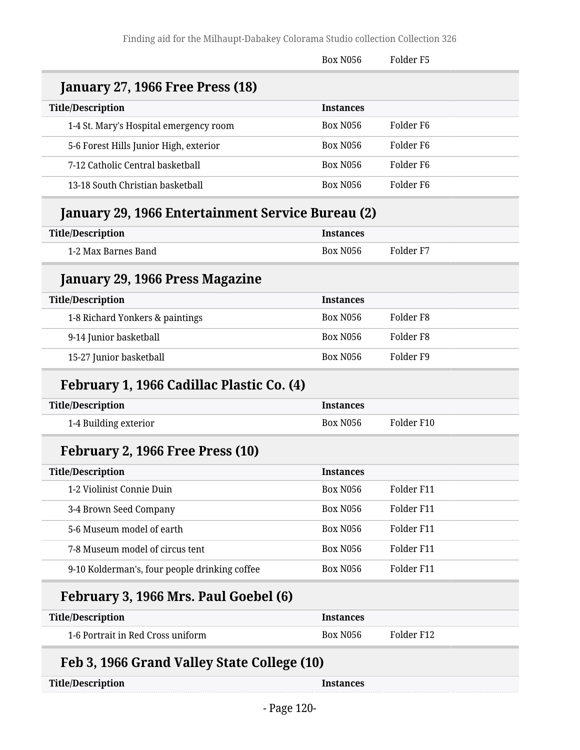|                                                   | <b>Box N056</b>  | Folder <sub>F5</sub> |
|---------------------------------------------------|------------------|----------------------|
| <b>January 27, 1966 Free Press (18)</b>           |                  |                      |
| <b>Title/Description</b>                          | <b>Instances</b> |                      |
| 1-4 St. Mary's Hospital emergency room            | <b>Box N056</b>  | Folder <sub>F6</sub> |
| 5-6 Forest Hills Junior High, exterior            | <b>Box N056</b>  | Folder F6            |
| 7-12 Catholic Central basketball                  | <b>Box N056</b>  | Folder <sub>F6</sub> |
| 13-18 South Christian basketball                  | <b>Box N056</b>  | Folder F6            |
| January 29, 1966 Entertainment Service Bureau (2) |                  |                      |
| <b>Title/Description</b>                          | <b>Instances</b> |                      |
| 1-2 Max Barnes Band                               | <b>Box N056</b>  | Folder <sub>F7</sub> |
| January 29, 1966 Press Magazine                   |                  |                      |
| <b>Title/Description</b>                          | <b>Instances</b> |                      |
| 1-8 Richard Yonkers & paintings                   | <b>Box N056</b>  | Folder <sub>F8</sub> |
| 9-14 Junior basketball                            | <b>Box N056</b>  | Folder <sub>F8</sub> |
| 15-27 Junior basketball                           | <b>Box N056</b>  | Folder <sub>F9</sub> |
| February 1, 1966 Cadillac Plastic Co. (4)         |                  |                      |
| <b>Title/Description</b>                          | <b>Instances</b> |                      |
| 1-4 Building exterior                             | <b>Box N056</b>  | Folder F10           |
| February 2, 1966 Free Press (10)                  |                  |                      |
| <b>Title/Description</b>                          | Instances        |                      |
| 1-2 Violinist Connie Duin                         | Box N056         | Folder F11           |
| 3-4 Brown Seed Company                            | Box N056         | Folder F11           |
| 5-6 Museum model of earth                         | <b>Box N056</b>  | Folder F11           |
| 7-8 Museum model of circus tent                   | Box N056         | Folder F11           |
| 9-10 Kolderman's, four people drinking coffee     | <b>Box N056</b>  | Folder F11           |
| February 3, 1966 Mrs. Paul Goebel (6)             |                  |                      |
| <b>Title/Description</b>                          | <b>Instances</b> |                      |
| 1-6 Portrait in Red Cross uniform                 | <b>Box N056</b>  | Folder F12           |
| Feb 3, 1966 Grand Valley State College (10)       |                  |                      |
| <b>Title/Description</b>                          | <b>Instances</b> |                      |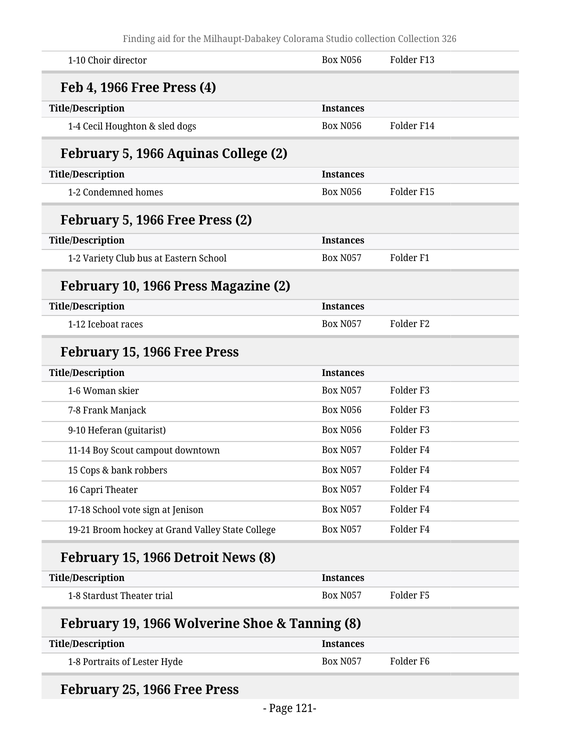| 1-10 Choir director                              | <b>Box N056</b>  | Folder F13           |
|--------------------------------------------------|------------------|----------------------|
| Feb 4, 1966 Free Press (4)                       |                  |                      |
| <b>Title/Description</b>                         | <b>Instances</b> |                      |
| 1-4 Cecil Houghton & sled dogs                   | <b>Box N056</b>  | Folder F14           |
| February 5, 1966 Aquinas College (2)             |                  |                      |
| <b>Title/Description</b>                         | <b>Instances</b> |                      |
| 1-2 Condemned homes                              | <b>Box N056</b>  | Folder F15           |
| February 5, 1966 Free Press (2)                  |                  |                      |
| <b>Title/Description</b>                         | <b>Instances</b> |                      |
| 1-2 Variety Club bus at Eastern School           | <b>Box N057</b>  | Folder <sub>F1</sub> |
| February 10, 1966 Press Magazine (2)             |                  |                      |
| <b>Title/Description</b>                         | <b>Instances</b> |                      |
| 1-12 Iceboat races                               | <b>Box N057</b>  | Folder <sub>F2</sub> |
| <b>February 15, 1966 Free Press</b>              |                  |                      |
| <b>Title/Description</b>                         | <b>Instances</b> |                      |
| 1-6 Woman skier                                  | <b>Box N057</b>  | Folder <sub>F3</sub> |
| 7-8 Frank Manjack                                | <b>Box N056</b>  | Folder <sub>F3</sub> |
| 9-10 Heferan (guitarist)                         | <b>Box N056</b>  | Folder <sub>F3</sub> |
| 11-14 Boy Scout campout downtown                 | <b>Box N057</b>  | Folder <sub>F4</sub> |
| 15 Cops & bank robbers                           | <b>Box N057</b>  | Folder F4            |
| 16 Capri Theater                                 | <b>Box N057</b>  | Folder <sub>F4</sub> |
| 17-18 School vote sign at Jenison                | <b>Box N057</b>  | Folder <sub>F4</sub> |
| 19-21 Broom hockey at Grand Valley State College | <b>Box N057</b>  | Folder <sub>F4</sub> |
| February 15, 1966 Detroit News (8)               |                  |                      |
| <b>Title/Description</b>                         | <b>Instances</b> |                      |
| 1-8 Stardust Theater trial                       | <b>Box N057</b>  | Folder <sub>F5</sub> |
| February 19, 1966 Wolverine Shoe & Tanning (8)   |                  |                      |
| <b>Title/Description</b>                         | <b>Instances</b> |                      |
| 1-8 Portraits of Lester Hyde                     | <b>Box N057</b>  | Folder <sub>F6</sub> |
|                                                  |                  |                      |

# **February 25, 1966 Free Press**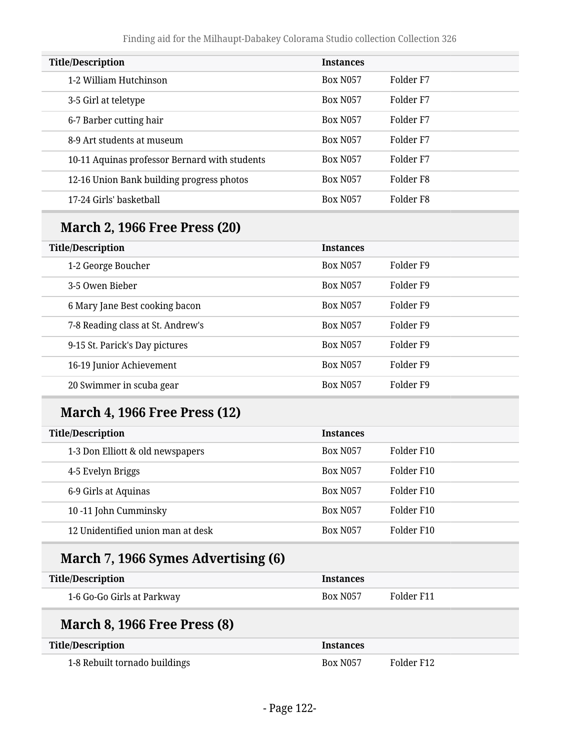| <b>Title/Description</b>                      | <b>Instances</b> |                      |
|-----------------------------------------------|------------------|----------------------|
| 1-2 William Hutchinson                        | <b>Box N057</b>  | Folder <sub>F7</sub> |
| 3-5 Girl at teletype                          | <b>Box N057</b>  | Folder F7            |
| 6-7 Barber cutting hair                       | <b>Box N057</b>  | Folder F7            |
| 8-9 Art students at museum                    | <b>Box N057</b>  | Folder F7            |
| 10-11 Aquinas professor Bernard with students | <b>Box N057</b>  | Folder F7            |
| 12-16 Union Bank building progress photos     | <b>Box N057</b>  | Folder F8            |
| 17-24 Girls' basketball                       | <b>Box N057</b>  | Folder F8            |

### **March 2, 1966 Free Press (20)**

| <b>Title/Description</b>          | <b>Instances</b> |           |
|-----------------------------------|------------------|-----------|
| 1-2 George Boucher                | <b>Box N057</b>  | Folder F9 |
| 3-5 Owen Bieber                   | <b>Box N057</b>  | Folder F9 |
| 6 Mary Jane Best cooking bacon    | <b>Box N057</b>  | Folder F9 |
| 7-8 Reading class at St. Andrew's | <b>Box N057</b>  | Folder F9 |
| 9-15 St. Parick's Day pictures    | <b>Box N057</b>  | Folder F9 |
| 16-19 Junior Achievement          | <b>Box N057</b>  | Folder F9 |
| 20 Swimmer in scuba gear          | <b>Box N057</b>  | Folder F9 |

### **March 4, 1966 Free Press (12)**

| <b>Title/Description</b>          | <b>Instances</b> |            |
|-----------------------------------|------------------|------------|
| 1-3 Don Elliott & old newspapers  | <b>Box N057</b>  | Folder F10 |
| 4-5 Evelyn Briggs                 | <b>Box N057</b>  | Folder F10 |
| 6-9 Girls at Aquinas              | <b>Box N057</b>  | Folder F10 |
| 10-11 John Cumminsky              | <b>Box N057</b>  | Folder F10 |
| 12 Unidentified union man at desk | <b>Box N057</b>  | Folder F10 |

### **March 7, 1966 Symes Advertising (6)**

| <b>Title/Description</b>   | <i><u><b>Instances</b></u></i> |            |
|----------------------------|--------------------------------|------------|
| 1-6 Go-Go Girls at Parkway | <b>Box N057</b>                | Folder F11 |

#### **March 8, 1966 Free Press (8)**

| <b>Title/Description</b>      | <i><u><b>Instances</b></u></i> |            |
|-------------------------------|--------------------------------|------------|
| 1-8 Rebuilt tornado buildings | <b>Box N057</b>                | Folder F12 |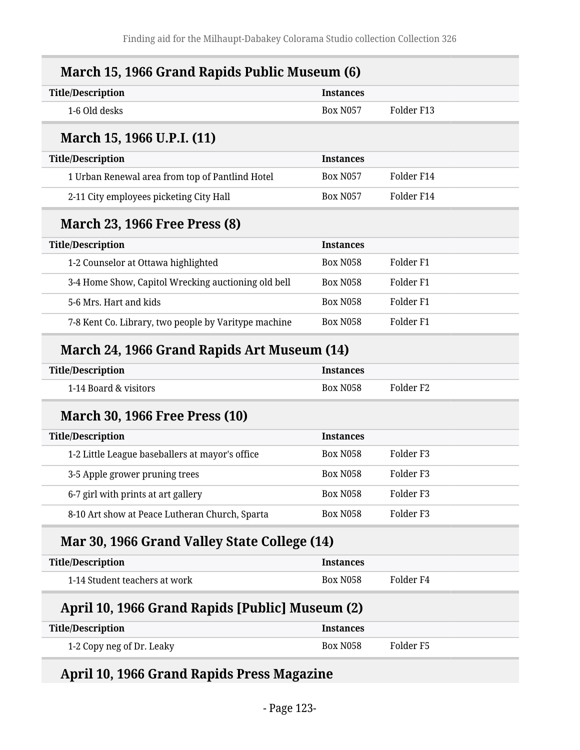| <b>Title/Description</b>                             | <b>Instances</b> |                      |
|------------------------------------------------------|------------------|----------------------|
| 1-6 Old desks                                        | <b>Box N057</b>  | Folder F13           |
| March 15, 1966 U.P.I. (11)                           |                  |                      |
| <b>Title/Description</b>                             | <b>Instances</b> |                      |
| 1 Urban Renewal area from top of Pantlind Hotel      | <b>Box N057</b>  | Folder F14           |
| 2-11 City employees picketing City Hall              | <b>Box N057</b>  | Folder F14           |
| <b>March 23, 1966 Free Press (8)</b>                 |                  |                      |
| <b>Title/Description</b>                             | <b>Instances</b> |                      |
| 1-2 Counselor at Ottawa highlighted                  | <b>Box N058</b>  | Folder <sub>F1</sub> |
| 3-4 Home Show, Capitol Wrecking auctioning old bell  | <b>Box N058</b>  | Folder <sub>F1</sub> |
| 5-6 Mrs. Hart and kids                               | <b>Box N058</b>  | Folder <sub>F1</sub> |
| 7-8 Kent Co. Library, two people by Varitype machine | <b>Box N058</b>  | Folder <sub>F1</sub> |
| March 24, 1966 Grand Rapids Art Museum (14)          |                  |                      |
| <b>Title/Description</b>                             | <b>Instances</b> |                      |
| 1-14 Board & visitors                                | <b>Box N058</b>  | Folder <sub>F2</sub> |
| <b>March 30, 1966 Free Press (10)</b>                |                  |                      |
| <b>Title/Description</b>                             | <b>Instances</b> |                      |
| 1-2 Little League baseballers at mayor's office      | <b>Box N058</b>  | Folder <sub>F3</sub> |
| 3-5 Apple grower pruning trees                       | <b>Box N058</b>  | Folder <sub>F3</sub> |
| 6-7 girl with prints at art gallery                  | <b>Box N058</b>  | Folder <sub>F3</sub> |
| 8-10 Art show at Peace Lutheran Church, Sparta       | <b>Box N058</b>  | Folder <sub>F3</sub> |
| Mar 30, 1966 Grand Valley State College (14)         |                  |                      |
|                                                      | <b>Instances</b> |                      |
| <b>Title/Description</b>                             |                  |                      |

#### **April 10, 1966 Grand Rapids [Public] Museum (2)**

| <b>Title/Description</b>  | <b>Instances</b> |           |
|---------------------------|------------------|-----------|
| 1-2 Copy neg of Dr. Leaky | Box N058         | Folder F5 |

### **April 10, 1966 Grand Rapids Press Magazine**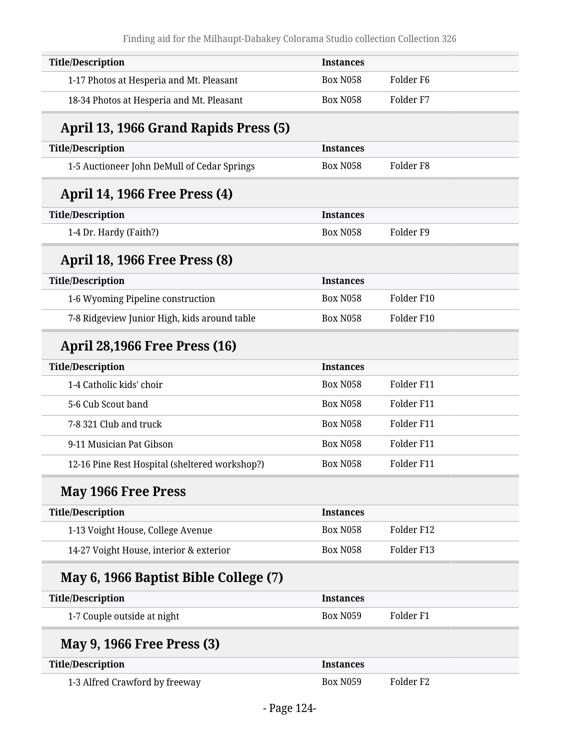| <b>Instances</b> |                      |
|------------------|----------------------|
| <b>Box N058</b>  | Folder <sub>F6</sub> |
| <b>Box N058</b>  | Folder <sub>F7</sub> |
|                  |                      |
| <b>Instances</b> |                      |
| <b>Box N058</b>  | Folder <sub>F8</sub> |
|                  |                      |
| <b>Instances</b> |                      |
| <b>Box N058</b>  | Folder <sub>F9</sub> |
|                  |                      |
| <b>Instances</b> |                      |
| <b>Box N058</b>  | Folder F10           |
| <b>Box N058</b>  | Folder F10           |
|                  |                      |
| <b>Instances</b> |                      |
| <b>Box N058</b>  | Folder F11           |
| <b>Box N058</b>  | Folder F11           |
| <b>Box N058</b>  | Folder F11           |
| <b>Box N058</b>  | Folder F11           |
| <b>Box N058</b>  | Folder F11           |
|                  |                      |
| <b>Instances</b> |                      |
| <b>Box N058</b>  | Folder F12           |
| <b>Box N058</b>  | Folder F13           |
|                  |                      |
| <b>Instances</b> |                      |
| <b>Box N059</b>  | Folder <sub>F1</sub> |
|                  |                      |
| <b>Instances</b> |                      |
| <b>Box N059</b>  | Folder <sub>F2</sub> |
|                  |                      |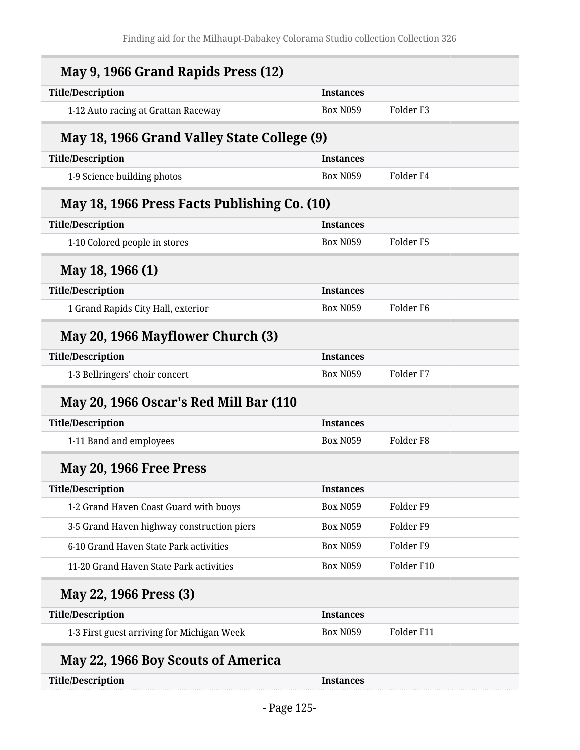| May 9, 1966 Grand Rapids Press (12)          |                  |                      |
|----------------------------------------------|------------------|----------------------|
| <b>Title/Description</b>                     | <b>Instances</b> |                      |
| 1-12 Auto racing at Grattan Raceway          | <b>Box N059</b>  | Folder <sub>F3</sub> |
| May 18, 1966 Grand Valley State College (9)  |                  |                      |
| <b>Title/Description</b>                     | <b>Instances</b> |                      |
| 1-9 Science building photos                  | <b>Box N059</b>  | Folder F4            |
| May 18, 1966 Press Facts Publishing Co. (10) |                  |                      |
| <b>Title/Description</b>                     | <b>Instances</b> |                      |
| 1-10 Colored people in stores                | <b>Box N059</b>  | Folder F5            |
| May 18, 1966 (1)                             |                  |                      |
| <b>Title/Description</b>                     | <b>Instances</b> |                      |
| 1 Grand Rapids City Hall, exterior           | <b>Box N059</b>  | Folder <sub>F6</sub> |
| May 20, 1966 Mayflower Church (3)            |                  |                      |
| <b>Title/Description</b>                     | <b>Instances</b> |                      |
| 1-3 Bellringers' choir concert               | <b>Box N059</b>  | Folder <sub>F7</sub> |
| May 20, 1966 Oscar's Red Mill Bar (110       |                  |                      |
| <b>Title/Description</b>                     | <b>Instances</b> |                      |
| 1-11 Band and employees                      | <b>Box N059</b>  | Folder <sub>F8</sub> |
| May 20, 1966 Free Press                      |                  |                      |
| <b>Title/Description</b>                     | <b>Instances</b> |                      |
| 1-2 Grand Haven Coast Guard with buoys       | <b>Box N059</b>  | Folder <sub>F9</sub> |
| 3-5 Grand Haven highway construction piers   | <b>Box N059</b>  | Folder <sub>F9</sub> |
| 6-10 Grand Haven State Park activities       | <b>Box N059</b>  | Folder <sub>F9</sub> |
| 11-20 Grand Haven State Park activities      | <b>Box N059</b>  | Folder F10           |
| May 22, 1966 Press (3)                       |                  |                      |
| <b>Title/Description</b>                     | <b>Instances</b> |                      |
| 1-3 First guest arriving for Michigan Week   | <b>Box N059</b>  | Folder F11           |
| May 22, 1966 Boy Scouts of America           |                  |                      |
| <b>Title/Description</b>                     | <b>Instances</b> |                      |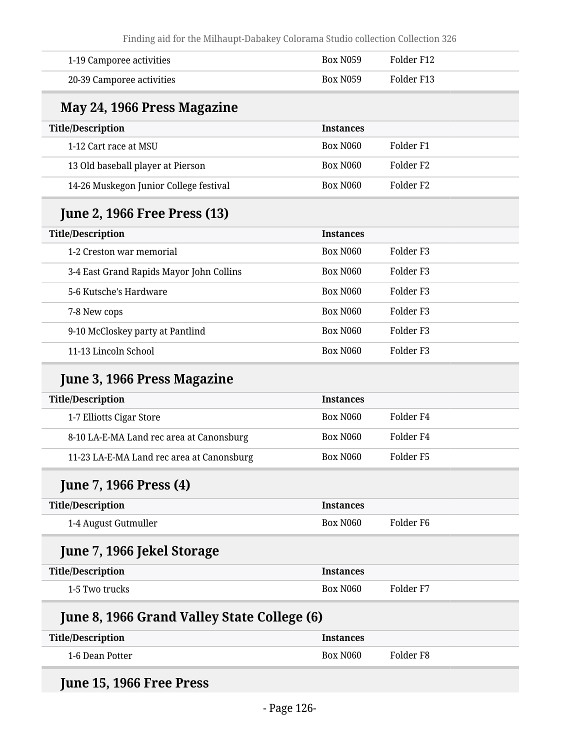Finding aid for the Milhaupt-Dabakey Colorama Studio collection Collection 326

| 1-19 Camporee activities                    | <b>Box N059</b>  | Folder F12           |
|---------------------------------------------|------------------|----------------------|
| 20-39 Camporee activities                   | <b>Box N059</b>  | Folder F13           |
| May 24, 1966 Press Magazine                 |                  |                      |
| <b>Title/Description</b>                    | <b>Instances</b> |                      |
| 1-12 Cart race at MSU                       | <b>Box N060</b>  | Folder <sub>F1</sub> |
| 13 Old baseball player at Pierson           | <b>Box N060</b>  | Folder <sub>F2</sub> |
| 14-26 Muskegon Junior College festival      | <b>Box N060</b>  | Folder <sub>F2</sub> |
| <b>June 2, 1966 Free Press (13)</b>         |                  |                      |
| <b>Title/Description</b>                    | <b>Instances</b> |                      |
| 1-2 Creston war memorial                    | <b>Box N060</b>  | Folder <sub>F3</sub> |
| 3-4 East Grand Rapids Mayor John Collins    | <b>Box N060</b>  | Folder <sub>F3</sub> |
| 5-6 Kutsche's Hardware                      | <b>Box N060</b>  | Folder <sub>F3</sub> |
| 7-8 New cops                                | <b>Box N060</b>  | Folder <sub>F3</sub> |
| 9-10 McCloskey party at Pantlind            | <b>Box N060</b>  | Folder <sub>F3</sub> |
| 11-13 Lincoln School                        | <b>Box N060</b>  | Folder <sub>F3</sub> |
| June 3, 1966 Press Magazine                 |                  |                      |
| <b>Title/Description</b>                    | <b>Instances</b> |                      |
| 1-7 Elliotts Cigar Store                    | <b>Box N060</b>  | Folder <sub>F4</sub> |
| 8-10 LA-E-MA Land rec area at Canonsburg    | <b>Box N060</b>  | Folder <sub>F4</sub> |
| 11-23 LA-E-MA Land rec area at Canonsburg   | <b>Box N060</b>  | Folder <sub>F5</sub> |
| <b>June 7, 1966 Press (4)</b>               |                  |                      |
| <b>Title/Description</b>                    | <b>Instances</b> |                      |
| 1-4 August Gutmuller                        | <b>Box N060</b>  | Folder <sub>F6</sub> |
| June 7, 1966 Jekel Storage                  |                  |                      |
| <b>Title/Description</b>                    | <b>Instances</b> |                      |
| 1-5 Two trucks                              | Box N060         | Folder <sub>F7</sub> |
| June 8, 1966 Grand Valley State College (6) |                  |                      |
| <b>Title/Description</b>                    | <b>Instances</b> |                      |
| 1-6 Dean Potter                             | <b>Box N060</b>  | Folder <sub>F8</sub> |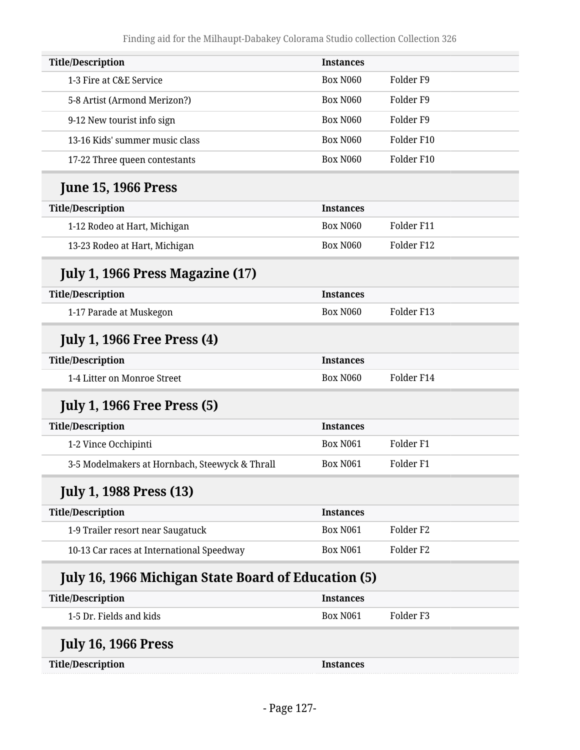| <b>Title/Description</b>                                   | <b>Instances</b> |                      |
|------------------------------------------------------------|------------------|----------------------|
| 1-3 Fire at C&E Service                                    | <b>Box N060</b>  | Folder <sub>F9</sub> |
| 5-8 Artist (Armond Merizon?)                               | <b>Box N060</b>  | Folder <sub>F9</sub> |
| 9-12 New tourist info sign                                 | <b>Box N060</b>  | Folder <sub>F9</sub> |
| 13-16 Kids' summer music class                             | <b>Box N060</b>  | Folder F10           |
| 17-22 Three queen contestants                              | <b>Box N060</b>  | Folder F10           |
| <b>June 15, 1966 Press</b>                                 |                  |                      |
| <b>Title/Description</b>                                   | <b>Instances</b> |                      |
| 1-12 Rodeo at Hart, Michigan                               | <b>Box N060</b>  | Folder F11           |
| 13-23 Rodeo at Hart, Michigan                              | <b>Box N060</b>  | Folder F12           |
| July 1, 1966 Press Magazine (17)                           |                  |                      |
| <b>Title/Description</b>                                   | <b>Instances</b> |                      |
| 1-17 Parade at Muskegon                                    | <b>Box N060</b>  | Folder F13           |
| <b>July 1, 1966 Free Press (4)</b>                         |                  |                      |
| <b>Title/Description</b>                                   | <b>Instances</b> |                      |
| 1-4 Litter on Monroe Street                                | Box N060         | Folder F14           |
| <b>July 1, 1966 Free Press (5)</b>                         |                  |                      |
| <b>Title/Description</b>                                   | <b>Instances</b> |                      |
| 1-2 Vince Occhipinti                                       | <b>Box N061</b>  | Folder <sub>F1</sub> |
| 3-5 Modelmakers at Hornbach, Steewyck & Thrall             | <b>Box N061</b>  | Folder <sub>F1</sub> |
| <b>July 1, 1988 Press (13)</b>                             |                  |                      |
| <b>Title/Description</b>                                   | <b>Instances</b> |                      |
| 1-9 Trailer resort near Saugatuck                          | <b>Box N061</b>  | Folder <sub>F2</sub> |
| 10-13 Car races at International Speedway                  | <b>Box N061</b>  | Folder <sub>F2</sub> |
| <b>July 16, 1966 Michigan State Board of Education (5)</b> |                  |                      |
| <b>Title/Description</b>                                   | <b>Instances</b> |                      |
| 1-5 Dr. Fields and kids                                    | <b>Box N061</b>  | Folder <sub>F3</sub> |
| <b>July 16, 1966 Press</b>                                 |                  |                      |
| <b>Title/Description</b>                                   | <b>Instances</b> |                      |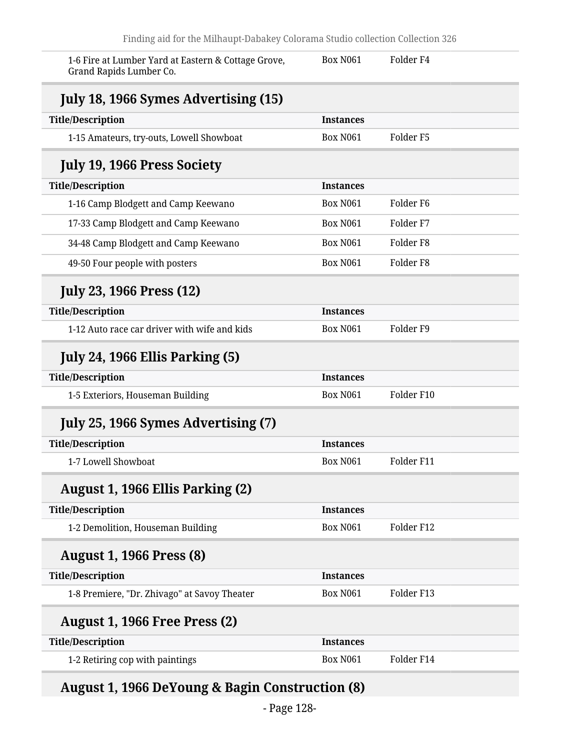| 1-6 Fire at Lumber Yard at Eastern & Cottage Grove,<br>Grand Rapids Lumber Co. | <b>Box N061</b>  | Folder F4            |
|--------------------------------------------------------------------------------|------------------|----------------------|
| <b>July 18, 1966 Symes Advertising (15)</b>                                    |                  |                      |
| <b>Title/Description</b>                                                       | <b>Instances</b> |                      |
| 1-15 Amateurs, try-outs, Lowell Showboat                                       | <b>Box N061</b>  | Folder <sub>F5</sub> |
| <b>July 19, 1966 Press Society</b>                                             |                  |                      |
| <b>Title/Description</b>                                                       | <b>Instances</b> |                      |
| 1-16 Camp Blodgett and Camp Keewano                                            | <b>Box N061</b>  | Folder F6            |
| 17-33 Camp Blodgett and Camp Keewano                                           | <b>Box N061</b>  | Folder <sub>F7</sub> |
| 34-48 Camp Blodgett and Camp Keewano                                           | <b>Box N061</b>  | Folder <sub>F8</sub> |
| 49-50 Four people with posters                                                 | <b>Box N061</b>  | Folder <sub>F8</sub> |
| <b>July 23, 1966 Press (12)</b>                                                |                  |                      |
| <b>Title/Description</b>                                                       | <b>Instances</b> |                      |
| 1-12 Auto race car driver with wife and kids                                   | <b>Box N061</b>  | Folder <sub>F9</sub> |
| <b>July 24, 1966 Ellis Parking (5)</b>                                         |                  |                      |
| <b>Title/Description</b>                                                       | <b>Instances</b> |                      |
| 1-5 Exteriors, Houseman Building                                               | <b>Box N061</b>  | Folder F10           |
| July 25, 1966 Symes Advertising (7)                                            |                  |                      |
| <b>Title/Description</b>                                                       | <b>Instances</b> |                      |
| 1-7 Lowell Showboat                                                            | <b>Box N061</b>  | Folder F11           |
| August 1, 1966 Ellis Parking (2)                                               |                  |                      |
| <b>Title/Description</b>                                                       | <b>Instances</b> |                      |
| 1-2 Demolition, Houseman Building                                              | <b>Box N061</b>  | Folder F12           |
| <b>August 1, 1966 Press (8)</b>                                                |                  |                      |
| <b>Title/Description</b>                                                       | <b>Instances</b> |                      |
| 1-8 Premiere, "Dr. Zhivago" at Savoy Theater                                   | <b>Box N061</b>  | Folder F13           |
| <b>August 1, 1966 Free Press (2)</b>                                           |                  |                      |
| <b>Title/Description</b>                                                       | <b>Instances</b> |                      |
| 1-2 Retiring cop with paintings                                                | <b>Box N061</b>  | Folder F14           |

## **August 1, 1966 DeYoung & Bagin Construction (8)**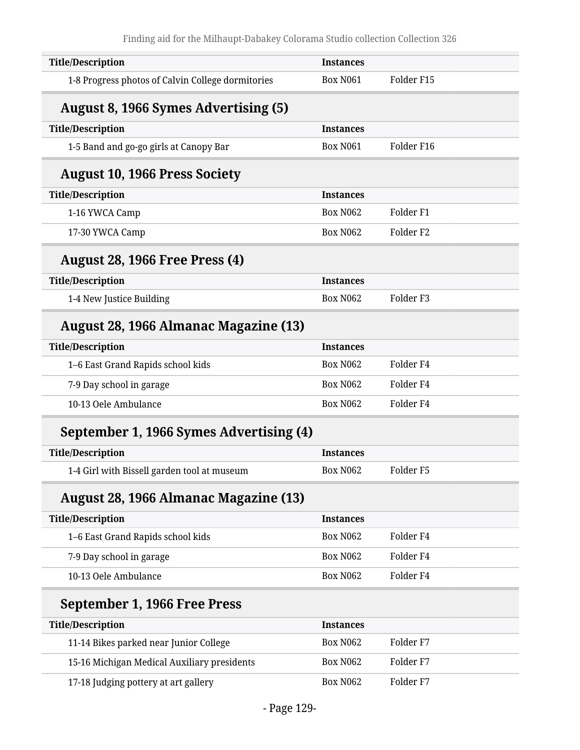| <b>Title/Description</b>                          | <b>Instances</b> |                      |
|---------------------------------------------------|------------------|----------------------|
| 1-8 Progress photos of Calvin College dormitories | <b>Box N061</b>  | Folder F15           |
| <b>August 8, 1966 Symes Advertising (5)</b>       |                  |                      |
| <b>Title/Description</b>                          | <b>Instances</b> |                      |
| 1-5 Band and go-go girls at Canopy Bar            | <b>Box N061</b>  | Folder F16           |
| <b>August 10, 1966 Press Society</b>              |                  |                      |
| <b>Title/Description</b>                          | <b>Instances</b> |                      |
| 1-16 YWCA Camp                                    | <b>Box N062</b>  | Folder <sub>F1</sub> |
| 17-30 YWCA Camp                                   | <b>Box N062</b>  | Folder <sub>F2</sub> |
| <b>August 28, 1966 Free Press (4)</b>             |                  |                      |
| <b>Title/Description</b>                          | <b>Instances</b> |                      |
| 1-4 New Justice Building                          | <b>Box N062</b>  | Folder <sub>F3</sub> |
| August 28, 1966 Almanac Magazine (13)             |                  |                      |
| <b>Title/Description</b>                          | <b>Instances</b> |                      |
| 1-6 East Grand Rapids school kids                 | <b>Box N062</b>  | Folder <sub>F4</sub> |
| 7-9 Day school in garage                          | <b>Box N062</b>  | Folder <sub>F4</sub> |
| 10-13 Oele Ambulance                              | <b>Box N062</b>  | Folder <sub>F4</sub> |
| September 1, 1966 Symes Advertising (4)           |                  |                      |
| <b>Title/Description</b>                          | <b>Instances</b> |                      |
| 1-4 Girl with Bissell garden tool at museum       | <b>Box N062</b>  | Folder <sub>F5</sub> |
| August 28, 1966 Almanac Magazine (13)             |                  |                      |
| <b>Title/Description</b>                          | <b>Instances</b> |                      |
| 1-6 East Grand Rapids school kids                 | <b>Box N062</b>  | Folder <sub>F4</sub> |
| 7-9 Day school in garage                          | <b>Box N062</b>  | Folder <sub>F4</sub> |
| 10-13 Oele Ambulance                              | <b>Box N062</b>  | Folder <sub>F4</sub> |
| September 1, 1966 Free Press                      |                  |                      |
| <b>Title/Description</b>                          | <b>Instances</b> |                      |
| 11-14 Bikes parked near Junior College            | <b>Box N062</b>  | Folder <sub>F7</sub> |
| 15-16 Michigan Medical Auxiliary presidents       | <b>Box N062</b>  | Folder <sub>F7</sub> |
| 17-18 Judging pottery at art gallery              | <b>Box N062</b>  | Folder F7            |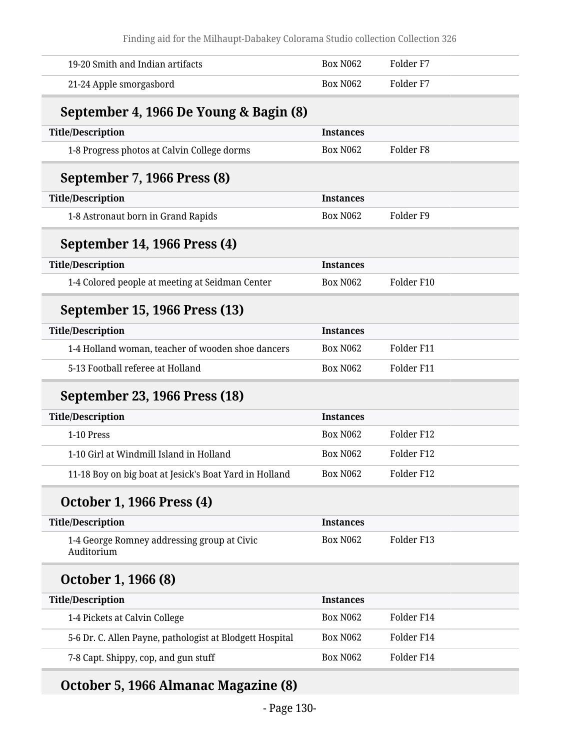Finding aid for the Milhaupt-Dabakey Colorama Studio collection Collection 326

| 19-20 Smith and Indian artifacts                          | <b>Box N062</b>  | Folder <sub>F7</sub> |
|-----------------------------------------------------------|------------------|----------------------|
| 21-24 Apple smorgasbord                                   | <b>Box N062</b>  | Folder <sub>F7</sub> |
| September 4, 1966 De Young & Bagin (8)                    |                  |                      |
| <b>Title/Description</b>                                  | <b>Instances</b> |                      |
| 1-8 Progress photos at Calvin College dorms               | <b>Box N062</b>  | Folder <sub>F8</sub> |
| September 7, 1966 Press (8)                               |                  |                      |
| <b>Title/Description</b>                                  | <b>Instances</b> |                      |
| 1-8 Astronaut born in Grand Rapids                        | <b>Box N062</b>  | Folder <sub>F9</sub> |
| September 14, 1966 Press (4)                              |                  |                      |
| <b>Title/Description</b>                                  | <b>Instances</b> |                      |
| 1-4 Colored people at meeting at Seidman Center           | <b>Box N062</b>  | Folder F10           |
| September 15, 1966 Press (13)                             |                  |                      |
| <b>Title/Description</b>                                  | <b>Instances</b> |                      |
| 1-4 Holland woman, teacher of wooden shoe dancers         | <b>Box N062</b>  | Folder F11           |
| 5-13 Football referee at Holland                          | <b>Box N062</b>  | Folder F11           |
| September 23, 1966 Press (18)                             |                  |                      |
| <b>Title/Description</b>                                  | <b>Instances</b> |                      |
| 1-10 Press                                                | <b>Box N062</b>  | Folder F12           |
| 1-10 Girl at Windmill Island in Holland                   | <b>Box N062</b>  | Folder F12           |
| 11-18 Boy on big boat at Jesick's Boat Yard in Holland    | <b>Box N062</b>  | Folder F12           |
| <b>October 1, 1966 Press (4)</b>                          |                  |                      |
| <b>Title/Description</b>                                  | <b>Instances</b> |                      |
| 1-4 George Romney addressing group at Civic<br>Auditorium | <b>Box N062</b>  | Folder F13           |
| October 1, 1966 (8)                                       |                  |                      |
| <b>Title/Description</b>                                  | <b>Instances</b> |                      |
| 1-4 Pickets at Calvin College                             | <b>Box N062</b>  | Folder F14           |
| 5-6 Dr. C. Allen Payne, pathologist at Blodgett Hospital  | Box N062         | Folder F14           |
| 7-8 Capt. Shippy, cop, and gun stuff                      | <b>Box N062</b>  | Folder F14           |

## **October 5, 1966 Almanac Magazine (8)**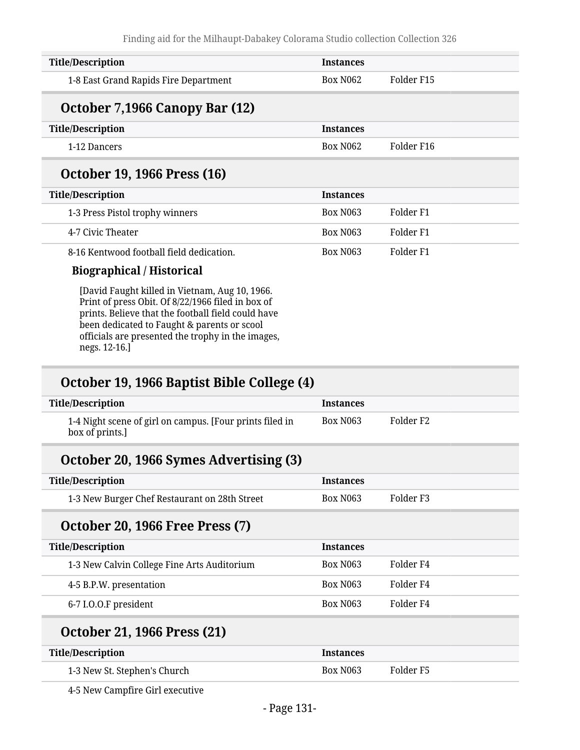| <b>Title/Description</b>                                                                                                                                  | <b>Instances</b> |                      |  |
|-----------------------------------------------------------------------------------------------------------------------------------------------------------|------------------|----------------------|--|
| 1-8 East Grand Rapids Fire Department                                                                                                                     | <b>Box N062</b>  | Folder F15           |  |
| October 7,1966 Canopy Bar (12)                                                                                                                            |                  |                      |  |
| <b>Title/Description</b>                                                                                                                                  | <b>Instances</b> |                      |  |
| 1-12 Dancers                                                                                                                                              | <b>Box N062</b>  | Folder F16           |  |
| October 19, 1966 Press (16)                                                                                                                               |                  |                      |  |
| <b>Title/Description</b>                                                                                                                                  | <b>Instances</b> |                      |  |
| 1-3 Press Pistol trophy winners                                                                                                                           | <b>Box N063</b>  | Folder F1            |  |
| 4-7 Civic Theater                                                                                                                                         | <b>Box N063</b>  | Folder <sub>F1</sub> |  |
| 8-16 Kentwood football field dedication.                                                                                                                  | <b>Box N063</b>  | Folder <sub>F1</sub> |  |
| <b>Biographical / Historical</b>                                                                                                                          |                  |                      |  |
| [David Faught killed in Vietnam, Aug 10, 1966.<br>Print of press Obit. Of 8/22/1966 filed in box of<br>prints. Believe that the foothall field could have |                  |                      |  |

prints. Believe that the football field could have been dedicated to Faught & parents or scool officials are presented the trophy in the images, negs. 12-16.]

### **October 19, 1966 Baptist Bible College (4)**

| <b>Title/Description</b>                                                    | <b>Instances</b> |           |
|-----------------------------------------------------------------------------|------------------|-----------|
| 1-4 Night scene of girl on campus. [Four prints filed in<br>box of prints.] | <b>Box N063</b>  | Folder F2 |
| October 20, 1966 Symes Advertising (3)                                      |                  |           |
| <b>Title/Description</b>                                                    | <b>Instances</b> |           |
| 1-3 New Burger Chef Restaurant on 28th Street                               | <b>Box N063</b>  | Folder F3 |
| <b>October 20, 1966 Free Press (7)</b>                                      |                  |           |
| <b>Title/Description</b>                                                    | <b>Instances</b> |           |
| 1-3 New Calvin College Fine Arts Auditorium                                 | <b>Box N063</b>  | Folder F4 |
| 4-5 B.P.W. presentation                                                     | <b>Box N063</b>  | Folder F4 |
| 6-7 I.O.O.F president                                                       | <b>Box N063</b>  | Folder F4 |
| <b>October 21, 1966 Press (21)</b>                                          |                  |           |

| <b>Title/Description</b>     | <b>Instances</b> |           |
|------------------------------|------------------|-----------|
| 1-3 New St. Stephen's Church | Box N063         | Folder F5 |

4-5 New Campfire Girl executive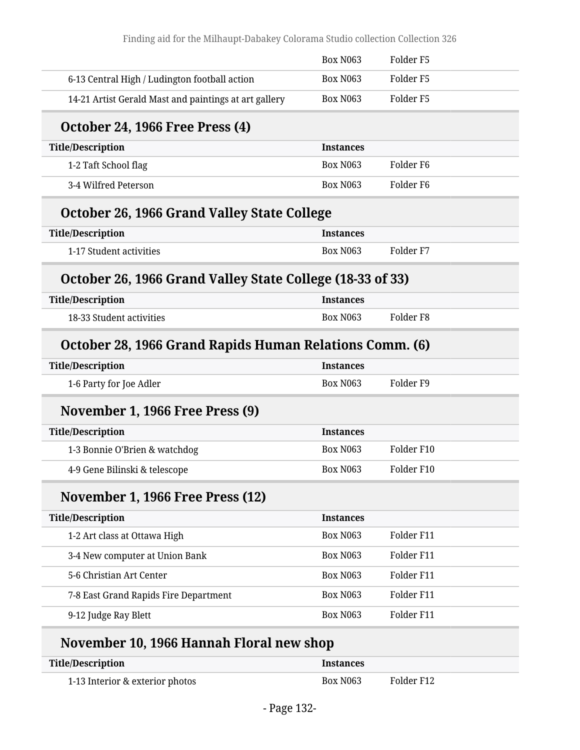|                                                           | <b>Box N063</b>  | Folder <sub>F5</sub> |
|-----------------------------------------------------------|------------------|----------------------|
| 6-13 Central High / Ludington football action             | <b>Box N063</b>  | Folder <sub>F5</sub> |
| 14-21 Artist Gerald Mast and paintings at art gallery     | <b>Box N063</b>  | Folder <sub>F5</sub> |
| <b>October 24, 1966 Free Press (4)</b>                    |                  |                      |
| <b>Title/Description</b>                                  | <b>Instances</b> |                      |
| 1-2 Taft School flag                                      | <b>Box N063</b>  | Folder F6            |
| 3-4 Wilfred Peterson                                      | <b>Box N063</b>  | Folder <sub>F6</sub> |
| October 26, 1966 Grand Valley State College               |                  |                      |
| <b>Title/Description</b>                                  | <b>Instances</b> |                      |
| 1-17 Student activities                                   | <b>Box N063</b>  | Folder <sub>F7</sub> |
| October 26, 1966 Grand Valley State College (18-33 of 33) |                  |                      |
| <b>Title/Description</b>                                  | <b>Instances</b> |                      |
| 18-33 Student activities                                  | <b>Box N063</b>  | Folder <sub>F8</sub> |
| October 28, 1966 Grand Rapids Human Relations Comm. (6)   |                  |                      |
| <b>Title/Description</b>                                  | <b>Instances</b> |                      |
| 1-6 Party for Joe Adler                                   | <b>Box N063</b>  | Folder <sub>F9</sub> |
|                                                           |                  |                      |
| November 1, 1966 Free Press (9)                           |                  |                      |
| <b>Title/Description</b>                                  | <b>Instances</b> |                      |
| 1-3 Bonnie O'Brien & watchdog                             | <b>Box N063</b>  | Folder F10           |
| 4-9 Gene Bilinski & telescope                             | Box N063         | Folder F10           |
| November 1, 1966 Free Press (12)                          |                  |                      |
| <b>Title/Description</b>                                  | <b>Instances</b> |                      |
| 1-2 Art class at Ottawa High                              | Box N063         | Folder F11           |
| 3-4 New computer at Union Bank                            | <b>Box N063</b>  | Folder F11           |
| 5-6 Christian Art Center                                  | Box N063         | Folder F11           |
| 7-8 East Grand Rapids Fire Department                     | Box N063         | Folder F11           |

| Title/Description               | <i>Instances</i> |            |
|---------------------------------|------------------|------------|
| 1-13 Interior & exterior photos | Box N063         | Folder F12 |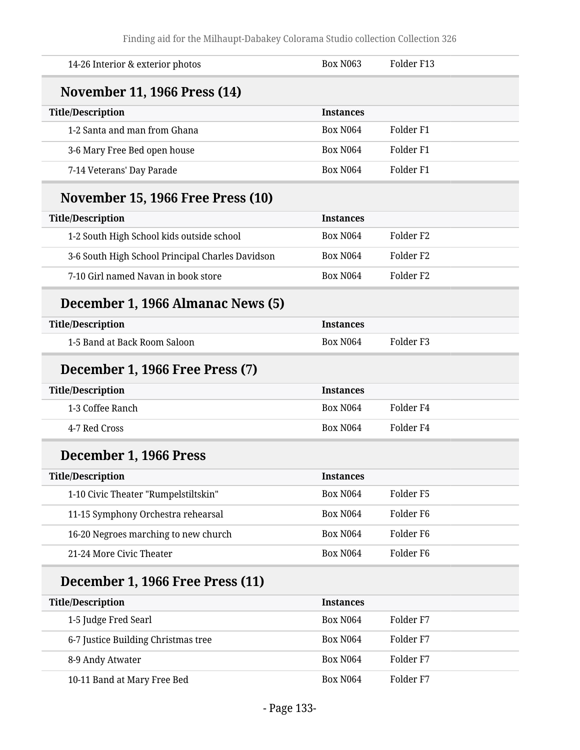| <b>Box N063</b>  | Folder F13           |
|------------------|----------------------|
|                  |                      |
| <b>Instances</b> |                      |
| <b>Box N064</b>  | Folder <sub>F1</sub> |
| <b>Box N064</b>  | Folder <sub>F1</sub> |
| <b>Box N064</b>  | Folder <sub>F1</sub> |
|                  |                      |
| <b>Instances</b> |                      |
| <b>Box N064</b>  | Folder <sub>F2</sub> |
| <b>Box N064</b>  | Folder <sub>F2</sub> |
| <b>Box N064</b>  | Folder <sub>F2</sub> |
|                  |                      |
| <b>Instances</b> |                      |
| <b>Box N064</b>  | Folder <sub>F3</sub> |
|                  |                      |
| <b>Instances</b> |                      |
| <b>Box N064</b>  | Folder <sub>F4</sub> |
| <b>Box N064</b>  | Folder <sub>F4</sub> |
|                  |                      |
| Instances        |                      |
| <b>Box N064</b>  | Folder <sub>F5</sub> |
| <b>Box N064</b>  | Folder <sub>F6</sub> |
| <b>Box N064</b>  | Folder <sub>F6</sub> |
| <b>Box N064</b>  | Folder <sub>F6</sub> |
|                  |                      |
|                  |                      |
| <b>Instances</b> |                      |
| <b>Box N064</b>  | Folder <sub>F7</sub> |
| <b>Box N064</b>  | Folder F7            |
| <b>Box N064</b>  | Folder F7            |
|                  |                      |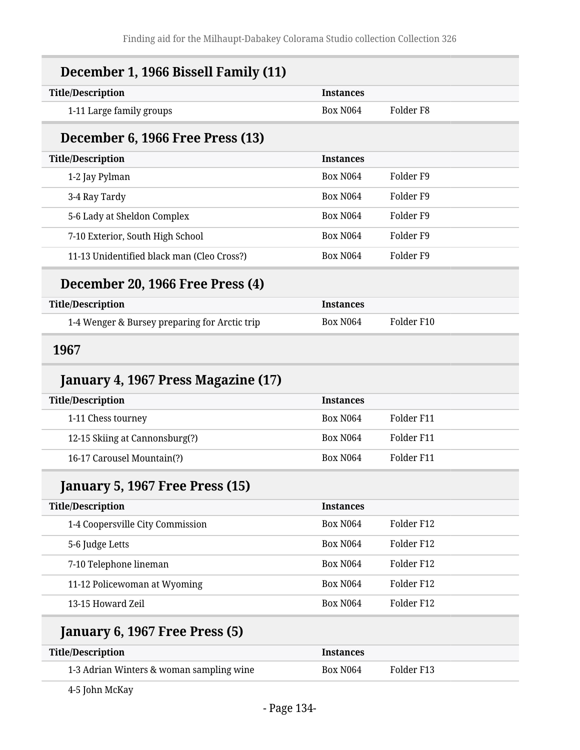| <b>Title/Description</b>                                                  | <b>Instances</b> |                      |
|---------------------------------------------------------------------------|------------------|----------------------|
| 1-11 Large family groups                                                  | <b>Box N064</b>  | Folder F8            |
| December 6, 1966 Free Press (13)                                          |                  |                      |
| <b>Title/Description</b>                                                  | <b>Instances</b> |                      |
| 1-2 Jay Pylman                                                            | <b>Box N064</b>  | Folder <sub>F9</sub> |
| 3-4 Ray Tardy                                                             | <b>Box N064</b>  | Folder <sub>F9</sub> |
| 5-6 Lady at Sheldon Complex                                               | <b>Box N064</b>  | Folder <sub>F9</sub> |
| 7-10 Exterior, South High School                                          | <b>Box N064</b>  | Folder <sub>F9</sub> |
| 11-13 Unidentified black man (Cleo Cross?)                                | <b>Box N064</b>  | Folder <sub>F9</sub> |
| December 20, 1966 Free Press (4)                                          |                  |                      |
| <b>Title/Description</b>                                                  | <b>Instances</b> |                      |
| 1-4 Wenger & Bursey preparing for Arctic trip                             | <b>Box N064</b>  | Folder F10           |
| 1967                                                                      |                  |                      |
|                                                                           |                  |                      |
| January 4, 1967 Press Magazine (17)                                       |                  |                      |
|                                                                           | <b>Instances</b> |                      |
| 1-11 Chess tourney                                                        | <b>Box N064</b>  | Folder F11           |
| 12-15 Skiing at Cannonsburg(?)                                            | <b>Box N064</b>  | Folder F11           |
| 16-17 Carousel Mountain(?)                                                | <b>Box N064</b>  | Folder F11           |
| January 5, 1967 Free Press (15)                                           |                  |                      |
|                                                                           | <b>Instances</b> |                      |
| 1-4 Coopersville City Commission                                          | <b>Box N064</b>  | Folder F12           |
| 5-6 Judge Letts                                                           | <b>Box N064</b>  | Folder F12           |
| 7-10 Telephone lineman                                                    | <b>Box N064</b>  | Folder F12           |
| 11-12 Policewoman at Wyoming                                              | <b>Box N064</b>  | Folder F12           |
| <b>Title/Description</b><br><b>Title/Description</b><br>13-15 Howard Zeil | <b>Box N064</b>  | Folder F12           |
| January 6, 1967 Free Press (5)                                            |                  |                      |
| <b>Title/Description</b>                                                  | <b>Instances</b> |                      |

4-5 John McKay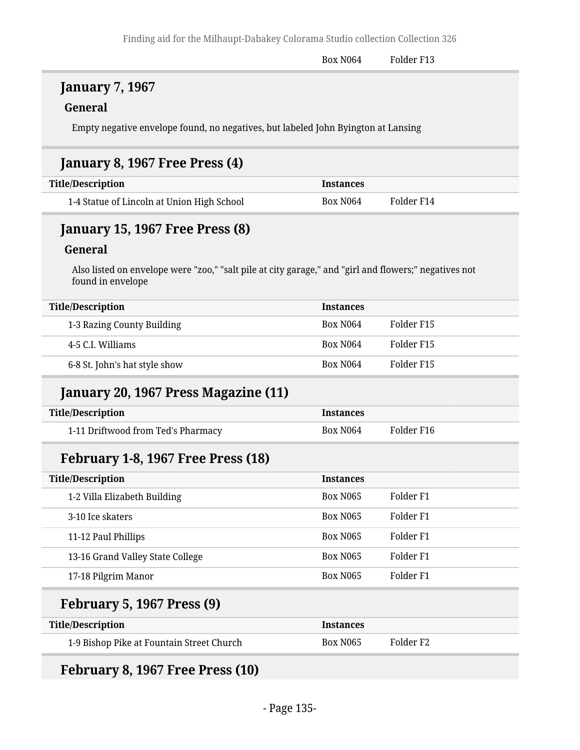#### **January 7, 1967**

#### **General**

Empty negative envelope found, no negatives, but labeled John Byington at Lansing

#### **January 8, 1967 Free Press (4)**

| Title/Description                          | <i><u><b>Instances</b></u></i> |            |
|--------------------------------------------|--------------------------------|------------|
| 1-4 Statue of Lincoln at Union High School | Box N <sub>064</sub>           | Folder F14 |

#### **January 15, 1967 Free Press (8)**

#### **General**

Also listed on envelope were "zoo," "salt pile at city garage," and "girl and flowers;" negatives not found in envelope

| <b>Title/Description</b>      | <b>Instances</b>     |            |
|-------------------------------|----------------------|------------|
| 1-3 Razing County Building    | Box N <sub>064</sub> | Folder F15 |
| 4-5 C.I. Williams             | Box N <sub>064</sub> | Folder F15 |
| 6-8 St. John's hat style show | Box N <sub>064</sub> | Folder F15 |

#### **January 20, 1967 Press Magazine (11)**

| <b>Title/Description</b>           | Instances            |            |
|------------------------------------|----------------------|------------|
| 1-11 Driftwood from Ted's Pharmacy | Box N <sub>064</sub> | Folder F16 |

#### **February 1-8, 1967 Free Press (18)**

| <b>Title/Description</b>         | <b>Instances</b> |           |
|----------------------------------|------------------|-----------|
| 1-2 Villa Elizabeth Building     | <b>Box N065</b>  | Folder F1 |
| 3-10 Ice skaters                 | <b>Box N065</b>  | Folder F1 |
| 11-12 Paul Phillips              | <b>Box N065</b>  | Folder F1 |
| 13-16 Grand Valley State College | <b>Box N065</b>  | Folder F1 |
| 17-18 Pilgrim Manor              | <b>Box N065</b>  | Folder F1 |

#### **February 5, 1967 Press (9)**

| <b>Title/Description</b>                  | Instances            |           |
|-------------------------------------------|----------------------|-----------|
| 1-9 Bishop Pike at Fountain Street Church | Box N <sub>065</sub> | Folder F2 |

```
February 8, 1967 Free Press (10)
```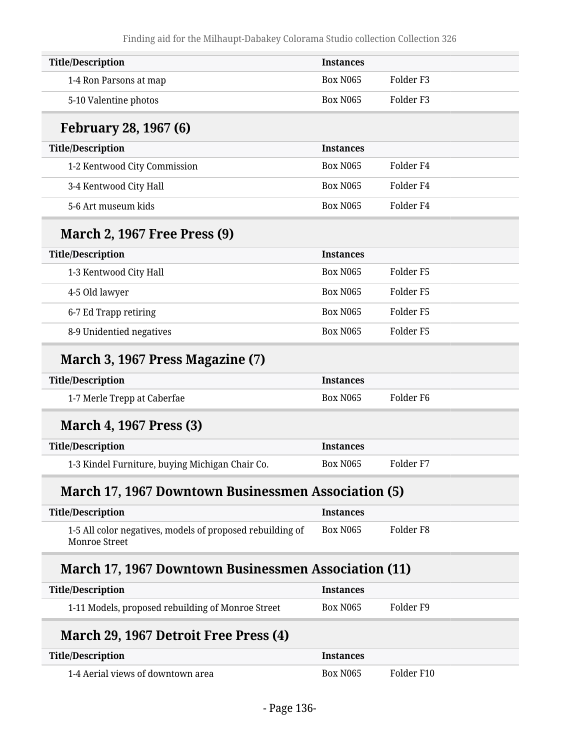| <b>Title/Description</b>                                                          | <b>Instances</b> |                      |
|-----------------------------------------------------------------------------------|------------------|----------------------|
| 1-4 Ron Parsons at map                                                            | <b>Box N065</b>  | Folder <sub>F3</sub> |
| 5-10 Valentine photos                                                             | <b>Box N065</b>  | Folder <sub>F3</sub> |
| <b>February 28, 1967 (6)</b>                                                      |                  |                      |
| <b>Title/Description</b>                                                          | <b>Instances</b> |                      |
| 1-2 Kentwood City Commission                                                      | <b>Box N065</b>  | Folder F4            |
| 3-4 Kentwood City Hall                                                            | <b>Box N065</b>  | Folder <sub>F4</sub> |
| 5-6 Art museum kids                                                               | <b>Box N065</b>  | Folder <sub>F4</sub> |
| <b>March 2, 1967 Free Press (9)</b>                                               |                  |                      |
| <b>Title/Description</b>                                                          | <b>Instances</b> |                      |
| 1-3 Kentwood City Hall                                                            | <b>Box N065</b>  | Folder <sub>F5</sub> |
| 4-5 Old lawyer                                                                    | <b>Box N065</b>  | Folder <sub>F5</sub> |
| 6-7 Ed Trapp retiring                                                             | <b>Box N065</b>  | Folder <sub>F5</sub> |
| 8-9 Unidentied negatives                                                          | <b>Box N065</b>  | Folder <sub>F5</sub> |
| March 3, 1967 Press Magazine (7)                                                  |                  |                      |
| <b>Title/Description</b>                                                          | <b>Instances</b> |                      |
| 1-7 Merle Trepp at Caberfae                                                       | <b>Box N065</b>  | Folder <sub>F6</sub> |
| <b>March 4, 1967 Press (3)</b>                                                    |                  |                      |
| <b>Title/Description</b>                                                          | <b>Instances</b> |                      |
| 1-3 Kindel Furniture, buying Michigan Chair Co.                                   | <b>Box N065</b>  | Folder <sub>F7</sub> |
| <b>March 17, 1967 Downtown Businessmen Association (5)</b>                        |                  |                      |
| <b>Title/Description</b>                                                          | <b>Instances</b> |                      |
| 1-5 All color negatives, models of proposed rebuilding of<br><b>Monroe Street</b> | <b>Box N065</b>  | Folder <sub>F8</sub> |
| <b>March 17, 1967 Downtown Businessmen Association (11)</b>                       |                  |                      |
| <b>Title/Description</b>                                                          | <b>Instances</b> |                      |
| 1-11 Models, proposed rebuilding of Monroe Street                                 | <b>Box N065</b>  | Folder <sub>F9</sub> |
| March 29, 1967 Detroit Free Press (4)                                             |                  |                      |
| <b>Title/Description</b>                                                          | <b>Instances</b> |                      |
| 1-4 Aerial views of downtown area                                                 | <b>Box N065</b>  | Folder F10           |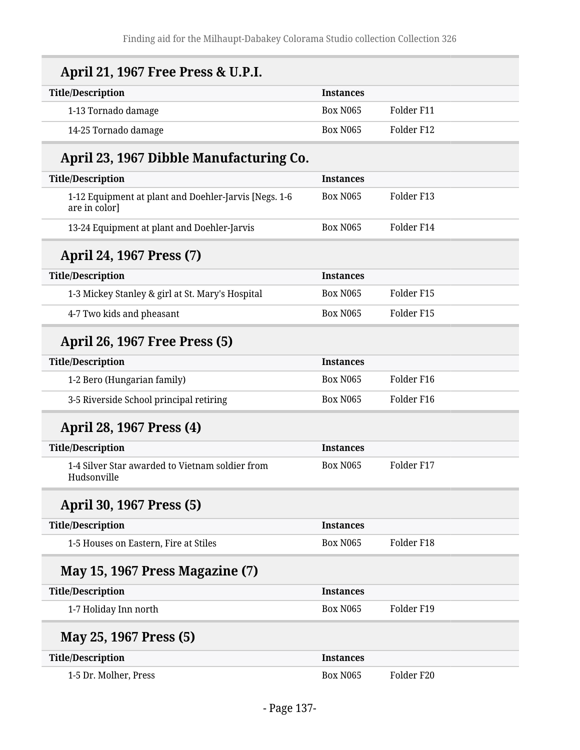| April 21, 1967 Free Press & U.P.I.                                     |                  |            |
|------------------------------------------------------------------------|------------------|------------|
| <b>Title/Description</b>                                               | <b>Instances</b> |            |
| 1-13 Tornado damage                                                    | <b>Box N065</b>  | Folder F11 |
| 14-25 Tornado damage                                                   | <b>Box N065</b>  | Folder F12 |
| April 23, 1967 Dibble Manufacturing Co.                                |                  |            |
| <b>Title/Description</b>                                               | <b>Instances</b> |            |
| 1-12 Equipment at plant and Doehler-Jarvis [Negs. 1-6<br>are in color] | <b>Box N065</b>  | Folder F13 |
| 13-24 Equipment at plant and Doehler-Jarvis                            | <b>Box N065</b>  | Folder F14 |
| April 24, 1967 Press (7)                                               |                  |            |
| <b>Title/Description</b>                                               | <b>Instances</b> |            |
| 1-3 Mickey Stanley & girl at St. Mary's Hospital                       | <b>Box N065</b>  | Folder F15 |
| 4-7 Two kids and pheasant                                              | <b>Box N065</b>  | Folder F15 |
| <b>April 26, 1967 Free Press (5)</b>                                   |                  |            |
| <b>Title/Description</b>                                               | <b>Instances</b> |            |
| 1-2 Bero (Hungarian family)                                            | <b>Box N065</b>  | Folder F16 |
| 3-5 Riverside School principal retiring                                | <b>Box N065</b>  | Folder F16 |
| April 28, 1967 Press (4)                                               |                  |            |
| <b>Title/Description</b>                                               | <b>Instances</b> |            |
| 1-4 Silver Star awarded to Vietnam soldier from<br>Hudsonville         | <b>Box N065</b>  | Folder F17 |
| April 30, 1967 Press (5)                                               |                  |            |
| <b>Title/Description</b>                                               | <b>Instances</b> |            |
| 1-5 Houses on Eastern, Fire at Stiles                                  | <b>Box N065</b>  | Folder F18 |
| May 15, 1967 Press Magazine (7)                                        |                  |            |
| <b>Title/Description</b>                                               | <b>Instances</b> |            |
| 1-7 Holiday Inn north                                                  | <b>Box N065</b>  | Folder F19 |
| May 25, 1967 Press (5)                                                 |                  |            |
| <b>Title/Description</b>                                               | <b>Instances</b> |            |
| 1-5 Dr. Molher, Press                                                  | Box N065         | Folder F20 |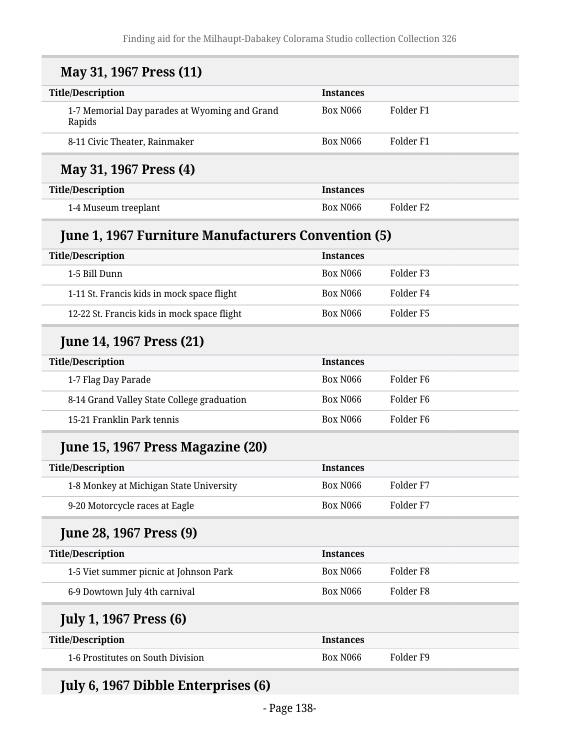| May 31, 1967 Press (11)                                    |                  |                      |
|------------------------------------------------------------|------------------|----------------------|
| <b>Title/Description</b>                                   | <b>Instances</b> |                      |
| 1-7 Memorial Day parades at Wyoming and Grand<br>Rapids    | Box N066         | Folder <sub>F1</sub> |
| 8-11 Civic Theater, Rainmaker                              | Box N066         | Folder <sub>F1</sub> |
| May 31, 1967 Press (4)                                     |                  |                      |
| <b>Title/Description</b>                                   | <b>Instances</b> |                      |
| 1-4 Museum treeplant                                       | Box N066         | Folder <sub>F2</sub> |
| <b>June 1, 1967 Furniture Manufacturers Convention (5)</b> |                  |                      |
| <b>Title/Description</b>                                   | <b>Instances</b> |                      |
| 1-5 Bill Dunn                                              | Box N066         | Folder <sub>F3</sub> |
| 1-11 St. Francis kids in mock space flight                 | Box N066         | Folder F4            |
| 12-22 St. Francis kids in mock space flight                | Box N066         | Folder <sub>F5</sub> |
| <b>June 14, 1967 Press (21)</b>                            |                  |                      |
| <b>Title/Description</b>                                   | <b>Instances</b> |                      |
| 1-7 Flag Day Parade                                        | Box N066         | Folder F6            |
| 8-14 Grand Valley State College graduation                 | <b>Box N066</b>  | Folder F6            |
| 15-21 Franklin Park tennis                                 | Box N066         | Folder F6            |
| June 15, 1967 Press Magazine (20)                          |                  |                      |
| <b>Title/Description</b>                                   | <b>Instances</b> |                      |
| 1-8 Monkey at Michigan State University                    | <b>Box N066</b>  | Folder <sub>F7</sub> |
| 9-20 Motorcycle races at Eagle                             | Box N066         | Folder <sub>F7</sub> |
| <b>June 28, 1967 Press (9)</b>                             |                  |                      |
| <b>Title/Description</b>                                   | <b>Instances</b> |                      |
| 1-5 Viet summer picnic at Johnson Park                     | Box N066         | Folder <sub>F8</sub> |
| 6-9 Dowtown July 4th carnival                              | Box N066         | Folder <sub>F8</sub> |
| <b>July 1, 1967 Press (6)</b>                              |                  |                      |
| <b>Title/Description</b>                                   | <b>Instances</b> |                      |
|                                                            |                  |                      |

# **July 6, 1967 Dibble Enterprises (6)**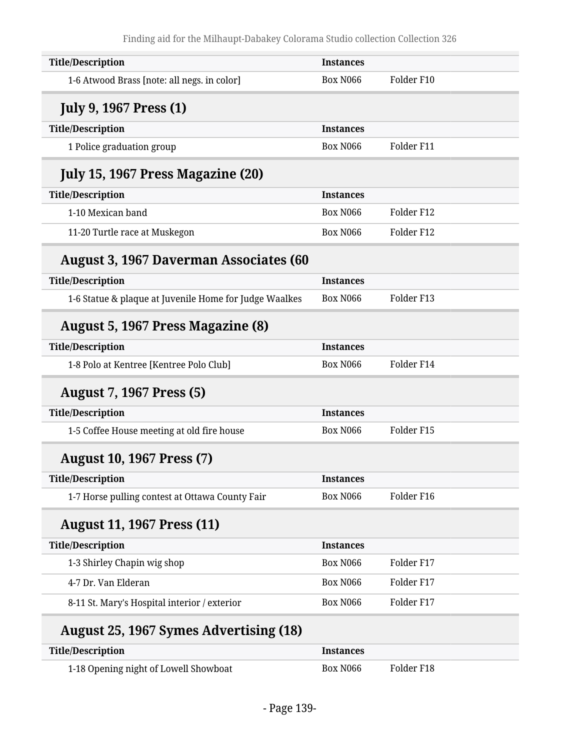| <b>Title/Description</b>                               | <b>Instances</b> |            |
|--------------------------------------------------------|------------------|------------|
| 1-6 Atwood Brass [note: all negs. in color]            | <b>Box N066</b>  | Folder F10 |
| <b>July 9, 1967 Press (1)</b>                          |                  |            |
| <b>Title/Description</b>                               | <b>Instances</b> |            |
| 1 Police graduation group                              | <b>Box N066</b>  | Folder F11 |
| July 15, 1967 Press Magazine (20)                      |                  |            |
| <b>Title/Description</b>                               | <b>Instances</b> |            |
| 1-10 Mexican band                                      | <b>Box N066</b>  | Folder F12 |
| 11-20 Turtle race at Muskegon                          | <b>Box N066</b>  | Folder F12 |
| <b>August 3, 1967 Daverman Associates (60</b>          |                  |            |
| <b>Title/Description</b>                               | <b>Instances</b> |            |
| 1-6 Statue & plaque at Juvenile Home for Judge Waalkes | <b>Box N066</b>  | Folder F13 |
| August 5, 1967 Press Magazine (8)                      |                  |            |
| <b>Title/Description</b>                               | <b>Instances</b> |            |
| 1-8 Polo at Kentree [Kentree Polo Club]                | <b>Box N066</b>  | Folder F14 |
| <b>August 7, 1967 Press (5)</b>                        |                  |            |
| <b>Title/Description</b>                               | <b>Instances</b> |            |
| 1-5 Coffee House meeting at old fire house             | Box N066         | Folder F15 |
| <b>August 10, 1967 Press (7)</b>                       |                  |            |
| <b>Title/Description</b>                               | <b>Instances</b> |            |
| 1-7 Horse pulling contest at Ottawa County Fair        | Box N066         | Folder F16 |
| <b>August 11, 1967 Press (11)</b>                      |                  |            |
| <b>Title/Description</b>                               | <b>Instances</b> |            |
| 1-3 Shirley Chapin wig shop                            | Box N066         | Folder F17 |
| 4-7 Dr. Van Elderan                                    | Box N066         | Folder F17 |
|                                                        |                  |            |

| Title/Description                     |  | <b>Instances</b> |            |
|---------------------------------------|--|------------------|------------|
| 1-18 Opening night of Lowell Showboat |  | Box N066         | Folder F18 |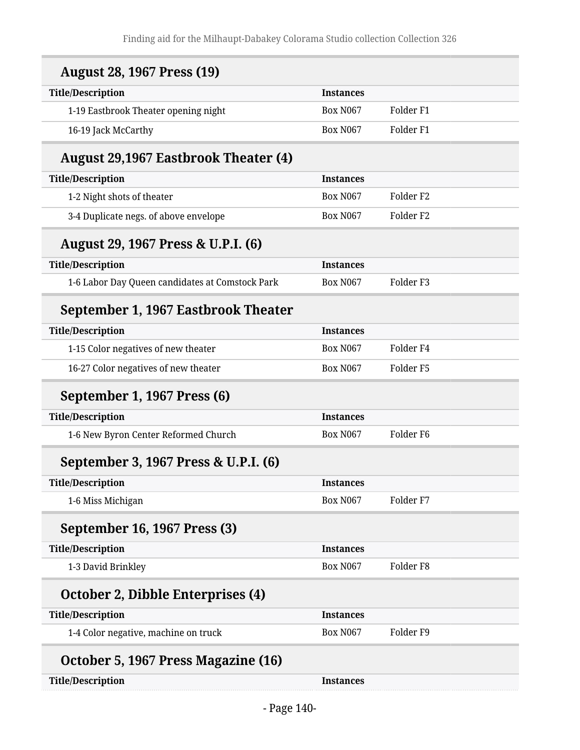| <b>August 28, 1967 Press (19)</b>               |                  |                      |  |
|-------------------------------------------------|------------------|----------------------|--|
| <b>Title/Description</b>                        | <b>Instances</b> |                      |  |
| 1-19 Eastbrook Theater opening night            | <b>Box N067</b>  | Folder <sub>F1</sub> |  |
| 16-19 Jack McCarthy                             | <b>Box N067</b>  | Folder <sub>F1</sub> |  |
| <b>August 29,1967 Eastbrook Theater (4)</b>     |                  |                      |  |
| <b>Title/Description</b>                        | <b>Instances</b> |                      |  |
| 1-2 Night shots of theater                      | <b>Box N067</b>  | Folder <sub>F2</sub> |  |
| 3-4 Duplicate negs. of above envelope           | <b>Box N067</b>  | Folder <sub>F2</sub> |  |
| August 29, 1967 Press & U.P.I. (6)              |                  |                      |  |
| <b>Title/Description</b>                        | <b>Instances</b> |                      |  |
| 1-6 Labor Day Queen candidates at Comstock Park | <b>Box N067</b>  | Folder <sub>F3</sub> |  |
| September 1, 1967 Eastbrook Theater             |                  |                      |  |
| <b>Title/Description</b>                        | <b>Instances</b> |                      |  |
| 1-15 Color negatives of new theater             | <b>Box N067</b>  | Folder <sub>F4</sub> |  |
| 16-27 Color negatives of new theater            | <b>Box N067</b>  | Folder <sub>F5</sub> |  |
| September 1, 1967 Press (6)                     |                  |                      |  |
| <b>Title/Description</b>                        | <b>Instances</b> |                      |  |
| 1-6 New Byron Center Reformed Church            | <b>Box N067</b>  | Folder <sub>F6</sub> |  |
| September 3, 1967 Press & U.P.I. (6)            |                  |                      |  |
| <b>Title/Description</b>                        | <b>Instances</b> |                      |  |
| 1-6 Miss Michigan                               | <b>Box N067</b>  | Folder <sub>F7</sub> |  |
| September 16, 1967 Press (3)                    |                  |                      |  |
| <b>Title/Description</b>                        | <b>Instances</b> |                      |  |
| 1-3 David Brinkley                              | <b>Box N067</b>  | Folder <sub>F8</sub> |  |
| October 2, Dibble Enterprises (4)               |                  |                      |  |
| <b>Title/Description</b>                        | <b>Instances</b> |                      |  |
| 1-4 Color negative, machine on truck            | <b>Box N067</b>  | Folder <sub>F9</sub> |  |
| October 5, 1967 Press Magazine (16)             |                  |                      |  |
| <b>Title/Description</b>                        | <b>Instances</b> |                      |  |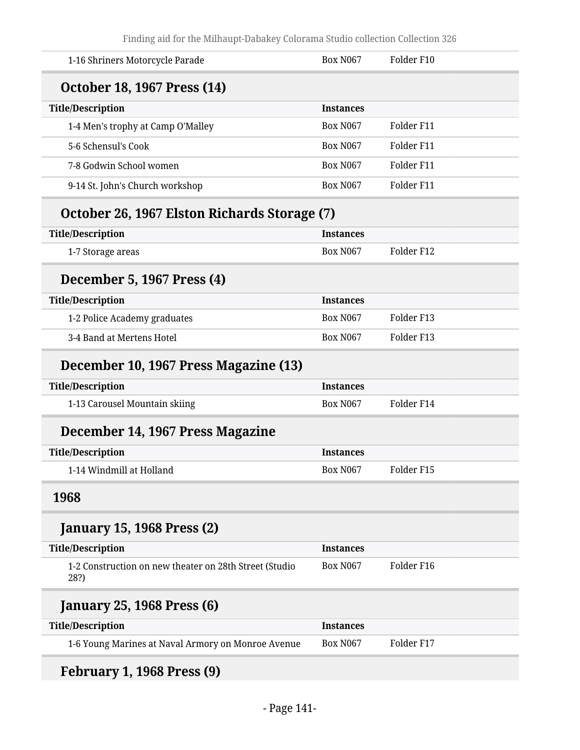| 1-16 Shriners Motorcycle Parade                                | <b>Box N067</b>  | Folder F10 |
|----------------------------------------------------------------|------------------|------------|
| <b>October 18, 1967 Press (14)</b>                             |                  |            |
| <b>Title/Description</b>                                       | <b>Instances</b> |            |
| 1-4 Men's trophy at Camp O'Malley                              | <b>Box N067</b>  | Folder F11 |
| 5-6 Schensul's Cook                                            | <b>Box N067</b>  | Folder F11 |
| 7-8 Godwin School women                                        | <b>Box N067</b>  | Folder F11 |
| 9-14 St. John's Church workshop                                | <b>Box N067</b>  | Folder F11 |
| October 26, 1967 Elston Richards Storage (7)                   |                  |            |
| <b>Title/Description</b>                                       | <b>Instances</b> |            |
| 1-7 Storage areas                                              | <b>Box N067</b>  | Folder F12 |
| December 5, 1967 Press (4)                                     |                  |            |
| <b>Title/Description</b>                                       | <b>Instances</b> |            |
| 1-2 Police Academy graduates                                   | <b>Box N067</b>  | Folder F13 |
| 3-4 Band at Mertens Hotel                                      | <b>Box N067</b>  | Folder F13 |
| December 10, 1967 Press Magazine (13)                          |                  |            |
| <b>Title/Description</b>                                       | <b>Instances</b> |            |
| 1-13 Carousel Mountain skiing                                  | <b>Box N067</b>  | Folder F14 |
| December 14, 1967 Press Magazine                               |                  |            |
| <b>Title/Description</b>                                       | <b>Instances</b> |            |
| 1-14 Windmill at Holland                                       | <b>Box N067</b>  | Folder F15 |
| 1968                                                           |                  |            |
| <b>January 15, 1968 Press (2)</b>                              |                  |            |
| <b>Title/Description</b>                                       | <b>Instances</b> |            |
| 1-2 Construction on new theater on 28th Street (Studio<br>28?) | <b>Box N067</b>  | Folder F16 |
| <b>January 25, 1968 Press (6)</b>                              |                  |            |
| <b>Title/Description</b>                                       | <b>Instances</b> |            |
| 1-6 Young Marines at Naval Armory on Monroe Avenue             | <b>Box N067</b>  | Folder F17 |
|                                                                |                  |            |

## **February 1, 1968 Press (9)**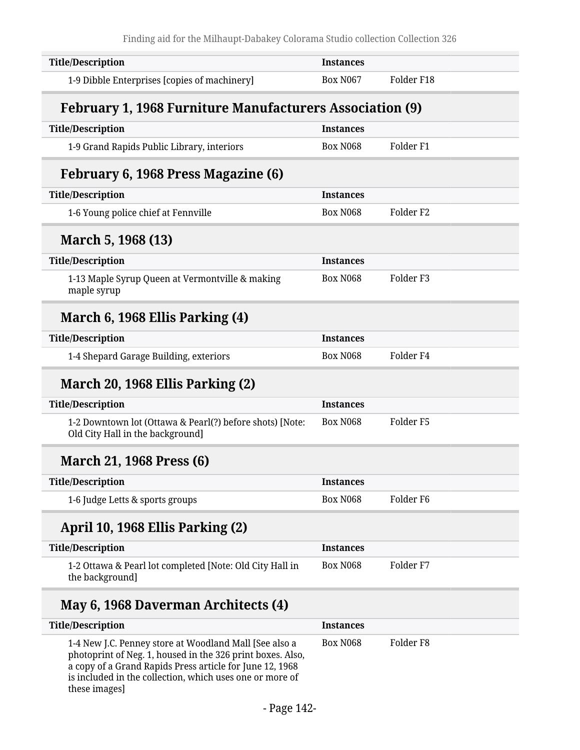| <b>Title/Description</b>                                                                     | <b>Instances</b> |                      |  |
|----------------------------------------------------------------------------------------------|------------------|----------------------|--|
| 1-9 Dibble Enterprises [copies of machinery]                                                 | <b>Box N067</b>  | Folder F18           |  |
| <b>February 1, 1968 Furniture Manufacturers Association (9)</b>                              |                  |                      |  |
| <b>Title/Description</b>                                                                     | <b>Instances</b> |                      |  |
| 1-9 Grand Rapids Public Library, interiors                                                   | <b>Box N068</b>  | Folder <sub>F1</sub> |  |
| February 6, 1968 Press Magazine (6)                                                          |                  |                      |  |
| <b>Title/Description</b>                                                                     | <b>Instances</b> |                      |  |
| 1-6 Young police chief at Fennville                                                          | <b>Box N068</b>  | Folder <sub>F2</sub> |  |
| March 5, 1968 (13)                                                                           |                  |                      |  |
| <b>Title/Description</b>                                                                     | <b>Instances</b> |                      |  |
| 1-13 Maple Syrup Queen at Vermontville & making<br>maple syrup                               | <b>Box N068</b>  | Folder F3            |  |
| March 6, 1968 Ellis Parking (4)                                                              |                  |                      |  |
| <b>Title/Description</b>                                                                     | <b>Instances</b> |                      |  |
| 1-4 Shepard Garage Building, exteriors                                                       | <b>Box N068</b>  | Folder <sub>F4</sub> |  |
| March 20, 1968 Ellis Parking (2)                                                             |                  |                      |  |
| <b>Title/Description</b>                                                                     | <b>Instances</b> |                      |  |
| 1-2 Downtown lot (Ottawa & Pearl(?) before shots) [Note:<br>Old City Hall in the background] | <b>Box N068</b>  | Folder <sub>F5</sub> |  |
| <b>March 21, 1968 Press (6)</b>                                                              |                  |                      |  |
| <b>Title/Description</b>                                                                     | <b>Instances</b> |                      |  |
| 1-6 Judge Letts & sports groups                                                              | <b>Box N068</b>  | Folder <sub>F6</sub> |  |
| April 10, 1968 Ellis Parking (2)                                                             |                  |                      |  |
| <b>Title/Description</b>                                                                     | <b>Instances</b> |                      |  |
| 1-2 Ottawa & Pearl lot completed [Note: Old City Hall in<br>the background]                  | <b>Box N068</b>  | Folder <sub>F7</sub> |  |
| May 6, 1968 Daverman Architects (4)                                                          |                  |                      |  |
| <b>Title/Description</b>                                                                     | <b>Instances</b> |                      |  |

| Title/Description                                                                                                                                                                                                                                             | Instances |           |  |
|---------------------------------------------------------------------------------------------------------------------------------------------------------------------------------------------------------------------------------------------------------------|-----------|-----------|--|
| 1-4 New J.C. Penney store at Woodland Mall [See also a<br>photoprint of Neg. 1, housed in the 326 print boxes. Also,<br>a copy of a Grand Rapids Press article for June 12, 1968<br>is included in the collection, which uses one or more of<br>these images] | Box N068  | Folder F8 |  |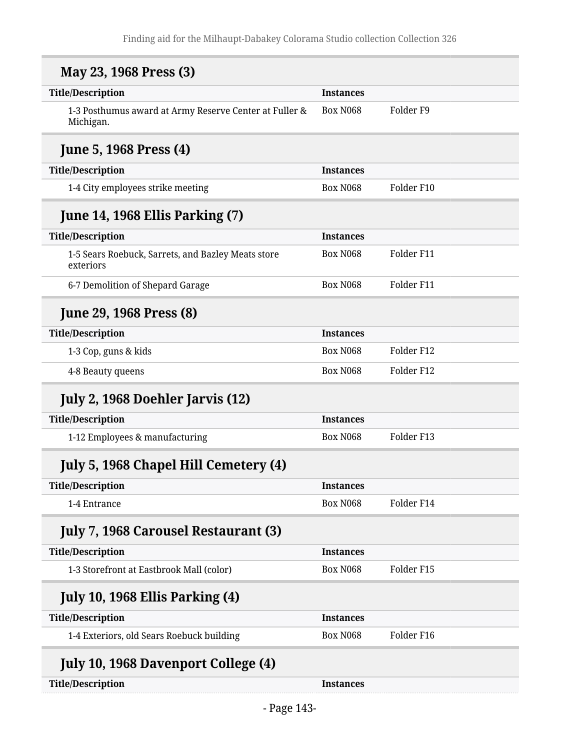| May 23, 1968 Press (3)                                              |                  |                      |
|---------------------------------------------------------------------|------------------|----------------------|
| <b>Title/Description</b>                                            | <b>Instances</b> |                      |
| 1-3 Posthumus award at Army Reserve Center at Fuller &<br>Michigan. | <b>Box N068</b>  | Folder <sub>F9</sub> |
| <b>June 5, 1968 Press (4)</b>                                       |                  |                      |
| <b>Title/Description</b>                                            | <b>Instances</b> |                      |
| 1-4 City employees strike meeting                                   | <b>Box N068</b>  | Folder F10           |
| <b>June 14, 1968 Ellis Parking (7)</b>                              |                  |                      |
| <b>Title/Description</b>                                            | <b>Instances</b> |                      |
| 1-5 Sears Roebuck, Sarrets, and Bazley Meats store<br>exteriors     | <b>Box N068</b>  | Folder F11           |
| 6-7 Demolition of Shepard Garage                                    | <b>Box N068</b>  | Folder F11           |
| <b>June 29, 1968 Press (8)</b>                                      |                  |                      |
| <b>Title/Description</b>                                            | <b>Instances</b> |                      |
| 1-3 Cop, guns & kids                                                | <b>Box N068</b>  | Folder F12           |
| 4-8 Beauty queens                                                   | <b>Box N068</b>  | Folder F12           |
| July 2, 1968 Doehler Jarvis (12)                                    |                  |                      |
| <b>Title/Description</b>                                            | <b>Instances</b> |                      |
| 1-12 Employees & manufacturing                                      | <b>Box N068</b>  | Folder F13           |
| July 5, 1968 Chapel Hill Cemetery (4)                               |                  |                      |
| <b>Title/Description</b>                                            | <b>Instances</b> |                      |
| 1-4 Entrance                                                        | <b>Box N068</b>  | Folder F14           |
| <b>July 7, 1968 Carousel Restaurant (3)</b>                         |                  |                      |
| <b>Title/Description</b>                                            | <b>Instances</b> |                      |
| 1-3 Storefront at Eastbrook Mall (color)                            | <b>Box N068</b>  | Folder F15           |
| <b>July 10, 1968 Ellis Parking (4)</b>                              |                  |                      |
| <b>Title/Description</b>                                            | <b>Instances</b> |                      |
| 1-4 Exteriors, old Sears Roebuck building                           | <b>Box N068</b>  | Folder F16           |
| <b>July 10, 1968 Davenport College (4)</b>                          |                  |                      |
| <b>Title/Description</b>                                            | <b>Instances</b> |                      |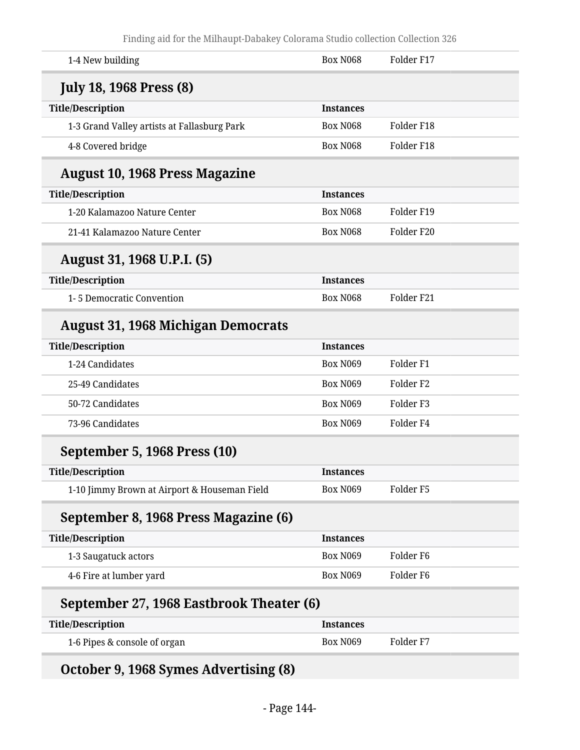| <b>Box N068</b>                          | Folder F17           |  |
|------------------------------------------|----------------------|--|
|                                          |                      |  |
| <b>Instances</b>                         |                      |  |
| <b>Box N068</b>                          | Folder F18           |  |
| <b>Box N068</b>                          | Folder F18           |  |
|                                          |                      |  |
| <b>Instances</b>                         |                      |  |
| <b>Box N068</b>                          | Folder F19           |  |
| <b>Box N068</b>                          | Folder F20           |  |
|                                          |                      |  |
| <b>Instances</b>                         |                      |  |
| <b>Box N068</b>                          | Folder F21           |  |
|                                          |                      |  |
| <b>Instances</b>                         |                      |  |
| <b>Box N069</b>                          | Folder <sub>F1</sub> |  |
| <b>Box N069</b>                          | Folder <sub>F2</sub> |  |
| <b>Box N069</b>                          | Folder <sub>F3</sub> |  |
| <b>Box N069</b>                          | Folder <sub>F4</sub> |  |
|                                          |                      |  |
| <b>Instances</b>                         |                      |  |
| <b>Box N069</b>                          | Folder <sub>F5</sub> |  |
|                                          |                      |  |
| <b>Instances</b>                         |                      |  |
| Box N069                                 | Folder <sub>F6</sub> |  |
| Box N069                                 | Folder <sub>F6</sub> |  |
| September 27, 1968 Eastbrook Theater (6) |                      |  |
| <b>Instances</b>                         |                      |  |
| Box N069                                 | Folder <sub>F7</sub> |  |
|                                          |                      |  |

# **October 9, 1968 Symes Advertising (8)**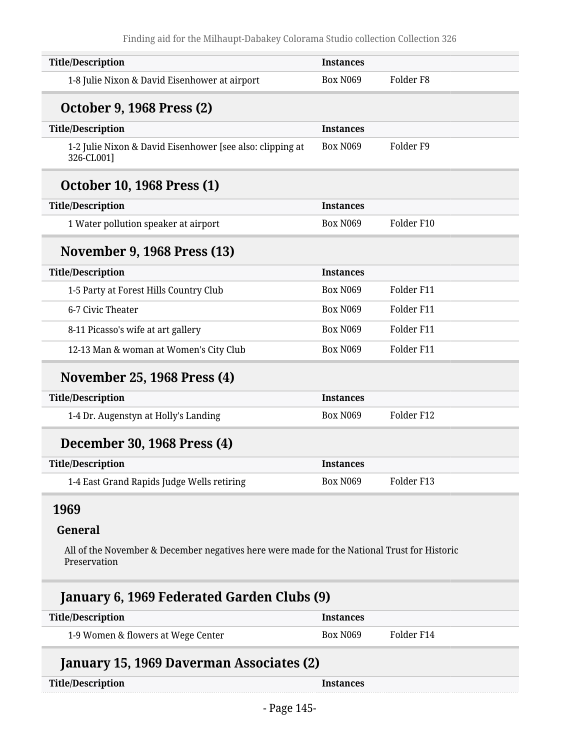| <b>Title/Description</b>                                                | <b>Instances</b> |                      |
|-------------------------------------------------------------------------|------------------|----------------------|
| 1-8 Julie Nixon & David Eisenhower at airport                           | <b>Box N069</b>  | Folder <sub>F8</sub> |
| <b>October 9, 1968 Press (2)</b>                                        |                  |                      |
| <b>Title/Description</b>                                                | <b>Instances</b> |                      |
| 1-2 Julie Nixon & David Eisenhower [see also: clipping at<br>326-CL001] | <b>Box N069</b>  | Folder <sub>F9</sub> |
| <b>October 10, 1968 Press (1)</b>                                       |                  |                      |
| <b>Title/Description</b>                                                | <b>Instances</b> |                      |
| 1 Water pollution speaker at airport                                    | <b>Box N069</b>  | Folder F10           |
| November 9, 1968 Press (13)                                             |                  |                      |
| <b>Title/Description</b>                                                | <b>Instances</b> |                      |
| 1-5 Party at Forest Hills Country Club                                  | <b>Box N069</b>  | Folder F11           |
| 6-7 Civic Theater                                                       | <b>Box N069</b>  | Folder F11           |
| 8-11 Picasso's wife at art gallery                                      | <b>Box N069</b>  | Folder F11           |
| 12-13 Man & woman at Women's City Club                                  | <b>Box N069</b>  | Folder F11           |
| <b>November 25, 1968 Press (4)</b>                                      |                  |                      |
| <b>Title/Description</b>                                                | <b>Instances</b> |                      |
| 1-4 Dr. Augenstyn at Holly's Landing                                    | <b>Box N069</b>  | Folder F12           |
| December 30, 1968 Press (4)                                             |                  |                      |
| <b>Title/Description</b>                                                | <b>Instances</b> |                      |
| 1-4 East Grand Rapids Judge Wells retiring                              | <b>Box N069</b>  | Folder F13           |
|                                                                         |                  |                      |

### **1969**

#### **General**

All of the November & December negatives here were made for the National Trust for Historic Preservation

# **January 6, 1969 Federated Garden Clubs (9)**

| Title/Description                  | <b>Instances</b> |            |
|------------------------------------|------------------|------------|
| 1-9 Women & flowers at Wege Center | Box N069         | Folder F14 |

# **January 15, 1969 Daverman Associates (2)**

| <b>Title/Description</b> |  |
|--------------------------|--|
|--------------------------|--|

**Title/Instances**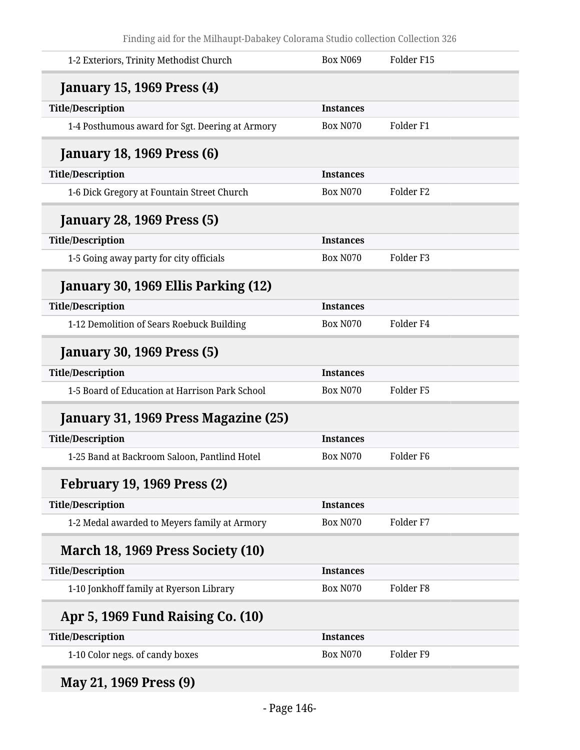| 1-2 Exteriors, Trinity Methodist Church         | <b>Box N069</b>  | Folder F15           |
|-------------------------------------------------|------------------|----------------------|
| <b>January 15, 1969 Press (4)</b>               |                  |                      |
| <b>Title/Description</b>                        | <b>Instances</b> |                      |
| 1-4 Posthumous award for Sgt. Deering at Armory | <b>Box N070</b>  | Folder <sub>F1</sub> |
| <b>January 18, 1969 Press (6)</b>               |                  |                      |
| <b>Title/Description</b>                        | <b>Instances</b> |                      |
| 1-6 Dick Gregory at Fountain Street Church      | <b>Box N070</b>  | Folder <sub>F2</sub> |
| <b>January 28, 1969 Press (5)</b>               |                  |                      |
| <b>Title/Description</b>                        | <b>Instances</b> |                      |
| 1-5 Going away party for city officials         | <b>Box N070</b>  | Folder <sub>F3</sub> |
| January 30, 1969 Ellis Parking (12)             |                  |                      |
| <b>Title/Description</b>                        | <b>Instances</b> |                      |
| 1-12 Demolition of Sears Roebuck Building       | <b>Box N070</b>  | Folder <sub>F4</sub> |
| <b>January 30, 1969 Press (5)</b>               |                  |                      |
| <b>Title/Description</b>                        | <b>Instances</b> |                      |
| 1-5 Board of Education at Harrison Park School  | <b>Box N070</b>  | Folder <sub>F5</sub> |
| January 31, 1969 Press Magazine (25)            |                  |                      |
| <b>Title/Description</b>                        | <b>Instances</b> |                      |
| 1-25 Band at Backroom Saloon, Pantlind Hotel    | <b>Box N070</b>  | Folder <sub>F6</sub> |
| <b>February 19, 1969 Press (2)</b>              |                  |                      |
| <b>Title/Description</b>                        | <b>Instances</b> |                      |
| 1-2 Medal awarded to Meyers family at Armory    | <b>Box N070</b>  | Folder <sub>F7</sub> |
| March 18, 1969 Press Society (10)               |                  |                      |
| <b>Title/Description</b>                        | <b>Instances</b> |                      |
| 1-10 Jonkhoff family at Ryerson Library         | <b>Box N070</b>  | Folder <sub>F8</sub> |
| Apr 5, 1969 Fund Raising Co. (10)               |                  |                      |
| <b>Title/Description</b>                        | <b>Instances</b> |                      |
| 1-10 Color negs. of candy boxes                 | <b>Box N070</b>  | Folder <sub>F9</sub> |
|                                                 |                  |                      |

**May 21, 1969 Press (9)**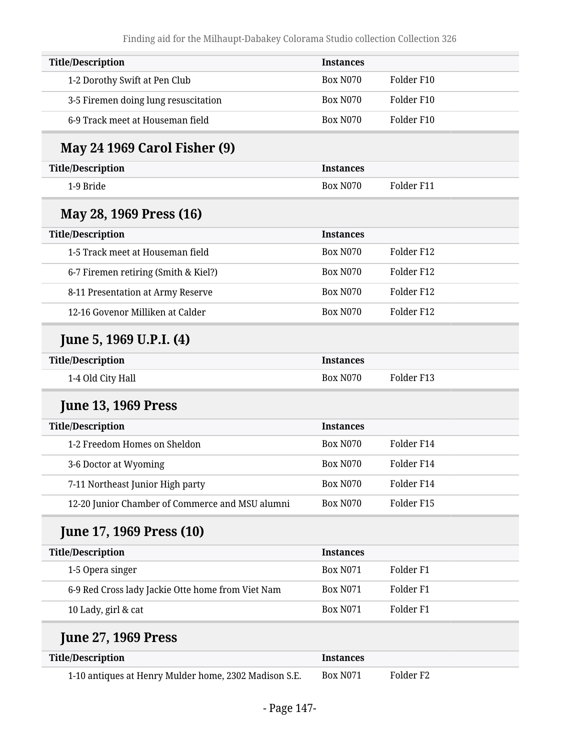| <b>Title/Description</b>                              | <b>Instances</b> |                      |
|-------------------------------------------------------|------------------|----------------------|
| 1-2 Dorothy Swift at Pen Club                         | <b>Box N070</b>  | Folder F10           |
| 3-5 Firemen doing lung resuscitation                  | <b>Box N070</b>  | Folder F10           |
| 6-9 Track meet at Houseman field                      | <b>Box N070</b>  | Folder F10           |
| <b>May 24 1969 Carol Fisher (9)</b>                   |                  |                      |
| <b>Title/Description</b>                              | <b>Instances</b> |                      |
| 1-9 Bride                                             | <b>Box N070</b>  | Folder F11           |
| May 28, 1969 Press (16)                               |                  |                      |
| <b>Title/Description</b>                              | <b>Instances</b> |                      |
| 1-5 Track meet at Houseman field                      | <b>Box N070</b>  | Folder F12           |
| 6-7 Firemen retiring (Smith & Kiel?)                  | <b>Box N070</b>  | Folder F12           |
| 8-11 Presentation at Army Reserve                     | <b>Box N070</b>  | Folder F12           |
| 12-16 Govenor Milliken at Calder                      | <b>Box N070</b>  | Folder F12           |
| June 5, 1969 U.P.I. (4)                               |                  |                      |
| <b>Title/Description</b>                              | <b>Instances</b> |                      |
| 1-4 Old City Hall                                     | <b>Box N070</b>  | Folder F13           |
| <b>June 13, 1969 Press</b>                            |                  |                      |
| <b>Title/Description</b>                              | <b>Instances</b> |                      |
| 1-2 Freedom Homes on Sheldon                          | <b>Box N070</b>  | Folder F14           |
| 3-6 Doctor at Wyoming                                 | <b>Box N070</b>  | Folder F14           |
| 7-11 Northeast Junior High party                      | <b>Box N070</b>  | Folder F14           |
| 12-20 Junior Chamber of Commerce and MSU alumni       | <b>Box N070</b>  | Folder F15           |
| <b>June 17, 1969 Press (10)</b>                       |                  |                      |
| <b>Title/Description</b>                              | <b>Instances</b> |                      |
| 1-5 Opera singer                                      | <b>Box N071</b>  | Folder <sub>F1</sub> |
| 6-9 Red Cross lady Jackie Otte home from Viet Nam     | <b>Box N071</b>  | Folder <sub>F1</sub> |
| 10 Lady, girl & cat                                   | <b>Box N071</b>  | Folder <sub>F1</sub> |
| <b>June 27, 1969 Press</b>                            |                  |                      |
| <b>Title/Description</b>                              | <b>Instances</b> |                      |
| 1-10 antiques at Henry Mulder home, 2302 Madison S.E. | <b>Box N071</b>  | Folder <sub>F2</sub> |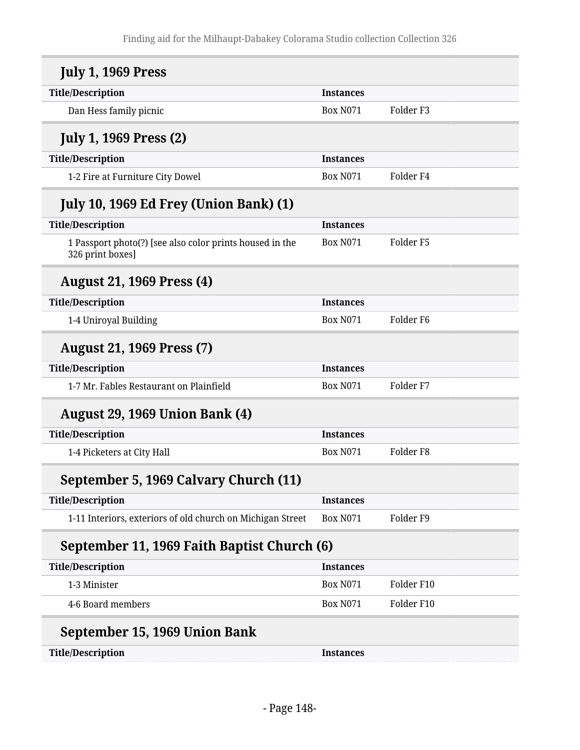| <b>July 1, 1969 Press</b>                                                    |                  |                      |
|------------------------------------------------------------------------------|------------------|----------------------|
| <b>Title/Description</b>                                                     | <b>Instances</b> |                      |
| Dan Hess family picnic                                                       | <b>Box N071</b>  | Folder <sub>F3</sub> |
| <b>July 1, 1969 Press (2)</b>                                                |                  |                      |
| <b>Title/Description</b>                                                     | <b>Instances</b> |                      |
| 1-2 Fire at Furniture City Dowel                                             | <b>Box N071</b>  | Folder <sub>F4</sub> |
| <b>July 10, 1969 Ed Frey (Union Bank) (1)</b>                                |                  |                      |
| <b>Title/Description</b>                                                     | <b>Instances</b> |                      |
| 1 Passport photo(?) [see also color prints housed in the<br>326 print boxes] | <b>Box N071</b>  | Folder <sub>F5</sub> |
| <b>August 21, 1969 Press (4)</b>                                             |                  |                      |
| <b>Title/Description</b>                                                     | <b>Instances</b> |                      |
| 1-4 Uniroyal Building                                                        | <b>Box N071</b>  | Folder <sub>F6</sub> |
| <b>August 21, 1969 Press (7)</b>                                             |                  |                      |
| <b>Title/Description</b>                                                     | <b>Instances</b> |                      |
| 1-7 Mr. Fables Restaurant on Plainfield                                      | <b>Box N071</b>  | Folder <sub>F7</sub> |
| <b>August 29, 1969 Union Bank (4)</b>                                        |                  |                      |
| <b>Title/Description</b>                                                     | <b>Instances</b> |                      |
| 1-4 Picketers at City Hall                                                   | <b>Box N071</b>  | Folder <sub>F8</sub> |
| September 5, 1969 Calvary Church (11)                                        |                  |                      |
| <b>Title/Description</b>                                                     | <b>Instances</b> |                      |
| 1-11 Interiors, exteriors of old church on Michigan Street                   | <b>Box N071</b>  | Folder <sub>F9</sub> |
| September 11, 1969 Faith Baptist Church (6)                                  |                  |                      |
| <b>Title/Description</b>                                                     | <b>Instances</b> |                      |
| 1-3 Minister                                                                 | <b>Box N071</b>  | Folder F10           |
| 4-6 Board members                                                            | <b>Box N071</b>  | Folder F10           |
| September 15, 1969 Union Bank                                                |                  |                      |
| <b>Title/Description</b>                                                     | <b>Instances</b> |                      |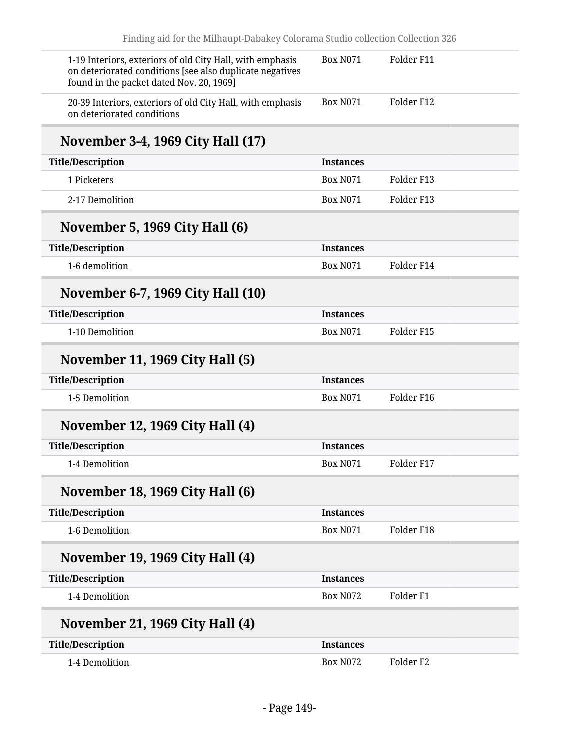| 1-19 Interiors, exteriors of old City Hall, with emphasis<br>on deteriorated conditions [see also duplicate negatives<br>found in the packet dated Nov. 20, 1969] | Folder F11<br><b>Box N071</b>           |  |
|-------------------------------------------------------------------------------------------------------------------------------------------------------------------|-----------------------------------------|--|
| 20-39 Interiors, exteriors of old City Hall, with emphasis<br>on deteriorated conditions                                                                          | <b>Box N071</b><br>Folder F12           |  |
| November 3-4, 1969 City Hall (17)                                                                                                                                 |                                         |  |
| <b>Title/Description</b>                                                                                                                                          | <b>Instances</b>                        |  |
| 1 Picketers                                                                                                                                                       | <b>Box N071</b><br>Folder F13           |  |
| 2-17 Demolition                                                                                                                                                   | <b>Box N071</b><br>Folder F13           |  |
| November 5, 1969 City Hall (6)                                                                                                                                    |                                         |  |
| <b>Title/Description</b>                                                                                                                                          | <b>Instances</b>                        |  |
| 1-6 demolition                                                                                                                                                    | <b>Box N071</b><br>Folder F14           |  |
| <b>November 6-7, 1969 City Hall (10)</b>                                                                                                                          |                                         |  |
| <b>Title/Description</b>                                                                                                                                          | <b>Instances</b>                        |  |
| 1-10 Demolition                                                                                                                                                   | Folder F15<br><b>Box N071</b>           |  |
| November 11, 1969 City Hall (5)                                                                                                                                   |                                         |  |
| <b>Title/Description</b>                                                                                                                                          | <b>Instances</b>                        |  |
| 1-5 Demolition                                                                                                                                                    | <b>Box N071</b><br>Folder F16           |  |
| November 12, 1969 City Hall (4)                                                                                                                                   |                                         |  |
| <b>Title/Description</b>                                                                                                                                          | <b>Instances</b>                        |  |
| 1-4 Demolition                                                                                                                                                    | Folder F17<br><b>Box N071</b>           |  |
| November 18, 1969 City Hall (6)                                                                                                                                   |                                         |  |
| <b>Title/Description</b>                                                                                                                                          | <b>Instances</b>                        |  |
| 1-6 Demolition                                                                                                                                                    | Folder F18<br><b>Box N071</b>           |  |
| November 19, 1969 City Hall (4)                                                                                                                                   |                                         |  |
| <b>Title/Description</b>                                                                                                                                          | <b>Instances</b>                        |  |
| 1-4 Demolition                                                                                                                                                    | <b>Box N072</b><br>Folder <sub>F1</sub> |  |
| November 21, 1969 City Hall (4)                                                                                                                                   |                                         |  |
| <b>Title/Description</b>                                                                                                                                          | <b>Instances</b>                        |  |
| 1-4 Demolition                                                                                                                                                    | <b>Box N072</b><br>Folder <sub>F2</sub> |  |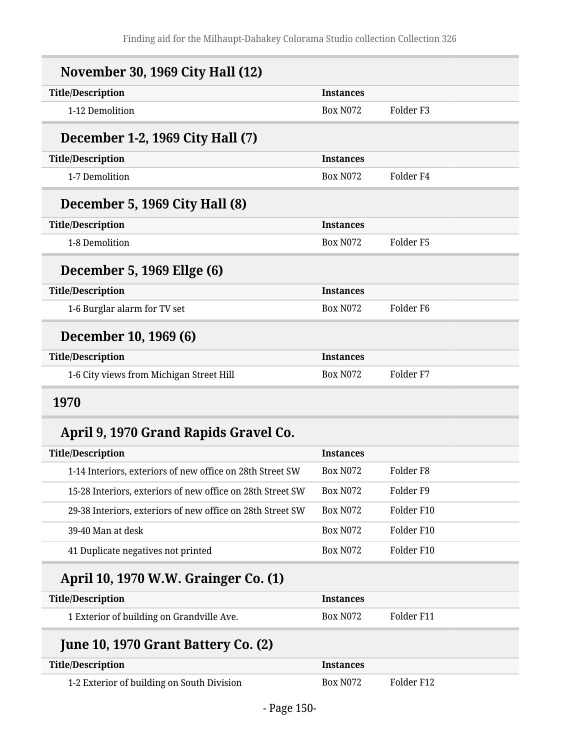| <b>November 30, 1969 City Hall (12)</b>  |                  |                       |
|------------------------------------------|------------------|-----------------------|
| <b>Title/Description</b>                 | <b>Instances</b> |                       |
| 1-12 Demolition                          | <b>Box N072</b>  | Folder F <sub>3</sub> |
| December 1-2, 1969 City Hall (7)         |                  |                       |
| <b>Title/Description</b>                 | <b>Instances</b> |                       |
| 1-7 Demolition                           | <b>Box N072</b>  | Folder F4             |
| December 5, 1969 City Hall (8)           |                  |                       |
| <b>Title/Description</b>                 | <b>Instances</b> |                       |
| 1-8 Demolition                           | <b>Box N072</b>  | Folder F5             |
| December 5, 1969 Ellge (6)               |                  |                       |
| <b>Title/Description</b>                 | <b>Instances</b> |                       |
| 1-6 Burglar alarm for TV set             | <b>Box N072</b>  | Folder F6             |
| December 10, 1969 (6)                    |                  |                       |
| <b>Title/Description</b>                 | <b>Instances</b> |                       |
| 1-6 City views from Michigan Street Hill | <b>Box N072</b>  | Folder F7             |
|                                          |                  |                       |

## **1970**

# **April 9, 1970 Grand Rapids Gravel Co.**

| <b>Title/Description</b>                                   | <b>Instances</b>     |            |
|------------------------------------------------------------|----------------------|------------|
| 1-14 Interiors, exteriors of new office on 28th Street SW  | Box N <sub>072</sub> | Folder F8  |
| 15-28 Interiors, exteriors of new office on 28th Street SW | <b>Box N072</b>      | Folder F9  |
| 29-38 Interiors, exteriors of new office on 28th Street SW | <b>Box N072</b>      | Folder F10 |
| 39-40 Man at desk                                          | <b>Box N072</b>      | Folder F10 |
| 41 Duplicate negatives not printed                         | <b>Box N072</b>      | Folder F10 |

# **April 10, 1970 W.W. Grainger Co. (1)**

| <b>Title/Description</b>                  | <i><u><b>Instances</b></u></i> |            |
|-------------------------------------------|--------------------------------|------------|
| 1 Exterior of building on Grandville Ave. | Box N072                       | Folder F11 |

# **June 10, 1970 Grant Battery Co. (2)**

| Title/Description                          | <b>Instances</b> |            |
|--------------------------------------------|------------------|------------|
| 1-2 Exterior of building on South Division | Box N072         | Folder F12 |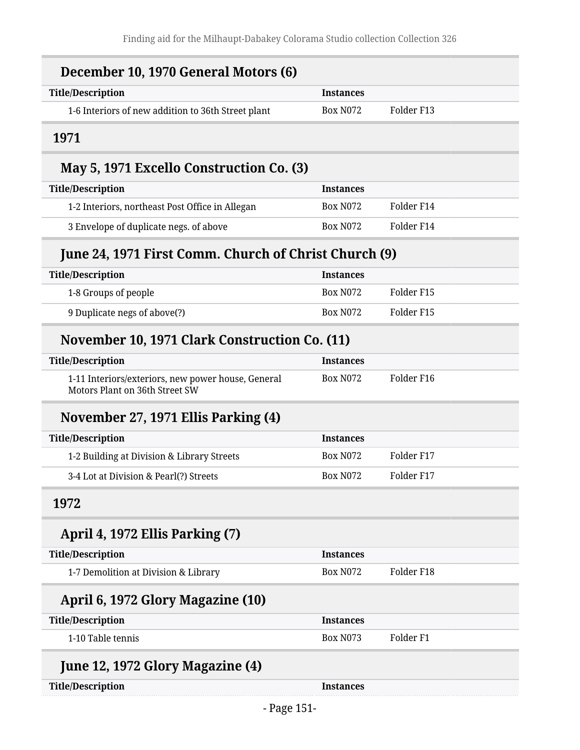| December 10, 1970 General Motors (6)                                                 |                  |                      |
|--------------------------------------------------------------------------------------|------------------|----------------------|
| <b>Title/Description</b>                                                             | <b>Instances</b> |                      |
| 1-6 Interiors of new addition to 36th Street plant                                   | <b>Box N072</b>  | Folder F13           |
| 1971                                                                                 |                  |                      |
| May 5, 1971 Excello Construction Co. (3)                                             |                  |                      |
| <b>Title/Description</b>                                                             | <b>Instances</b> |                      |
| 1-2 Interiors, northeast Post Office in Allegan                                      | <b>Box N072</b>  | Folder F14           |
| 3 Envelope of duplicate negs. of above                                               | <b>Box N072</b>  | Folder F14           |
| June 24, 1971 First Comm. Church of Christ Church (9)                                |                  |                      |
| <b>Title/Description</b>                                                             | <b>Instances</b> |                      |
| 1-8 Groups of people                                                                 | <b>Box N072</b>  | Folder F15           |
| 9 Duplicate negs of above(?)                                                         | <b>Box N072</b>  | Folder F15           |
| November 10, 1971 Clark Construction Co. (11)                                        |                  |                      |
| <b>Title/Description</b>                                                             | <b>Instances</b> |                      |
| 1-11 Interiors/exteriors, new power house, General<br>Motors Plant on 36th Street SW | <b>Box N072</b>  | Folder F16           |
| November 27, 1971 Ellis Parking (4)                                                  |                  |                      |
| <b>Title/Description</b>                                                             | <b>Instances</b> |                      |
| 1-2 Building at Division & Library Streets                                           | <b>Box N072</b>  | Folder F17           |
| 3-4 Lot at Division & Pearl(?) Streets                                               | <b>Box N072</b>  | Folder F17           |
| 1972                                                                                 |                  |                      |
| April 4, 1972 Ellis Parking (7)                                                      |                  |                      |
| <b>Title/Description</b>                                                             | <b>Instances</b> |                      |
| 1-7 Demolition at Division & Library                                                 | <b>Box N072</b>  | Folder F18           |
| April 6, 1972 Glory Magazine (10)                                                    |                  |                      |
| <b>Title/Description</b>                                                             | <b>Instances</b> |                      |
| 1-10 Table tennis                                                                    | <b>Box N073</b>  | Folder <sub>F1</sub> |
| June 12, 1972 Glory Magazine (4)                                                     |                  |                      |
| <b>Title/Description</b>                                                             | <b>Instances</b> |                      |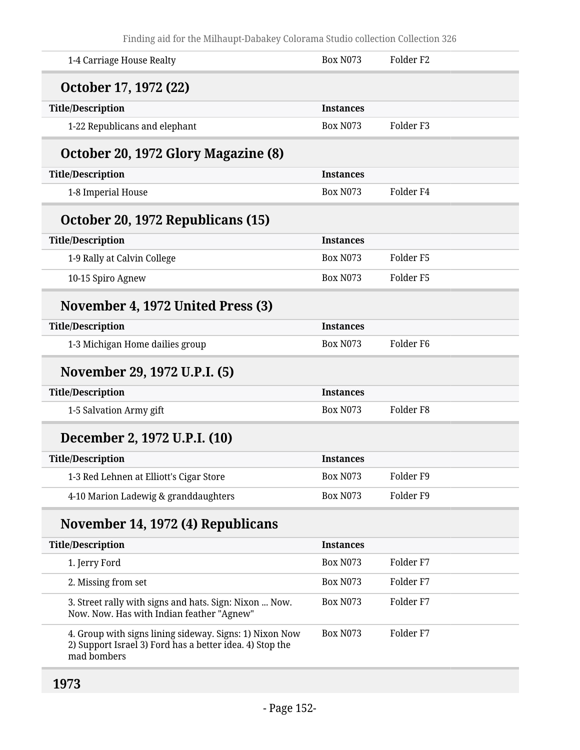| 1-4 Carriage House Realty                                                                           | <b>Box N073</b>  | Folder <sub>F2</sub> |
|-----------------------------------------------------------------------------------------------------|------------------|----------------------|
| October 17, 1972 (22)                                                                               |                  |                      |
| <b>Title/Description</b>                                                                            | <b>Instances</b> |                      |
| 1-22 Republicans and elephant                                                                       | <b>Box N073</b>  | Folder <sub>F3</sub> |
| October 20, 1972 Glory Magazine (8)                                                                 |                  |                      |
| <b>Title/Description</b>                                                                            | <b>Instances</b> |                      |
| 1-8 Imperial House                                                                                  | <b>Box N073</b>  | Folder <sub>F4</sub> |
| October 20, 1972 Republicans (15)                                                                   |                  |                      |
| <b>Title/Description</b>                                                                            | <b>Instances</b> |                      |
| 1-9 Rally at Calvin College                                                                         | <b>Box N073</b>  | Folder <sub>F5</sub> |
| 10-15 Spiro Agnew                                                                                   | <b>Box N073</b>  | Folder <sub>F5</sub> |
| November 4, 1972 United Press (3)                                                                   |                  |                      |
| <b>Title/Description</b>                                                                            | <b>Instances</b> |                      |
| 1-3 Michigan Home dailies group                                                                     | <b>Box N073</b>  | Folder <sub>F6</sub> |
|                                                                                                     |                  |                      |
| November 29, 1972 U.P.I. (5)                                                                        |                  |                      |
| <b>Title/Description</b>                                                                            | <b>Instances</b> |                      |
| 1-5 Salvation Army gift                                                                             | <b>Box N073</b>  | Folder <sub>F8</sub> |
| December 2, 1972 U.P.I. (10)                                                                        |                  |                      |
| <b>Title/Description</b>                                                                            | <b>Instances</b> |                      |
| 1-3 Red Lehnen at Elliott's Cigar Store                                                             | <b>Box N073</b>  | Folder <sub>F9</sub> |
| 4-10 Marion Ladewig & granddaughters                                                                | <b>Box N073</b>  | Folder <sub>F9</sub> |
| November 14, 1972 (4) Republicans                                                                   |                  |                      |
| <b>Title/Description</b>                                                                            | <b>Instances</b> |                      |
| 1. Jerry Ford                                                                                       | <b>Box N073</b>  | Folder <sub>F7</sub> |
| 2. Missing from set                                                                                 | <b>Box N073</b>  | Folder <sub>F7</sub> |
| 3. Street rally with signs and hats. Sign: Nixon  Now.<br>Now. Now. Has with Indian feather "Agnew" | <b>Box N073</b>  | Folder <sub>F7</sub> |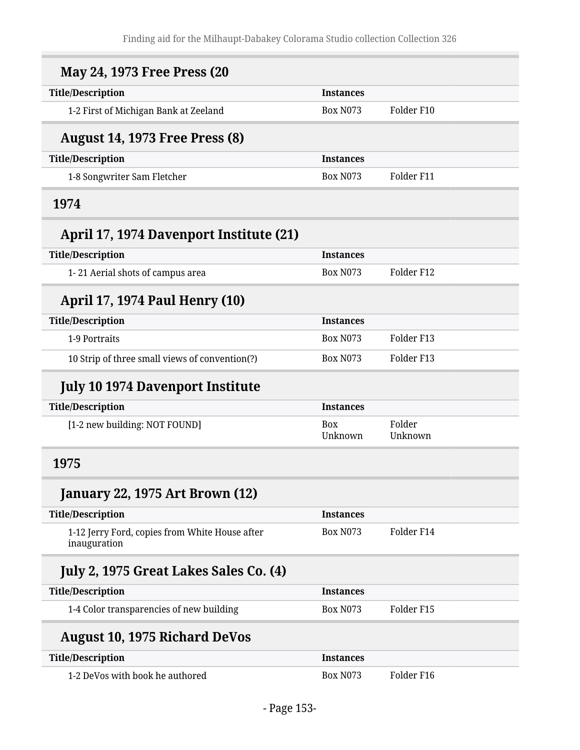| <b>May 24, 1973 Free Press (20</b>                             |                  |                   |
|----------------------------------------------------------------|------------------|-------------------|
| <b>Title/Description</b>                                       | <b>Instances</b> |                   |
| 1-2 First of Michigan Bank at Zeeland                          | <b>Box N073</b>  | Folder F10        |
| <b>August 14, 1973 Free Press (8)</b>                          |                  |                   |
| <b>Title/Description</b>                                       | <b>Instances</b> |                   |
| 1-8 Songwriter Sam Fletcher                                    | <b>Box N073</b>  | Folder F11        |
| 1974                                                           |                  |                   |
| April 17, 1974 Davenport Institute (21)                        |                  |                   |
| <b>Title/Description</b>                                       | <b>Instances</b> |                   |
| 1-21 Aerial shots of campus area                               | <b>Box N073</b>  | Folder F12        |
| <b>April 17, 1974 Paul Henry (10)</b>                          |                  |                   |
| <b>Title/Description</b>                                       | <b>Instances</b> |                   |
| 1-9 Portraits                                                  | <b>Box N073</b>  | Folder F13        |
| 10 Strip of three small views of convention(?)                 | <b>Box N073</b>  | Folder F13        |
|                                                                |                  |                   |
| <b>July 10 1974 Davenport Institute</b>                        |                  |                   |
| <b>Title/Description</b>                                       | <b>Instances</b> |                   |
| [1-2 new building: NOT FOUND]                                  | Box<br>Unknown   | Folder<br>Unknown |
| 1975                                                           |                  |                   |
| <b>January 22, 1975 Art Brown (12)</b>                         |                  |                   |
| <b>Title/Description</b>                                       | <b>Instances</b> |                   |
| 1-12 Jerry Ford, copies from White House after<br>inauguration | <b>Box N073</b>  | Folder F14        |
| July 2, 1975 Great Lakes Sales Co. (4)                         |                  |                   |
| <b>Title/Description</b>                                       | <b>Instances</b> |                   |
| 1-4 Color transparencies of new building                       | <b>Box N073</b>  | Folder F15        |
| <b>August 10, 1975 Richard DeVos</b>                           |                  |                   |
| <b>Title/Description</b>                                       | <b>Instances</b> |                   |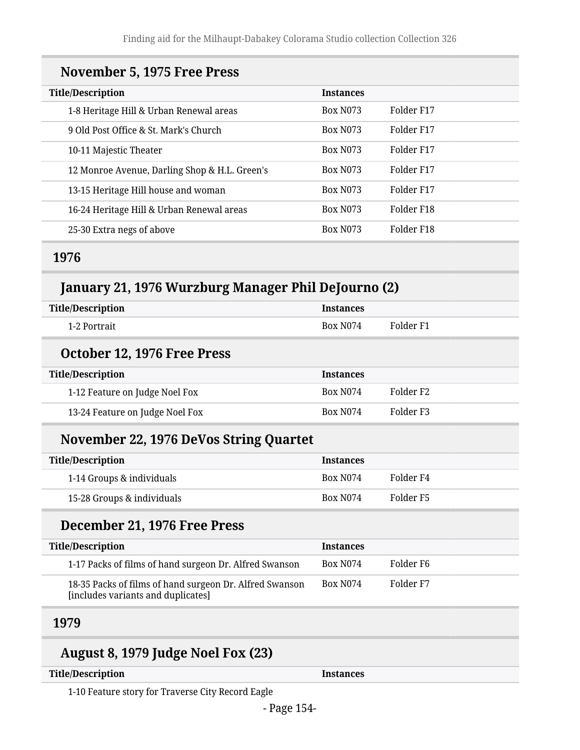### **November 5, 1975 Free Press**

| <b>Title/Description</b>                      | <b>Instances</b> |                        |
|-----------------------------------------------|------------------|------------------------|
| 1-8 Heritage Hill & Urban Renewal areas       | <b>Box N073</b>  | Folder F17             |
| 9 Old Post Office & St. Mark's Church         | <b>Box N073</b>  | Folder F17             |
| 10-11 Majestic Theater                        | <b>Box N073</b>  | Folder F17             |
| 12 Monroe Avenue, Darling Shop & H.L. Green's | <b>Box N073</b>  | Folder F17             |
| 13-15 Heritage Hill house and woman           | <b>Box N073</b>  | Folder F17             |
| 16-24 Heritage Hill & Urban Renewal areas     | <b>Box N073</b>  | Folder F <sub>18</sub> |
| 25-30 Extra negs of above                     | <b>Box N073</b>  | Folder F <sub>18</sub> |

### **1976**

## **January 21, 1976 Wurzburg Manager Phil DeJourno (2)**

| <b>Title/Description</b> | <b>Instances</b> |           |
|--------------------------|------------------|-----------|
| 1-2 Portrait             | Box N074         | Folder F1 |

#### **October 12, 1976 Free Press**

| <b>Title/Description</b>        | <b>Instances</b>     |                       |
|---------------------------------|----------------------|-----------------------|
| 1-12 Feature on Judge Noel Fox  | Box N <sub>074</sub> | Folder F <sub>2</sub> |
| 13-24 Feature on Judge Noel Fox | Box N <sub>074</sub> | Folder F3             |

### **November 22, 1976 DeVos String Quartet**

| <b>Title/Description</b>   | <b>Instances</b>     |           |
|----------------------------|----------------------|-----------|
| 1-14 Groups & individuals  | Box N <sub>074</sub> | Folder F4 |
| 15-28 Groups & individuals | Box N <sub>074</sub> | Folder F5 |

### **December 21, 1976 Free Press**

| <b>Title/Description</b>                                                                      | <b>Instances</b>     |           |
|-----------------------------------------------------------------------------------------------|----------------------|-----------|
| 1-17 Packs of films of hand surgeon Dr. Alfred Swanson                                        | Box N074             | Folder F6 |
| 18-35 Packs of films of hand surgeon Dr. Alfred Swanson<br>[includes variants and duplicates] | Box N <sub>074</sub> | Folder F7 |

### **1979**

## **August 8, 1979 Judge Noel Fox (23)**

| <b>Title/Description</b> |  |
|--------------------------|--|
|--------------------------|--|

**Instances** 

1-10 Feature story for Traverse City Record Eagle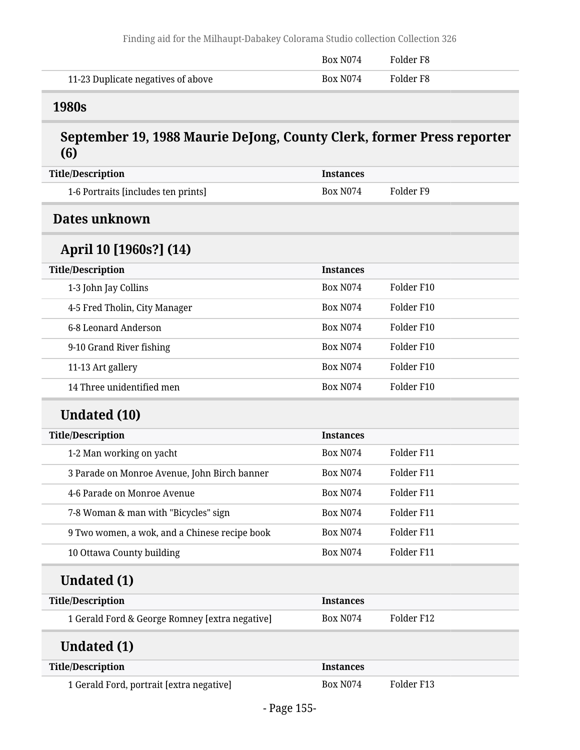|                                    | Box N <sub>074</sub> | Folder F8 |
|------------------------------------|----------------------|-----------|
| 11-23 Duplicate negatives of above | Box N074             | Folder F8 |

### **1980s**

## **September 19, 1988 Maurie DeJong, County Clerk, former Press reporter (6)**

| <b>Title/Description</b>                       | <b>Instances</b> |            |  |
|------------------------------------------------|------------------|------------|--|
| 1-6 Portraits [includes ten prints]            | <b>Box N074</b>  | Folder F9  |  |
| Dates unknown                                  |                  |            |  |
| April 10 [1960s?] (14)                         |                  |            |  |
| <b>Title/Description</b>                       | <b>Instances</b> |            |  |
| 1-3 John Jay Collins                           | <b>Box N074</b>  | Folder F10 |  |
| 4-5 Fred Tholin, City Manager                  | <b>Box N074</b>  | Folder F10 |  |
| 6-8 Leonard Anderson                           | <b>Box N074</b>  | Folder F10 |  |
| 9-10 Grand River fishing                       | <b>Box N074</b>  | Folder F10 |  |
| 11-13 Art gallery                              | <b>Box N074</b>  | Folder F10 |  |
| 14 Three unidentified men                      | <b>Box N074</b>  | Folder F10 |  |
| <b>Undated (10)</b>                            |                  |            |  |
| <b>Title/Description</b>                       | <b>Instances</b> |            |  |
| 1-2 Man working on yacht                       | <b>Box N074</b>  | Folder F11 |  |
| 3 Parade on Monroe Avenue, John Birch banner   | <b>Box N074</b>  | Folder F11 |  |
| 4-6 Parade on Monroe Avenue                    | <b>Box N074</b>  | Folder F11 |  |
| 7-8 Woman & man with "Bicycles" sign           | <b>Box N074</b>  | Folder F11 |  |
| 9 Two women, a wok, and a Chinese recipe book  | <b>Box N074</b>  | Folder F11 |  |
| 10 Ottawa County building                      | <b>Box N074</b>  | Folder F11 |  |
| Undated (1)                                    |                  |            |  |
| <b>Title/Description</b>                       | <b>Instances</b> |            |  |
| 1 Gerald Ford & George Romney [extra negative] | <b>Box N074</b>  | Folder F12 |  |
| <b>Undated (1)</b>                             |                  |            |  |
| <b>Title/Description</b>                       | <b>Instances</b> |            |  |
| 1 Gerald Ford, portrait [extra negative]       | <b>Box N074</b>  | Folder F13 |  |